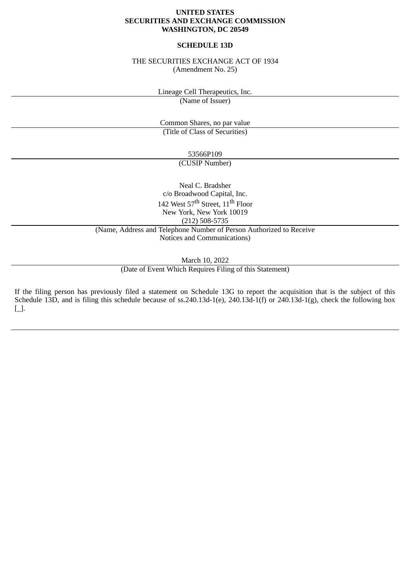### **UNITED STATES SECURITIES AND EXCHANGE COMMISSION WASHINGTON, DC 20549**

## **SCHEDULE 13D**

### THE SECURITIES EXCHANGE ACT OF 1934 (Amendment No. 25)

Lineage Cell Therapeutics, Inc.

(Name of Issuer)

Common Shares, no par value (Title of Class of Securities)

> 53566P109 (CUSIP Number)

Neal C. Bradsher c/o Broadwood Capital, Inc. 142 West 57<sup>th</sup> Street, 11<sup>th</sup> Floor New York, New York 10019 (212) 508-5735

(Name, Address and Telephone Number of Person Authorized to Receive Notices and Communications)

March 10, 2022

(Date of Event Which Requires Filing of this Statement)

If the filing person has previously filed a statement on Schedule 13G to report the acquisition that is the subject of this Schedule 13D, and is filing this schedule because of ss.240.13d-1(e), 240.13d-1(f) or 240.13d-1(g), check the following box [\_].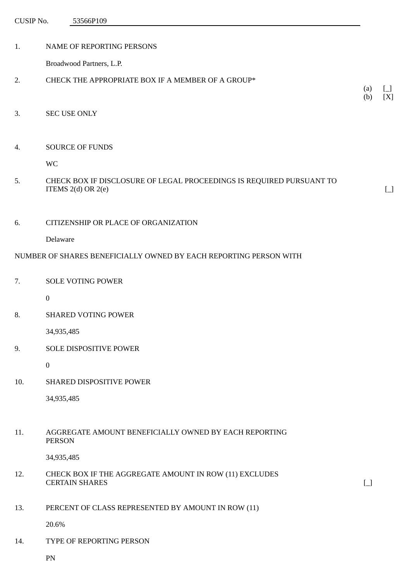| CUSIP No. | 53566P109                                                                                      |            |                       |
|-----------|------------------------------------------------------------------------------------------------|------------|-----------------------|
| 1.        | NAME OF REPORTING PERSONS                                                                      |            |                       |
|           | Broadwood Partners, L.P.                                                                       |            |                       |
| 2.        | CHECK THE APPROPRIATE BOX IF A MEMBER OF A GROUP*                                              | (a)<br>(b) | $\Box$<br>[X]         |
| 3.        | <b>SEC USE ONLY</b>                                                                            |            |                       |
| 4.        | <b>SOURCE OF FUNDS</b>                                                                         |            |                       |
|           | <b>WC</b>                                                                                      |            |                       |
| 5.        | CHECK BOX IF DISCLOSURE OF LEGAL PROCEEDINGS IS REQUIRED PURSUANT TO<br>ITEMS $2(d)$ OR $2(e)$ |            | $\boxed{\phantom{0}}$ |
| 6.        | CITIZENSHIP OR PLACE OF ORGANIZATION                                                           |            |                       |
|           | Delaware                                                                                       |            |                       |
|           | NUMBER OF SHARES BENEFICIALLY OWNED BY EACH REPORTING PERSON WITH                              |            |                       |
| 7.        | <b>SOLE VOTING POWER</b>                                                                       |            |                       |
|           | $\boldsymbol{0}$                                                                               |            |                       |
| 8.        | SHARED VOTING POWER                                                                            |            |                       |
|           | 34,935,485                                                                                     |            |                       |
| 9.        | SOLE DISPOSITIVE POWER                                                                         |            |                       |
|           | $\boldsymbol{0}$                                                                               |            |                       |
| 10.       | SHARED DISPOSITIVE POWER                                                                       |            |                       |

34,935,485

11. AGGREGATE AMOUNT BENEFICIALLY OWNED BY EACH REPORTING PERSON

34,935,485

12. CHECK BOX IF THE AGGREGATE AMOUNT IN ROW (11) EXCLUDES CERTAIN SHARES [\_]

13. PERCENT OF CLASS REPRESENTED BY AMOUNT IN ROW (11)

20.6%

14. TYPE OF REPORTING PERSON

PN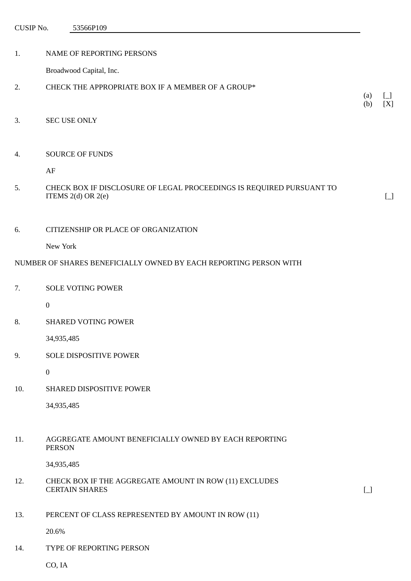CUSIP No. 53566P109

| NAME OF REPORTING PERSONS |
|---------------------------|
|                           |

Broadwood Capital, Inc.

- 2. CHECK THE APPROPRIATE BOX IF A MEMBER OF A GROUP\*
- 3. SEC USE ONLY

### 4. SOURCE OF FUNDS

AF

5. CHECK BOX IF DISCLOSURE OF LEGAL PROCEEDINGS IS REQUIRED PURSUANT TO ITEMS  $2(d)$  OR  $2(e)$  [\_]

 $(a) \quad \lceil \; \rceil$ (b) [X]

#### 6. CITIZENSHIP OR PLACE OF ORGANIZATION

New York

### NUMBER OF SHARES BENEFICIALLY OWNED BY EACH REPORTING PERSON WITH

0

8. SHARED VOTING POWER

34,935,485

9. SOLE DISPOSITIVE POWER

0

10. SHARED DISPOSITIVE POWER

34,935,485

### 11. AGGREGATE AMOUNT BENEFICIALLY OWNED BY EACH REPORTING PERSON

34,935,485

12. CHECK BOX IF THE AGGREGATE AMOUNT IN ROW (11) EXCLUDES CERTAIN SHARES [ ]

13. PERCENT OF CLASS REPRESENTED BY AMOUNT IN ROW (11)

20.6%

14. TYPE OF REPORTING PERSON

CO, IA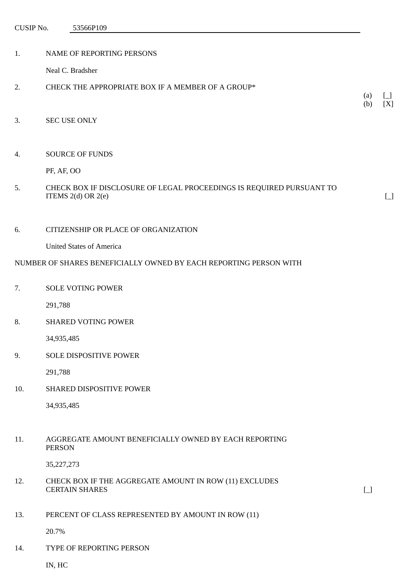CUSIP No. 53566P109

| 1.  | NAME OF REPORTING PERSONS                                                                      |            |        |
|-----|------------------------------------------------------------------------------------------------|------------|--------|
|     | Neal C. Bradsher                                                                               |            |        |
| 2.  | CHECK THE APPROPRIATE BOX IF A MEMBER OF A GROUP*                                              |            |        |
|     |                                                                                                | (a)<br>(b) | [X]    |
| 3.  | <b>SEC USE ONLY</b>                                                                            |            |        |
|     |                                                                                                |            |        |
| 4.  | <b>SOURCE OF FUNDS</b>                                                                         |            |        |
|     | PF, AF, OO                                                                                     |            |        |
| 5.  | CHECK BOX IF DISCLOSURE OF LEGAL PROCEEDINGS IS REQUIRED PURSUANT TO<br>ITEMS $2(d)$ OR $2(e)$ |            | $\Box$ |
| 6.  | CITIZENSHIP OR PLACE OF ORGANIZATION                                                           |            |        |
|     | <b>United States of America</b>                                                                |            |        |
|     | NUMBER OF SHARES BENEFICIALLY OWNED BY EACH REPORTING PERSON WITH                              |            |        |
| 7.  | <b>SOLE VOTING POWER</b>                                                                       |            |        |
|     | 291,788                                                                                        |            |        |
| 8.  | <b>SHARED VOTING POWER</b>                                                                     |            |        |
|     | 34,935,485                                                                                     |            |        |
| 9.  | SOLE DISPOSITIVE POWER                                                                         |            |        |
|     | 291,788                                                                                        |            |        |
| 10. | SHARED DISPOSITIVE POWER                                                                       |            |        |
|     | 34,935,485                                                                                     |            |        |
| 11. | AGGREGATE AMOUNT BENEFICIALLY OWNED BY EACH REPORTING                                          |            |        |
|     | <b>PERSON</b>                                                                                  |            |        |
|     | 35,227,273                                                                                     |            |        |

- 12. CHECK BOX IF THE AGGREGATE AMOUNT IN ROW (11) EXCLUDES CERTAIN SHARES [\_]
	-

13. PERCENT OF CLASS REPRESENTED BY AMOUNT IN ROW (11)

20.7%

14. TYPE OF REPORTING PERSON

IN, HC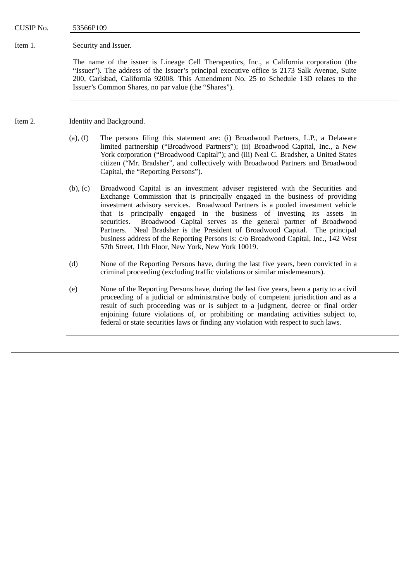CUSIP No. 53566P109

Item 1. Security and Issuer.

The name of the issuer is Lineage Cell Therapeutics, Inc., a California corporation (the "Issuer"). The address of the Issuer's principal executive office is 2173 Salk Avenue, Suite 200, Carlsbad, California 92008. This Amendment No. 25 to Schedule 13D relates to the Issuer's Common Shares, no par value (the "Shares").

Item 2. Identity and Background.

- (a), (f) The persons filing this statement are: (i) Broadwood Partners, L.P., a Delaware limited partnership ("Broadwood Partners"); (ii) Broadwood Capital, Inc., a New York corporation ("Broadwood Capital"); and (iii) Neal C. Bradsher, a United States citizen ("Mr. Bradsher", and collectively with Broadwood Partners and Broadwood Capital, the "Reporting Persons").
- (b), (c) Broadwood Capital is an investment adviser registered with the Securities and Exchange Commission that is principally engaged in the business of providing investment advisory services. Broadwood Partners is a pooled investment vehicle that is principally engaged in the business of investing its assets in securities. Broadwood Capital serves as the general partner of Broadwood Partners. Neal Bradsher is the President of Broadwood Capital. The principal business address of the Reporting Persons is: c/o Broadwood Capital, Inc., 142 West 57th Street, 11th Floor, New York, New York 10019.
- (d) None of the Reporting Persons have, during the last five years, been convicted in a criminal proceeding (excluding traffic violations or similar misdemeanors).
- (e) None of the Reporting Persons have, during the last five years, been a party to a civil proceeding of a judicial or administrative body of competent jurisdiction and as a result of such proceeding was or is subject to a judgment, decree or final order enjoining future violations of, or prohibiting or mandating activities subject to, federal or state securities laws or finding any violation with respect to such laws.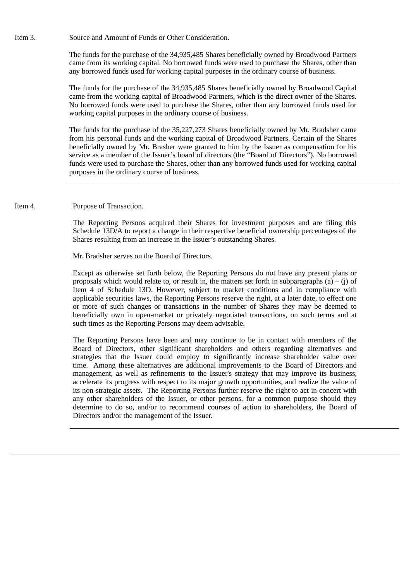Item 3. Source and Amount of Funds or Other Consideration.

The funds for the purchase of the 34,935,485 Shares beneficially owned by Broadwood Partners came from its working capital. No borrowed funds were used to purchase the Shares, other than any borrowed funds used for working capital purposes in the ordinary course of business.

The funds for the purchase of the 34,935,485 Shares beneficially owned by Broadwood Capital came from the working capital of Broadwood Partners, which is the direct owner of the Shares. No borrowed funds were used to purchase the Shares, other than any borrowed funds used for working capital purposes in the ordinary course of business.

The funds for the purchase of the 35,227,273 Shares beneficially owned by Mr. Bradsher came from his personal funds and the working capital of Broadwood Partners. Certain of the Shares beneficially owned by Mr. Brasher were granted to him by the Issuer as compensation for his service as a member of the Issuer's board of directors (the "Board of Directors"). No borrowed funds were used to purchase the Shares, other than any borrowed funds used for working capital purposes in the ordinary course of business.

Item 4. Purpose of Transaction.

The Reporting Persons acquired their Shares for investment purposes and are filing this Schedule 13D/A to report a change in their respective beneficial ownership percentages of the Shares resulting from an increase in the Issuer's outstanding Shares.

Mr. Bradsher serves on the Board of Directors.

Except as otherwise set forth below, the Reporting Persons do not have any present plans or proposals which would relate to, or result in, the matters set forth in subparagraphs (a) – (j) of Item 4 of Schedule 13D. However, subject to market conditions and in compliance with applicable securities laws, the Reporting Persons reserve the right, at a later date, to effect one or more of such changes or transactions in the number of Shares they may be deemed to beneficially own in open-market or privately negotiated transactions, on such terms and at such times as the Reporting Persons may deem advisable.

The Reporting Persons have been and may continue to be in contact with members of the Board of Directors, other significant shareholders and others regarding alternatives and strategies that the Issuer could employ to significantly increase shareholder value over time. Among these alternatives are additional improvements to the Board of Directors and management, as well as refinements to the Issuer's strategy that may improve its business, accelerate its progress with respect to its major growth opportunities, and realize the value of its non-strategic assets. The Reporting Persons further reserve the right to act in concert with any other shareholders of the Issuer, or other persons, for a common purpose should they determine to do so, and/or to recommend courses of action to shareholders, the Board of Directors and/or the management of the Issuer.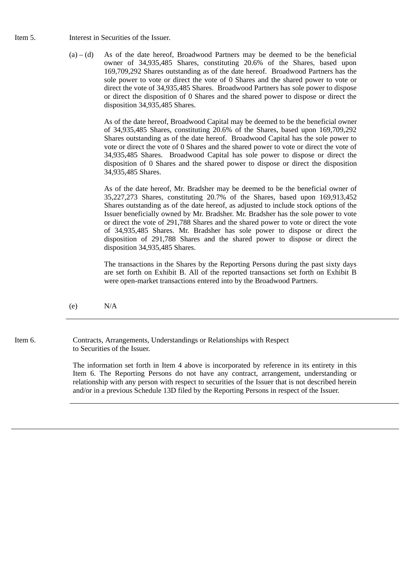- Item 5. Interest in Securities of the Issuer.
	- $(a) (d)$  As of the date hereof, Broadwood Partners may be deemed to be the beneficial owner of 34,935,485 Shares, constituting 20.6% of the Shares, based upon 169,709,292 Shares outstanding as of the date hereof. Broadwood Partners has the sole power to vote or direct the vote of 0 Shares and the shared power to vote or direct the vote of 34,935,485 Shares. Broadwood Partners has sole power to dispose or direct the disposition of 0 Shares and the shared power to dispose or direct the disposition 34,935,485 Shares.

As of the date hereof, Broadwood Capital may be deemed to be the beneficial owner of 34,935,485 Shares, constituting 20.6% of the Shares, based upon 169,709,292 Shares outstanding as of the date hereof. Broadwood Capital has the sole power to vote or direct the vote of 0 Shares and the shared power to vote or direct the vote of 34,935,485 Shares. Broadwood Capital has sole power to dispose or direct the disposition of 0 Shares and the shared power to dispose or direct the disposition 34,935,485 Shares.

As of the date hereof, Mr. Bradsher may be deemed to be the beneficial owner of 35,227,273 Shares, constituting 20.7% of the Shares, based upon 169,913,452 Shares outstanding as of the date hereof, as adjusted to include stock options of the Issuer beneficially owned by Mr. Bradsher. Mr. Bradsher has the sole power to vote or direct the vote of 291,788 Shares and the shared power to vote or direct the vote of 34,935,485 Shares. Mr. Bradsher has sole power to dispose or direct the disposition of 291,788 Shares and the shared power to dispose or direct the disposition 34,935,485 Shares.

The transactions in the Shares by the Reporting Persons during the past sixty days are set forth on Exhibit B. All of the reported transactions set forth on Exhibit B were open-market transactions entered into by the Broadwood Partners.

 $(e)$  N/A

Item 6. Contracts, Arrangements, Understandings or Relationships with Respect to Securities of the Issuer.

> The information set forth in Item 4 above is incorporated by reference in its entirety in this Item 6. The Reporting Persons do not have any contract, arrangement, understanding or relationship with any person with respect to securities of the Issuer that is not described herein and/or in a previous Schedule 13D filed by the Reporting Persons in respect of the Issuer.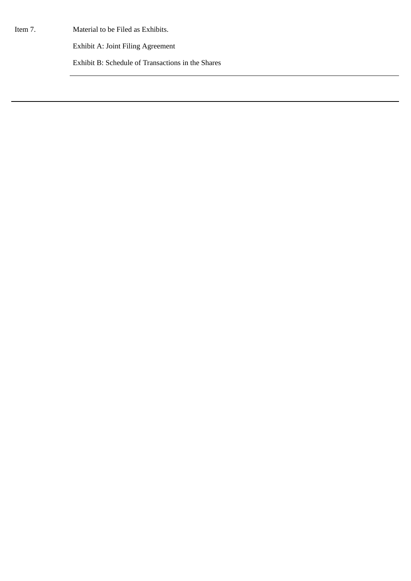Item 7. Material to be Filed as Exhibits.

Exhibit A: Joint Filing Agreement

Exhibit B: Schedule of Transactions in the Shares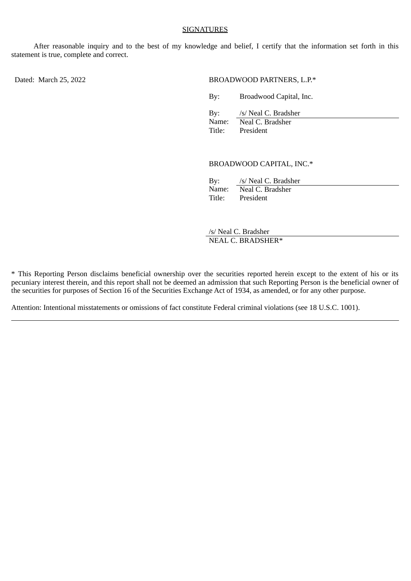#### SIGNATURES

After reasonable inquiry and to the best of my knowledge and belief, I certify that the information set forth in this statement is true, complete and correct.

#### Dated: March 25, 2022 **BROADWOOD PARTNERS, L.P.**\*

By: Broadwood Capital, Inc.

| By:    | /s/ Neal C. Bradsher |
|--------|----------------------|
| Name:  | Neal C. Bradsher     |
| Title: | President            |

#### BROADWOOD CAPITAL, INC.\*

| By:    | /s/ Neal C. Bradsher |
|--------|----------------------|
| Name:  | Neal C. Bradsher     |
| Title: | President            |

/s/ Neal C. Bradsher NEAL C. BRADSHER\*

\* This Reporting Person disclaims beneficial ownership over the securities reported herein except to the extent of his or its pecuniary interest therein, and this report shall not be deemed an admission that such Reporting Person is the beneficial owner of the securities for purposes of Section 16 of the Securities Exchange Act of 1934, as amended, or for any other purpose.

Attention: Intentional misstatements or omissions of fact constitute Federal criminal violations (see 18 U.S.C. 1001).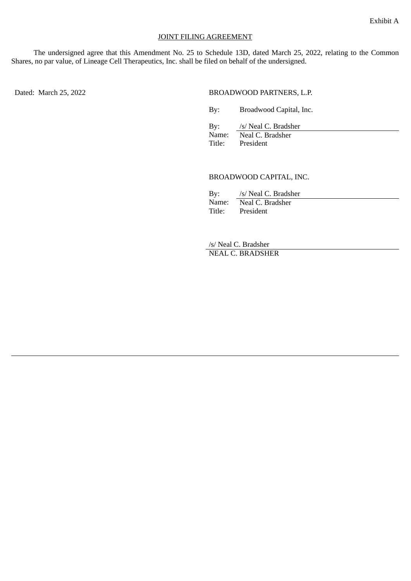### JOINT FILING AGREEMENT

The undersigned agree that this Amendment No. 25 to Schedule 13D, dated March 25, 2022, relating to the Common Shares, no par value, of Lineage Cell Therapeutics, Inc. shall be filed on behalf of the undersigned.

Dated: March 25, 2022 BROADWOOD PARTNERS, L.P.

By: Broadwood Capital, Inc.

By: /s/ Neal C. Bradsher<br>Name: /s/ Neal C. Bradsher Neal C. Bradsher

Title: President

BROADWOOD CAPITAL, INC.

| By:    | /s/ Neal C. Bradsher |
|--------|----------------------|
| Name:  | Neal C. Bradsher     |
| Title: | President            |

/s/ Neal C. Bradsher NEAL C. BRADSHER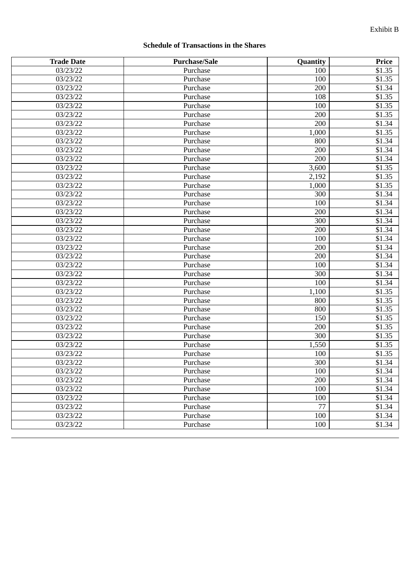# **Schedule of Transactions in the Shares**

| <b>Trade Date</b> | <b>Purchase/Sale</b> | <b>Quantity</b> | Price  |
|-------------------|----------------------|-----------------|--------|
| 03/23/22          | Purchase             | 100             | \$1.35 |
| 03/23/22          | Purchase             | 100             | \$1.35 |
| 03/23/22          | Purchase             | 200             | \$1.34 |
| 03/23/22          | Purchase             | 108             | \$1.35 |
| 03/23/22          | Purchase             | 100             | \$1.35 |
| 03/23/22          | Purchase             | 200             | \$1.35 |
| 03/23/22          | Purchase             | 200             | \$1.34 |
| 03/23/22          | Purchase             | 1,000           | \$1.35 |
| 03/23/22          | Purchase             | 800             | \$1.34 |
| 03/23/22          | Purchase             | 200             | \$1.34 |
| 03/23/22          | Purchase             | 200             | \$1.34 |
| 03/23/22          | Purchase             | 3,600           | \$1.35 |
| 03/23/22          | Purchase             | 2,192           | \$1.35 |
| 03/23/22          | Purchase             | 1,000           | \$1.35 |
| 03/23/22          | Purchase             | 300             | \$1.34 |
| 03/23/22          | Purchase             | 100             | \$1.34 |
| 03/23/22          | Purchase             | 200             | \$1.34 |
| 03/23/22          | Purchase             | 300             | \$1.34 |
| 03/23/22          | Purchase             | 200             | \$1.34 |
| 03/23/22          | Purchase             | 100             | \$1.34 |
| 03/23/22          | Purchase             | 200             | \$1.34 |
| 03/23/22          | Purchase             | 200             | \$1.34 |
| 03/23/22          | Purchase             | 100             | \$1.34 |
| 03/23/22          | Purchase             | 300             | \$1.34 |
| 03/23/22          | Purchase             | 100             | \$1.34 |
| 03/23/22          | Purchase             | 1,100           | \$1.35 |
| 03/23/22          | Purchase             | 800             | \$1.35 |
| 03/23/22          | Purchase             | 800             | \$1.35 |
| 03/23/22          | Purchase             | 150             | \$1.35 |
| 03/23/22          | Purchase             | 200             | \$1.35 |
| 03/23/22          | Purchase             | 300             | \$1.35 |
| 03/23/22          | Purchase             | 1,550           | \$1.35 |
| 03/23/22          | Purchase             | 100             | \$1.35 |
| 03/23/22          | Purchase             | 300             | \$1.34 |
| 03/23/22          | Purchase             | 100             | \$1.34 |
| 03/23/22          | Purchase             | 200             | \$1.34 |
| 03/23/22          | Purchase             | 100             | \$1.34 |
| 03/23/22          | Purchase             | 100             | \$1.34 |
| 03/23/22          | Purchase             | $\overline{77}$ | \$1.34 |
| 03/23/22          | Purchase             | 100             | \$1.34 |
| 03/23/22          | Purchase             | 100             | \$1.34 |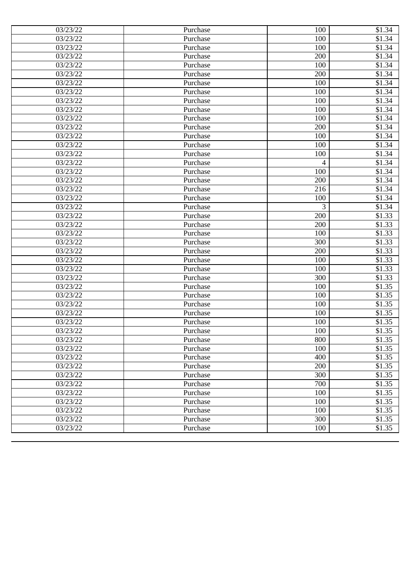| 03/23/22              | Purchase | 100 | \$1.34 |
|-----------------------|----------|-----|--------|
| 03/23/22              | Purchase | 100 | \$1.34 |
| 03/23/22              | Purchase | 100 | \$1.34 |
| 03/23/22              | Purchase | 200 | \$1.34 |
| 03/23/22              | Purchase | 100 | \$1.34 |
| 03/23/22              | Purchase | 200 | \$1.34 |
| 03/23/22              | Purchase | 100 | \$1.34 |
| 03/23/22              | Purchase | 100 | \$1.34 |
| 03/23/22              | Purchase | 100 | \$1.34 |
| 03/23/22              | Purchase | 100 | \$1.34 |
| 03/23/22              | Purchase | 100 | \$1.34 |
| 03/23/22              | Purchase | 200 | \$1.34 |
| 03/23/22              | Purchase | 100 | \$1.34 |
| $\overline{03/2}3/22$ | Purchase | 100 | \$1.34 |
| 03/23/22              | Purchase | 100 | \$1.34 |
| 03/23/22              | Purchase | 4   | \$1.34 |
| 03/23/22              | Purchase | 100 | \$1.34 |
| 03/23/22              | Purchase | 200 | \$1.34 |
| 03/23/22              | Purchase | 216 | \$1.34 |
| 03/23/22              | Purchase | 100 | \$1.34 |
| 03/23/22              | Purchase | 3   | \$1.34 |
| 03/23/22              | Purchase | 200 | \$1.33 |
| 03/23/22              | Purchase | 200 | \$1.33 |
| 03/23/22              | Purchase | 100 | \$1.33 |
| 03/23/22              | Purchase | 300 | \$1.33 |
| 03/23/22              | Purchase | 200 | \$1.33 |
| 03/23/22              | Purchase | 100 | \$1.33 |
| 03/23/22              | Purchase | 100 | \$1.33 |
| 03/23/22              | Purchase | 300 | \$1.33 |
| 03/23/22              | Purchase | 100 | \$1.35 |
| 03/23/22              | Purchase | 100 | \$1.35 |
| 03/23/22              | Purchase | 100 | \$1.35 |
| 03/23/22              | Purchase | 100 | \$1.35 |
| 03/23/22              | Purchase | 100 | \$1.35 |
| 03/23/22              | Purchase | 100 | \$1.35 |
| 03/23/22              | Purchase | 800 | \$1.35 |
| 03/23/22              | Purchase | 100 | \$1.35 |
| 03/23/22              | Purchase | 400 | \$1.35 |
| 03/23/22              | Purchase | 200 | \$1.35 |
| 03/23/22              | Purchase | 300 | \$1.35 |
| 03/23/22              | Purchase | 700 | \$1.35 |
| 03/23/22              | Purchase | 100 | \$1.35 |
| 03/23/22              | Purchase | 100 | \$1.35 |
| 03/23/22              | Purchase | 100 | \$1.35 |
| 03/23/22              | Purchase | 300 | \$1.35 |
| 03/23/22              | Purchase | 100 | \$1.35 |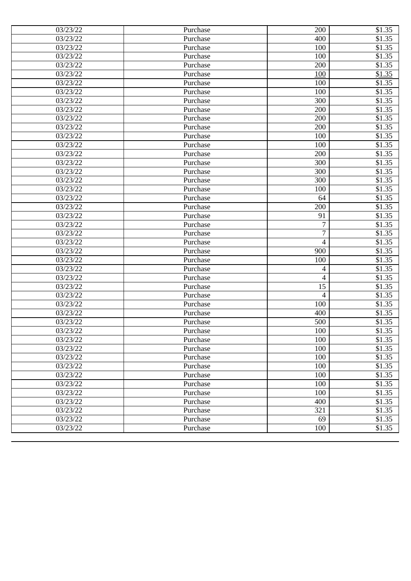| 03/23/22              | Purchase | 200            | \$1.35 |
|-----------------------|----------|----------------|--------|
| 03/23/22              | Purchase | 400            | \$1.35 |
| 03/23/22              | Purchase | 100            | \$1.35 |
| 03/23/22              | Purchase | 100            | \$1.35 |
| 03/23/22              | Purchase | 200            | \$1.35 |
| 03/23/22              | Purchase | 100            | \$1.35 |
| 03/23/22              | Purchase | 100            | \$1.35 |
| 03/23/22              | Purchase | 100            | \$1.35 |
| 03/23/22              | Purchase | 300            | \$1.35 |
| 03/23/22              | Purchase | 200            | \$1.35 |
| 03/23/22              | Purchase | 200            | \$1.35 |
| 03/23/22              | Purchase | 200            | \$1.35 |
| 03/23/22              | Purchase | 100            | \$1.35 |
| 03/23/22              | Purchase | 100            | \$1.35 |
| 03/23/22              | Purchase | 200            | \$1.35 |
| 03/23/22              | Purchase | 300            | \$1.35 |
| 03/23/22              | Purchase | 300            | \$1.35 |
| 03/23/22              | Purchase | 300            | \$1.35 |
| 03/23/22              | Purchase | 100            | \$1.35 |
| 03/23/22              | Purchase | 64             | \$1.35 |
| 03/23/22              | Purchase | 200            | \$1.35 |
| 03/23/22              | Purchase | 91             | \$1.35 |
| 03/23/22              | Purchase | 7              | \$1.35 |
| 03/23/22              | Purchase | 7              | \$1.35 |
| 03/23/22              | Purchase | $\overline{4}$ | \$1.35 |
| 03/23/22              | Purchase | 900            | \$1.35 |
| 03/23/22              | Purchase | 100            | \$1.35 |
| 03/23/22              | Purchase | 4              | \$1.35 |
| 03/23/22              | Purchase | 4              | \$1.35 |
| 03/23/22              | Purchase | 15             | \$1.35 |
| 03/23/22              | Purchase | $\overline{4}$ | \$1.35 |
| 03/23/22              | Purchase | 100            | \$1.35 |
| 03/23/22              | Purchase | 400            | \$1.35 |
| 03/23/22              | Purchase | 500            | \$1.35 |
| $\overline{0}3/23/22$ | Purchase | 100            | \$1.35 |
| 03/23/22              | Purchase | 100            | \$1.35 |
| 03/23/22              | Purchase | 100            | \$1.35 |
| 03/23/22              | Purchase | 100            | \$1.35 |
| 03/23/22              | Purchase | 100            | \$1.35 |
| 03/23/22              | Purchase | 100            | \$1.35 |
| 03/23/22              | Purchase | 100            | \$1.35 |
| 03/23/22              | Purchase | 100            | \$1.35 |
| 03/23/22              | Purchase | 400            | \$1.35 |
| 03/23/22              | Purchase | 321            | \$1.35 |
| 03/23/22              | Purchase | 69             | \$1.35 |
| 03/23/22              | Purchase | 100            | \$1.35 |
|                       |          |                |        |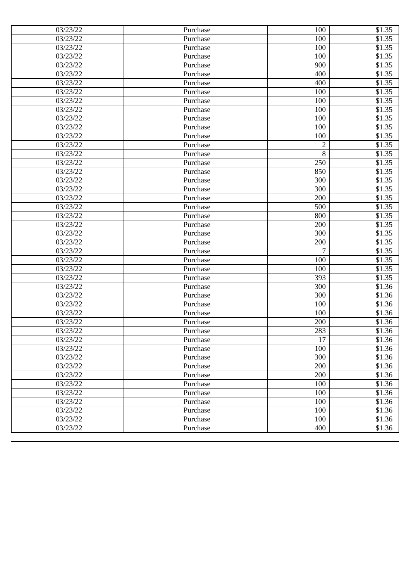| 03/23/22 | Purchase | 100            | \$1.35 |
|----------|----------|----------------|--------|
| 03/23/22 | Purchase | 100            | \$1.35 |
| 03/23/22 | Purchase | 100            | \$1.35 |
| 03/23/22 | Purchase | 100            | \$1.35 |
| 03/23/22 | Purchase | 900            | \$1.35 |
| 03/23/22 | Purchase | 400            | \$1.35 |
| 03/23/22 | Purchase | 400            | \$1.35 |
| 03/23/22 | Purchase | 100            | \$1.35 |
| 03/23/22 | Purchase | 100            | \$1.35 |
| 03/23/22 | Purchase | 100            | \$1.35 |
| 03/23/22 | Purchase | 100            | \$1.35 |
| 03/23/22 | Purchase | 100            | \$1.35 |
| 03/23/22 | Purchase | 100            | \$1.35 |
| 03/23/22 | Purchase | $\overline{2}$ | \$1.35 |
| 03/23/22 | Purchase | 8              | \$1.35 |
| 03/23/22 | Purchase | 250            | \$1.35 |
| 03/23/22 | Purchase | 850            | \$1.35 |
| 03/23/22 | Purchase | 300            | \$1.35 |
| 03/23/22 | Purchase | 300            | \$1.35 |
| 03/23/22 | Purchase | 200            | \$1.35 |
| 03/23/22 | Purchase | 500            | \$1.35 |
| 03/23/22 | Purchase | 800            | \$1.35 |
| 03/23/22 | Purchase | 200            | \$1.35 |
| 03/23/22 | Purchase | 300            | \$1.35 |
| 03/23/22 | Purchase | 200            | \$1.35 |
| 03/23/22 | Purchase | 7              | \$1.35 |
| 03/23/22 | Purchase | 100            | \$1.35 |
| 03/23/22 | Purchase | 100            | \$1.35 |
| 03/23/22 | Purchase | 393            | \$1.35 |
| 03/23/22 | Purchase | 300            | \$1.36 |
| 03/23/22 | Purchase | 300            | \$1.36 |
| 03/23/22 | Purchase | 100            | \$1.36 |
| 03/23/22 | Purchase | 100            | \$1.36 |
| 03/23/22 | Purchase | 200            | \$1.36 |
| 03/23/22 | Purchase | 283            | \$1.36 |
| 03/23/22 | Purchase | 17             | \$1.36 |
| 03/23/22 | Purchase | 100            | \$1.36 |
| 03/23/22 | Purchase | 300            | \$1.36 |
| 03/23/22 | Purchase | 200            | \$1.36 |
| 03/23/22 | Purchase | 200            | \$1.36 |
| 03/23/22 | Purchase | 100            | \$1.36 |
| 03/23/22 | Purchase | 100            | \$1.36 |
| 03/23/22 | Purchase | 100            | \$1.36 |
| 03/23/22 | Purchase | 100            | \$1.36 |
| 03/23/22 | Purchase | 100            | \$1.36 |
| 03/23/22 | Purchase | 400            | \$1.36 |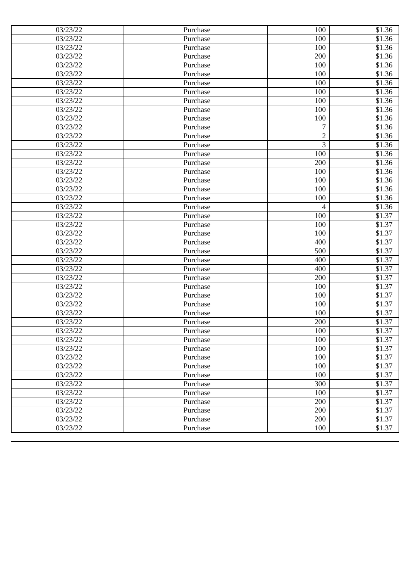| 03/23/22<br>100<br>\$1.36<br>Purchase<br>03/23/22<br>100<br>\$1.36<br>Purchase<br>\$1.36<br>200<br>03/23/22<br>Purchase<br>03/23/22<br>\$1.36<br>100<br>Purchase<br>\$1.36<br>03/23/22<br>100<br>Purchase<br>\$1.36<br>03/23/22<br>100<br>Purchase<br>\$1.36<br>03/23/22<br>100<br>Purchase<br>\$1.36<br>03/23/22<br>Purchase<br>100<br>03/23/22<br>\$1.36<br>100<br>Purchase<br>\$1.36<br>03/23/22<br>100<br>Purchase<br>\$1.36<br>03/23/22<br>7<br>Purchase<br>$\overline{2}$<br>\$1.36<br>03/23/22<br>Purchase<br>3<br>\$1.36<br>03/23/22<br>Purchase<br>\$1.36<br>100<br>03/23/22<br>Purchase<br>\$1.36<br>03/23/22<br>200<br>Purchase<br>03/23/22<br>100<br>\$1.36<br>Purchase<br>\$1.36<br>03/23/22<br>100<br>Purchase<br>\$1.36<br>03/23/22<br>100<br>Purchase<br>\$1.36<br>03/23/22<br>100<br>Purchase<br>\$1.36<br>03/23/22<br>Purchase<br>4<br>\$1.37<br>03/23/22<br>100<br>Purchase<br>03/23/22<br>\$1.37<br>100<br>Purchase<br>03/23/22<br>100<br>\$1.37<br>Purchase<br>400<br>\$1.37<br>03/23/22<br>Purchase<br>\$1.37<br>03/23/22<br>500<br>Purchase<br>03/23/22<br>\$1.37<br>400<br>Purchase<br>\$1.37<br>03/23/22<br>400<br>Purchase<br>\$1.37<br>03/23/22<br>200<br>Purchase<br>\$1.37<br>03/23/22<br>100<br>Purchase<br>03/23/22<br>100<br>\$1.37<br>Purchase<br>03/23/22<br>\$1.37<br>100<br>Purchase<br>\$1.37<br>03/23/22<br>Purchase<br>100<br>03/23/22<br>200<br>\$1.37<br>Purchase<br>03/23/22<br>\$1.37<br>Purchase<br>100<br>03/23/22<br>\$1.37<br>Purchase<br>100<br>100<br>\$1.37<br>03/23/22<br>Purchase<br>100<br>03/23/22<br>Purchase<br>\$1.37<br>03/23/22<br>100<br>\$1.37<br>Purchase<br>03/23/22<br>100<br>\$1.37<br>Purchase<br>03/23/22<br>300<br>\$1.37<br>Purchase<br>03/23/22<br>Purchase<br>100<br>\$1.37<br>03/23/22<br>200<br>\$1.37<br>Purchase<br>200<br>\$1.37<br>03/23/22<br>Purchase<br>200<br>03/23/22<br>\$1.37<br>Purchase<br>03/23/22<br>100<br>Purchase<br>\$1.37 | 03/23/22 | Purchase | 100 | \$1.36 |
|------------------------------------------------------------------------------------------------------------------------------------------------------------------------------------------------------------------------------------------------------------------------------------------------------------------------------------------------------------------------------------------------------------------------------------------------------------------------------------------------------------------------------------------------------------------------------------------------------------------------------------------------------------------------------------------------------------------------------------------------------------------------------------------------------------------------------------------------------------------------------------------------------------------------------------------------------------------------------------------------------------------------------------------------------------------------------------------------------------------------------------------------------------------------------------------------------------------------------------------------------------------------------------------------------------------------------------------------------------------------------------------------------------------------------------------------------------------------------------------------------------------------------------------------------------------------------------------------------------------------------------------------------------------------------------------------------------------------------------------------------------------------------------------------------------------------------------------------------------------------------------------------------------------------|----------|----------|-----|--------|
|                                                                                                                                                                                                                                                                                                                                                                                                                                                                                                                                                                                                                                                                                                                                                                                                                                                                                                                                                                                                                                                                                                                                                                                                                                                                                                                                                                                                                                                                                                                                                                                                                                                                                                                                                                                                                                                                                                                        |          |          |     |        |
|                                                                                                                                                                                                                                                                                                                                                                                                                                                                                                                                                                                                                                                                                                                                                                                                                                                                                                                                                                                                                                                                                                                                                                                                                                                                                                                                                                                                                                                                                                                                                                                                                                                                                                                                                                                                                                                                                                                        |          |          |     |        |
|                                                                                                                                                                                                                                                                                                                                                                                                                                                                                                                                                                                                                                                                                                                                                                                                                                                                                                                                                                                                                                                                                                                                                                                                                                                                                                                                                                                                                                                                                                                                                                                                                                                                                                                                                                                                                                                                                                                        |          |          |     |        |
|                                                                                                                                                                                                                                                                                                                                                                                                                                                                                                                                                                                                                                                                                                                                                                                                                                                                                                                                                                                                                                                                                                                                                                                                                                                                                                                                                                                                                                                                                                                                                                                                                                                                                                                                                                                                                                                                                                                        |          |          |     |        |
|                                                                                                                                                                                                                                                                                                                                                                                                                                                                                                                                                                                                                                                                                                                                                                                                                                                                                                                                                                                                                                                                                                                                                                                                                                                                                                                                                                                                                                                                                                                                                                                                                                                                                                                                                                                                                                                                                                                        |          |          |     |        |
|                                                                                                                                                                                                                                                                                                                                                                                                                                                                                                                                                                                                                                                                                                                                                                                                                                                                                                                                                                                                                                                                                                                                                                                                                                                                                                                                                                                                                                                                                                                                                                                                                                                                                                                                                                                                                                                                                                                        |          |          |     |        |
|                                                                                                                                                                                                                                                                                                                                                                                                                                                                                                                                                                                                                                                                                                                                                                                                                                                                                                                                                                                                                                                                                                                                                                                                                                                                                                                                                                                                                                                                                                                                                                                                                                                                                                                                                                                                                                                                                                                        |          |          |     |        |
|                                                                                                                                                                                                                                                                                                                                                                                                                                                                                                                                                                                                                                                                                                                                                                                                                                                                                                                                                                                                                                                                                                                                                                                                                                                                                                                                                                                                                                                                                                                                                                                                                                                                                                                                                                                                                                                                                                                        |          |          |     |        |
|                                                                                                                                                                                                                                                                                                                                                                                                                                                                                                                                                                                                                                                                                                                                                                                                                                                                                                                                                                                                                                                                                                                                                                                                                                                                                                                                                                                                                                                                                                                                                                                                                                                                                                                                                                                                                                                                                                                        |          |          |     |        |
|                                                                                                                                                                                                                                                                                                                                                                                                                                                                                                                                                                                                                                                                                                                                                                                                                                                                                                                                                                                                                                                                                                                                                                                                                                                                                                                                                                                                                                                                                                                                                                                                                                                                                                                                                                                                                                                                                                                        |          |          |     |        |
|                                                                                                                                                                                                                                                                                                                                                                                                                                                                                                                                                                                                                                                                                                                                                                                                                                                                                                                                                                                                                                                                                                                                                                                                                                                                                                                                                                                                                                                                                                                                                                                                                                                                                                                                                                                                                                                                                                                        |          |          |     |        |
|                                                                                                                                                                                                                                                                                                                                                                                                                                                                                                                                                                                                                                                                                                                                                                                                                                                                                                                                                                                                                                                                                                                                                                                                                                                                                                                                                                                                                                                                                                                                                                                                                                                                                                                                                                                                                                                                                                                        |          |          |     |        |
|                                                                                                                                                                                                                                                                                                                                                                                                                                                                                                                                                                                                                                                                                                                                                                                                                                                                                                                                                                                                                                                                                                                                                                                                                                                                                                                                                                                                                                                                                                                                                                                                                                                                                                                                                                                                                                                                                                                        |          |          |     |        |
|                                                                                                                                                                                                                                                                                                                                                                                                                                                                                                                                                                                                                                                                                                                                                                                                                                                                                                                                                                                                                                                                                                                                                                                                                                                                                                                                                                                                                                                                                                                                                                                                                                                                                                                                                                                                                                                                                                                        |          |          |     |        |
|                                                                                                                                                                                                                                                                                                                                                                                                                                                                                                                                                                                                                                                                                                                                                                                                                                                                                                                                                                                                                                                                                                                                                                                                                                                                                                                                                                                                                                                                                                                                                                                                                                                                                                                                                                                                                                                                                                                        |          |          |     |        |
|                                                                                                                                                                                                                                                                                                                                                                                                                                                                                                                                                                                                                                                                                                                                                                                                                                                                                                                                                                                                                                                                                                                                                                                                                                                                                                                                                                                                                                                                                                                                                                                                                                                                                                                                                                                                                                                                                                                        |          |          |     |        |
|                                                                                                                                                                                                                                                                                                                                                                                                                                                                                                                                                                                                                                                                                                                                                                                                                                                                                                                                                                                                                                                                                                                                                                                                                                                                                                                                                                                                                                                                                                                                                                                                                                                                                                                                                                                                                                                                                                                        |          |          |     |        |
|                                                                                                                                                                                                                                                                                                                                                                                                                                                                                                                                                                                                                                                                                                                                                                                                                                                                                                                                                                                                                                                                                                                                                                                                                                                                                                                                                                                                                                                                                                                                                                                                                                                                                                                                                                                                                                                                                                                        |          |          |     |        |
|                                                                                                                                                                                                                                                                                                                                                                                                                                                                                                                                                                                                                                                                                                                                                                                                                                                                                                                                                                                                                                                                                                                                                                                                                                                                                                                                                                                                                                                                                                                                                                                                                                                                                                                                                                                                                                                                                                                        |          |          |     |        |
|                                                                                                                                                                                                                                                                                                                                                                                                                                                                                                                                                                                                                                                                                                                                                                                                                                                                                                                                                                                                                                                                                                                                                                                                                                                                                                                                                                                                                                                                                                                                                                                                                                                                                                                                                                                                                                                                                                                        |          |          |     |        |
|                                                                                                                                                                                                                                                                                                                                                                                                                                                                                                                                                                                                                                                                                                                                                                                                                                                                                                                                                                                                                                                                                                                                                                                                                                                                                                                                                                                                                                                                                                                                                                                                                                                                                                                                                                                                                                                                                                                        |          |          |     |        |
|                                                                                                                                                                                                                                                                                                                                                                                                                                                                                                                                                                                                                                                                                                                                                                                                                                                                                                                                                                                                                                                                                                                                                                                                                                                                                                                                                                                                                                                                                                                                                                                                                                                                                                                                                                                                                                                                                                                        |          |          |     |        |
|                                                                                                                                                                                                                                                                                                                                                                                                                                                                                                                                                                                                                                                                                                                                                                                                                                                                                                                                                                                                                                                                                                                                                                                                                                                                                                                                                                                                                                                                                                                                                                                                                                                                                                                                                                                                                                                                                                                        |          |          |     |        |
|                                                                                                                                                                                                                                                                                                                                                                                                                                                                                                                                                                                                                                                                                                                                                                                                                                                                                                                                                                                                                                                                                                                                                                                                                                                                                                                                                                                                                                                                                                                                                                                                                                                                                                                                                                                                                                                                                                                        |          |          |     |        |
|                                                                                                                                                                                                                                                                                                                                                                                                                                                                                                                                                                                                                                                                                                                                                                                                                                                                                                                                                                                                                                                                                                                                                                                                                                                                                                                                                                                                                                                                                                                                                                                                                                                                                                                                                                                                                                                                                                                        |          |          |     |        |
|                                                                                                                                                                                                                                                                                                                                                                                                                                                                                                                                                                                                                                                                                                                                                                                                                                                                                                                                                                                                                                                                                                                                                                                                                                                                                                                                                                                                                                                                                                                                                                                                                                                                                                                                                                                                                                                                                                                        |          |          |     |        |
|                                                                                                                                                                                                                                                                                                                                                                                                                                                                                                                                                                                                                                                                                                                                                                                                                                                                                                                                                                                                                                                                                                                                                                                                                                                                                                                                                                                                                                                                                                                                                                                                                                                                                                                                                                                                                                                                                                                        |          |          |     |        |
|                                                                                                                                                                                                                                                                                                                                                                                                                                                                                                                                                                                                                                                                                                                                                                                                                                                                                                                                                                                                                                                                                                                                                                                                                                                                                                                                                                                                                                                                                                                                                                                                                                                                                                                                                                                                                                                                                                                        |          |          |     |        |
|                                                                                                                                                                                                                                                                                                                                                                                                                                                                                                                                                                                                                                                                                                                                                                                                                                                                                                                                                                                                                                                                                                                                                                                                                                                                                                                                                                                                                                                                                                                                                                                                                                                                                                                                                                                                                                                                                                                        |          |          |     |        |
|                                                                                                                                                                                                                                                                                                                                                                                                                                                                                                                                                                                                                                                                                                                                                                                                                                                                                                                                                                                                                                                                                                                                                                                                                                                                                                                                                                                                                                                                                                                                                                                                                                                                                                                                                                                                                                                                                                                        |          |          |     |        |
|                                                                                                                                                                                                                                                                                                                                                                                                                                                                                                                                                                                                                                                                                                                                                                                                                                                                                                                                                                                                                                                                                                                                                                                                                                                                                                                                                                                                                                                                                                                                                                                                                                                                                                                                                                                                                                                                                                                        |          |          |     |        |
|                                                                                                                                                                                                                                                                                                                                                                                                                                                                                                                                                                                                                                                                                                                                                                                                                                                                                                                                                                                                                                                                                                                                                                                                                                                                                                                                                                                                                                                                                                                                                                                                                                                                                                                                                                                                                                                                                                                        |          |          |     |        |
|                                                                                                                                                                                                                                                                                                                                                                                                                                                                                                                                                                                                                                                                                                                                                                                                                                                                                                                                                                                                                                                                                                                                                                                                                                                                                                                                                                                                                                                                                                                                                                                                                                                                                                                                                                                                                                                                                                                        |          |          |     |        |
|                                                                                                                                                                                                                                                                                                                                                                                                                                                                                                                                                                                                                                                                                                                                                                                                                                                                                                                                                                                                                                                                                                                                                                                                                                                                                                                                                                                                                                                                                                                                                                                                                                                                                                                                                                                                                                                                                                                        |          |          |     |        |
|                                                                                                                                                                                                                                                                                                                                                                                                                                                                                                                                                                                                                                                                                                                                                                                                                                                                                                                                                                                                                                                                                                                                                                                                                                                                                                                                                                                                                                                                                                                                                                                                                                                                                                                                                                                                                                                                                                                        |          |          |     |        |
|                                                                                                                                                                                                                                                                                                                                                                                                                                                                                                                                                                                                                                                                                                                                                                                                                                                                                                                                                                                                                                                                                                                                                                                                                                                                                                                                                                                                                                                                                                                                                                                                                                                                                                                                                                                                                                                                                                                        |          |          |     |        |
|                                                                                                                                                                                                                                                                                                                                                                                                                                                                                                                                                                                                                                                                                                                                                                                                                                                                                                                                                                                                                                                                                                                                                                                                                                                                                                                                                                                                                                                                                                                                                                                                                                                                                                                                                                                                                                                                                                                        |          |          |     |        |
|                                                                                                                                                                                                                                                                                                                                                                                                                                                                                                                                                                                                                                                                                                                                                                                                                                                                                                                                                                                                                                                                                                                                                                                                                                                                                                                                                                                                                                                                                                                                                                                                                                                                                                                                                                                                                                                                                                                        |          |          |     |        |
|                                                                                                                                                                                                                                                                                                                                                                                                                                                                                                                                                                                                                                                                                                                                                                                                                                                                                                                                                                                                                                                                                                                                                                                                                                                                                                                                                                                                                                                                                                                                                                                                                                                                                                                                                                                                                                                                                                                        |          |          |     |        |
|                                                                                                                                                                                                                                                                                                                                                                                                                                                                                                                                                                                                                                                                                                                                                                                                                                                                                                                                                                                                                                                                                                                                                                                                                                                                                                                                                                                                                                                                                                                                                                                                                                                                                                                                                                                                                                                                                                                        |          |          |     |        |
|                                                                                                                                                                                                                                                                                                                                                                                                                                                                                                                                                                                                                                                                                                                                                                                                                                                                                                                                                                                                                                                                                                                                                                                                                                                                                                                                                                                                                                                                                                                                                                                                                                                                                                                                                                                                                                                                                                                        |          |          |     |        |
|                                                                                                                                                                                                                                                                                                                                                                                                                                                                                                                                                                                                                                                                                                                                                                                                                                                                                                                                                                                                                                                                                                                                                                                                                                                                                                                                                                                                                                                                                                                                                                                                                                                                                                                                                                                                                                                                                                                        |          |          |     |        |
|                                                                                                                                                                                                                                                                                                                                                                                                                                                                                                                                                                                                                                                                                                                                                                                                                                                                                                                                                                                                                                                                                                                                                                                                                                                                                                                                                                                                                                                                                                                                                                                                                                                                                                                                                                                                                                                                                                                        |          |          |     |        |
|                                                                                                                                                                                                                                                                                                                                                                                                                                                                                                                                                                                                                                                                                                                                                                                                                                                                                                                                                                                                                                                                                                                                                                                                                                                                                                                                                                                                                                                                                                                                                                                                                                                                                                                                                                                                                                                                                                                        |          |          |     |        |
|                                                                                                                                                                                                                                                                                                                                                                                                                                                                                                                                                                                                                                                                                                                                                                                                                                                                                                                                                                                                                                                                                                                                                                                                                                                                                                                                                                                                                                                                                                                                                                                                                                                                                                                                                                                                                                                                                                                        |          |          |     |        |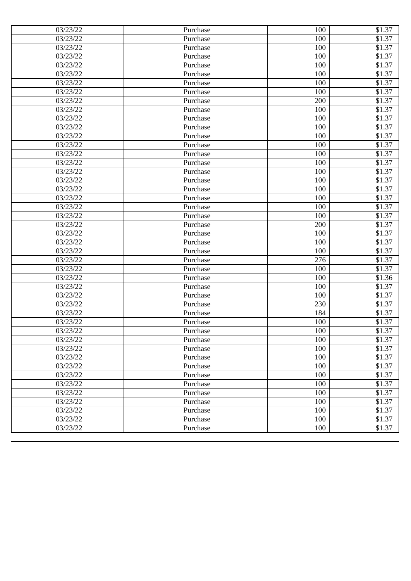| 03/23/22 | Purchase | 100 | \$1.37 |
|----------|----------|-----|--------|
| 03/23/22 | Purchase | 100 | \$1.37 |
| 03/23/22 | Purchase | 100 | \$1.37 |
| 03/23/22 | Purchase | 100 | \$1.37 |
| 03/23/22 | Purchase | 100 | \$1.37 |
| 03/23/22 | Purchase | 100 | \$1.37 |
| 03/23/22 | Purchase | 100 | \$1.37 |
| 03/23/22 | Purchase | 100 | \$1.37 |
| 03/23/22 | Purchase | 200 | \$1.37 |
| 03/23/22 | Purchase | 100 | \$1.37 |
| 03/23/22 | Purchase | 100 | \$1.37 |
| 03/23/22 | Purchase | 100 | \$1.37 |
| 03/23/22 | Purchase | 100 | \$1.37 |
| 03/23/22 | Purchase | 100 | \$1.37 |
| 03/23/22 | Purchase | 100 | \$1.37 |
| 03/23/22 | Purchase | 100 | \$1.37 |
| 03/23/22 | Purchase | 100 | \$1.37 |
| 03/23/22 | Purchase | 100 | \$1.37 |
| 03/23/22 | Purchase | 100 | \$1.37 |
| 03/23/22 | Purchase | 100 | \$1.37 |
| 03/23/22 | Purchase | 100 | \$1.37 |
| 03/23/22 | Purchase | 100 | \$1.37 |
| 03/23/22 | Purchase | 200 | \$1.37 |
| 03/23/22 | Purchase | 100 | \$1.37 |
| 03/23/22 | Purchase | 100 | \$1.37 |
| 03/23/22 | Purchase | 100 | \$1.37 |
| 03/23/22 | Purchase | 276 | \$1.37 |
| 03/23/22 | Purchase | 100 | \$1.37 |
| 03/23/22 | Purchase | 100 | \$1.36 |
| 03/23/22 | Purchase | 100 | \$1.37 |
| 03/23/22 | Purchase | 100 | \$1.37 |
| 03/23/22 | Purchase | 230 | \$1.37 |
| 03/23/22 | Purchase | 184 | \$1.37 |
| 03/23/22 | Purchase | 100 | \$1.37 |
| 03/23/22 | Purchase | 100 | \$1.37 |
| 03/23/22 | Purchase | 100 | \$1.37 |
| 03/23/22 | Purchase | 100 | \$1.37 |
| 03/23/22 | Purchase | 100 | \$1.37 |
| 03/23/22 | Purchase | 100 | \$1.37 |
| 03/23/22 | Purchase | 100 | \$1.37 |
| 03/23/22 | Purchase | 100 | \$1.37 |
| 03/23/22 | Purchase | 100 | \$1.37 |
| 03/23/22 | Purchase | 100 | \$1.37 |
| 03/23/22 | Purchase | 100 | \$1.37 |
| 03/23/22 | Purchase | 100 | \$1.37 |
| 03/23/22 | Purchase | 100 | \$1.37 |
|          |          |     |        |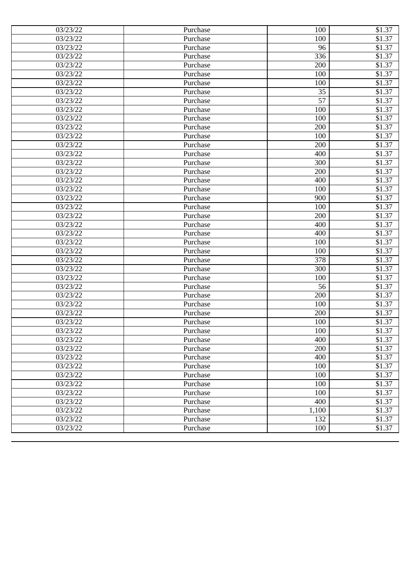| 03/23/22 | Purchase | 100   | \$1.37 |
|----------|----------|-------|--------|
| 03/23/22 | Purchase | 100   | \$1.37 |
| 03/23/22 | Purchase | 96    | \$1.37 |
| 03/23/22 | Purchase | 336   | \$1.37 |
| 03/23/22 | Purchase | 200   | \$1.37 |
| 03/23/22 | Purchase | 100   | \$1.37 |
| 03/23/22 | Purchase | 100   | \$1.37 |
| 03/23/22 | Purchase | 35    | \$1.37 |
| 03/23/22 | Purchase | 57    | \$1.37 |
| 03/23/22 | Purchase | 100   | \$1.37 |
| 03/23/22 | Purchase | 100   | \$1.37 |
| 03/23/22 | Purchase | 200   | \$1.37 |
| 03/23/22 | Purchase | 100   | \$1.37 |
| 03/23/22 | Purchase | 200   | \$1.37 |
| 03/23/22 | Purchase | 400   | \$1.37 |
| 03/23/22 | Purchase | 300   | \$1.37 |
| 03/23/22 | Purchase | 200   | \$1.37 |
| 03/23/22 | Purchase | 400   | \$1.37 |
| 03/23/22 | Purchase | 100   | \$1.37 |
| 03/23/22 | Purchase | 900   | \$1.37 |
| 03/23/22 | Purchase | 100   | \$1.37 |
| 03/23/22 | Purchase | 200   | \$1.37 |
| 03/23/22 | Purchase | 400   | \$1.37 |
| 03/23/22 | Purchase | 400   | \$1.37 |
| 03/23/22 | Purchase | 100   | \$1.37 |
| 03/23/22 | Purchase | 100   | \$1.37 |
| 03/23/22 | Purchase | 378   | \$1.37 |
| 03/23/22 | Purchase | 300   | \$1.37 |
| 03/23/22 | Purchase | 100   | \$1.37 |
| 03/23/22 | Purchase | 56    | \$1.37 |
| 03/23/22 | Purchase | 200   | \$1.37 |
| 03/23/22 | Purchase | 100   | \$1.37 |
| 03/23/22 | Purchase | 200   | \$1.37 |
| 03/23/22 | Purchase | 100   | \$1.37 |
| 03/23/22 | Purchase | 100   | \$1.37 |
| 03/23/22 | Purchase | 400   | \$1.37 |
| 03/23/22 | Purchase | 200   | \$1.37 |
| 03/23/22 | Purchase | 400   | \$1.37 |
| 03/23/22 | Purchase | 100   | \$1.37 |
| 03/23/22 | Purchase | 100   | \$1.37 |
| 03/23/22 | Purchase | 100   | \$1.37 |
| 03/23/22 | Purchase | 100   | \$1.37 |
| 03/23/22 | Purchase | 400   | \$1.37 |
| 03/23/22 | Purchase | 1,100 | \$1.37 |
| 03/23/22 | Purchase | 132   | \$1.37 |
| 03/23/22 | Purchase | 100   | \$1.37 |
|          |          |       |        |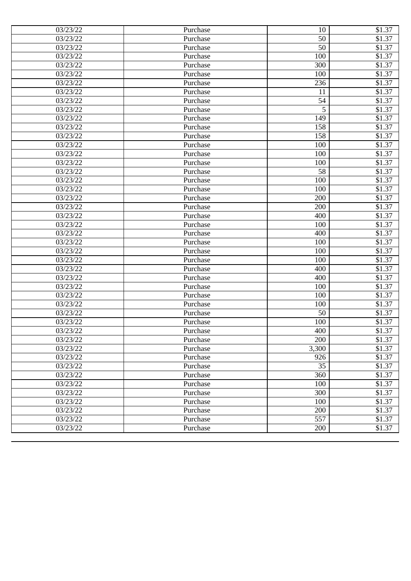| 03/23/22<br>50<br>\$1.37<br>Purchase<br>50<br>03/23/22<br>\$1.37<br>Purchase<br>100<br>\$1.37<br>03/23/22<br>Purchase<br>03/23/22<br>\$1.37<br>300<br>Purchase<br>03/23/22<br>100<br>\$1.37<br>Purchase<br>03/23/22<br>\$1.37<br>236<br>Purchase<br>\$1.37<br>03/23/22<br>Purchase<br>11<br>54<br>03/23/22<br>\$1.37<br>Purchase<br>5<br>03/23/22<br>\$1.37<br>Purchase<br>\$1.37<br>149<br>03/23/22<br>Purchase<br>03/23/22<br>158<br>\$1.37<br>Purchase<br>\$1.37<br>03/23/22<br>158<br>Purchase<br>\$1.37<br>03/23/22<br>100<br>Purchase<br>\$1.37<br>03/23/22<br>100<br>Purchase<br>\$1.37<br>03/23/22<br>100<br>Purchase<br>03/23/22<br>58<br>\$1.37<br>Purchase<br>\$1.37<br>03/23/22<br>100<br>Purchase<br>\$1.37<br>03/23/22<br>100<br>Purchase<br>\$1.37<br>03/23/22<br>200<br>Purchase<br>200<br>\$1.37<br>03/23/22<br>Purchase<br>\$1.37<br>03/23/22<br>400<br>Purchase<br>\$1.37<br>03/23/22<br>100<br>Purchase<br>03/23/22<br>400<br>\$1.37<br>Purchase<br>100<br>\$1.37<br>03/23/22<br>Purchase<br>\$1.37<br>03/23/22<br>100<br>Purchase<br>\$1.37<br>03/23/22<br>100<br>Purchase<br>\$1.37<br>03/23/22<br>400<br>Purchase<br>\$1.37<br>03/23/22<br>400<br>Purchase<br>\$1.37<br>03/23/22<br>100<br>Purchase<br>03/23/22<br>100<br>\$1.37<br>Purchase<br>\$1.37<br>03/23/22<br>100<br>Purchase<br>50<br>\$1.37<br>03/23/22<br>Purchase<br>03/23/22<br>100<br>\$1.37<br>Purchase<br>\$1.37<br>03/23/22<br>Purchase<br>400<br>\$1.37<br>03/23/22<br>Purchase<br>200<br>3,300<br>\$1.37<br>03/23/22<br>Purchase<br>03/23/22<br>Purchase<br>926<br>\$1.37<br>35<br>03/23/22<br>\$1.37<br>Purchase<br>360<br>\$1.37<br>03/23/22<br>Purchase<br>03/23/22<br>100<br>\$1.37<br>Purchase<br>300<br>03/23/22<br>Purchase<br>\$1.37<br>03/23/22<br>100<br>\$1.37<br>Purchase<br>200<br>\$1.37<br>03/23/22<br>Purchase<br>557<br>03/23/22<br>\$1.37<br>Purchase<br>03/23/22<br>200<br>Purchase<br>\$1.37 | 03/23/22 | Purchase | 10 | \$1.37 |
|------------------------------------------------------------------------------------------------------------------------------------------------------------------------------------------------------------------------------------------------------------------------------------------------------------------------------------------------------------------------------------------------------------------------------------------------------------------------------------------------------------------------------------------------------------------------------------------------------------------------------------------------------------------------------------------------------------------------------------------------------------------------------------------------------------------------------------------------------------------------------------------------------------------------------------------------------------------------------------------------------------------------------------------------------------------------------------------------------------------------------------------------------------------------------------------------------------------------------------------------------------------------------------------------------------------------------------------------------------------------------------------------------------------------------------------------------------------------------------------------------------------------------------------------------------------------------------------------------------------------------------------------------------------------------------------------------------------------------------------------------------------------------------------------------------------------------------------------------------------------------------------------------------|----------|----------|----|--------|
|                                                                                                                                                                                                                                                                                                                                                                                                                                                                                                                                                                                                                                                                                                                                                                                                                                                                                                                                                                                                                                                                                                                                                                                                                                                                                                                                                                                                                                                                                                                                                                                                                                                                                                                                                                                                                                                                                                            |          |          |    |        |
|                                                                                                                                                                                                                                                                                                                                                                                                                                                                                                                                                                                                                                                                                                                                                                                                                                                                                                                                                                                                                                                                                                                                                                                                                                                                                                                                                                                                                                                                                                                                                                                                                                                                                                                                                                                                                                                                                                            |          |          |    |        |
|                                                                                                                                                                                                                                                                                                                                                                                                                                                                                                                                                                                                                                                                                                                                                                                                                                                                                                                                                                                                                                                                                                                                                                                                                                                                                                                                                                                                                                                                                                                                                                                                                                                                                                                                                                                                                                                                                                            |          |          |    |        |
|                                                                                                                                                                                                                                                                                                                                                                                                                                                                                                                                                                                                                                                                                                                                                                                                                                                                                                                                                                                                                                                                                                                                                                                                                                                                                                                                                                                                                                                                                                                                                                                                                                                                                                                                                                                                                                                                                                            |          |          |    |        |
|                                                                                                                                                                                                                                                                                                                                                                                                                                                                                                                                                                                                                                                                                                                                                                                                                                                                                                                                                                                                                                                                                                                                                                                                                                                                                                                                                                                                                                                                                                                                                                                                                                                                                                                                                                                                                                                                                                            |          |          |    |        |
|                                                                                                                                                                                                                                                                                                                                                                                                                                                                                                                                                                                                                                                                                                                                                                                                                                                                                                                                                                                                                                                                                                                                                                                                                                                                                                                                                                                                                                                                                                                                                                                                                                                                                                                                                                                                                                                                                                            |          |          |    |        |
|                                                                                                                                                                                                                                                                                                                                                                                                                                                                                                                                                                                                                                                                                                                                                                                                                                                                                                                                                                                                                                                                                                                                                                                                                                                                                                                                                                                                                                                                                                                                                                                                                                                                                                                                                                                                                                                                                                            |          |          |    |        |
|                                                                                                                                                                                                                                                                                                                                                                                                                                                                                                                                                                                                                                                                                                                                                                                                                                                                                                                                                                                                                                                                                                                                                                                                                                                                                                                                                                                                                                                                                                                                                                                                                                                                                                                                                                                                                                                                                                            |          |          |    |        |
|                                                                                                                                                                                                                                                                                                                                                                                                                                                                                                                                                                                                                                                                                                                                                                                                                                                                                                                                                                                                                                                                                                                                                                                                                                                                                                                                                                                                                                                                                                                                                                                                                                                                                                                                                                                                                                                                                                            |          |          |    |        |
|                                                                                                                                                                                                                                                                                                                                                                                                                                                                                                                                                                                                                                                                                                                                                                                                                                                                                                                                                                                                                                                                                                                                                                                                                                                                                                                                                                                                                                                                                                                                                                                                                                                                                                                                                                                                                                                                                                            |          |          |    |        |
|                                                                                                                                                                                                                                                                                                                                                                                                                                                                                                                                                                                                                                                                                                                                                                                                                                                                                                                                                                                                                                                                                                                                                                                                                                                                                                                                                                                                                                                                                                                                                                                                                                                                                                                                                                                                                                                                                                            |          |          |    |        |
|                                                                                                                                                                                                                                                                                                                                                                                                                                                                                                                                                                                                                                                                                                                                                                                                                                                                                                                                                                                                                                                                                                                                                                                                                                                                                                                                                                                                                                                                                                                                                                                                                                                                                                                                                                                                                                                                                                            |          |          |    |        |
|                                                                                                                                                                                                                                                                                                                                                                                                                                                                                                                                                                                                                                                                                                                                                                                                                                                                                                                                                                                                                                                                                                                                                                                                                                                                                                                                                                                                                                                                                                                                                                                                                                                                                                                                                                                                                                                                                                            |          |          |    |        |
|                                                                                                                                                                                                                                                                                                                                                                                                                                                                                                                                                                                                                                                                                                                                                                                                                                                                                                                                                                                                                                                                                                                                                                                                                                                                                                                                                                                                                                                                                                                                                                                                                                                                                                                                                                                                                                                                                                            |          |          |    |        |
|                                                                                                                                                                                                                                                                                                                                                                                                                                                                                                                                                                                                                                                                                                                                                                                                                                                                                                                                                                                                                                                                                                                                                                                                                                                                                                                                                                                                                                                                                                                                                                                                                                                                                                                                                                                                                                                                                                            |          |          |    |        |
|                                                                                                                                                                                                                                                                                                                                                                                                                                                                                                                                                                                                                                                                                                                                                                                                                                                                                                                                                                                                                                                                                                                                                                                                                                                                                                                                                                                                                                                                                                                                                                                                                                                                                                                                                                                                                                                                                                            |          |          |    |        |
|                                                                                                                                                                                                                                                                                                                                                                                                                                                                                                                                                                                                                                                                                                                                                                                                                                                                                                                                                                                                                                                                                                                                                                                                                                                                                                                                                                                                                                                                                                                                                                                                                                                                                                                                                                                                                                                                                                            |          |          |    |        |
|                                                                                                                                                                                                                                                                                                                                                                                                                                                                                                                                                                                                                                                                                                                                                                                                                                                                                                                                                                                                                                                                                                                                                                                                                                                                                                                                                                                                                                                                                                                                                                                                                                                                                                                                                                                                                                                                                                            |          |          |    |        |
|                                                                                                                                                                                                                                                                                                                                                                                                                                                                                                                                                                                                                                                                                                                                                                                                                                                                                                                                                                                                                                                                                                                                                                                                                                                                                                                                                                                                                                                                                                                                                                                                                                                                                                                                                                                                                                                                                                            |          |          |    |        |
|                                                                                                                                                                                                                                                                                                                                                                                                                                                                                                                                                                                                                                                                                                                                                                                                                                                                                                                                                                                                                                                                                                                                                                                                                                                                                                                                                                                                                                                                                                                                                                                                                                                                                                                                                                                                                                                                                                            |          |          |    |        |
|                                                                                                                                                                                                                                                                                                                                                                                                                                                                                                                                                                                                                                                                                                                                                                                                                                                                                                                                                                                                                                                                                                                                                                                                                                                                                                                                                                                                                                                                                                                                                                                                                                                                                                                                                                                                                                                                                                            |          |          |    |        |
|                                                                                                                                                                                                                                                                                                                                                                                                                                                                                                                                                                                                                                                                                                                                                                                                                                                                                                                                                                                                                                                                                                                                                                                                                                                                                                                                                                                                                                                                                                                                                                                                                                                                                                                                                                                                                                                                                                            |          |          |    |        |
|                                                                                                                                                                                                                                                                                                                                                                                                                                                                                                                                                                                                                                                                                                                                                                                                                                                                                                                                                                                                                                                                                                                                                                                                                                                                                                                                                                                                                                                                                                                                                                                                                                                                                                                                                                                                                                                                                                            |          |          |    |        |
|                                                                                                                                                                                                                                                                                                                                                                                                                                                                                                                                                                                                                                                                                                                                                                                                                                                                                                                                                                                                                                                                                                                                                                                                                                                                                                                                                                                                                                                                                                                                                                                                                                                                                                                                                                                                                                                                                                            |          |          |    |        |
|                                                                                                                                                                                                                                                                                                                                                                                                                                                                                                                                                                                                                                                                                                                                                                                                                                                                                                                                                                                                                                                                                                                                                                                                                                                                                                                                                                                                                                                                                                                                                                                                                                                                                                                                                                                                                                                                                                            |          |          |    |        |
|                                                                                                                                                                                                                                                                                                                                                                                                                                                                                                                                                                                                                                                                                                                                                                                                                                                                                                                                                                                                                                                                                                                                                                                                                                                                                                                                                                                                                                                                                                                                                                                                                                                                                                                                                                                                                                                                                                            |          |          |    |        |
|                                                                                                                                                                                                                                                                                                                                                                                                                                                                                                                                                                                                                                                                                                                                                                                                                                                                                                                                                                                                                                                                                                                                                                                                                                                                                                                                                                                                                                                                                                                                                                                                                                                                                                                                                                                                                                                                                                            |          |          |    |        |
|                                                                                                                                                                                                                                                                                                                                                                                                                                                                                                                                                                                                                                                                                                                                                                                                                                                                                                                                                                                                                                                                                                                                                                                                                                                                                                                                                                                                                                                                                                                                                                                                                                                                                                                                                                                                                                                                                                            |          |          |    |        |
|                                                                                                                                                                                                                                                                                                                                                                                                                                                                                                                                                                                                                                                                                                                                                                                                                                                                                                                                                                                                                                                                                                                                                                                                                                                                                                                                                                                                                                                                                                                                                                                                                                                                                                                                                                                                                                                                                                            |          |          |    |        |
|                                                                                                                                                                                                                                                                                                                                                                                                                                                                                                                                                                                                                                                                                                                                                                                                                                                                                                                                                                                                                                                                                                                                                                                                                                                                                                                                                                                                                                                                                                                                                                                                                                                                                                                                                                                                                                                                                                            |          |          |    |        |
|                                                                                                                                                                                                                                                                                                                                                                                                                                                                                                                                                                                                                                                                                                                                                                                                                                                                                                                                                                                                                                                                                                                                                                                                                                                                                                                                                                                                                                                                                                                                                                                                                                                                                                                                                                                                                                                                                                            |          |          |    |        |
|                                                                                                                                                                                                                                                                                                                                                                                                                                                                                                                                                                                                                                                                                                                                                                                                                                                                                                                                                                                                                                                                                                                                                                                                                                                                                                                                                                                                                                                                                                                                                                                                                                                                                                                                                                                                                                                                                                            |          |          |    |        |
|                                                                                                                                                                                                                                                                                                                                                                                                                                                                                                                                                                                                                                                                                                                                                                                                                                                                                                                                                                                                                                                                                                                                                                                                                                                                                                                                                                                                                                                                                                                                                                                                                                                                                                                                                                                                                                                                                                            |          |          |    |        |
|                                                                                                                                                                                                                                                                                                                                                                                                                                                                                                                                                                                                                                                                                                                                                                                                                                                                                                                                                                                                                                                                                                                                                                                                                                                                                                                                                                                                                                                                                                                                                                                                                                                                                                                                                                                                                                                                                                            |          |          |    |        |
|                                                                                                                                                                                                                                                                                                                                                                                                                                                                                                                                                                                                                                                                                                                                                                                                                                                                                                                                                                                                                                                                                                                                                                                                                                                                                                                                                                                                                                                                                                                                                                                                                                                                                                                                                                                                                                                                                                            |          |          |    |        |
|                                                                                                                                                                                                                                                                                                                                                                                                                                                                                                                                                                                                                                                                                                                                                                                                                                                                                                                                                                                                                                                                                                                                                                                                                                                                                                                                                                                                                                                                                                                                                                                                                                                                                                                                                                                                                                                                                                            |          |          |    |        |
|                                                                                                                                                                                                                                                                                                                                                                                                                                                                                                                                                                                                                                                                                                                                                                                                                                                                                                                                                                                                                                                                                                                                                                                                                                                                                                                                                                                                                                                                                                                                                                                                                                                                                                                                                                                                                                                                                                            |          |          |    |        |
|                                                                                                                                                                                                                                                                                                                                                                                                                                                                                                                                                                                                                                                                                                                                                                                                                                                                                                                                                                                                                                                                                                                                                                                                                                                                                                                                                                                                                                                                                                                                                                                                                                                                                                                                                                                                                                                                                                            |          |          |    |        |
|                                                                                                                                                                                                                                                                                                                                                                                                                                                                                                                                                                                                                                                                                                                                                                                                                                                                                                                                                                                                                                                                                                                                                                                                                                                                                                                                                                                                                                                                                                                                                                                                                                                                                                                                                                                                                                                                                                            |          |          |    |        |
|                                                                                                                                                                                                                                                                                                                                                                                                                                                                                                                                                                                                                                                                                                                                                                                                                                                                                                                                                                                                                                                                                                                                                                                                                                                                                                                                                                                                                                                                                                                                                                                                                                                                                                                                                                                                                                                                                                            |          |          |    |        |
|                                                                                                                                                                                                                                                                                                                                                                                                                                                                                                                                                                                                                                                                                                                                                                                                                                                                                                                                                                                                                                                                                                                                                                                                                                                                                                                                                                                                                                                                                                                                                                                                                                                                                                                                                                                                                                                                                                            |          |          |    |        |
|                                                                                                                                                                                                                                                                                                                                                                                                                                                                                                                                                                                                                                                                                                                                                                                                                                                                                                                                                                                                                                                                                                                                                                                                                                                                                                                                                                                                                                                                                                                                                                                                                                                                                                                                                                                                                                                                                                            |          |          |    |        |
|                                                                                                                                                                                                                                                                                                                                                                                                                                                                                                                                                                                                                                                                                                                                                                                                                                                                                                                                                                                                                                                                                                                                                                                                                                                                                                                                                                                                                                                                                                                                                                                                                                                                                                                                                                                                                                                                                                            |          |          |    |        |
|                                                                                                                                                                                                                                                                                                                                                                                                                                                                                                                                                                                                                                                                                                                                                                                                                                                                                                                                                                                                                                                                                                                                                                                                                                                                                                                                                                                                                                                                                                                                                                                                                                                                                                                                                                                                                                                                                                            |          |          |    |        |
|                                                                                                                                                                                                                                                                                                                                                                                                                                                                                                                                                                                                                                                                                                                                                                                                                                                                                                                                                                                                                                                                                                                                                                                                                                                                                                                                                                                                                                                                                                                                                                                                                                                                                                                                                                                                                                                                                                            |          |          |    |        |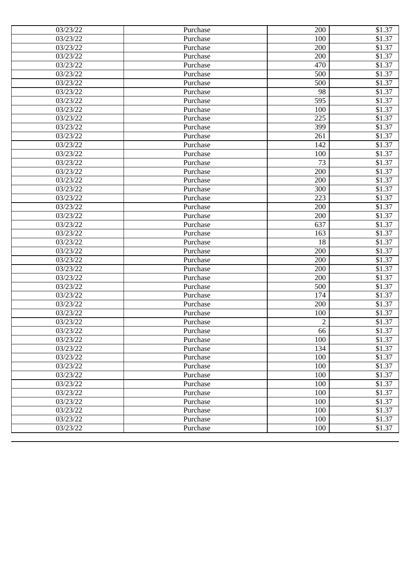| 03/23/22 | Purchase | 200            | \$1.37             |
|----------|----------|----------------|--------------------|
| 03/23/22 | Purchase | 100            | \$1.37             |
| 03/23/22 | Purchase | 200            | \$1.37             |
| 03/23/22 | Purchase | 200            | \$1.37             |
| 03/23/22 | Purchase | 470            | \$1.37             |
| 03/23/22 | Purchase | 500            | \$1.37             |
| 03/23/22 | Purchase | 500            | \$1.37             |
| 03/23/22 | Purchase | 98             | \$1.37             |
| 03/23/22 | Purchase | 595            | \$1.37             |
| 03/23/22 | Purchase | 100            | \$1.37             |
| 03/23/22 | Purchase | 225            | \$1.37             |
| 03/23/22 | Purchase | 399            | \$1.37             |
| 03/23/22 | Purchase | 261            | \$1.37             |
| 03/23/22 | Purchase | 142            | \$1.37             |
| 03/23/22 | Purchase | 100            | \$1.37             |
| 03/23/22 | Purchase | 73             | \$1.37             |
| 03/23/22 | Purchase | 200            | \$1.37             |
| 03/23/22 | Purchase | 200            | \$1.37             |
| 03/23/22 | Purchase | 300            | $$1.\overline{37}$ |
| 03/23/22 | Purchase | 223            | \$1.37             |
| 03/23/22 | Purchase | 200            | \$1.37             |
| 03/23/22 | Purchase | 200            | \$1.37             |
| 03/23/22 | Purchase | 637            | \$1.37             |
| 03/23/22 | Purchase | 163            | \$1.37             |
| 03/23/22 | Purchase | 18             | \$1.37             |
| 03/23/22 | Purchase | 200            | \$1.37             |
| 03/23/22 | Purchase | 200            | \$1.37             |
| 03/23/22 | Purchase | 200            | \$1.37             |
| 03/23/22 | Purchase | 200            | \$1.37             |
| 03/23/22 | Purchase | 500            | \$1.37             |
| 03/23/22 | Purchase | 174            | \$1.37             |
| 03/23/22 | Purchase | 200            | \$1.37             |
| 03/23/22 | Purchase | 100            | \$1.37             |
| 03/23/22 | Purchase | $\overline{2}$ | \$1.37             |
| 03/23/22 | Purchase | 66             | \$1.37             |
| 03/23/22 | Purchase | 100            | \$1.37             |
| 03/23/22 | Purchase | 134            | \$1.37             |
| 03/23/22 | Purchase | 100            | \$1.37             |
| 03/23/22 | Purchase | 100            | \$1.37             |
| 03/23/22 | Purchase | 100            | \$1.37             |
| 03/23/22 | Purchase | 100            | \$1.37             |
| 03/23/22 | Purchase | 100            | \$1.37             |
| 03/23/22 | Purchase | 100            | \$1.37             |
| 03/23/22 | Purchase | 100            | \$1.37             |
| 03/23/22 | Purchase | 100            | \$1.37             |
| 03/23/22 | Purchase | 100            | \$1.37             |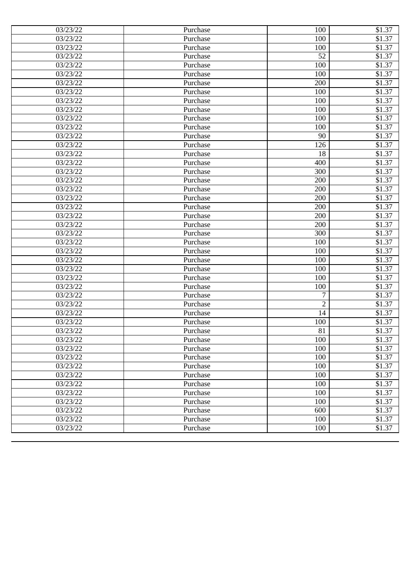| 03/23/22 | Purchase | 100            | \$1.37 |
|----------|----------|----------------|--------|
| 03/23/22 | Purchase | 100            | \$1.37 |
| 03/23/22 | Purchase | 100            | \$1.37 |
| 03/23/22 | Purchase | 52             | \$1.37 |
| 03/23/22 | Purchase | 100            | \$1.37 |
| 03/23/22 | Purchase | 100            | \$1.37 |
| 03/23/22 | Purchase | 200            | \$1.37 |
| 03/23/22 | Purchase | 100            | \$1.37 |
| 03/23/22 | Purchase | 100            | \$1.37 |
| 03/23/22 | Purchase | 100            | \$1.37 |
| 03/23/22 | Purchase | 100            | \$1.37 |
| 03/23/22 | Purchase | 100            | \$1.37 |
| 03/23/22 | Purchase | 90             | \$1.37 |
| 03/23/22 | Purchase | 126            | \$1.37 |
| 03/23/22 | Purchase | 18             | \$1.37 |
| 03/23/22 | Purchase | 400            | \$1.37 |
| 03/23/22 | Purchase | 300            | \$1.37 |
| 03/23/22 | Purchase | 200            | \$1.37 |
| 03/23/22 | Purchase | 200            | \$1.37 |
| 03/23/22 | Purchase | 200            | \$1.37 |
| 03/23/22 | Purchase | 200            | \$1.37 |
| 03/23/22 | Purchase | 200            | \$1.37 |
| 03/23/22 | Purchase | 200            | \$1.37 |
| 03/23/22 | Purchase | 300            | \$1.37 |
| 03/23/22 | Purchase | 100            | \$1.37 |
| 03/23/22 | Purchase | 100            | \$1.37 |
| 03/23/22 | Purchase | 100            | \$1.37 |
| 03/23/22 | Purchase | 100            | \$1.37 |
| 03/23/22 | Purchase | 100            | \$1.37 |
| 03/23/22 | Purchase | 100            | \$1.37 |
| 03/23/22 | Purchase | 7              | \$1.37 |
| 03/23/22 | Purchase | $\overline{2}$ | \$1.37 |
| 03/23/22 | Purchase | 14             | \$1.37 |
| 03/23/22 | Purchase | 100            | \$1.37 |
| 03/23/22 | Purchase | 81             | \$1.37 |
| 03/23/22 | Purchase | 100            | \$1.37 |
| 03/23/22 | Purchase | 100            | \$1.37 |
| 03/23/22 | Purchase | 100            | \$1.37 |
| 03/23/22 | Purchase | 100            | \$1.37 |
| 03/23/22 | Purchase | 100            | \$1.37 |
| 03/23/22 | Purchase | 100            | \$1.37 |
| 03/23/22 | Purchase | 100            | \$1.37 |
| 03/23/22 | Purchase | 100            | \$1.37 |
| 03/23/22 | Purchase | 600            | \$1.37 |
| 03/23/22 | Purchase | 100            | \$1.37 |
| 03/23/22 | Purchase | 100            | \$1.37 |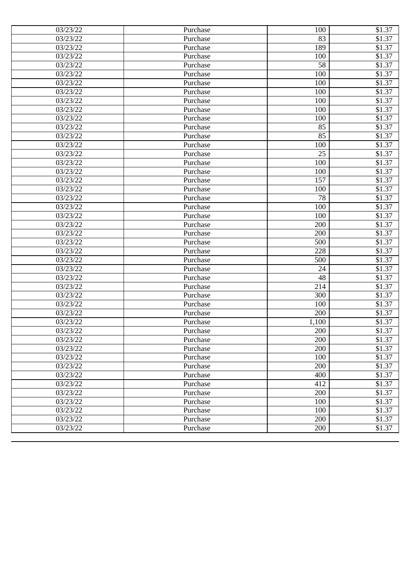| 03/23/22 | Purchase | 100   | \$1.37             |
|----------|----------|-------|--------------------|
| 03/23/22 | Purchase | 83    | \$1.37             |
| 03/23/22 | Purchase | 189   | \$1.37             |
| 03/23/22 | Purchase | 100   | \$1.37             |
| 03/23/22 | Purchase | 58    | \$1.37             |
| 03/23/22 | Purchase | 100   | \$1.37             |
| 03/23/22 | Purchase | 100   | \$1.37             |
| 03/23/22 | Purchase | 100   | \$1.37             |
| 03/23/22 | Purchase | 100   | \$1.37             |
| 03/23/22 | Purchase | 100   | \$1.37             |
| 03/23/22 | Purchase | 100   | \$1.37             |
| 03/23/22 | Purchase | 85    | \$1.37             |
| 03/23/22 | Purchase | 85    | \$1.37             |
| 03/23/22 | Purchase | 100   | \$1.37             |
| 03/23/22 | Purchase | 25    | \$1.37             |
| 03/23/22 | Purchase | 100   | \$1.37             |
| 03/23/22 | Purchase | 100   | \$1.37             |
| 03/23/22 | Purchase | 157   | \$1.37             |
| 03/23/22 | Purchase | 100   | $$1.\overline{37}$ |
| 03/23/22 | Purchase | 78    | \$1.37             |
| 03/23/22 | Purchase | 100   | \$1.37             |
| 03/23/22 | Purchase | 100   | \$1.37             |
| 03/23/22 | Purchase | 200   | \$1.37             |
| 03/23/22 | Purchase | 200   | \$1.37             |
| 03/23/22 | Purchase | 500   | \$1.37             |
| 03/23/22 | Purchase | 228   | \$1.37             |
| 03/23/22 | Purchase | 500   | \$1.37             |
| 03/23/22 | Purchase | 24    | \$1.37             |
| 03/23/22 | Purchase | 48    | \$1.37             |
| 03/23/22 | Purchase | 214   | \$1.37             |
| 03/23/22 | Purchase | 300   | \$1.37             |
| 03/23/22 | Purchase | 100   | \$1.37             |
| 03/23/22 | Purchase | 200   | \$1.37             |
| 03/23/22 | Purchase | 1,100 | \$1.37             |
| 03/23/22 | Purchase | 200   | \$1.37             |
| 03/23/22 | Purchase | 200   | \$1.37             |
| 03/23/22 | Purchase | 200   | \$1.37             |
| 03/23/22 | Purchase | 100   | \$1.37             |
| 03/23/22 | Purchase | 200   | \$1.37             |
| 03/23/22 | Purchase | 400   | \$1.37             |
| 03/23/22 | Purchase | 412   | \$1.37             |
| 03/23/22 | Purchase | 200   | \$1.37             |
| 03/23/22 | Purchase | 100   | \$1.37             |
| 03/23/22 | Purchase | 100   | \$1.37             |
| 03/23/22 | Purchase | 200   | \$1.37             |
| 03/23/22 | Purchase | 200   | \$1.37             |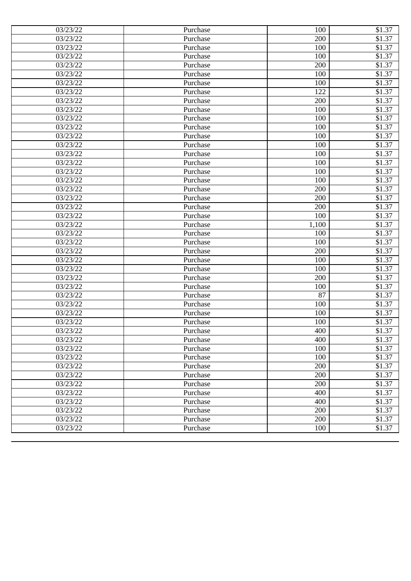| 03/23/22 | Purchase | 100   | \$1.37             |
|----------|----------|-------|--------------------|
| 03/23/22 | Purchase | 200   | \$1.37             |
| 03/23/22 | Purchase | 100   | \$1.37             |
| 03/23/22 | Purchase | 100   | \$1.37             |
| 03/23/22 | Purchase | 200   | \$1.37             |
| 03/23/22 | Purchase | 100   | \$1.37             |
| 03/23/22 | Purchase | 100   | \$1.37             |
| 03/23/22 | Purchase | 122   | \$1.37             |
| 03/23/22 | Purchase | 200   | \$1.37             |
| 03/23/22 | Purchase | 100   | \$1.37             |
| 03/23/22 | Purchase | 100   | \$1.37             |
| 03/23/22 | Purchase | 100   | \$1.37             |
| 03/23/22 | Purchase | 100   | \$1.37             |
| 03/23/22 | Purchase | 100   | \$1.37             |
| 03/23/22 | Purchase | 100   | \$1.37             |
| 03/23/22 | Purchase | 100   | \$1.37             |
| 03/23/22 | Purchase | 100   | \$1.37             |
| 03/23/22 | Purchase | 100   | \$1.37             |
| 03/23/22 | Purchase | 200   | $$1.\overline{37}$ |
| 03/23/22 | Purchase | 200   | \$1.37             |
| 03/23/22 | Purchase | 200   | \$1.37             |
| 03/23/22 | Purchase | 100   | \$1.37             |
| 03/23/22 | Purchase | 1,100 | \$1.37             |
| 03/23/22 | Purchase | 100   | \$1.37             |
| 03/23/22 | Purchase | 100   | \$1.37             |
| 03/23/22 | Purchase | 200   | \$1.37             |
| 03/23/22 | Purchase | 100   | \$1.37             |
| 03/23/22 | Purchase | 100   | \$1.37             |
| 03/23/22 | Purchase | 200   | \$1.37             |
| 03/23/22 | Purchase | 100   | \$1.37             |
| 03/23/22 | Purchase | 87    | \$1.37             |
| 03/23/22 | Purchase | 100   | \$1.37             |
| 03/23/22 | Purchase | 100   | \$1.37             |
| 03/23/22 | Purchase | 100   | \$1.37             |
| 03/23/22 | Purchase | 400   | \$1.37             |
| 03/23/22 | Purchase | 400   | \$1.37             |
| 03/23/22 | Purchase | 100   | \$1.37             |
| 03/23/22 | Purchase | 100   | \$1.37             |
| 03/23/22 | Purchase | 200   | \$1.37             |
| 03/23/22 | Purchase | 200   | \$1.37             |
| 03/23/22 | Purchase | 200   | \$1.37             |
| 03/23/22 | Purchase | 400   | \$1.37             |
| 03/23/22 | Purchase | 400   | \$1.37             |
| 03/23/22 | Purchase | 200   | \$1.37             |
| 03/23/22 | Purchase | 200   | \$1.37             |
| 03/23/22 | Purchase | 100   | \$1.37             |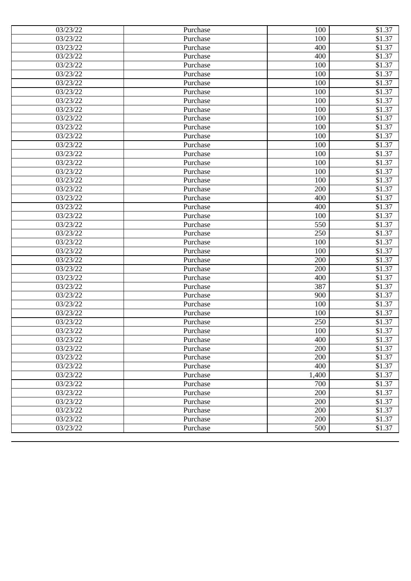| 03/23/22<br>100<br>\$1.37<br>Purchase<br>03/23/22<br>400<br>\$1.37<br>Purchase<br>400<br>\$1.37<br>03/23/22<br>Purchase<br>03/23/22<br>\$1.37<br>100<br>Purchase<br>03/23/22<br>100<br>\$1.37<br>Purchase<br>03/23/22<br>\$1.37<br>100<br>Purchase<br>\$1.37<br>03/23/22<br>100<br>Purchase<br>03/23/22<br>\$1.37<br>Purchase<br>100<br>03/23/22<br>100<br>\$1.37<br>Purchase<br>\$1.37<br>03/23/22<br>100<br>Purchase<br>03/23/22<br>100<br>\$1.37<br>Purchase<br>\$1.37<br>03/23/22<br>100<br>Purchase<br>\$1.37<br>03/23/22<br>100<br>Purchase<br>\$1.37<br>03/23/22<br>100<br>Purchase<br>\$1.37<br>03/23/22<br>100<br>Purchase<br>03/23/22<br>100<br>\$1.37<br>Purchase<br>\$1.37<br>03/23/22<br>100<br>Purchase<br>\$1.37<br>03/23/22<br>200<br>Purchase<br>\$1.37<br>03/23/22<br>400<br>Purchase<br>\$1.37<br>03/23/22<br>400<br>Purchase<br>\$1.37<br>03/23/22<br>100<br>Purchase<br>\$1.37<br>03/23/22<br>550<br>Purchase<br>03/23/22<br>250<br>\$1.37<br>Purchase<br>\$1.37<br>03/23/22<br>100<br>Purchase<br>\$1.37<br>03/23/22<br>100<br>Purchase<br>\$1.37<br>03/23/22<br>200<br>Purchase<br>\$1.37<br>200<br>03/23/22<br>Purchase<br>\$1.37<br>03/23/22<br>400<br>Purchase<br>387<br>\$1.37<br>03/23/22<br>Purchase<br>03/23/22<br>900<br>\$1.37<br>Purchase<br>\$1.37<br>03/23/22<br>100<br>Purchase<br>\$1.37<br>03/23/22<br>Purchase<br>100<br>03/23/22<br>250<br>\$1.37<br>Purchase<br>\$1.37<br>03/23/22<br>Purchase<br>100<br>400<br>\$1.37<br>03/23/22<br>Purchase<br>200<br>\$1.37<br>03/23/22<br>Purchase<br>03/23/22<br>Purchase<br>200<br>\$1.37<br>03/23/22<br>400<br>\$1.37<br>Purchase<br>1,400<br>\$1.37<br>03/23/22<br>Purchase<br>03/23/22<br>700<br>\$1.37<br>Purchase<br>03/23/22<br>Purchase<br>200<br>\$1.37<br>03/23/22<br>200<br>\$1.37<br>Purchase<br>200<br>\$1.37<br>03/23/22<br>Purchase<br>200<br>03/23/22<br>\$1.37<br>Purchase<br>03/23/22<br>500<br>Purchase<br>\$1.37 | 03/23/22 | Purchase | 100 | \$1.37 |
|---------------------------------------------------------------------------------------------------------------------------------------------------------------------------------------------------------------------------------------------------------------------------------------------------------------------------------------------------------------------------------------------------------------------------------------------------------------------------------------------------------------------------------------------------------------------------------------------------------------------------------------------------------------------------------------------------------------------------------------------------------------------------------------------------------------------------------------------------------------------------------------------------------------------------------------------------------------------------------------------------------------------------------------------------------------------------------------------------------------------------------------------------------------------------------------------------------------------------------------------------------------------------------------------------------------------------------------------------------------------------------------------------------------------------------------------------------------------------------------------------------------------------------------------------------------------------------------------------------------------------------------------------------------------------------------------------------------------------------------------------------------------------------------------------------------------------------------------------------------------------------------------------------------------|----------|----------|-----|--------|
|                                                                                                                                                                                                                                                                                                                                                                                                                                                                                                                                                                                                                                                                                                                                                                                                                                                                                                                                                                                                                                                                                                                                                                                                                                                                                                                                                                                                                                                                                                                                                                                                                                                                                                                                                                                                                                                                                                                     |          |          |     |        |
|                                                                                                                                                                                                                                                                                                                                                                                                                                                                                                                                                                                                                                                                                                                                                                                                                                                                                                                                                                                                                                                                                                                                                                                                                                                                                                                                                                                                                                                                                                                                                                                                                                                                                                                                                                                                                                                                                                                     |          |          |     |        |
|                                                                                                                                                                                                                                                                                                                                                                                                                                                                                                                                                                                                                                                                                                                                                                                                                                                                                                                                                                                                                                                                                                                                                                                                                                                                                                                                                                                                                                                                                                                                                                                                                                                                                                                                                                                                                                                                                                                     |          |          |     |        |
|                                                                                                                                                                                                                                                                                                                                                                                                                                                                                                                                                                                                                                                                                                                                                                                                                                                                                                                                                                                                                                                                                                                                                                                                                                                                                                                                                                                                                                                                                                                                                                                                                                                                                                                                                                                                                                                                                                                     |          |          |     |        |
|                                                                                                                                                                                                                                                                                                                                                                                                                                                                                                                                                                                                                                                                                                                                                                                                                                                                                                                                                                                                                                                                                                                                                                                                                                                                                                                                                                                                                                                                                                                                                                                                                                                                                                                                                                                                                                                                                                                     |          |          |     |        |
|                                                                                                                                                                                                                                                                                                                                                                                                                                                                                                                                                                                                                                                                                                                                                                                                                                                                                                                                                                                                                                                                                                                                                                                                                                                                                                                                                                                                                                                                                                                                                                                                                                                                                                                                                                                                                                                                                                                     |          |          |     |        |
|                                                                                                                                                                                                                                                                                                                                                                                                                                                                                                                                                                                                                                                                                                                                                                                                                                                                                                                                                                                                                                                                                                                                                                                                                                                                                                                                                                                                                                                                                                                                                                                                                                                                                                                                                                                                                                                                                                                     |          |          |     |        |
|                                                                                                                                                                                                                                                                                                                                                                                                                                                                                                                                                                                                                                                                                                                                                                                                                                                                                                                                                                                                                                                                                                                                                                                                                                                                                                                                                                                                                                                                                                                                                                                                                                                                                                                                                                                                                                                                                                                     |          |          |     |        |
|                                                                                                                                                                                                                                                                                                                                                                                                                                                                                                                                                                                                                                                                                                                                                                                                                                                                                                                                                                                                                                                                                                                                                                                                                                                                                                                                                                                                                                                                                                                                                                                                                                                                                                                                                                                                                                                                                                                     |          |          |     |        |
|                                                                                                                                                                                                                                                                                                                                                                                                                                                                                                                                                                                                                                                                                                                                                                                                                                                                                                                                                                                                                                                                                                                                                                                                                                                                                                                                                                                                                                                                                                                                                                                                                                                                                                                                                                                                                                                                                                                     |          |          |     |        |
|                                                                                                                                                                                                                                                                                                                                                                                                                                                                                                                                                                                                                                                                                                                                                                                                                                                                                                                                                                                                                                                                                                                                                                                                                                                                                                                                                                                                                                                                                                                                                                                                                                                                                                                                                                                                                                                                                                                     |          |          |     |        |
|                                                                                                                                                                                                                                                                                                                                                                                                                                                                                                                                                                                                                                                                                                                                                                                                                                                                                                                                                                                                                                                                                                                                                                                                                                                                                                                                                                                                                                                                                                                                                                                                                                                                                                                                                                                                                                                                                                                     |          |          |     |        |
|                                                                                                                                                                                                                                                                                                                                                                                                                                                                                                                                                                                                                                                                                                                                                                                                                                                                                                                                                                                                                                                                                                                                                                                                                                                                                                                                                                                                                                                                                                                                                                                                                                                                                                                                                                                                                                                                                                                     |          |          |     |        |
|                                                                                                                                                                                                                                                                                                                                                                                                                                                                                                                                                                                                                                                                                                                                                                                                                                                                                                                                                                                                                                                                                                                                                                                                                                                                                                                                                                                                                                                                                                                                                                                                                                                                                                                                                                                                                                                                                                                     |          |          |     |        |
|                                                                                                                                                                                                                                                                                                                                                                                                                                                                                                                                                                                                                                                                                                                                                                                                                                                                                                                                                                                                                                                                                                                                                                                                                                                                                                                                                                                                                                                                                                                                                                                                                                                                                                                                                                                                                                                                                                                     |          |          |     |        |
|                                                                                                                                                                                                                                                                                                                                                                                                                                                                                                                                                                                                                                                                                                                                                                                                                                                                                                                                                                                                                                                                                                                                                                                                                                                                                                                                                                                                                                                                                                                                                                                                                                                                                                                                                                                                                                                                                                                     |          |          |     |        |
|                                                                                                                                                                                                                                                                                                                                                                                                                                                                                                                                                                                                                                                                                                                                                                                                                                                                                                                                                                                                                                                                                                                                                                                                                                                                                                                                                                                                                                                                                                                                                                                                                                                                                                                                                                                                                                                                                                                     |          |          |     |        |
|                                                                                                                                                                                                                                                                                                                                                                                                                                                                                                                                                                                                                                                                                                                                                                                                                                                                                                                                                                                                                                                                                                                                                                                                                                                                                                                                                                                                                                                                                                                                                                                                                                                                                                                                                                                                                                                                                                                     |          |          |     |        |
|                                                                                                                                                                                                                                                                                                                                                                                                                                                                                                                                                                                                                                                                                                                                                                                                                                                                                                                                                                                                                                                                                                                                                                                                                                                                                                                                                                                                                                                                                                                                                                                                                                                                                                                                                                                                                                                                                                                     |          |          |     |        |
|                                                                                                                                                                                                                                                                                                                                                                                                                                                                                                                                                                                                                                                                                                                                                                                                                                                                                                                                                                                                                                                                                                                                                                                                                                                                                                                                                                                                                                                                                                                                                                                                                                                                                                                                                                                                                                                                                                                     |          |          |     |        |
|                                                                                                                                                                                                                                                                                                                                                                                                                                                                                                                                                                                                                                                                                                                                                                                                                                                                                                                                                                                                                                                                                                                                                                                                                                                                                                                                                                                                                                                                                                                                                                                                                                                                                                                                                                                                                                                                                                                     |          |          |     |        |
|                                                                                                                                                                                                                                                                                                                                                                                                                                                                                                                                                                                                                                                                                                                                                                                                                                                                                                                                                                                                                                                                                                                                                                                                                                                                                                                                                                                                                                                                                                                                                                                                                                                                                                                                                                                                                                                                                                                     |          |          |     |        |
|                                                                                                                                                                                                                                                                                                                                                                                                                                                                                                                                                                                                                                                                                                                                                                                                                                                                                                                                                                                                                                                                                                                                                                                                                                                                                                                                                                                                                                                                                                                                                                                                                                                                                                                                                                                                                                                                                                                     |          |          |     |        |
|                                                                                                                                                                                                                                                                                                                                                                                                                                                                                                                                                                                                                                                                                                                                                                                                                                                                                                                                                                                                                                                                                                                                                                                                                                                                                                                                                                                                                                                                                                                                                                                                                                                                                                                                                                                                                                                                                                                     |          |          |     |        |
|                                                                                                                                                                                                                                                                                                                                                                                                                                                                                                                                                                                                                                                                                                                                                                                                                                                                                                                                                                                                                                                                                                                                                                                                                                                                                                                                                                                                                                                                                                                                                                                                                                                                                                                                                                                                                                                                                                                     |          |          |     |        |
|                                                                                                                                                                                                                                                                                                                                                                                                                                                                                                                                                                                                                                                                                                                                                                                                                                                                                                                                                                                                                                                                                                                                                                                                                                                                                                                                                                                                                                                                                                                                                                                                                                                                                                                                                                                                                                                                                                                     |          |          |     |        |
|                                                                                                                                                                                                                                                                                                                                                                                                                                                                                                                                                                                                                                                                                                                                                                                                                                                                                                                                                                                                                                                                                                                                                                                                                                                                                                                                                                                                                                                                                                                                                                                                                                                                                                                                                                                                                                                                                                                     |          |          |     |        |
|                                                                                                                                                                                                                                                                                                                                                                                                                                                                                                                                                                                                                                                                                                                                                                                                                                                                                                                                                                                                                                                                                                                                                                                                                                                                                                                                                                                                                                                                                                                                                                                                                                                                                                                                                                                                                                                                                                                     |          |          |     |        |
|                                                                                                                                                                                                                                                                                                                                                                                                                                                                                                                                                                                                                                                                                                                                                                                                                                                                                                                                                                                                                                                                                                                                                                                                                                                                                                                                                                                                                                                                                                                                                                                                                                                                                                                                                                                                                                                                                                                     |          |          |     |        |
|                                                                                                                                                                                                                                                                                                                                                                                                                                                                                                                                                                                                                                                                                                                                                                                                                                                                                                                                                                                                                                                                                                                                                                                                                                                                                                                                                                                                                                                                                                                                                                                                                                                                                                                                                                                                                                                                                                                     |          |          |     |        |
|                                                                                                                                                                                                                                                                                                                                                                                                                                                                                                                                                                                                                                                                                                                                                                                                                                                                                                                                                                                                                                                                                                                                                                                                                                                                                                                                                                                                                                                                                                                                                                                                                                                                                                                                                                                                                                                                                                                     |          |          |     |        |
|                                                                                                                                                                                                                                                                                                                                                                                                                                                                                                                                                                                                                                                                                                                                                                                                                                                                                                                                                                                                                                                                                                                                                                                                                                                                                                                                                                                                                                                                                                                                                                                                                                                                                                                                                                                                                                                                                                                     |          |          |     |        |
|                                                                                                                                                                                                                                                                                                                                                                                                                                                                                                                                                                                                                                                                                                                                                                                                                                                                                                                                                                                                                                                                                                                                                                                                                                                                                                                                                                                                                                                                                                                                                                                                                                                                                                                                                                                                                                                                                                                     |          |          |     |        |
|                                                                                                                                                                                                                                                                                                                                                                                                                                                                                                                                                                                                                                                                                                                                                                                                                                                                                                                                                                                                                                                                                                                                                                                                                                                                                                                                                                                                                                                                                                                                                                                                                                                                                                                                                                                                                                                                                                                     |          |          |     |        |
|                                                                                                                                                                                                                                                                                                                                                                                                                                                                                                                                                                                                                                                                                                                                                                                                                                                                                                                                                                                                                                                                                                                                                                                                                                                                                                                                                                                                                                                                                                                                                                                                                                                                                                                                                                                                                                                                                                                     |          |          |     |        |
|                                                                                                                                                                                                                                                                                                                                                                                                                                                                                                                                                                                                                                                                                                                                                                                                                                                                                                                                                                                                                                                                                                                                                                                                                                                                                                                                                                                                                                                                                                                                                                                                                                                                                                                                                                                                                                                                                                                     |          |          |     |        |
|                                                                                                                                                                                                                                                                                                                                                                                                                                                                                                                                                                                                                                                                                                                                                                                                                                                                                                                                                                                                                                                                                                                                                                                                                                                                                                                                                                                                                                                                                                                                                                                                                                                                                                                                                                                                                                                                                                                     |          |          |     |        |
|                                                                                                                                                                                                                                                                                                                                                                                                                                                                                                                                                                                                                                                                                                                                                                                                                                                                                                                                                                                                                                                                                                                                                                                                                                                                                                                                                                                                                                                                                                                                                                                                                                                                                                                                                                                                                                                                                                                     |          |          |     |        |
|                                                                                                                                                                                                                                                                                                                                                                                                                                                                                                                                                                                                                                                                                                                                                                                                                                                                                                                                                                                                                                                                                                                                                                                                                                                                                                                                                                                                                                                                                                                                                                                                                                                                                                                                                                                                                                                                                                                     |          |          |     |        |
|                                                                                                                                                                                                                                                                                                                                                                                                                                                                                                                                                                                                                                                                                                                                                                                                                                                                                                                                                                                                                                                                                                                                                                                                                                                                                                                                                                                                                                                                                                                                                                                                                                                                                                                                                                                                                                                                                                                     |          |          |     |        |
|                                                                                                                                                                                                                                                                                                                                                                                                                                                                                                                                                                                                                                                                                                                                                                                                                                                                                                                                                                                                                                                                                                                                                                                                                                                                                                                                                                                                                                                                                                                                                                                                                                                                                                                                                                                                                                                                                                                     |          |          |     |        |
|                                                                                                                                                                                                                                                                                                                                                                                                                                                                                                                                                                                                                                                                                                                                                                                                                                                                                                                                                                                                                                                                                                                                                                                                                                                                                                                                                                                                                                                                                                                                                                                                                                                                                                                                                                                                                                                                                                                     |          |          |     |        |
|                                                                                                                                                                                                                                                                                                                                                                                                                                                                                                                                                                                                                                                                                                                                                                                                                                                                                                                                                                                                                                                                                                                                                                                                                                                                                                                                                                                                                                                                                                                                                                                                                                                                                                                                                                                                                                                                                                                     |          |          |     |        |
|                                                                                                                                                                                                                                                                                                                                                                                                                                                                                                                                                                                                                                                                                                                                                                                                                                                                                                                                                                                                                                                                                                                                                                                                                                                                                                                                                                                                                                                                                                                                                                                                                                                                                                                                                                                                                                                                                                                     |          |          |     |        |
|                                                                                                                                                                                                                                                                                                                                                                                                                                                                                                                                                                                                                                                                                                                                                                                                                                                                                                                                                                                                                                                                                                                                                                                                                                                                                                                                                                                                                                                                                                                                                                                                                                                                                                                                                                                                                                                                                                                     |          |          |     |        |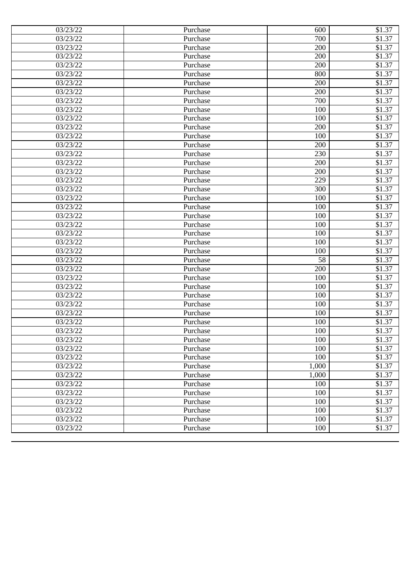| 03/23/22 | Purchase | 600   | \$1.37             |
|----------|----------|-------|--------------------|
| 03/23/22 | Purchase | 700   | \$1.37             |
| 03/23/22 | Purchase | 200   | \$1.37             |
| 03/23/22 | Purchase | 200   | \$1.37             |
| 03/23/22 | Purchase | 200   | \$1.37             |
| 03/23/22 | Purchase | 800   | \$1.37             |
| 03/23/22 | Purchase | 200   | \$1.37             |
| 03/23/22 | Purchase | 200   | \$1.37             |
| 03/23/22 | Purchase | 700   | \$1.37             |
| 03/23/22 | Purchase | 100   | \$1.37             |
| 03/23/22 | Purchase | 100   | \$1.37             |
| 03/23/22 | Purchase | 200   | \$1.37             |
| 03/23/22 | Purchase | 100   | \$1.37             |
| 03/23/22 | Purchase | 200   | \$1.37             |
| 03/23/22 | Purchase | 230   | \$1.37             |
| 03/23/22 | Purchase | 200   | \$1.37             |
| 03/23/22 | Purchase | 200   | \$1.37             |
| 03/23/22 | Purchase | 229   | \$1.37             |
| 03/23/22 | Purchase | 300   | $$1.\overline{37}$ |
| 03/23/22 | Purchase | 100   | \$1.37             |
| 03/23/22 | Purchase | 100   | \$1.37             |
| 03/23/22 | Purchase | 100   | \$1.37             |
| 03/23/22 | Purchase | 100   | \$1.37             |
| 03/23/22 | Purchase | 100   | \$1.37             |
| 03/23/22 | Purchase | 100   | \$1.37             |
| 03/23/22 | Purchase | 100   | \$1.37             |
| 03/23/22 | Purchase | 58    | \$1.37             |
| 03/23/22 | Purchase | 200   | \$1.37             |
| 03/23/22 | Purchase | 100   | \$1.37             |
| 03/23/22 | Purchase | 100   | \$1.37             |
| 03/23/22 | Purchase | 100   | \$1.37             |
| 03/23/22 | Purchase | 100   | \$1.37             |
| 03/23/22 | Purchase | 100   | \$1.37             |
| 03/23/22 | Purchase | 100   | \$1.37             |
| 03/23/22 | Purchase | 100   | \$1.37             |
| 03/23/22 | Purchase | 100   | \$1.37             |
| 03/23/22 | Purchase | 100   | \$1.37             |
| 03/23/22 | Purchase | 100   | \$1.37             |
| 03/23/22 | Purchase | 1,000 | \$1.37             |
| 03/23/22 | Purchase | 1,000 | \$1.37             |
| 03/23/22 | Purchase | 100   | \$1.37             |
| 03/23/22 | Purchase | 100   | \$1.37             |
| 03/23/22 | Purchase | 100   | \$1.37             |
| 03/23/22 | Purchase | 100   | \$1.37             |
| 03/23/22 | Purchase | 100   | \$1.37             |
| 03/23/22 | Purchase | 100   | \$1.37             |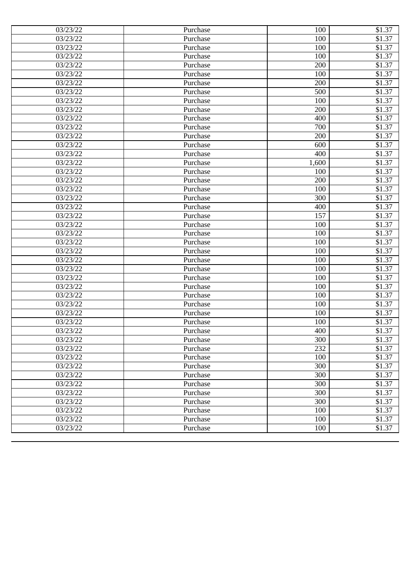| 03/23/22 | Purchase | 100   | \$1.37 |
|----------|----------|-------|--------|
| 03/23/22 | Purchase | 100   | \$1.37 |
| 03/23/22 | Purchase | 100   | \$1.37 |
| 03/23/22 | Purchase | 100   | \$1.37 |
| 03/23/22 | Purchase | 200   | \$1.37 |
| 03/23/22 | Purchase | 100   | \$1.37 |
| 03/23/22 | Purchase | 200   | \$1.37 |
| 03/23/22 | Purchase | 500   | \$1.37 |
| 03/23/22 | Purchase | 100   | \$1.37 |
| 03/23/22 | Purchase | 200   | \$1.37 |
| 03/23/22 | Purchase | 400   | \$1.37 |
| 03/23/22 | Purchase | 700   | \$1.37 |
| 03/23/22 | Purchase | 200   | \$1.37 |
| 03/23/22 | Purchase | 600   | \$1.37 |
| 03/23/22 | Purchase | 400   | \$1.37 |
| 03/23/22 | Purchase | 1,600 | \$1.37 |
| 03/23/22 | Purchase | 100   | \$1.37 |
| 03/23/22 | Purchase | 200   | \$1.37 |
| 03/23/22 | Purchase | 100   | \$1.37 |
| 03/23/22 | Purchase | 300   | \$1.37 |
| 03/23/22 | Purchase | 400   | \$1.37 |
| 03/23/22 | Purchase | 157   | \$1.37 |
| 03/23/22 | Purchase | 100   | \$1.37 |
| 03/23/22 | Purchase | 100   | \$1.37 |
| 03/23/22 | Purchase | 100   | \$1.37 |
| 03/23/22 | Purchase | 100   | \$1.37 |
| 03/23/22 | Purchase | 100   | \$1.37 |
| 03/23/22 | Purchase | 100   | \$1.37 |
| 03/23/22 | Purchase | 100   | \$1.37 |
| 03/23/22 | Purchase | 100   | \$1.37 |
| 03/23/22 | Purchase | 100   | \$1.37 |
| 03/23/22 | Purchase | 100   | \$1.37 |
| 03/23/22 | Purchase | 100   | \$1.37 |
| 03/23/22 | Purchase | 100   | \$1.37 |
| 03/23/22 | Purchase | 400   | \$1.37 |
| 03/23/22 | Purchase | 300   | \$1.37 |
| 03/23/22 | Purchase | 232   | \$1.37 |
| 03/23/22 | Purchase | 100   | \$1.37 |
| 03/23/22 | Purchase | 300   | \$1.37 |
| 03/23/22 | Purchase | 300   | \$1.37 |
| 03/23/22 | Purchase | 300   | \$1.37 |
| 03/23/22 | Purchase | 300   | \$1.37 |
| 03/23/22 | Purchase | 300   | \$1.37 |
| 03/23/22 | Purchase | 100   | \$1.37 |
| 03/23/22 | Purchase | 100   | \$1.37 |
| 03/23/22 | Purchase | 100   | \$1.37 |
|          |          |       |        |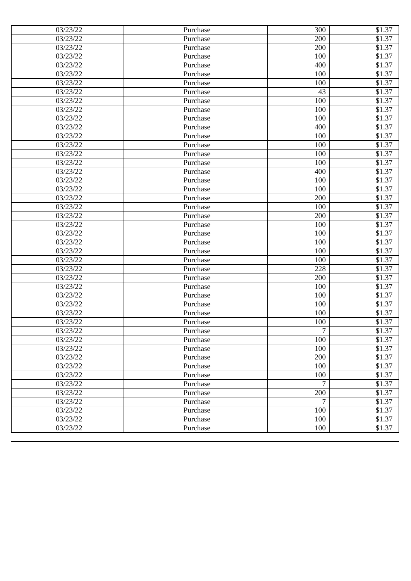| 03/23/22<br>200<br>\$1.37<br>Purchase<br>03/23/22<br>200<br>\$1.37<br>Purchase<br>\$1.37<br>03/23/22<br>Purchase<br>100<br>03/23/22<br>\$1.37<br>400<br>Purchase<br>03/23/22<br>100<br>\$1.37<br>Purchase<br>03/23/22<br>\$1.37<br>100<br>Purchase<br>\$1.37<br>03/23/22<br>43<br>Purchase<br>03/23/22<br>100<br>\$1.37<br>Purchase<br>03/23/22<br>100<br>\$1.37<br>Purchase<br>\$1.37<br>03/23/22<br>100<br>Purchase<br>\$1.37<br>03/23/22<br>400<br>Purchase<br>\$1.37<br>03/23/22<br>100<br>Purchase<br>\$1.37<br>03/23/22<br>100<br>Purchase<br>\$1.37<br>03/23/22<br>100<br>Purchase<br>\$1.37<br>03/23/22<br>100<br>Purchase<br>03/23/22<br>400<br>\$1.37<br>Purchase<br>\$1.37<br>03/23/22<br>100<br>Purchase<br>\$1.37<br>03/23/22<br>100<br>Purchase<br>\$1.37<br>03/23/22<br>200<br>Purchase<br>\$1.37<br>03/23/22<br>100<br>Purchase<br>\$1.37<br>03/23/22<br>200<br>Purchase<br>\$1.37<br>03/23/22<br>100<br>Purchase<br>03/23/22<br>100<br>\$1.37<br>Purchase<br>\$1.37<br>03/23/22<br>100<br>Purchase<br>\$1.37<br>03/23/22<br>100<br>Purchase<br>\$1.37<br>03/23/22<br>100<br>Purchase<br>\$1.37<br>228<br>03/23/22<br>Purchase<br>\$1.37<br>03/23/22<br>200<br>Purchase<br>\$1.37<br>03/23/22<br>100<br>Purchase<br>03/23/22<br>100<br>\$1.37<br>Purchase<br>100<br>\$1.37<br>03/23/22<br>Purchase<br>\$1.37<br>03/23/22<br>Purchase<br>100<br>03/23/22<br>100<br>\$1.37<br>Purchase<br>7<br>\$1.37<br>03/23/22<br>Purchase<br>100<br>\$1.37<br>03/23/22<br>Purchase<br>100<br>\$1.37<br>03/23/22<br>Purchase<br>200<br>03/23/22<br>Purchase<br>\$1.37<br>03/23/22<br>100<br>\$1.37<br>Purchase<br>03/23/22<br>100<br>\$1.37<br>Purchase<br>03/23/22<br>7<br>\$1.37<br>Purchase<br>200<br>03/23/22<br>Purchase<br>\$1.37<br>7<br>03/23/22<br>\$1.37<br>Purchase<br>100<br>\$1.37<br>03/23/22<br>Purchase<br>100<br>03/23/22<br>\$1.37<br>Purchase<br>03/23/22<br>100<br>Purchase<br>\$1.37 | 03/23/22 | Purchase | 300 | \$1.37 |
|------------------------------------------------------------------------------------------------------------------------------------------------------------------------------------------------------------------------------------------------------------------------------------------------------------------------------------------------------------------------------------------------------------------------------------------------------------------------------------------------------------------------------------------------------------------------------------------------------------------------------------------------------------------------------------------------------------------------------------------------------------------------------------------------------------------------------------------------------------------------------------------------------------------------------------------------------------------------------------------------------------------------------------------------------------------------------------------------------------------------------------------------------------------------------------------------------------------------------------------------------------------------------------------------------------------------------------------------------------------------------------------------------------------------------------------------------------------------------------------------------------------------------------------------------------------------------------------------------------------------------------------------------------------------------------------------------------------------------------------------------------------------------------------------------------------------------------------------------------------------------------------------------------|----------|----------|-----|--------|
|                                                                                                                                                                                                                                                                                                                                                                                                                                                                                                                                                                                                                                                                                                                                                                                                                                                                                                                                                                                                                                                                                                                                                                                                                                                                                                                                                                                                                                                                                                                                                                                                                                                                                                                                                                                                                                                                                                            |          |          |     |        |
|                                                                                                                                                                                                                                                                                                                                                                                                                                                                                                                                                                                                                                                                                                                                                                                                                                                                                                                                                                                                                                                                                                                                                                                                                                                                                                                                                                                                                                                                                                                                                                                                                                                                                                                                                                                                                                                                                                            |          |          |     |        |
|                                                                                                                                                                                                                                                                                                                                                                                                                                                                                                                                                                                                                                                                                                                                                                                                                                                                                                                                                                                                                                                                                                                                                                                                                                                                                                                                                                                                                                                                                                                                                                                                                                                                                                                                                                                                                                                                                                            |          |          |     |        |
|                                                                                                                                                                                                                                                                                                                                                                                                                                                                                                                                                                                                                                                                                                                                                                                                                                                                                                                                                                                                                                                                                                                                                                                                                                                                                                                                                                                                                                                                                                                                                                                                                                                                                                                                                                                                                                                                                                            |          |          |     |        |
|                                                                                                                                                                                                                                                                                                                                                                                                                                                                                                                                                                                                                                                                                                                                                                                                                                                                                                                                                                                                                                                                                                                                                                                                                                                                                                                                                                                                                                                                                                                                                                                                                                                                                                                                                                                                                                                                                                            |          |          |     |        |
|                                                                                                                                                                                                                                                                                                                                                                                                                                                                                                                                                                                                                                                                                                                                                                                                                                                                                                                                                                                                                                                                                                                                                                                                                                                                                                                                                                                                                                                                                                                                                                                                                                                                                                                                                                                                                                                                                                            |          |          |     |        |
|                                                                                                                                                                                                                                                                                                                                                                                                                                                                                                                                                                                                                                                                                                                                                                                                                                                                                                                                                                                                                                                                                                                                                                                                                                                                                                                                                                                                                                                                                                                                                                                                                                                                                                                                                                                                                                                                                                            |          |          |     |        |
|                                                                                                                                                                                                                                                                                                                                                                                                                                                                                                                                                                                                                                                                                                                                                                                                                                                                                                                                                                                                                                                                                                                                                                                                                                                                                                                                                                                                                                                                                                                                                                                                                                                                                                                                                                                                                                                                                                            |          |          |     |        |
|                                                                                                                                                                                                                                                                                                                                                                                                                                                                                                                                                                                                                                                                                                                                                                                                                                                                                                                                                                                                                                                                                                                                                                                                                                                                                                                                                                                                                                                                                                                                                                                                                                                                                                                                                                                                                                                                                                            |          |          |     |        |
|                                                                                                                                                                                                                                                                                                                                                                                                                                                                                                                                                                                                                                                                                                                                                                                                                                                                                                                                                                                                                                                                                                                                                                                                                                                                                                                                                                                                                                                                                                                                                                                                                                                                                                                                                                                                                                                                                                            |          |          |     |        |
|                                                                                                                                                                                                                                                                                                                                                                                                                                                                                                                                                                                                                                                                                                                                                                                                                                                                                                                                                                                                                                                                                                                                                                                                                                                                                                                                                                                                                                                                                                                                                                                                                                                                                                                                                                                                                                                                                                            |          |          |     |        |
|                                                                                                                                                                                                                                                                                                                                                                                                                                                                                                                                                                                                                                                                                                                                                                                                                                                                                                                                                                                                                                                                                                                                                                                                                                                                                                                                                                                                                                                                                                                                                                                                                                                                                                                                                                                                                                                                                                            |          |          |     |        |
|                                                                                                                                                                                                                                                                                                                                                                                                                                                                                                                                                                                                                                                                                                                                                                                                                                                                                                                                                                                                                                                                                                                                                                                                                                                                                                                                                                                                                                                                                                                                                                                                                                                                                                                                                                                                                                                                                                            |          |          |     |        |
|                                                                                                                                                                                                                                                                                                                                                                                                                                                                                                                                                                                                                                                                                                                                                                                                                                                                                                                                                                                                                                                                                                                                                                                                                                                                                                                                                                                                                                                                                                                                                                                                                                                                                                                                                                                                                                                                                                            |          |          |     |        |
|                                                                                                                                                                                                                                                                                                                                                                                                                                                                                                                                                                                                                                                                                                                                                                                                                                                                                                                                                                                                                                                                                                                                                                                                                                                                                                                                                                                                                                                                                                                                                                                                                                                                                                                                                                                                                                                                                                            |          |          |     |        |
|                                                                                                                                                                                                                                                                                                                                                                                                                                                                                                                                                                                                                                                                                                                                                                                                                                                                                                                                                                                                                                                                                                                                                                                                                                                                                                                                                                                                                                                                                                                                                                                                                                                                                                                                                                                                                                                                                                            |          |          |     |        |
|                                                                                                                                                                                                                                                                                                                                                                                                                                                                                                                                                                                                                                                                                                                                                                                                                                                                                                                                                                                                                                                                                                                                                                                                                                                                                                                                                                                                                                                                                                                                                                                                                                                                                                                                                                                                                                                                                                            |          |          |     |        |
|                                                                                                                                                                                                                                                                                                                                                                                                                                                                                                                                                                                                                                                                                                                                                                                                                                                                                                                                                                                                                                                                                                                                                                                                                                                                                                                                                                                                                                                                                                                                                                                                                                                                                                                                                                                                                                                                                                            |          |          |     |        |
|                                                                                                                                                                                                                                                                                                                                                                                                                                                                                                                                                                                                                                                                                                                                                                                                                                                                                                                                                                                                                                                                                                                                                                                                                                                                                                                                                                                                                                                                                                                                                                                                                                                                                                                                                                                                                                                                                                            |          |          |     |        |
|                                                                                                                                                                                                                                                                                                                                                                                                                                                                                                                                                                                                                                                                                                                                                                                                                                                                                                                                                                                                                                                                                                                                                                                                                                                                                                                                                                                                                                                                                                                                                                                                                                                                                                                                                                                                                                                                                                            |          |          |     |        |
|                                                                                                                                                                                                                                                                                                                                                                                                                                                                                                                                                                                                                                                                                                                                                                                                                                                                                                                                                                                                                                                                                                                                                                                                                                                                                                                                                                                                                                                                                                                                                                                                                                                                                                                                                                                                                                                                                                            |          |          |     |        |
|                                                                                                                                                                                                                                                                                                                                                                                                                                                                                                                                                                                                                                                                                                                                                                                                                                                                                                                                                                                                                                                                                                                                                                                                                                                                                                                                                                                                                                                                                                                                                                                                                                                                                                                                                                                                                                                                                                            |          |          |     |        |
|                                                                                                                                                                                                                                                                                                                                                                                                                                                                                                                                                                                                                                                                                                                                                                                                                                                                                                                                                                                                                                                                                                                                                                                                                                                                                                                                                                                                                                                                                                                                                                                                                                                                                                                                                                                                                                                                                                            |          |          |     |        |
|                                                                                                                                                                                                                                                                                                                                                                                                                                                                                                                                                                                                                                                                                                                                                                                                                                                                                                                                                                                                                                                                                                                                                                                                                                                                                                                                                                                                                                                                                                                                                                                                                                                                                                                                                                                                                                                                                                            |          |          |     |        |
|                                                                                                                                                                                                                                                                                                                                                                                                                                                                                                                                                                                                                                                                                                                                                                                                                                                                                                                                                                                                                                                                                                                                                                                                                                                                                                                                                                                                                                                                                                                                                                                                                                                                                                                                                                                                                                                                                                            |          |          |     |        |
|                                                                                                                                                                                                                                                                                                                                                                                                                                                                                                                                                                                                                                                                                                                                                                                                                                                                                                                                                                                                                                                                                                                                                                                                                                                                                                                                                                                                                                                                                                                                                                                                                                                                                                                                                                                                                                                                                                            |          |          |     |        |
|                                                                                                                                                                                                                                                                                                                                                                                                                                                                                                                                                                                                                                                                                                                                                                                                                                                                                                                                                                                                                                                                                                                                                                                                                                                                                                                                                                                                                                                                                                                                                                                                                                                                                                                                                                                                                                                                                                            |          |          |     |        |
|                                                                                                                                                                                                                                                                                                                                                                                                                                                                                                                                                                                                                                                                                                                                                                                                                                                                                                                                                                                                                                                                                                                                                                                                                                                                                                                                                                                                                                                                                                                                                                                                                                                                                                                                                                                                                                                                                                            |          |          |     |        |
|                                                                                                                                                                                                                                                                                                                                                                                                                                                                                                                                                                                                                                                                                                                                                                                                                                                                                                                                                                                                                                                                                                                                                                                                                                                                                                                                                                                                                                                                                                                                                                                                                                                                                                                                                                                                                                                                                                            |          |          |     |        |
|                                                                                                                                                                                                                                                                                                                                                                                                                                                                                                                                                                                                                                                                                                                                                                                                                                                                                                                                                                                                                                                                                                                                                                                                                                                                                                                                                                                                                                                                                                                                                                                                                                                                                                                                                                                                                                                                                                            |          |          |     |        |
|                                                                                                                                                                                                                                                                                                                                                                                                                                                                                                                                                                                                                                                                                                                                                                                                                                                                                                                                                                                                                                                                                                                                                                                                                                                                                                                                                                                                                                                                                                                                                                                                                                                                                                                                                                                                                                                                                                            |          |          |     |        |
|                                                                                                                                                                                                                                                                                                                                                                                                                                                                                                                                                                                                                                                                                                                                                                                                                                                                                                                                                                                                                                                                                                                                                                                                                                                                                                                                                                                                                                                                                                                                                                                                                                                                                                                                                                                                                                                                                                            |          |          |     |        |
|                                                                                                                                                                                                                                                                                                                                                                                                                                                                                                                                                                                                                                                                                                                                                                                                                                                                                                                                                                                                                                                                                                                                                                                                                                                                                                                                                                                                                                                                                                                                                                                                                                                                                                                                                                                                                                                                                                            |          |          |     |        |
|                                                                                                                                                                                                                                                                                                                                                                                                                                                                                                                                                                                                                                                                                                                                                                                                                                                                                                                                                                                                                                                                                                                                                                                                                                                                                                                                                                                                                                                                                                                                                                                                                                                                                                                                                                                                                                                                                                            |          |          |     |        |
|                                                                                                                                                                                                                                                                                                                                                                                                                                                                                                                                                                                                                                                                                                                                                                                                                                                                                                                                                                                                                                                                                                                                                                                                                                                                                                                                                                                                                                                                                                                                                                                                                                                                                                                                                                                                                                                                                                            |          |          |     |        |
|                                                                                                                                                                                                                                                                                                                                                                                                                                                                                                                                                                                                                                                                                                                                                                                                                                                                                                                                                                                                                                                                                                                                                                                                                                                                                                                                                                                                                                                                                                                                                                                                                                                                                                                                                                                                                                                                                                            |          |          |     |        |
|                                                                                                                                                                                                                                                                                                                                                                                                                                                                                                                                                                                                                                                                                                                                                                                                                                                                                                                                                                                                                                                                                                                                                                                                                                                                                                                                                                                                                                                                                                                                                                                                                                                                                                                                                                                                                                                                                                            |          |          |     |        |
|                                                                                                                                                                                                                                                                                                                                                                                                                                                                                                                                                                                                                                                                                                                                                                                                                                                                                                                                                                                                                                                                                                                                                                                                                                                                                                                                                                                                                                                                                                                                                                                                                                                                                                                                                                                                                                                                                                            |          |          |     |        |
|                                                                                                                                                                                                                                                                                                                                                                                                                                                                                                                                                                                                                                                                                                                                                                                                                                                                                                                                                                                                                                                                                                                                                                                                                                                                                                                                                                                                                                                                                                                                                                                                                                                                                                                                                                                                                                                                                                            |          |          |     |        |
|                                                                                                                                                                                                                                                                                                                                                                                                                                                                                                                                                                                                                                                                                                                                                                                                                                                                                                                                                                                                                                                                                                                                                                                                                                                                                                                                                                                                                                                                                                                                                                                                                                                                                                                                                                                                                                                                                                            |          |          |     |        |
|                                                                                                                                                                                                                                                                                                                                                                                                                                                                                                                                                                                                                                                                                                                                                                                                                                                                                                                                                                                                                                                                                                                                                                                                                                                                                                                                                                                                                                                                                                                                                                                                                                                                                                                                                                                                                                                                                                            |          |          |     |        |
|                                                                                                                                                                                                                                                                                                                                                                                                                                                                                                                                                                                                                                                                                                                                                                                                                                                                                                                                                                                                                                                                                                                                                                                                                                                                                                                                                                                                                                                                                                                                                                                                                                                                                                                                                                                                                                                                                                            |          |          |     |        |
|                                                                                                                                                                                                                                                                                                                                                                                                                                                                                                                                                                                                                                                                                                                                                                                                                                                                                                                                                                                                                                                                                                                                                                                                                                                                                                                                                                                                                                                                                                                                                                                                                                                                                                                                                                                                                                                                                                            |          |          |     |        |
|                                                                                                                                                                                                                                                                                                                                                                                                                                                                                                                                                                                                                                                                                                                                                                                                                                                                                                                                                                                                                                                                                                                                                                                                                                                                                                                                                                                                                                                                                                                                                                                                                                                                                                                                                                                                                                                                                                            |          |          |     |        |
|                                                                                                                                                                                                                                                                                                                                                                                                                                                                                                                                                                                                                                                                                                                                                                                                                                                                                                                                                                                                                                                                                                                                                                                                                                                                                                                                                                                                                                                                                                                                                                                                                                                                                                                                                                                                                                                                                                            |          |          |     |        |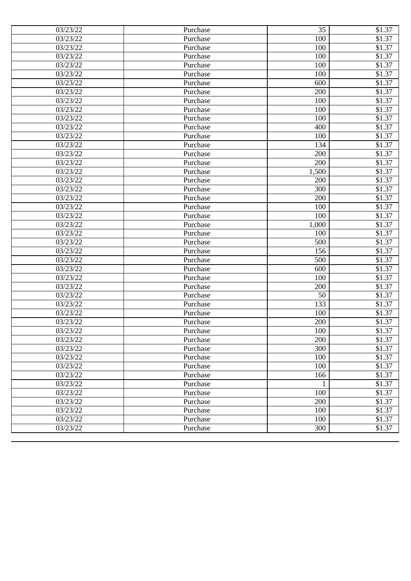| 03/23/22<br>100<br>\$1.37<br>Purchase<br>03/23/22<br>100<br>\$1.37<br>Purchase<br>\$1.37<br>03/23/22<br>Purchase<br>100<br>03/23/22<br>\$1.37<br>100<br>Purchase<br>03/23/22<br>100<br>\$1.37<br>Purchase<br>03/23/22<br>\$1.37<br>600<br>Purchase<br>\$1.37<br>03/23/22<br>200<br>Purchase<br>03/23/22<br>100<br>\$1.37<br>Purchase<br>03/23/22<br>100<br>\$1.37<br>Purchase<br>\$1.37<br>03/23/22<br>100<br>Purchase<br>\$1.37<br>03/23/22<br>400<br>Purchase<br>\$1.37<br>03/23/22<br>100<br>Purchase<br>\$1.37<br>03/23/22<br>134<br>Purchase<br>\$1.37<br>03/23/22<br>200<br>Purchase<br>\$1.37<br>03/23/22<br>200<br>Purchase<br>03/23/22<br>1,500<br>\$1.37<br>Purchase<br>\$1.37<br>03/23/22<br>200<br>Purchase<br>\$1.37<br>03/23/22<br>300<br>Purchase<br>\$1.37<br>03/23/22<br>200<br>Purchase<br>\$1.37<br>03/23/22<br>100<br>Purchase<br>\$1.37<br>03/23/22<br>100<br>Purchase<br>\$1.37<br>03/23/22<br>1,000<br>Purchase<br>03/23/22<br>\$1.37<br>Purchase<br>100<br>500<br>\$1.37<br>03/23/22<br>Purchase<br>\$1.37<br>03/23/22<br>156<br>Purchase<br>\$1.37<br>03/23/22<br>500<br>Purchase<br>\$1.37<br>03/23/22<br>600<br>Purchase<br>\$1.37<br>03/23/22<br>100<br>Purchase<br>\$1.37<br>03/23/22<br>200<br>Purchase<br>03/23/22<br>50<br>\$1.37<br>Purchase<br>133<br>\$1.37<br>03/23/22<br>Purchase<br>\$1.37<br>03/23/22<br>Purchase<br>100<br>03/23/22<br>200<br>\$1.37<br>Purchase<br>\$1.37<br>03/23/22<br>Purchase<br>100<br>\$1.37<br>03/23/22<br>Purchase<br>200<br>300<br>\$1.37<br>03/23/22<br>Purchase<br>100<br>03/23/22<br>Purchase<br>\$1.37<br>03/23/22<br>100<br>\$1.37<br>Purchase<br>166<br>\$1.37<br>03/23/22<br>Purchase<br>03/23/22<br>\$1.37<br>Purchase<br>$\mathbf{1}$<br>100<br>03/23/22<br>Purchase<br>\$1.37<br>03/23/22<br>200<br>\$1.37<br>Purchase<br>100<br>\$1.37<br>03/23/22<br>Purchase<br>100<br>03/23/22<br>\$1.37<br>Purchase<br>03/23/22<br>300<br>Purchase<br>\$1.37 | 03/23/22 | Purchase | 35 | \$1.37 |
|-------------------------------------------------------------------------------------------------------------------------------------------------------------------------------------------------------------------------------------------------------------------------------------------------------------------------------------------------------------------------------------------------------------------------------------------------------------------------------------------------------------------------------------------------------------------------------------------------------------------------------------------------------------------------------------------------------------------------------------------------------------------------------------------------------------------------------------------------------------------------------------------------------------------------------------------------------------------------------------------------------------------------------------------------------------------------------------------------------------------------------------------------------------------------------------------------------------------------------------------------------------------------------------------------------------------------------------------------------------------------------------------------------------------------------------------------------------------------------------------------------------------------------------------------------------------------------------------------------------------------------------------------------------------------------------------------------------------------------------------------------------------------------------------------------------------------------------------------------------------------------------------------------------------------------|----------|----------|----|--------|
|                                                                                                                                                                                                                                                                                                                                                                                                                                                                                                                                                                                                                                                                                                                                                                                                                                                                                                                                                                                                                                                                                                                                                                                                                                                                                                                                                                                                                                                                                                                                                                                                                                                                                                                                                                                                                                                                                                                               |          |          |    |        |
|                                                                                                                                                                                                                                                                                                                                                                                                                                                                                                                                                                                                                                                                                                                                                                                                                                                                                                                                                                                                                                                                                                                                                                                                                                                                                                                                                                                                                                                                                                                                                                                                                                                                                                                                                                                                                                                                                                                               |          |          |    |        |
|                                                                                                                                                                                                                                                                                                                                                                                                                                                                                                                                                                                                                                                                                                                                                                                                                                                                                                                                                                                                                                                                                                                                                                                                                                                                                                                                                                                                                                                                                                                                                                                                                                                                                                                                                                                                                                                                                                                               |          |          |    |        |
|                                                                                                                                                                                                                                                                                                                                                                                                                                                                                                                                                                                                                                                                                                                                                                                                                                                                                                                                                                                                                                                                                                                                                                                                                                                                                                                                                                                                                                                                                                                                                                                                                                                                                                                                                                                                                                                                                                                               |          |          |    |        |
|                                                                                                                                                                                                                                                                                                                                                                                                                                                                                                                                                                                                                                                                                                                                                                                                                                                                                                                                                                                                                                                                                                                                                                                                                                                                                                                                                                                                                                                                                                                                                                                                                                                                                                                                                                                                                                                                                                                               |          |          |    |        |
|                                                                                                                                                                                                                                                                                                                                                                                                                                                                                                                                                                                                                                                                                                                                                                                                                                                                                                                                                                                                                                                                                                                                                                                                                                                                                                                                                                                                                                                                                                                                                                                                                                                                                                                                                                                                                                                                                                                               |          |          |    |        |
|                                                                                                                                                                                                                                                                                                                                                                                                                                                                                                                                                                                                                                                                                                                                                                                                                                                                                                                                                                                                                                                                                                                                                                                                                                                                                                                                                                                                                                                                                                                                                                                                                                                                                                                                                                                                                                                                                                                               |          |          |    |        |
|                                                                                                                                                                                                                                                                                                                                                                                                                                                                                                                                                                                                                                                                                                                                                                                                                                                                                                                                                                                                                                                                                                                                                                                                                                                                                                                                                                                                                                                                                                                                                                                                                                                                                                                                                                                                                                                                                                                               |          |          |    |        |
|                                                                                                                                                                                                                                                                                                                                                                                                                                                                                                                                                                                                                                                                                                                                                                                                                                                                                                                                                                                                                                                                                                                                                                                                                                                                                                                                                                                                                                                                                                                                                                                                                                                                                                                                                                                                                                                                                                                               |          |          |    |        |
|                                                                                                                                                                                                                                                                                                                                                                                                                                                                                                                                                                                                                                                                                                                                                                                                                                                                                                                                                                                                                                                                                                                                                                                                                                                                                                                                                                                                                                                                                                                                                                                                                                                                                                                                                                                                                                                                                                                               |          |          |    |        |
|                                                                                                                                                                                                                                                                                                                                                                                                                                                                                                                                                                                                                                                                                                                                                                                                                                                                                                                                                                                                                                                                                                                                                                                                                                                                                                                                                                                                                                                                                                                                                                                                                                                                                                                                                                                                                                                                                                                               |          |          |    |        |
|                                                                                                                                                                                                                                                                                                                                                                                                                                                                                                                                                                                                                                                                                                                                                                                                                                                                                                                                                                                                                                                                                                                                                                                                                                                                                                                                                                                                                                                                                                                                                                                                                                                                                                                                                                                                                                                                                                                               |          |          |    |        |
|                                                                                                                                                                                                                                                                                                                                                                                                                                                                                                                                                                                                                                                                                                                                                                                                                                                                                                                                                                                                                                                                                                                                                                                                                                                                                                                                                                                                                                                                                                                                                                                                                                                                                                                                                                                                                                                                                                                               |          |          |    |        |
|                                                                                                                                                                                                                                                                                                                                                                                                                                                                                                                                                                                                                                                                                                                                                                                                                                                                                                                                                                                                                                                                                                                                                                                                                                                                                                                                                                                                                                                                                                                                                                                                                                                                                                                                                                                                                                                                                                                               |          |          |    |        |
|                                                                                                                                                                                                                                                                                                                                                                                                                                                                                                                                                                                                                                                                                                                                                                                                                                                                                                                                                                                                                                                                                                                                                                                                                                                                                                                                                                                                                                                                                                                                                                                                                                                                                                                                                                                                                                                                                                                               |          |          |    |        |
|                                                                                                                                                                                                                                                                                                                                                                                                                                                                                                                                                                                                                                                                                                                                                                                                                                                                                                                                                                                                                                                                                                                                                                                                                                                                                                                                                                                                                                                                                                                                                                                                                                                                                                                                                                                                                                                                                                                               |          |          |    |        |
|                                                                                                                                                                                                                                                                                                                                                                                                                                                                                                                                                                                                                                                                                                                                                                                                                                                                                                                                                                                                                                                                                                                                                                                                                                                                                                                                                                                                                                                                                                                                                                                                                                                                                                                                                                                                                                                                                                                               |          |          |    |        |
|                                                                                                                                                                                                                                                                                                                                                                                                                                                                                                                                                                                                                                                                                                                                                                                                                                                                                                                                                                                                                                                                                                                                                                                                                                                                                                                                                                                                                                                                                                                                                                                                                                                                                                                                                                                                                                                                                                                               |          |          |    |        |
|                                                                                                                                                                                                                                                                                                                                                                                                                                                                                                                                                                                                                                                                                                                                                                                                                                                                                                                                                                                                                                                                                                                                                                                                                                                                                                                                                                                                                                                                                                                                                                                                                                                                                                                                                                                                                                                                                                                               |          |          |    |        |
|                                                                                                                                                                                                                                                                                                                                                                                                                                                                                                                                                                                                                                                                                                                                                                                                                                                                                                                                                                                                                                                                                                                                                                                                                                                                                                                                                                                                                                                                                                                                                                                                                                                                                                                                                                                                                                                                                                                               |          |          |    |        |
|                                                                                                                                                                                                                                                                                                                                                                                                                                                                                                                                                                                                                                                                                                                                                                                                                                                                                                                                                                                                                                                                                                                                                                                                                                                                                                                                                                                                                                                                                                                                                                                                                                                                                                                                                                                                                                                                                                                               |          |          |    |        |
|                                                                                                                                                                                                                                                                                                                                                                                                                                                                                                                                                                                                                                                                                                                                                                                                                                                                                                                                                                                                                                                                                                                                                                                                                                                                                                                                                                                                                                                                                                                                                                                                                                                                                                                                                                                                                                                                                                                               |          |          |    |        |
|                                                                                                                                                                                                                                                                                                                                                                                                                                                                                                                                                                                                                                                                                                                                                                                                                                                                                                                                                                                                                                                                                                                                                                                                                                                                                                                                                                                                                                                                                                                                                                                                                                                                                                                                                                                                                                                                                                                               |          |          |    |        |
|                                                                                                                                                                                                                                                                                                                                                                                                                                                                                                                                                                                                                                                                                                                                                                                                                                                                                                                                                                                                                                                                                                                                                                                                                                                                                                                                                                                                                                                                                                                                                                                                                                                                                                                                                                                                                                                                                                                               |          |          |    |        |
|                                                                                                                                                                                                                                                                                                                                                                                                                                                                                                                                                                                                                                                                                                                                                                                                                                                                                                                                                                                                                                                                                                                                                                                                                                                                                                                                                                                                                                                                                                                                                                                                                                                                                                                                                                                                                                                                                                                               |          |          |    |        |
|                                                                                                                                                                                                                                                                                                                                                                                                                                                                                                                                                                                                                                                                                                                                                                                                                                                                                                                                                                                                                                                                                                                                                                                                                                                                                                                                                                                                                                                                                                                                                                                                                                                                                                                                                                                                                                                                                                                               |          |          |    |        |
|                                                                                                                                                                                                                                                                                                                                                                                                                                                                                                                                                                                                                                                                                                                                                                                                                                                                                                                                                                                                                                                                                                                                                                                                                                                                                                                                                                                                                                                                                                                                                                                                                                                                                                                                                                                                                                                                                                                               |          |          |    |        |
|                                                                                                                                                                                                                                                                                                                                                                                                                                                                                                                                                                                                                                                                                                                                                                                                                                                                                                                                                                                                                                                                                                                                                                                                                                                                                                                                                                                                                                                                                                                                                                                                                                                                                                                                                                                                                                                                                                                               |          |          |    |        |
|                                                                                                                                                                                                                                                                                                                                                                                                                                                                                                                                                                                                                                                                                                                                                                                                                                                                                                                                                                                                                                                                                                                                                                                                                                                                                                                                                                                                                                                                                                                                                                                                                                                                                                                                                                                                                                                                                                                               |          |          |    |        |
|                                                                                                                                                                                                                                                                                                                                                                                                                                                                                                                                                                                                                                                                                                                                                                                                                                                                                                                                                                                                                                                                                                                                                                                                                                                                                                                                                                                                                                                                                                                                                                                                                                                                                                                                                                                                                                                                                                                               |          |          |    |        |
|                                                                                                                                                                                                                                                                                                                                                                                                                                                                                                                                                                                                                                                                                                                                                                                                                                                                                                                                                                                                                                                                                                                                                                                                                                                                                                                                                                                                                                                                                                                                                                                                                                                                                                                                                                                                                                                                                                                               |          |          |    |        |
|                                                                                                                                                                                                                                                                                                                                                                                                                                                                                                                                                                                                                                                                                                                                                                                                                                                                                                                                                                                                                                                                                                                                                                                                                                                                                                                                                                                                                                                                                                                                                                                                                                                                                                                                                                                                                                                                                                                               |          |          |    |        |
|                                                                                                                                                                                                                                                                                                                                                                                                                                                                                                                                                                                                                                                                                                                                                                                                                                                                                                                                                                                                                                                                                                                                                                                                                                                                                                                                                                                                                                                                                                                                                                                                                                                                                                                                                                                                                                                                                                                               |          |          |    |        |
|                                                                                                                                                                                                                                                                                                                                                                                                                                                                                                                                                                                                                                                                                                                                                                                                                                                                                                                                                                                                                                                                                                                                                                                                                                                                                                                                                                                                                                                                                                                                                                                                                                                                                                                                                                                                                                                                                                                               |          |          |    |        |
|                                                                                                                                                                                                                                                                                                                                                                                                                                                                                                                                                                                                                                                                                                                                                                                                                                                                                                                                                                                                                                                                                                                                                                                                                                                                                                                                                                                                                                                                                                                                                                                                                                                                                                                                                                                                                                                                                                                               |          |          |    |        |
|                                                                                                                                                                                                                                                                                                                                                                                                                                                                                                                                                                                                                                                                                                                                                                                                                                                                                                                                                                                                                                                                                                                                                                                                                                                                                                                                                                                                                                                                                                                                                                                                                                                                                                                                                                                                                                                                                                                               |          |          |    |        |
|                                                                                                                                                                                                                                                                                                                                                                                                                                                                                                                                                                                                                                                                                                                                                                                                                                                                                                                                                                                                                                                                                                                                                                                                                                                                                                                                                                                                                                                                                                                                                                                                                                                                                                                                                                                                                                                                                                                               |          |          |    |        |
|                                                                                                                                                                                                                                                                                                                                                                                                                                                                                                                                                                                                                                                                                                                                                                                                                                                                                                                                                                                                                                                                                                                                                                                                                                                                                                                                                                                                                                                                                                                                                                                                                                                                                                                                                                                                                                                                                                                               |          |          |    |        |
|                                                                                                                                                                                                                                                                                                                                                                                                                                                                                                                                                                                                                                                                                                                                                                                                                                                                                                                                                                                                                                                                                                                                                                                                                                                                                                                                                                                                                                                                                                                                                                                                                                                                                                                                                                                                                                                                                                                               |          |          |    |        |
|                                                                                                                                                                                                                                                                                                                                                                                                                                                                                                                                                                                                                                                                                                                                                                                                                                                                                                                                                                                                                                                                                                                                                                                                                                                                                                                                                                                                                                                                                                                                                                                                                                                                                                                                                                                                                                                                                                                               |          |          |    |        |
|                                                                                                                                                                                                                                                                                                                                                                                                                                                                                                                                                                                                                                                                                                                                                                                                                                                                                                                                                                                                                                                                                                                                                                                                                                                                                                                                                                                                                                                                                                                                                                                                                                                                                                                                                                                                                                                                                                                               |          |          |    |        |
|                                                                                                                                                                                                                                                                                                                                                                                                                                                                                                                                                                                                                                                                                                                                                                                                                                                                                                                                                                                                                                                                                                                                                                                                                                                                                                                                                                                                                                                                                                                                                                                                                                                                                                                                                                                                                                                                                                                               |          |          |    |        |
|                                                                                                                                                                                                                                                                                                                                                                                                                                                                                                                                                                                                                                                                                                                                                                                                                                                                                                                                                                                                                                                                                                                                                                                                                                                                                                                                                                                                                                                                                                                                                                                                                                                                                                                                                                                                                                                                                                                               |          |          |    |        |
|                                                                                                                                                                                                                                                                                                                                                                                                                                                                                                                                                                                                                                                                                                                                                                                                                                                                                                                                                                                                                                                                                                                                                                                                                                                                                                                                                                                                                                                                                                                                                                                                                                                                                                                                                                                                                                                                                                                               |          |          |    |        |
|                                                                                                                                                                                                                                                                                                                                                                                                                                                                                                                                                                                                                                                                                                                                                                                                                                                                                                                                                                                                                                                                                                                                                                                                                                                                                                                                                                                                                                                                                                                                                                                                                                                                                                                                                                                                                                                                                                                               |          |          |    |        |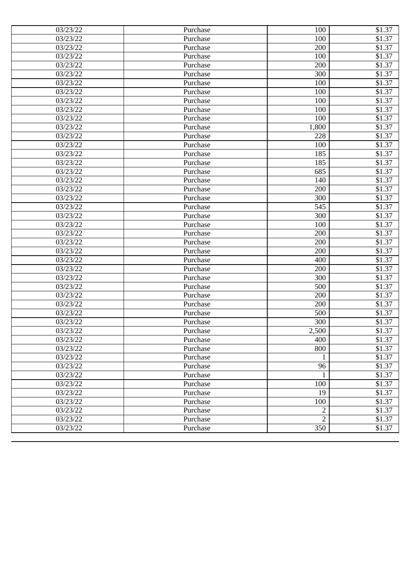| 03/23/22 | Purchase | 100            | \$1.37             |
|----------|----------|----------------|--------------------|
| 03/23/22 | Purchase | 100            | \$1.37             |
| 03/23/22 | Purchase | 200            | \$1.37             |
| 03/23/22 | Purchase | 100            | \$1.37             |
| 03/23/22 | Purchase | 200            | \$1.37             |
| 03/23/22 | Purchase | 300            | \$1.37             |
| 03/23/22 | Purchase | 100            | \$1.37             |
| 03/23/22 | Purchase | 100            | \$1.37             |
| 03/23/22 | Purchase | 100            | \$1.37             |
| 03/23/22 | Purchase | 100            | \$1.37             |
| 03/23/22 | Purchase | 100            | \$1.37             |
| 03/23/22 | Purchase | 1,800          | \$1.37             |
| 03/23/22 | Purchase | 228            | \$1.37             |
| 03/23/22 | Purchase | 100            | \$1.37             |
| 03/23/22 | Purchase | 185            | \$1.37             |
| 03/23/22 | Purchase | 185            | \$1.37             |
| 03/23/22 | Purchase | 685            | \$1.37             |
| 03/23/22 | Purchase | 140            | \$1.37             |
| 03/23/22 | Purchase | 200            | $$1.\overline{37}$ |
| 03/23/22 | Purchase | 300            | \$1.37             |
| 03/23/22 | Purchase | 545            | \$1.37             |
| 03/23/22 | Purchase | 300            | \$1.37             |
| 03/23/22 | Purchase | 100            | \$1.37             |
| 03/23/22 | Purchase | 200            | \$1.37             |
| 03/23/22 | Purchase | 200            | \$1.37             |
| 03/23/22 | Purchase | 200            | \$1.37             |
| 03/23/22 | Purchase | 400            | \$1.37             |
| 03/23/22 | Purchase | 200            | \$1.37             |
| 03/23/22 | Purchase | 300            | \$1.37             |
| 03/23/22 | Purchase | 500            | \$1.37             |
| 03/23/22 | Purchase | 200            | \$1.37             |
| 03/23/22 | Purchase | 200            | \$1.37             |
| 03/23/22 | Purchase | 500            | \$1.37             |
| 03/23/22 | Purchase | 300            | \$1.37             |
| 03/23/22 | Purchase | 2,500          | \$1.37             |
| 03/23/22 | Purchase | 400            | \$1.37             |
| 03/23/22 | Purchase | 800            | \$1.37             |
| 03/23/22 | Purchase | 1              | \$1.37             |
| 03/23/22 | Purchase | 96             | \$1.37             |
| 03/23/22 | Purchase | 1              | \$1.37             |
| 03/23/22 | Purchase | 100            | \$1.37             |
| 03/23/22 | Purchase | 19             | \$1.37             |
| 03/23/22 | Purchase | 100            | \$1.37             |
| 03/23/22 | Purchase | $\overline{2}$ | \$1.37             |
| 03/23/22 | Purchase | $\overline{2}$ | \$1.37             |
| 03/23/22 | Purchase | 350            | \$1.37             |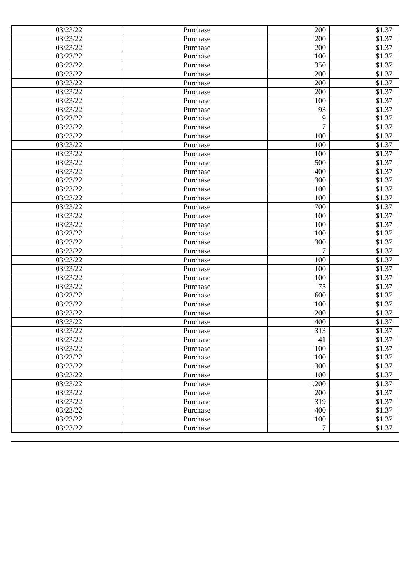| 03/23/22 | Purchase | 200   | \$1.37 |
|----------|----------|-------|--------|
| 03/23/22 | Purchase | 200   | \$1.37 |
| 03/23/22 | Purchase | 200   | \$1.37 |
| 03/23/22 | Purchase | 100   | \$1.37 |
| 03/23/22 | Purchase | 350   | \$1.37 |
| 03/23/22 | Purchase | 200   | \$1.37 |
| 03/23/22 | Purchase | 200   | \$1.37 |
| 03/23/22 | Purchase | 200   | \$1.37 |
| 03/23/22 | Purchase | 100   | \$1.37 |
| 03/23/22 | Purchase | 93    | \$1.37 |
| 03/23/22 | Purchase | 9     | \$1.37 |
| 03/23/22 | Purchase | 7     | \$1.37 |
| 03/23/22 | Purchase | 100   | \$1.37 |
| 03/23/22 | Purchase | 100   | \$1.37 |
| 03/23/22 | Purchase | 100   | \$1.37 |
| 03/23/22 | Purchase | 500   | \$1.37 |
| 03/23/22 | Purchase | 400   | \$1.37 |
| 03/23/22 | Purchase | 300   | \$1.37 |
| 03/23/22 | Purchase | 100   | \$1.37 |
| 03/23/22 | Purchase | 100   | \$1.37 |
| 03/23/22 | Purchase | 700   | \$1.37 |
| 03/23/22 | Purchase | 100   | \$1.37 |
| 03/23/22 | Purchase | 100   | \$1.37 |
| 03/23/22 | Purchase | 100   | \$1.37 |
| 03/23/22 | Purchase | 300   | \$1.37 |
| 03/23/22 | Purchase | 7     | \$1.37 |
| 03/23/22 | Purchase | 100   | \$1.37 |
| 03/23/22 | Purchase | 100   | \$1.37 |
| 03/23/22 | Purchase | 100   | \$1.37 |
| 03/23/22 | Purchase | 75    | \$1.37 |
| 03/23/22 | Purchase | 600   | \$1.37 |
| 03/23/22 | Purchase | 100   | \$1.37 |
| 03/23/22 | Purchase | 200   | \$1.37 |
| 03/23/22 | Purchase | 400   | \$1.37 |
| 03/23/22 | Purchase | 313   | \$1.37 |
| 03/23/22 | Purchase | 41    | \$1.37 |
| 03/23/22 | Purchase | 100   | \$1.37 |
| 03/23/22 | Purchase | 100   | \$1.37 |
| 03/23/22 | Purchase | 300   | \$1.37 |
| 03/23/22 | Purchase | 100   | \$1.37 |
| 03/23/22 | Purchase | 1,200 | \$1.37 |
| 03/23/22 | Purchase | 200   | \$1.37 |
| 03/23/22 | Purchase | 319   | \$1.37 |
| 03/23/22 | Purchase | 400   | \$1.37 |
| 03/23/22 | Purchase | 100   | \$1.37 |
| 03/23/22 | Purchase | 7     | \$1.37 |
|          |          |       |        |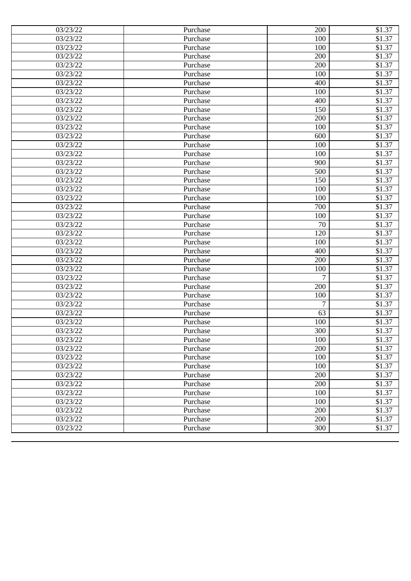| 03/23/22 | Purchase | 200 | \$1.37 |
|----------|----------|-----|--------|
| 03/23/22 | Purchase | 100 | \$1.37 |
| 03/23/22 | Purchase | 100 | \$1.37 |
| 03/23/22 | Purchase | 200 | \$1.37 |
| 03/23/22 | Purchase | 200 | \$1.37 |
| 03/23/22 | Purchase | 100 | \$1.37 |
| 03/23/22 | Purchase | 400 | \$1.37 |
| 03/23/22 | Purchase | 100 | \$1.37 |
| 03/23/22 | Purchase | 400 | \$1.37 |
| 03/23/22 | Purchase | 150 | \$1.37 |
| 03/23/22 | Purchase | 200 | \$1.37 |
| 03/23/22 | Purchase | 100 | \$1.37 |
| 03/23/22 | Purchase | 600 | \$1.37 |
| 03/23/22 | Purchase | 100 | \$1.37 |
| 03/23/22 | Purchase | 100 | \$1.37 |
| 03/23/22 | Purchase | 900 | \$1.37 |
| 03/23/22 | Purchase | 500 | \$1.37 |
| 03/23/22 | Purchase | 150 | \$1.37 |
| 03/23/22 | Purchase | 100 | \$1.37 |
| 03/23/22 | Purchase | 100 | \$1.37 |
| 03/23/22 | Purchase | 700 | \$1.37 |
| 03/23/22 | Purchase | 100 | \$1.37 |
| 03/23/22 | Purchase | 70  | \$1.37 |
| 03/23/22 | Purchase | 120 | \$1.37 |
| 03/23/22 | Purchase | 100 | \$1.37 |
| 03/23/22 | Purchase | 400 | \$1.37 |
| 03/23/22 | Purchase | 200 | \$1.37 |
| 03/23/22 | Purchase | 100 | \$1.37 |
| 03/23/22 | Purchase | 7   | \$1.37 |
| 03/23/22 | Purchase | 200 | \$1.37 |
| 03/23/22 | Purchase | 100 | \$1.37 |
| 03/23/22 | Purchase | 7   | \$1.37 |
| 03/23/22 | Purchase | 63  | \$1.37 |
| 03/23/22 | Purchase | 100 | \$1.37 |
| 03/23/22 | Purchase | 300 | \$1.37 |
| 03/23/22 | Purchase | 100 | \$1.37 |
| 03/23/22 | Purchase | 200 | \$1.37 |
| 03/23/22 | Purchase | 100 | \$1.37 |
| 03/23/22 | Purchase | 100 | \$1.37 |
| 03/23/22 | Purchase | 200 | \$1.37 |
| 03/23/22 | Purchase | 200 | \$1.37 |
| 03/23/22 | Purchase | 100 | \$1.37 |
| 03/23/22 | Purchase | 100 | \$1.37 |
| 03/23/22 | Purchase | 200 | \$1.37 |
| 03/23/22 | Purchase | 200 | \$1.37 |
| 03/23/22 | Purchase | 300 | \$1.37 |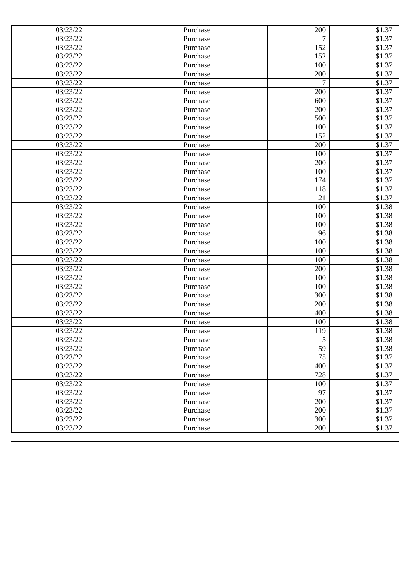| 03/23/22 | Purchase | 200 | \$1.37 |
|----------|----------|-----|--------|
| 03/23/22 | Purchase | 7   | \$1.37 |
| 03/23/22 | Purchase | 152 | \$1.37 |
| 03/23/22 | Purchase | 152 | \$1.37 |
| 03/23/22 | Purchase | 100 | \$1.37 |
| 03/23/22 | Purchase | 200 | \$1.37 |
| 03/23/22 | Purchase | 7   | \$1.37 |
| 03/23/22 | Purchase | 200 | \$1.37 |
| 03/23/22 | Purchase | 600 | \$1.37 |
| 03/23/22 | Purchase | 200 | \$1.37 |
| 03/23/22 | Purchase | 500 | \$1.37 |
| 03/23/22 | Purchase | 100 | \$1.37 |
| 03/23/22 | Purchase | 152 | \$1.37 |
| 03/23/22 | Purchase | 200 | \$1.37 |
| 03/23/22 | Purchase | 100 | \$1.37 |
| 03/23/22 | Purchase | 200 | \$1.37 |
| 03/23/22 | Purchase | 100 | \$1.37 |
| 03/23/22 | Purchase | 174 | \$1.37 |
| 03/23/22 | Purchase | 118 | \$1.37 |
| 03/23/22 | Purchase | 21  | \$1.37 |
| 03/23/22 | Purchase | 100 | \$1.38 |
| 03/23/22 | Purchase | 100 | \$1.38 |
| 03/23/22 | Purchase | 100 | \$1.38 |
| 03/23/22 | Purchase | 96  | \$1.38 |
| 03/23/22 | Purchase | 100 | \$1.38 |
| 03/23/22 | Purchase | 100 | \$1.38 |
| 03/23/22 | Purchase | 100 | \$1.38 |
| 03/23/22 | Purchase | 200 | \$1.38 |
| 03/23/22 | Purchase | 100 | \$1.38 |
| 03/23/22 | Purchase | 100 | \$1.38 |
| 03/23/22 | Purchase | 300 | \$1.38 |
| 03/23/22 | Purchase | 200 | \$1.38 |
| 03/23/22 | Purchase | 400 | \$1.38 |
| 03/23/22 | Purchase | 100 | \$1.38 |
| 03/23/22 | Purchase | 119 | \$1.38 |
| 03/23/22 | Purchase | 5   | \$1.38 |
| 03/23/22 | Purchase | 59  | \$1.38 |
| 03/23/22 | Purchase | 75  | \$1.37 |
| 03/23/22 | Purchase | 400 | \$1.37 |
| 03/23/22 | Purchase | 728 | \$1.37 |
| 03/23/22 | Purchase | 100 | \$1.37 |
| 03/23/22 | Purchase | 97  | \$1.37 |
| 03/23/22 | Purchase | 200 | \$1.37 |
| 03/23/22 | Purchase | 200 | \$1.37 |
| 03/23/22 | Purchase | 300 | \$1.37 |
| 03/23/22 | Purchase | 200 | \$1.37 |
|          |          |     |        |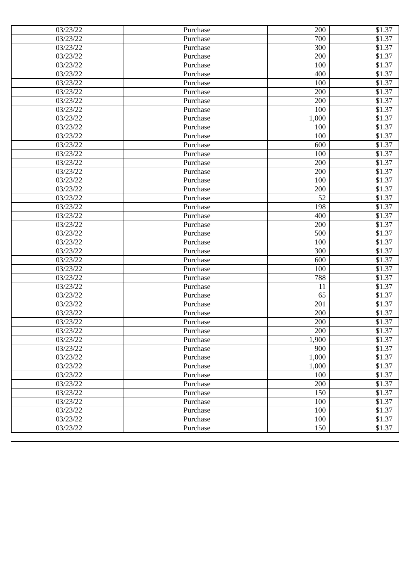| 03/23/22 | Purchase | 200   | \$1.37 |
|----------|----------|-------|--------|
| 03/23/22 | Purchase | 700   | \$1.37 |
| 03/23/22 | Purchase | 300   | \$1.37 |
| 03/23/22 | Purchase | 200   | \$1.37 |
| 03/23/22 | Purchase | 100   | \$1.37 |
| 03/23/22 | Purchase | 400   | \$1.37 |
| 03/23/22 | Purchase | 100   | \$1.37 |
| 03/23/22 | Purchase | 200   | \$1.37 |
| 03/23/22 | Purchase | 200   | \$1.37 |
| 03/23/22 | Purchase | 100   | \$1.37 |
| 03/23/22 | Purchase | 1,000 | \$1.37 |
| 03/23/22 | Purchase | 100   | \$1.37 |
| 03/23/22 | Purchase | 100   | \$1.37 |
| 03/23/22 | Purchase | 600   | \$1.37 |
| 03/23/22 | Purchase | 100   | \$1.37 |
| 03/23/22 | Purchase | 200   | \$1.37 |
| 03/23/22 | Purchase | 200   | \$1.37 |
| 03/23/22 | Purchase | 100   | \$1.37 |
| 03/23/22 | Purchase | 200   | \$1.37 |
| 03/23/22 | Purchase | 52    | \$1.37 |
| 03/23/22 | Purchase | 198   | \$1.37 |
| 03/23/22 | Purchase | 400   | \$1.37 |
| 03/23/22 | Purchase | 200   | \$1.37 |
| 03/23/22 | Purchase | 500   | \$1.37 |
| 03/23/22 | Purchase | 100   | \$1.37 |
| 03/23/22 | Purchase | 300   | \$1.37 |
| 03/23/22 | Purchase | 600   | \$1.37 |
| 03/23/22 | Purchase | 100   | \$1.37 |
| 03/23/22 | Purchase | 788   | \$1.37 |
| 03/23/22 | Purchase | 11    | \$1.37 |
| 03/23/22 | Purchase | 65    | \$1.37 |
| 03/23/22 | Purchase | 201   | \$1.37 |
| 03/23/22 | Purchase | 200   | \$1.37 |
| 03/23/22 | Purchase | 200   | \$1.37 |
| 03/23/22 | Purchase | 200   | \$1.37 |
| 03/23/22 | Purchase | 1,900 | \$1.37 |
| 03/23/22 | Purchase | 900   | \$1.37 |
| 03/23/22 | Purchase | 1,000 | \$1.37 |
| 03/23/22 | Purchase | 1,000 | \$1.37 |
| 03/23/22 | Purchase | 100   | \$1.37 |
| 03/23/22 | Purchase | 200   | \$1.37 |
| 03/23/22 | Purchase | 150   | \$1.37 |
| 03/23/22 | Purchase | 100   | \$1.37 |
| 03/23/22 | Purchase | 100   | \$1.37 |
| 03/23/22 | Purchase | 100   | \$1.37 |
| 03/23/22 | Purchase | 150   | \$1.37 |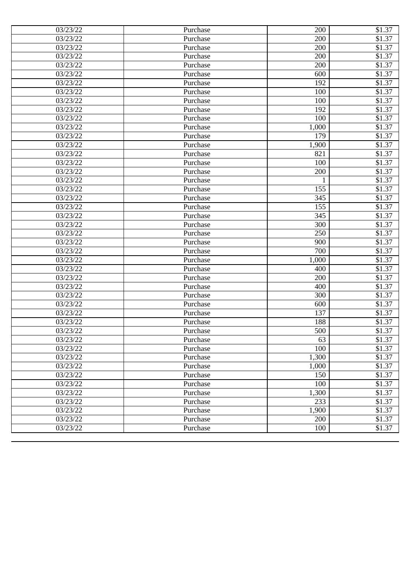| 03/23/22<br>200<br>\$1.37<br>Purchase<br>03/23/22<br>200<br>\$1.37<br>Purchase<br>200<br>\$1.37<br>03/23/22<br>Purchase<br>03/23/22<br>\$1.37<br>200<br>Purchase<br>03/23/22<br>600<br>\$1.37<br>Purchase<br>03/23/22<br>\$1.37<br>192<br>Purchase<br>\$1.37<br>03/23/22<br>100<br>Purchase<br>03/23/22<br>\$1.37<br>Purchase<br>100<br>03/23/22<br>192<br>\$1.37<br>Purchase<br>\$1.37<br>03/23/22<br>100<br>Purchase<br>03/23/22<br>\$1.37<br>1,000<br>Purchase<br>\$1.37<br>03/23/22<br>179<br>Purchase<br>\$1.37<br>03/23/22<br>1,900<br>Purchase<br>\$1.37<br>03/23/22<br>Purchase<br>821<br>\$1.37<br>03/23/22<br>100<br>Purchase<br>03/23/22<br>200<br>\$1.37<br>Purchase<br>\$1.37<br>03/23/22<br>Purchase<br>1<br>\$1.37<br>03/23/22<br>155<br>Purchase<br>\$1.37<br>03/23/22<br>345<br>Purchase<br>\$1.37<br>03/23/22<br>155<br>Purchase<br>\$1.37<br>03/23/22<br>345<br>Purchase<br>\$1.37<br>03/23/22<br>300<br>Purchase<br>03/23/22<br>250<br>\$1.37<br>Purchase<br>900<br>\$1.37<br>03/23/22<br>Purchase<br>\$1.37<br>03/23/22<br>700<br>Purchase<br>\$1.37<br>03/23/22<br>1,000<br>Purchase<br>\$1.37<br>03/23/22<br>Purchase<br>400<br>\$1.37<br>03/23/22<br>200<br>Purchase<br>\$1.37<br>03/23/22<br>400<br>Purchase<br>03/23/22<br>300<br>\$1.37<br>Purchase<br>600<br>\$1.37<br>03/23/22<br>Purchase<br>137<br>\$1.37<br>03/23/22<br>Purchase<br>03/23/22<br>188<br>\$1.37<br>Purchase<br>500<br>\$1.37<br>03/23/22<br>Purchase<br>63<br>\$1.37<br>03/23/22<br>Purchase<br>100<br>\$1.37<br>03/23/22<br>Purchase<br>1,300<br>03/23/22<br>Purchase<br>\$1.37<br>03/23/22<br>\$1.37<br>Purchase<br>1,000<br>150<br>\$1.37<br>03/23/22<br>Purchase<br>03/23/22<br>100<br>\$1.37<br>Purchase<br>03/23/22<br>Purchase<br>1,300<br>\$1.37<br>03/23/22<br>233<br>\$1.37<br>Purchase<br>1,900<br>\$1.37<br>03/23/22<br>Purchase<br>03/23/22<br>200<br>\$1.37<br>Purchase<br>03/23/22<br>100<br>Purchase<br>\$1.37 | 03/23/22 | Purchase | 200 | \$1.37 |
|------------------------------------------------------------------------------------------------------------------------------------------------------------------------------------------------------------------------------------------------------------------------------------------------------------------------------------------------------------------------------------------------------------------------------------------------------------------------------------------------------------------------------------------------------------------------------------------------------------------------------------------------------------------------------------------------------------------------------------------------------------------------------------------------------------------------------------------------------------------------------------------------------------------------------------------------------------------------------------------------------------------------------------------------------------------------------------------------------------------------------------------------------------------------------------------------------------------------------------------------------------------------------------------------------------------------------------------------------------------------------------------------------------------------------------------------------------------------------------------------------------------------------------------------------------------------------------------------------------------------------------------------------------------------------------------------------------------------------------------------------------------------------------------------------------------------------------------------------------------------------------------------------------------------------|----------|----------|-----|--------|
|                                                                                                                                                                                                                                                                                                                                                                                                                                                                                                                                                                                                                                                                                                                                                                                                                                                                                                                                                                                                                                                                                                                                                                                                                                                                                                                                                                                                                                                                                                                                                                                                                                                                                                                                                                                                                                                                                                                              |          |          |     |        |
|                                                                                                                                                                                                                                                                                                                                                                                                                                                                                                                                                                                                                                                                                                                                                                                                                                                                                                                                                                                                                                                                                                                                                                                                                                                                                                                                                                                                                                                                                                                                                                                                                                                                                                                                                                                                                                                                                                                              |          |          |     |        |
|                                                                                                                                                                                                                                                                                                                                                                                                                                                                                                                                                                                                                                                                                                                                                                                                                                                                                                                                                                                                                                                                                                                                                                                                                                                                                                                                                                                                                                                                                                                                                                                                                                                                                                                                                                                                                                                                                                                              |          |          |     |        |
|                                                                                                                                                                                                                                                                                                                                                                                                                                                                                                                                                                                                                                                                                                                                                                                                                                                                                                                                                                                                                                                                                                                                                                                                                                                                                                                                                                                                                                                                                                                                                                                                                                                                                                                                                                                                                                                                                                                              |          |          |     |        |
|                                                                                                                                                                                                                                                                                                                                                                                                                                                                                                                                                                                                                                                                                                                                                                                                                                                                                                                                                                                                                                                                                                                                                                                                                                                                                                                                                                                                                                                                                                                                                                                                                                                                                                                                                                                                                                                                                                                              |          |          |     |        |
|                                                                                                                                                                                                                                                                                                                                                                                                                                                                                                                                                                                                                                                                                                                                                                                                                                                                                                                                                                                                                                                                                                                                                                                                                                                                                                                                                                                                                                                                                                                                                                                                                                                                                                                                                                                                                                                                                                                              |          |          |     |        |
|                                                                                                                                                                                                                                                                                                                                                                                                                                                                                                                                                                                                                                                                                                                                                                                                                                                                                                                                                                                                                                                                                                                                                                                                                                                                                                                                                                                                                                                                                                                                                                                                                                                                                                                                                                                                                                                                                                                              |          |          |     |        |
|                                                                                                                                                                                                                                                                                                                                                                                                                                                                                                                                                                                                                                                                                                                                                                                                                                                                                                                                                                                                                                                                                                                                                                                                                                                                                                                                                                                                                                                                                                                                                                                                                                                                                                                                                                                                                                                                                                                              |          |          |     |        |
|                                                                                                                                                                                                                                                                                                                                                                                                                                                                                                                                                                                                                                                                                                                                                                                                                                                                                                                                                                                                                                                                                                                                                                                                                                                                                                                                                                                                                                                                                                                                                                                                                                                                                                                                                                                                                                                                                                                              |          |          |     |        |
|                                                                                                                                                                                                                                                                                                                                                                                                                                                                                                                                                                                                                                                                                                                                                                                                                                                                                                                                                                                                                                                                                                                                                                                                                                                                                                                                                                                                                                                                                                                                                                                                                                                                                                                                                                                                                                                                                                                              |          |          |     |        |
|                                                                                                                                                                                                                                                                                                                                                                                                                                                                                                                                                                                                                                                                                                                                                                                                                                                                                                                                                                                                                                                                                                                                                                                                                                                                                                                                                                                                                                                                                                                                                                                                                                                                                                                                                                                                                                                                                                                              |          |          |     |        |
|                                                                                                                                                                                                                                                                                                                                                                                                                                                                                                                                                                                                                                                                                                                                                                                                                                                                                                                                                                                                                                                                                                                                                                                                                                                                                                                                                                                                                                                                                                                                                                                                                                                                                                                                                                                                                                                                                                                              |          |          |     |        |
|                                                                                                                                                                                                                                                                                                                                                                                                                                                                                                                                                                                                                                                                                                                                                                                                                                                                                                                                                                                                                                                                                                                                                                                                                                                                                                                                                                                                                                                                                                                                                                                                                                                                                                                                                                                                                                                                                                                              |          |          |     |        |
|                                                                                                                                                                                                                                                                                                                                                                                                                                                                                                                                                                                                                                                                                                                                                                                                                                                                                                                                                                                                                                                                                                                                                                                                                                                                                                                                                                                                                                                                                                                                                                                                                                                                                                                                                                                                                                                                                                                              |          |          |     |        |
|                                                                                                                                                                                                                                                                                                                                                                                                                                                                                                                                                                                                                                                                                                                                                                                                                                                                                                                                                                                                                                                                                                                                                                                                                                                                                                                                                                                                                                                                                                                                                                                                                                                                                                                                                                                                                                                                                                                              |          |          |     |        |
|                                                                                                                                                                                                                                                                                                                                                                                                                                                                                                                                                                                                                                                                                                                                                                                                                                                                                                                                                                                                                                                                                                                                                                                                                                                                                                                                                                                                                                                                                                                                                                                                                                                                                                                                                                                                                                                                                                                              |          |          |     |        |
|                                                                                                                                                                                                                                                                                                                                                                                                                                                                                                                                                                                                                                                                                                                                                                                                                                                                                                                                                                                                                                                                                                                                                                                                                                                                                                                                                                                                                                                                                                                                                                                                                                                                                                                                                                                                                                                                                                                              |          |          |     |        |
|                                                                                                                                                                                                                                                                                                                                                                                                                                                                                                                                                                                                                                                                                                                                                                                                                                                                                                                                                                                                                                                                                                                                                                                                                                                                                                                                                                                                                                                                                                                                                                                                                                                                                                                                                                                                                                                                                                                              |          |          |     |        |
|                                                                                                                                                                                                                                                                                                                                                                                                                                                                                                                                                                                                                                                                                                                                                                                                                                                                                                                                                                                                                                                                                                                                                                                                                                                                                                                                                                                                                                                                                                                                                                                                                                                                                                                                                                                                                                                                                                                              |          |          |     |        |
|                                                                                                                                                                                                                                                                                                                                                                                                                                                                                                                                                                                                                                                                                                                                                                                                                                                                                                                                                                                                                                                                                                                                                                                                                                                                                                                                                                                                                                                                                                                                                                                                                                                                                                                                                                                                                                                                                                                              |          |          |     |        |
|                                                                                                                                                                                                                                                                                                                                                                                                                                                                                                                                                                                                                                                                                                                                                                                                                                                                                                                                                                                                                                                                                                                                                                                                                                                                                                                                                                                                                                                                                                                                                                                                                                                                                                                                                                                                                                                                                                                              |          |          |     |        |
|                                                                                                                                                                                                                                                                                                                                                                                                                                                                                                                                                                                                                                                                                                                                                                                                                                                                                                                                                                                                                                                                                                                                                                                                                                                                                                                                                                                                                                                                                                                                                                                                                                                                                                                                                                                                                                                                                                                              |          |          |     |        |
|                                                                                                                                                                                                                                                                                                                                                                                                                                                                                                                                                                                                                                                                                                                                                                                                                                                                                                                                                                                                                                                                                                                                                                                                                                                                                                                                                                                                                                                                                                                                                                                                                                                                                                                                                                                                                                                                                                                              |          |          |     |        |
|                                                                                                                                                                                                                                                                                                                                                                                                                                                                                                                                                                                                                                                                                                                                                                                                                                                                                                                                                                                                                                                                                                                                                                                                                                                                                                                                                                                                                                                                                                                                                                                                                                                                                                                                                                                                                                                                                                                              |          |          |     |        |
|                                                                                                                                                                                                                                                                                                                                                                                                                                                                                                                                                                                                                                                                                                                                                                                                                                                                                                                                                                                                                                                                                                                                                                                                                                                                                                                                                                                                                                                                                                                                                                                                                                                                                                                                                                                                                                                                                                                              |          |          |     |        |
|                                                                                                                                                                                                                                                                                                                                                                                                                                                                                                                                                                                                                                                                                                                                                                                                                                                                                                                                                                                                                                                                                                                                                                                                                                                                                                                                                                                                                                                                                                                                                                                                                                                                                                                                                                                                                                                                                                                              |          |          |     |        |
|                                                                                                                                                                                                                                                                                                                                                                                                                                                                                                                                                                                                                                                                                                                                                                                                                                                                                                                                                                                                                                                                                                                                                                                                                                                                                                                                                                                                                                                                                                                                                                                                                                                                                                                                                                                                                                                                                                                              |          |          |     |        |
|                                                                                                                                                                                                                                                                                                                                                                                                                                                                                                                                                                                                                                                                                                                                                                                                                                                                                                                                                                                                                                                                                                                                                                                                                                                                                                                                                                                                                                                                                                                                                                                                                                                                                                                                                                                                                                                                                                                              |          |          |     |        |
|                                                                                                                                                                                                                                                                                                                                                                                                                                                                                                                                                                                                                                                                                                                                                                                                                                                                                                                                                                                                                                                                                                                                                                                                                                                                                                                                                                                                                                                                                                                                                                                                                                                                                                                                                                                                                                                                                                                              |          |          |     |        |
|                                                                                                                                                                                                                                                                                                                                                                                                                                                                                                                                                                                                                                                                                                                                                                                                                                                                                                                                                                                                                                                                                                                                                                                                                                                                                                                                                                                                                                                                                                                                                                                                                                                                                                                                                                                                                                                                                                                              |          |          |     |        |
|                                                                                                                                                                                                                                                                                                                                                                                                                                                                                                                                                                                                                                                                                                                                                                                                                                                                                                                                                                                                                                                                                                                                                                                                                                                                                                                                                                                                                                                                                                                                                                                                                                                                                                                                                                                                                                                                                                                              |          |          |     |        |
|                                                                                                                                                                                                                                                                                                                                                                                                                                                                                                                                                                                                                                                                                                                                                                                                                                                                                                                                                                                                                                                                                                                                                                                                                                                                                                                                                                                                                                                                                                                                                                                                                                                                                                                                                                                                                                                                                                                              |          |          |     |        |
|                                                                                                                                                                                                                                                                                                                                                                                                                                                                                                                                                                                                                                                                                                                                                                                                                                                                                                                                                                                                                                                                                                                                                                                                                                                                                                                                                                                                                                                                                                                                                                                                                                                                                                                                                                                                                                                                                                                              |          |          |     |        |
|                                                                                                                                                                                                                                                                                                                                                                                                                                                                                                                                                                                                                                                                                                                                                                                                                                                                                                                                                                                                                                                                                                                                                                                                                                                                                                                                                                                                                                                                                                                                                                                                                                                                                                                                                                                                                                                                                                                              |          |          |     |        |
|                                                                                                                                                                                                                                                                                                                                                                                                                                                                                                                                                                                                                                                                                                                                                                                                                                                                                                                                                                                                                                                                                                                                                                                                                                                                                                                                                                                                                                                                                                                                                                                                                                                                                                                                                                                                                                                                                                                              |          |          |     |        |
|                                                                                                                                                                                                                                                                                                                                                                                                                                                                                                                                                                                                                                                                                                                                                                                                                                                                                                                                                                                                                                                                                                                                                                                                                                                                                                                                                                                                                                                                                                                                                                                                                                                                                                                                                                                                                                                                                                                              |          |          |     |        |
|                                                                                                                                                                                                                                                                                                                                                                                                                                                                                                                                                                                                                                                                                                                                                                                                                                                                                                                                                                                                                                                                                                                                                                                                                                                                                                                                                                                                                                                                                                                                                                                                                                                                                                                                                                                                                                                                                                                              |          |          |     |        |
|                                                                                                                                                                                                                                                                                                                                                                                                                                                                                                                                                                                                                                                                                                                                                                                                                                                                                                                                                                                                                                                                                                                                                                                                                                                                                                                                                                                                                                                                                                                                                                                                                                                                                                                                                                                                                                                                                                                              |          |          |     |        |
|                                                                                                                                                                                                                                                                                                                                                                                                                                                                                                                                                                                                                                                                                                                                                                                                                                                                                                                                                                                                                                                                                                                                                                                                                                                                                                                                                                                                                                                                                                                                                                                                                                                                                                                                                                                                                                                                                                                              |          |          |     |        |
|                                                                                                                                                                                                                                                                                                                                                                                                                                                                                                                                                                                                                                                                                                                                                                                                                                                                                                                                                                                                                                                                                                                                                                                                                                                                                                                                                                                                                                                                                                                                                                                                                                                                                                                                                                                                                                                                                                                              |          |          |     |        |
|                                                                                                                                                                                                                                                                                                                                                                                                                                                                                                                                                                                                                                                                                                                                                                                                                                                                                                                                                                                                                                                                                                                                                                                                                                                                                                                                                                                                                                                                                                                                                                                                                                                                                                                                                                                                                                                                                                                              |          |          |     |        |
|                                                                                                                                                                                                                                                                                                                                                                                                                                                                                                                                                                                                                                                                                                                                                                                                                                                                                                                                                                                                                                                                                                                                                                                                                                                                                                                                                                                                                                                                                                                                                                                                                                                                                                                                                                                                                                                                                                                              |          |          |     |        |
|                                                                                                                                                                                                                                                                                                                                                                                                                                                                                                                                                                                                                                                                                                                                                                                                                                                                                                                                                                                                                                                                                                                                                                                                                                                                                                                                                                                                                                                                                                                                                                                                                                                                                                                                                                                                                                                                                                                              |          |          |     |        |
|                                                                                                                                                                                                                                                                                                                                                                                                                                                                                                                                                                                                                                                                                                                                                                                                                                                                                                                                                                                                                                                                                                                                                                                                                                                                                                                                                                                                                                                                                                                                                                                                                                                                                                                                                                                                                                                                                                                              |          |          |     |        |
|                                                                                                                                                                                                                                                                                                                                                                                                                                                                                                                                                                                                                                                                                                                                                                                                                                                                                                                                                                                                                                                                                                                                                                                                                                                                                                                                                                                                                                                                                                                                                                                                                                                                                                                                                                                                                                                                                                                              |          |          |     |        |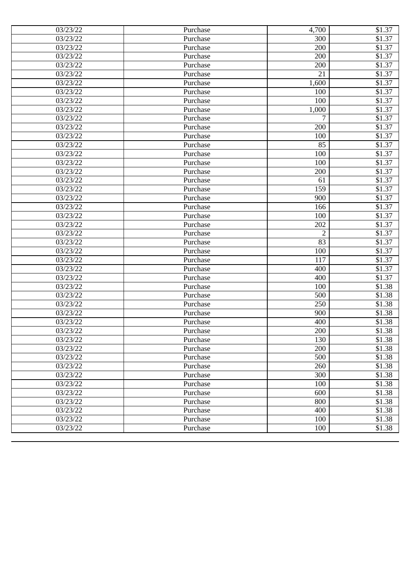| 03/23/22              | Purchase | 4,700          | \$1.37 |
|-----------------------|----------|----------------|--------|
| 03/23/22              | Purchase | 300            | \$1.37 |
| 03/23/22              | Purchase | 200            | \$1.37 |
| 03/23/22              | Purchase | 200            | \$1.37 |
| 03/23/22              | Purchase | 200            | \$1.37 |
| 03/23/22              | Purchase | 21             | \$1.37 |
| 03/23/22              | Purchase | 1,600          | \$1.37 |
| 03/23/22              | Purchase | 100            | \$1.37 |
| 03/23/22              | Purchase | 100            | \$1.37 |
| 03/23/22              | Purchase | 1,000          | \$1.37 |
| 03/23/22              | Purchase | 7              | \$1.37 |
| 03/23/22              | Purchase | 200            | \$1.37 |
| 03/23/22              | Purchase | 100            | \$1.37 |
| 03/23/22              | Purchase | 85             | \$1.37 |
| 03/23/22              | Purchase | 100            | \$1.37 |
| 03/23/22              | Purchase | 100            | \$1.37 |
| $\overline{03}/23/22$ | Purchase | 200            | \$1.37 |
| 03/23/22              | Purchase | 61             | \$1.37 |
| 03/23/22              | Purchase | 159            | \$1.37 |
| 03/23/22              | Purchase | 900            | \$1.37 |
| 03/23/22              | Purchase | 166            | \$1.37 |
| 03/23/22              | Purchase | 100            | \$1.37 |
| 03/23/22              | Purchase | 202            | \$1.37 |
| 03/23/22              | Purchase | $\overline{2}$ | \$1.37 |
| 03/23/22              | Purchase | 83             | \$1.37 |
| 03/23/22              | Purchase | 100            | \$1.37 |
| 03/23/22              | Purchase | 117            | \$1.37 |
| 03/23/22              | Purchase | 400            | \$1.37 |
| 03/23/22              | Purchase | 400            | \$1.37 |
| 03/23/22              | Purchase | 100            | \$1.38 |
| 03/23/22              | Purchase | 500            | \$1.38 |
| 03/23/22              | Purchase | 250            | \$1.38 |
| 03/23/22              | Purchase | 900            | \$1.38 |
| 03/23/22              | Purchase | 400            | \$1.38 |
| 03/23/22              | Purchase | 200            | \$1.38 |
| 03/23/22              | Purchase | 130            | \$1.38 |
| 03/23/22              | Purchase | 200            | \$1.38 |
| 03/23/22              | Purchase | 500            | \$1.38 |
| 03/23/22              | Purchase | 260            | \$1.38 |
| 03/23/22              | Purchase | 300            | \$1.38 |
| 03/23/22              | Purchase | 100            | \$1.38 |
| 03/23/22              | Purchase | 600            | \$1.38 |
| 03/23/22              | Purchase | 800            | \$1.38 |
| 03/23/22              | Purchase | 400            | \$1.38 |
| 03/23/22              | Purchase | 100            | \$1.38 |
| 03/23/22              | Purchase | 100            | \$1.38 |
|                       |          |                |        |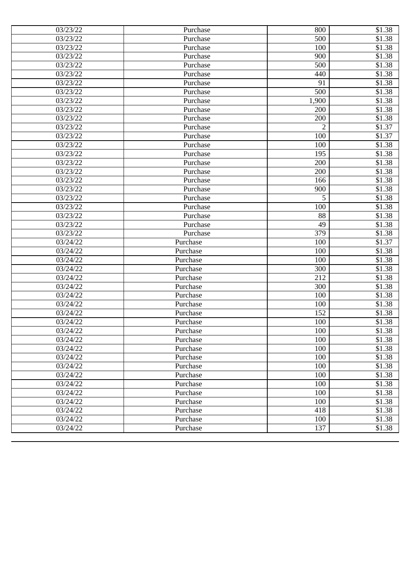| 03/23/22<br>500<br>Purchase<br>100<br>03/23/22<br>Purchase<br>900<br>03/23/22<br>Purchase<br>03/23/22<br>500<br>Purchase<br>03/23/22<br>Purchase<br>440<br>03/23/22<br>91<br>Purchase<br>03/23/22<br>500<br>Purchase<br>03/23/22<br>1,900<br>Purchase<br>03/23/22<br>200<br>Purchase<br>03/23/22<br>200<br>Purchase<br>03/23/22<br>$\overline{2}$<br>Purchase<br>03/23/22<br>100<br>Purchase<br>03/23/22<br>Purchase<br>100<br>03/23/22<br>195<br>Purchase<br>03/23/22<br>200<br>Purchase<br>$\overline{03}/23/22$<br>200<br>Purchase<br>03/23/22<br>166<br>Purchase<br>03/23/22<br>900<br>Purchase<br>5<br>03/23/22<br>Purchase<br>03/23/22<br>100<br>Purchase<br>03/23/22<br>88<br>Purchase<br>03/23/22<br>49<br>Purchase<br>379<br>03/23/22<br>Purchase<br>03/24/22<br>100<br>Purchase<br>03/24/22<br>100<br>Purchase<br>03/24/22<br>100<br>Purchase<br>300<br>03/24/22<br>Purchase<br>212<br>03/24/22<br>Purchase<br>03/24/22<br>300<br>Purchase<br>03/24/22<br>100<br>Purchase<br>03/24/22<br>100<br>Purchase<br>152<br>03/24/22<br>Purchase<br>$\overline{0}3/24/22$<br>Purchase<br>100<br>03/24/22<br>Purchase<br>100<br>100<br>03/24/22<br>Purchase<br>03/24/22<br>100<br>Purchase<br>100<br>03/24/22<br>Purchase<br>100<br>03/24/22<br>Purchase<br>100<br>03/24/22<br>Purchase<br>03/24/22<br>100<br>Purchase<br>$\overline{0}3/24/22$<br>100<br>Purchase<br>03/24/22<br>100<br>Purchase<br>418<br>03/24/22<br>Purchase<br>100<br>03/24/22<br>Purchase | 03/23/22 | Purchase | 800 | \$1.38             |
|-----------------------------------------------------------------------------------------------------------------------------------------------------------------------------------------------------------------------------------------------------------------------------------------------------------------------------------------------------------------------------------------------------------------------------------------------------------------------------------------------------------------------------------------------------------------------------------------------------------------------------------------------------------------------------------------------------------------------------------------------------------------------------------------------------------------------------------------------------------------------------------------------------------------------------------------------------------------------------------------------------------------------------------------------------------------------------------------------------------------------------------------------------------------------------------------------------------------------------------------------------------------------------------------------------------------------------------------------------------------------------------------------------------------------------------------------------------------|----------|----------|-----|--------------------|
|                                                                                                                                                                                                                                                                                                                                                                                                                                                                                                                                                                                                                                                                                                                                                                                                                                                                                                                                                                                                                                                                                                                                                                                                                                                                                                                                                                                                                                                                 |          |          |     | \$1.38             |
|                                                                                                                                                                                                                                                                                                                                                                                                                                                                                                                                                                                                                                                                                                                                                                                                                                                                                                                                                                                                                                                                                                                                                                                                                                                                                                                                                                                                                                                                 |          |          |     | \$1.38             |
|                                                                                                                                                                                                                                                                                                                                                                                                                                                                                                                                                                                                                                                                                                                                                                                                                                                                                                                                                                                                                                                                                                                                                                                                                                                                                                                                                                                                                                                                 |          |          |     | \$1.38             |
|                                                                                                                                                                                                                                                                                                                                                                                                                                                                                                                                                                                                                                                                                                                                                                                                                                                                                                                                                                                                                                                                                                                                                                                                                                                                                                                                                                                                                                                                 |          |          |     | \$1.38             |
|                                                                                                                                                                                                                                                                                                                                                                                                                                                                                                                                                                                                                                                                                                                                                                                                                                                                                                                                                                                                                                                                                                                                                                                                                                                                                                                                                                                                                                                                 |          |          |     | \$1.38             |
|                                                                                                                                                                                                                                                                                                                                                                                                                                                                                                                                                                                                                                                                                                                                                                                                                                                                                                                                                                                                                                                                                                                                                                                                                                                                                                                                                                                                                                                                 |          |          |     | \$1.38             |
|                                                                                                                                                                                                                                                                                                                                                                                                                                                                                                                                                                                                                                                                                                                                                                                                                                                                                                                                                                                                                                                                                                                                                                                                                                                                                                                                                                                                                                                                 |          |          |     | \$1.38             |
|                                                                                                                                                                                                                                                                                                                                                                                                                                                                                                                                                                                                                                                                                                                                                                                                                                                                                                                                                                                                                                                                                                                                                                                                                                                                                                                                                                                                                                                                 |          |          |     | \$1.38             |
|                                                                                                                                                                                                                                                                                                                                                                                                                                                                                                                                                                                                                                                                                                                                                                                                                                                                                                                                                                                                                                                                                                                                                                                                                                                                                                                                                                                                                                                                 |          |          |     | \$1.38             |
|                                                                                                                                                                                                                                                                                                                                                                                                                                                                                                                                                                                                                                                                                                                                                                                                                                                                                                                                                                                                                                                                                                                                                                                                                                                                                                                                                                                                                                                                 |          |          |     | \$1.38             |
|                                                                                                                                                                                                                                                                                                                                                                                                                                                                                                                                                                                                                                                                                                                                                                                                                                                                                                                                                                                                                                                                                                                                                                                                                                                                                                                                                                                                                                                                 |          |          |     | $$1.\overline{37}$ |
|                                                                                                                                                                                                                                                                                                                                                                                                                                                                                                                                                                                                                                                                                                                                                                                                                                                                                                                                                                                                                                                                                                                                                                                                                                                                                                                                                                                                                                                                 |          |          |     | \$1.37             |
|                                                                                                                                                                                                                                                                                                                                                                                                                                                                                                                                                                                                                                                                                                                                                                                                                                                                                                                                                                                                                                                                                                                                                                                                                                                                                                                                                                                                                                                                 |          |          |     | \$1.38             |
|                                                                                                                                                                                                                                                                                                                                                                                                                                                                                                                                                                                                                                                                                                                                                                                                                                                                                                                                                                                                                                                                                                                                                                                                                                                                                                                                                                                                                                                                 |          |          |     | \$1.38             |
|                                                                                                                                                                                                                                                                                                                                                                                                                                                                                                                                                                                                                                                                                                                                                                                                                                                                                                                                                                                                                                                                                                                                                                                                                                                                                                                                                                                                                                                                 |          |          |     | \$1.38             |
|                                                                                                                                                                                                                                                                                                                                                                                                                                                                                                                                                                                                                                                                                                                                                                                                                                                                                                                                                                                                                                                                                                                                                                                                                                                                                                                                                                                                                                                                 |          |          |     | \$1.38             |
|                                                                                                                                                                                                                                                                                                                                                                                                                                                                                                                                                                                                                                                                                                                                                                                                                                                                                                                                                                                                                                                                                                                                                                                                                                                                                                                                                                                                                                                                 |          |          |     | \$1.38             |
|                                                                                                                                                                                                                                                                                                                                                                                                                                                                                                                                                                                                                                                                                                                                                                                                                                                                                                                                                                                                                                                                                                                                                                                                                                                                                                                                                                                                                                                                 |          |          |     | \$1.38             |
|                                                                                                                                                                                                                                                                                                                                                                                                                                                                                                                                                                                                                                                                                                                                                                                                                                                                                                                                                                                                                                                                                                                                                                                                                                                                                                                                                                                                                                                                 |          |          |     | \$1.38             |
|                                                                                                                                                                                                                                                                                                                                                                                                                                                                                                                                                                                                                                                                                                                                                                                                                                                                                                                                                                                                                                                                                                                                                                                                                                                                                                                                                                                                                                                                 |          |          |     | \$1.38             |
|                                                                                                                                                                                                                                                                                                                                                                                                                                                                                                                                                                                                                                                                                                                                                                                                                                                                                                                                                                                                                                                                                                                                                                                                                                                                                                                                                                                                                                                                 |          |          |     | \$1.38             |
|                                                                                                                                                                                                                                                                                                                                                                                                                                                                                                                                                                                                                                                                                                                                                                                                                                                                                                                                                                                                                                                                                                                                                                                                                                                                                                                                                                                                                                                                 |          |          |     | \$1.38             |
|                                                                                                                                                                                                                                                                                                                                                                                                                                                                                                                                                                                                                                                                                                                                                                                                                                                                                                                                                                                                                                                                                                                                                                                                                                                                                                                                                                                                                                                                 |          |          |     | \$1.38             |
|                                                                                                                                                                                                                                                                                                                                                                                                                                                                                                                                                                                                                                                                                                                                                                                                                                                                                                                                                                                                                                                                                                                                                                                                                                                                                                                                                                                                                                                                 |          |          |     | \$1.37             |
|                                                                                                                                                                                                                                                                                                                                                                                                                                                                                                                                                                                                                                                                                                                                                                                                                                                                                                                                                                                                                                                                                                                                                                                                                                                                                                                                                                                                                                                                 |          |          |     | \$1.38             |
|                                                                                                                                                                                                                                                                                                                                                                                                                                                                                                                                                                                                                                                                                                                                                                                                                                                                                                                                                                                                                                                                                                                                                                                                                                                                                                                                                                                                                                                                 |          |          |     | \$1.38             |
|                                                                                                                                                                                                                                                                                                                                                                                                                                                                                                                                                                                                                                                                                                                                                                                                                                                                                                                                                                                                                                                                                                                                                                                                                                                                                                                                                                                                                                                                 |          |          |     | \$1.38             |
|                                                                                                                                                                                                                                                                                                                                                                                                                                                                                                                                                                                                                                                                                                                                                                                                                                                                                                                                                                                                                                                                                                                                                                                                                                                                                                                                                                                                                                                                 |          |          |     | \$1.38             |
|                                                                                                                                                                                                                                                                                                                                                                                                                                                                                                                                                                                                                                                                                                                                                                                                                                                                                                                                                                                                                                                                                                                                                                                                                                                                                                                                                                                                                                                                 |          |          |     | \$1.38             |
|                                                                                                                                                                                                                                                                                                                                                                                                                                                                                                                                                                                                                                                                                                                                                                                                                                                                                                                                                                                                                                                                                                                                                                                                                                                                                                                                                                                                                                                                 |          |          |     | \$1.38             |
|                                                                                                                                                                                                                                                                                                                                                                                                                                                                                                                                                                                                                                                                                                                                                                                                                                                                                                                                                                                                                                                                                                                                                                                                                                                                                                                                                                                                                                                                 |          |          |     | \$1.38             |
|                                                                                                                                                                                                                                                                                                                                                                                                                                                                                                                                                                                                                                                                                                                                                                                                                                                                                                                                                                                                                                                                                                                                                                                                                                                                                                                                                                                                                                                                 |          |          |     | \$1.38             |
|                                                                                                                                                                                                                                                                                                                                                                                                                                                                                                                                                                                                                                                                                                                                                                                                                                                                                                                                                                                                                                                                                                                                                                                                                                                                                                                                                                                                                                                                 |          |          |     | \$1.38             |
|                                                                                                                                                                                                                                                                                                                                                                                                                                                                                                                                                                                                                                                                                                                                                                                                                                                                                                                                                                                                                                                                                                                                                                                                                                                                                                                                                                                                                                                                 |          |          |     | \$1.38             |
|                                                                                                                                                                                                                                                                                                                                                                                                                                                                                                                                                                                                                                                                                                                                                                                                                                                                                                                                                                                                                                                                                                                                                                                                                                                                                                                                                                                                                                                                 |          |          |     | \$1.38             |
|                                                                                                                                                                                                                                                                                                                                                                                                                                                                                                                                                                                                                                                                                                                                                                                                                                                                                                                                                                                                                                                                                                                                                                                                                                                                                                                                                                                                                                                                 |          |          |     | \$1.38             |
|                                                                                                                                                                                                                                                                                                                                                                                                                                                                                                                                                                                                                                                                                                                                                                                                                                                                                                                                                                                                                                                                                                                                                                                                                                                                                                                                                                                                                                                                 |          |          |     | \$1.38             |
|                                                                                                                                                                                                                                                                                                                                                                                                                                                                                                                                                                                                                                                                                                                                                                                                                                                                                                                                                                                                                                                                                                                                                                                                                                                                                                                                                                                                                                                                 |          |          |     | \$1.38             |
|                                                                                                                                                                                                                                                                                                                                                                                                                                                                                                                                                                                                                                                                                                                                                                                                                                                                                                                                                                                                                                                                                                                                                                                                                                                                                                                                                                                                                                                                 |          |          |     | \$1.38             |
|                                                                                                                                                                                                                                                                                                                                                                                                                                                                                                                                                                                                                                                                                                                                                                                                                                                                                                                                                                                                                                                                                                                                                                                                                                                                                                                                                                                                                                                                 |          |          |     | \$1.38             |
|                                                                                                                                                                                                                                                                                                                                                                                                                                                                                                                                                                                                                                                                                                                                                                                                                                                                                                                                                                                                                                                                                                                                                                                                                                                                                                                                                                                                                                                                 |          |          |     | \$1.38             |
|                                                                                                                                                                                                                                                                                                                                                                                                                                                                                                                                                                                                                                                                                                                                                                                                                                                                                                                                                                                                                                                                                                                                                                                                                                                                                                                                                                                                                                                                 |          |          |     | \$1.38             |
|                                                                                                                                                                                                                                                                                                                                                                                                                                                                                                                                                                                                                                                                                                                                                                                                                                                                                                                                                                                                                                                                                                                                                                                                                                                                                                                                                                                                                                                                 |          |          |     | \$1.38             |
|                                                                                                                                                                                                                                                                                                                                                                                                                                                                                                                                                                                                                                                                                                                                                                                                                                                                                                                                                                                                                                                                                                                                                                                                                                                                                                                                                                                                                                                                 |          |          |     | \$1.38             |
|                                                                                                                                                                                                                                                                                                                                                                                                                                                                                                                                                                                                                                                                                                                                                                                                                                                                                                                                                                                                                                                                                                                                                                                                                                                                                                                                                                                                                                                                 | 03/24/22 | Purchase | 137 | \$1.38             |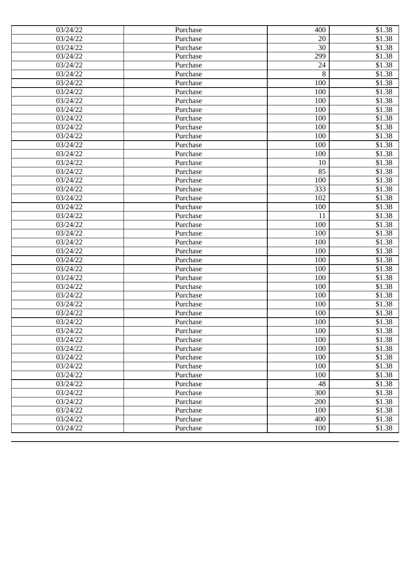| 03/24/22          | Purchase | 400 | \$1.38             |
|-------------------|----------|-----|--------------------|
| 03/24/22          | Purchase | 20  | $\overline{$}3.38$ |
| 03/24/22          | Purchase | 30  | \$1.38             |
| 03/24/22          | Purchase | 299 | \$1.38             |
| 03/24/22          | Purchase | 24  | \$1.38             |
| 03/24/22          | Purchase | 8   | \$1.38             |
| 03/24/22          | Purchase | 100 | \$1.38             |
| 03/24/22          | Purchase | 100 | \$1.38             |
| 03/24/22          | Purchase | 100 | \$1.38             |
| 03/24/22          | Purchase | 100 | \$1.38             |
| 03/24/22          | Purchase | 100 | \$1.38             |
| 03/24/22          | Purchase | 100 | \$1.38             |
| 03/24/22          | Purchase | 100 | \$1.38             |
| 03/24/22          | Purchase | 100 | \$1.38             |
| 03/24/22          | Purchase | 100 | \$1.38             |
| 03/24/22          | Purchase | 10  | \$1.38             |
| 03/24/22          | Purchase | 85  | \$1.38             |
| 03/24/22          | Purchase | 100 | \$1.38             |
| 03/24/22          | Purchase | 333 | \$1.38             |
| 03/24/22          | Purchase | 102 | \$1.38             |
| 03/24/22          | Purchase | 100 | \$1.38             |
| 03/24/22          | Purchase | 11  | \$1.38             |
| 03/24/22          | Purchase | 100 | \$1.38             |
| 03/24/22          | Purchase | 100 | \$1.38             |
| 03/24/22          | Purchase | 100 | \$1.38             |
| 03/24/22          | Purchase | 100 | \$1.38             |
| 03/24/22          | Purchase | 100 | \$1.38             |
| 03/24/22          | Purchase | 100 | \$1.38             |
| 03/24/22          | Purchase | 100 | \$1.38             |
| 03/24/22          | Purchase | 100 | \$1.38             |
| 03/24/22          | Purchase | 100 | \$1.38             |
| 03/24/22          | Purchase | 100 | \$1.38             |
| 03/24/22          | Purchase | 100 | \$1.38             |
| 03/24/22          | Purchase | 100 | \$1.38             |
| 03/24/22          | Purchase | 100 | \$1.38             |
| 03/24/22          | Purchase | 100 | \$1.38             |
| 03/24/22          | Purchase | 100 | \$1.38             |
| 03/24/22          | Purchase | 100 | \$1.38             |
| 03/24/22          | Purchase | 100 | \$1.38             |
| 03/24/22          | Purchase | 100 | \$1.38             |
| 03/24/22          | Purchase | 48  | \$1.38             |
| 03/24/22          | Purchase | 300 | \$1.38             |
| 03/24/22          | Purchase | 200 | \$1.38             |
| $\sqrt{03}/24/22$ | Purchase | 100 | \$1.38             |
| 03/24/22          | Purchase | 400 | \$1.38             |
| 03/24/22          | Purchase | 100 | \$1.38             |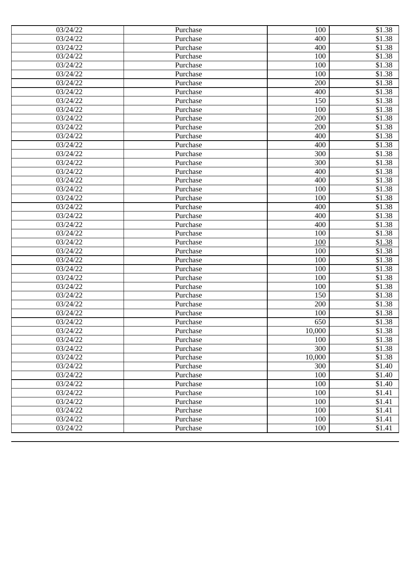| 03/24/22 | Purchase | 100    | \$1.38             |
|----------|----------|--------|--------------------|
| 03/24/22 | Purchase | 400    | $\overline{$}3.38$ |
| 03/24/22 | Purchase | 400    | \$1.38             |
| 03/24/22 | Purchase | 100    | \$1.38             |
| 03/24/22 | Purchase | 100    | \$1.38             |
| 03/24/22 | Purchase | 100    | \$1.38             |
| 03/24/22 | Purchase | 200    | \$1.38             |
| 03/24/22 | Purchase | 400    | \$1.38             |
| 03/24/22 | Purchase | 150    | \$1.38             |
| 03/24/22 | Purchase | 100    | \$1.38             |
| 03/24/22 | Purchase | 200    | \$1.38             |
| 03/24/22 | Purchase | 200    | \$1.38             |
| 03/24/22 | Purchase | 400    | \$1.38             |
| 03/24/22 | Purchase | 400    | \$1.38             |
| 03/24/22 | Purchase | 300    | \$1.38             |
| 03/24/22 | Purchase | 300    | \$1.38             |
| 03/24/22 | Purchase | 400    | \$1.38             |
| 03/24/22 | Purchase | 400    | \$1.38             |
| 03/24/22 | Purchase | 100    | \$1.38             |
| 03/24/22 | Purchase | 100    | \$1.38             |
| 03/24/22 | Purchase | 400    | \$1.38             |
| 03/24/22 | Purchase | 400    | \$1.38             |
| 03/24/22 | Purchase | 400    | \$1.38             |
| 03/24/22 | Purchase | 100    | \$1.38             |
| 03/24/22 | Purchase | 100    | \$1.38             |
| 03/24/22 | Purchase | 100    | \$1.38             |
| 03/24/22 | Purchase | 100    | \$1.38             |
| 03/24/22 | Purchase | 100    | \$1.38             |
| 03/24/22 | Purchase | 100    | \$1.38             |
| 03/24/22 | Purchase | 100    | \$1.38             |
| 03/24/22 | Purchase | 150    | \$1.38             |
| 03/24/22 | Purchase | 200    | \$1.38             |
| 03/24/22 | Purchase | 100    | \$1.38             |
| 03/24/22 | Purchase | 650    | \$1.38             |
| 03/24/22 | Purchase | 10,000 | \$1.38             |
| 03/24/22 | Purchase | 100    | \$1.38             |
| 03/24/22 | Purchase | 300    | \$1.38             |
| 03/24/22 | Purchase | 10,000 | \$1.38             |
| 03/24/22 | Purchase | 300    | \$1.40             |
| 03/24/22 | Purchase | 100    | \$1.40             |
| 03/24/22 | Purchase | 100    | \$1.40             |
| 03/24/22 | Purchase | 100    | \$1.41             |
| 03/24/22 | Purchase | 100    | \$1.41             |
| 03/24/22 | Purchase | 100    | \$1.41             |
| 03/24/22 | Purchase | 100    | \$1.41             |
| 03/24/22 | Purchase | 100    | \$1.41             |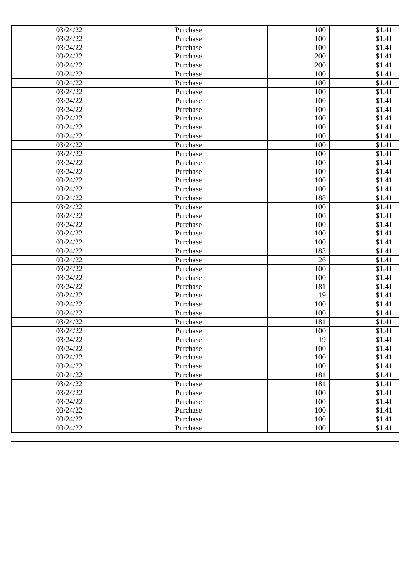| 03/24/22              | Purchase | 100 | \$1.41              |
|-----------------------|----------|-----|---------------------|
| 03/24/22              | Purchase | 100 | \$1.41              |
| 03/24/22              | Purchase | 100 | $\overline{\$1.41}$ |
| 03/24/22              | Purchase | 200 | \$1.41              |
| 03/24/22              | Purchase | 200 | \$1.41              |
| 03/24/22              | Purchase | 100 | \$1.41              |
| 03/24/22              | Purchase | 100 | \$1.41              |
| 03/24/22              | Purchase | 100 | \$1.41              |
| 03/24/22              | Purchase | 100 | \$1.41              |
| 03/24/22              | Purchase | 100 | \$1.41              |
| 03/24/22              | Purchase | 100 | \$1.41              |
| 03/24/22              | Purchase | 100 | \$1.41              |
| 03/24/22              | Purchase | 100 | \$1.41              |
| 03/24/22              | Purchase | 100 | \$1.41              |
| 03/24/22              | Purchase | 100 | \$1.41              |
| 03/24/22              | Purchase | 100 | \$1.41              |
| 03/24/22              | Purchase | 100 | \$1.41              |
| 03/24/22              | Purchase | 100 | \$1.41              |
| 03/24/22              | Purchase | 100 | \$1.41              |
| 03/24/22              | Purchase | 188 | \$1.41              |
| 03/24/22              | Purchase | 100 | \$1.41              |
| 03/24/22              | Purchase | 100 | $\overline{$1,41}$  |
| 03/24/22              | Purchase | 100 | $\overline{\$1.41}$ |
| 03/24/22              | Purchase | 100 | \$1.41              |
| 03/24/22              | Purchase | 100 | \$1.41              |
| 03/24/22              | Purchase | 183 | \$1.41              |
| 03/24/22              | Purchase | 26  | $\overline{\$1.41}$ |
| 03/24/22              | Purchase | 100 | \$1.41              |
| 03/24/22              | Purchase | 100 | $\overline{$1,41}$  |
| 03/24/22              | Purchase | 181 | $\overline{$1,41}$  |
| 03/24/22              | Purchase | 19  | \$1.41              |
| 03/24/22              | Purchase | 100 | \$1.41              |
| 03/24/22              | Purchase | 100 | $\overline{\$1.41}$ |
| $\overline{0}3/24/22$ | Purchase | 181 | \$1.41              |
| 03/24/22              | Purchase | 100 | \$1.41              |
| 03/24/22              | Purchase | 19  | \$1.41              |
| 03/24/22              | Purchase | 100 | \$1.41              |
| 03/24/22              | Purchase | 100 | \$1.41              |
| 03/24/22              | Purchase | 100 | \$1.41              |
| 03/24/22              | Purchase | 181 | \$1.41              |
| 03/24/22              | Purchase | 181 | \$1.41              |
| $\overline{0}3/24/22$ | Purchase | 100 | \$1.41              |
| 03/24/22              | Purchase | 100 | \$1.41              |
| 03/24/22              | Purchase | 100 | \$1.41              |
| 03/24/22              | Purchase | 100 | \$1.41              |
| 03/24/22              | Purchase | 100 | \$1.41              |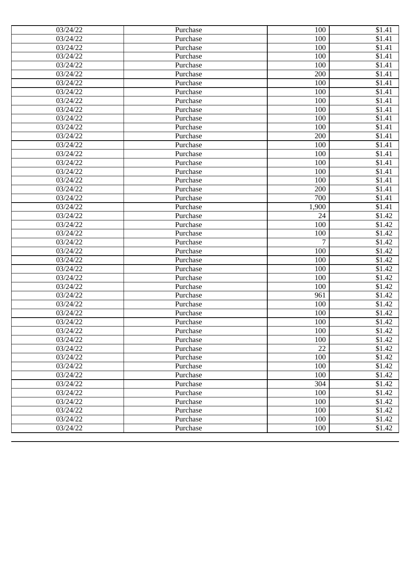| 03/24/22              | Purchase | 100   | \$1.41              |
|-----------------------|----------|-------|---------------------|
| 03/24/22              | Purchase | 100   | \$1.41              |
| 03/24/22              | Purchase | 100   | $\overline{\$1.41}$ |
| 03/24/22              | Purchase | 100   | \$1.41              |
| $\overline{03/2}4/22$ | Purchase | 100   | \$1.41              |
| 03/24/22              | Purchase | 200   | \$1.41              |
| 03/24/22              | Purchase | 100   | \$1.41              |
| 03/24/22              | Purchase | 100   | \$1.41              |
| 03/24/22              | Purchase | 100   | \$1.41              |
| 03/24/22              | Purchase | 100   | \$1.41              |
| 03/24/22              | Purchase | 100   | \$1.41              |
| 03/24/22              | Purchase | 100   | \$1.41              |
| 03/24/22              | Purchase | 200   | \$1.41              |
| 03/24/22              | Purchase | 100   | \$1.41              |
| 03/24/22              | Purchase | 100   | \$1.41              |
| 03/24/22              | Purchase | 100   | \$1.41              |
| 03/24/22              | Purchase | 100   | \$1.41              |
| 03/24/22              | Purchase | 100   | \$1.41              |
| 03/24/22              | Purchase | 200   | \$1.41              |
| 03/24/22              | Purchase | 700   | \$1.41              |
| 03/24/22              | Purchase | 1,900 | \$1.41              |
| 03/24/22              | Purchase | 24    | \$1.42              |
| 03/24/22              | Purchase | 100   | \$1.42              |
| 03/24/22              | Purchase | 100   | \$1.42              |
| 03/24/22              | Purchase | 7     | \$1.42              |
| 03/24/22              | Purchase | 100   | \$1.42              |
| 03/24/22              | Purchase | 100   | \$1.42              |
| 03/24/22              | Purchase | 100   | \$1.42              |
| 03/24/22              | Purchase | 100   | \$1.42              |
| 03/24/22              | Purchase | 100   | \$1.42              |
| 03/24/22              | Purchase | 961   | \$1.42              |
| 03/24/22              | Purchase | 100   | \$1.42              |
| 03/24/22              | Purchase | 100   | \$1.42              |
| $\overline{0}3/24/22$ | Purchase | 100   | \$1.42              |
| 03/24/22              | Purchase | 100   | \$1.42              |
| 03/24/22              | Purchase | 100   | \$1.42              |
| 03/24/22              | Purchase | 22    | \$1.42              |
| 03/24/22              | Purchase | 100   | \$1.42              |
| 03/24/22              | Purchase | 100   | \$1.42              |
| 03/24/22              | Purchase | 100   | \$1.42              |
| 03/24/22              | Purchase | 304   | \$1.42              |
| 03/24/22              | Purchase | 100   | \$1.42              |
| 03/24/22              | Purchase | 100   | \$1.42              |
| 03/24/22              | Purchase | 100   | \$1.42              |
| 03/24/22              | Purchase | 100   | \$1.42              |
| 03/24/22              | Purchase | 100   | \$1.42              |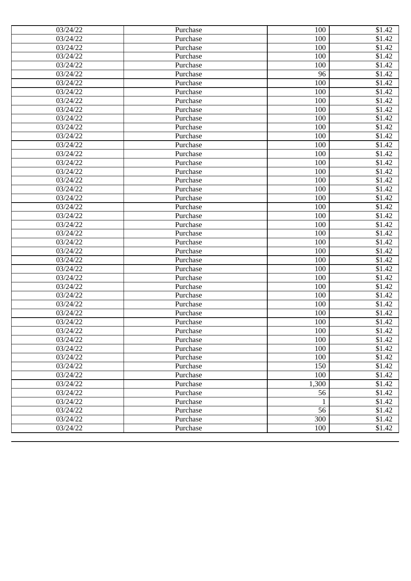| 03/24/22              | Purchase | 100         | \$1.42             |
|-----------------------|----------|-------------|--------------------|
| 03/24/22              | Purchase | 100         | \$1.42             |
| 03/24/22              | Purchase | 100         | \$1.42             |
| 03/24/22              | Purchase | 100         | \$1.42             |
| $\overline{03/2}4/22$ | Purchase | 100         | \$1.42             |
| 03/24/22              | Purchase | 96          | \$1.42             |
| 03/24/22              | Purchase | 100         | \$1.42             |
| 03/24/22              | Purchase | 100         | \$1.42             |
| 03/24/22              | Purchase | 100         | \$1.42             |
| 03/24/22              | Purchase | 100         | \$1.42             |
| 03/24/22              | Purchase | 100         | \$1.42             |
| 03/24/22              | Purchase | 100         | \$1.42             |
| 03/24/22              | Purchase | 100         | $\overline{$}1.42$ |
| 03/24/22              | Purchase | 100         | \$1.42             |
| 03/24/22              | Purchase | 100         | \$1.42             |
| 03/24/22              | Purchase | 100         | \$1.42             |
| 03/24/22              | Purchase | 100         | \$1.42             |
| 03/24/22              | Purchase | 100         | \$1.42             |
| 03/24/22              | Purchase | 100         | \$1.42             |
| 03/24/22              | Purchase | 100         | \$1.42             |
| 03/24/22              | Purchase | 100         | \$1.42             |
| 03/24/22              | Purchase | 100         | \$1.42             |
| 03/24/22              | Purchase | 100         | \$1.42             |
| 03/24/22              | Purchase | 100         | \$1.42             |
| 03/24/22              | Purchase | 100         | \$1.42             |
| 03/24/22              | Purchase | 100         | \$1.42             |
| 03/24/22              | Purchase | 100         | \$1.42             |
| 03/24/22              | Purchase | 100         | \$1.42             |
| 03/24/22              | Purchase | 100         | \$1.42             |
| 03/24/22              | Purchase | 100         | \$1.42             |
| 03/24/22              | Purchase | 100         | \$1.42             |
| 03/24/22              | Purchase | 100         | \$1.42             |
| 03/24/22              | Purchase | 100         | \$1.42             |
| $\overline{0}3/24/22$ | Purchase | 100         | \$1.42             |
| 03/24/22              | Purchase | 100         | \$1.42             |
| 03/24/22              | Purchase | 100         | \$1.42             |
| 03/24/22              | Purchase | 100         | \$1.42             |
| 03/24/22              | Purchase | 100         | \$1.42             |
| 03/24/22              | Purchase | 150         | \$1.42             |
| 03/24/22              | Purchase | 100         | \$1.42             |
| 03/24/22              | Purchase | 1,300       | \$1.42             |
| 03/24/22              | Purchase | 56          | \$1.42             |
| 03/24/22              | Purchase | $\mathbf 1$ | \$1.42             |
| 03/24/22              | Purchase | 56          | \$1.42             |
| 03/24/22              | Purchase | 300         | \$1.42             |
| 03/24/22              | Purchase | 100         | \$1.42             |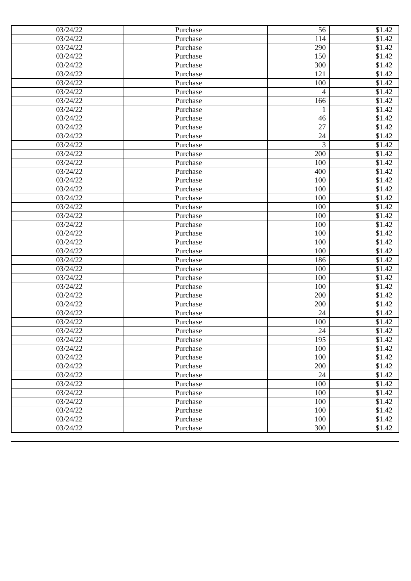| 03/24/22              | Purchase | 56           | \$1.42             |
|-----------------------|----------|--------------|--------------------|
| 03/24/22              | Purchase | 114          | \$1.42             |
| 03/24/22              | Purchase | 290          | \$1.42             |
| 03/24/22              | Purchase | 150          | \$1.42             |
| $\overline{03/2}4/22$ | Purchase | 300          | \$1.42             |
| 03/24/22              | Purchase | 121          | \$1.42             |
| 03/24/22              | Purchase | 100          | \$1.42             |
| 03/24/22              | Purchase | 4            | \$1.42             |
| 03/24/22              | Purchase | 166          | \$1.42             |
| 03/24/22              | Purchase | $\mathbf{1}$ | \$1.42             |
| 03/24/22              | Purchase | 46           | \$1.42             |
| 03/24/22              | Purchase | 27           | \$1.42             |
| 03/24/22              | Purchase | 24           | $\overline{$}1.42$ |
| 03/24/22              | Purchase | 3            | \$1.42             |
| 03/24/22              | Purchase | 200          | \$1.42             |
| 03/24/22              | Purchase | 100          | \$1.42             |
| 03/24/22              | Purchase | 400          | \$1.42             |
| 03/24/22              | Purchase | 100          | \$1.42             |
| 03/24/22              | Purchase | 100          | \$1.42             |
| 03/24/22              | Purchase | 100          | \$1.42             |
| 03/24/22              | Purchase | 100          | \$1.42             |
| 03/24/22              | Purchase | 100          | \$1.42             |
| 03/24/22              | Purchase | 100          | \$1.42             |
| 03/24/22              | Purchase | 100          | \$1.42             |
| 03/24/22              | Purchase | 100          | \$1.42             |
| 03/24/22              | Purchase | 100          | \$1.42             |
| 03/24/22              | Purchase | 186          | \$1.42             |
| 03/24/22              | Purchase | 100          | \$1.42             |
| 03/24/22              | Purchase | 100          | \$1.42             |
| 03/24/22              | Purchase | 100          | \$1.42             |
| 03/24/22              | Purchase | 200          | \$1.42             |
| 03/24/22              | Purchase | 200          | \$1.42             |
| 03/24/22              | Purchase | 24           | \$1.42             |
| $\overline{0}3/24/22$ | Purchase | 100          | \$1.42             |
| 03/24/22              | Purchase | 24           | \$1.42             |
| 03/24/22              | Purchase | 195          | \$1.42             |
| 03/24/22              | Purchase | 100          | \$1.42             |
| 03/24/22              | Purchase | 100          | \$1.42             |
| 03/24/22              | Purchase | 200          | \$1.42             |
| 03/24/22              | Purchase | 24           | \$1.42             |
| 03/24/22              | Purchase | 100          | \$1.42             |
| 03/24/22              | Purchase | 100          | \$1.42             |
| 03/24/22              | Purchase | 100          | \$1.42             |
| 03/24/22              | Purchase | 100          | \$1.42             |
| 03/24/22              | Purchase | 100          | \$1.42             |
| 03/24/22              | Purchase | 300          | \$1.42             |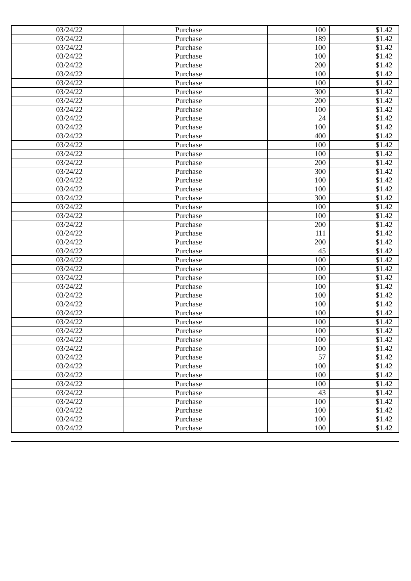| 03/24/22              | Purchase | 100 | \$1.42             |
|-----------------------|----------|-----|--------------------|
| 03/24/22              | Purchase | 189 | \$1.42             |
| 03/24/22              | Purchase | 100 | \$1.42             |
| 03/24/22              | Purchase | 100 | \$1.42             |
| $\overline{03/2}4/22$ | Purchase | 200 | \$1.42             |
| 03/24/22              | Purchase | 100 | \$1.42             |
| 03/24/22              | Purchase | 100 | \$1.42             |
| 03/24/22              | Purchase | 300 | \$1.42             |
| 03/24/22              | Purchase | 200 | \$1.42             |
| 03/24/22              | Purchase | 100 | \$1.42             |
| 03/24/22              | Purchase | 24  | \$1.42             |
| 03/24/22              | Purchase | 100 | \$1.42             |
| 03/24/22              | Purchase | 400 | $\overline{$}1.42$ |
| 03/24/22              | Purchase | 100 | \$1.42             |
| 03/24/22              | Purchase | 100 | \$1.42             |
| 03/24/22              | Purchase | 200 | \$1.42             |
| 03/24/22              | Purchase | 300 | \$1.42             |
| 03/24/22              | Purchase | 100 | \$1.42             |
| 03/24/22              | Purchase | 100 | \$1.42             |
| 03/24/22              | Purchase | 300 | \$1.42             |
| 03/24/22              | Purchase | 100 | \$1.42             |
| 03/24/22              | Purchase | 100 | \$1.42             |
| 03/24/22              | Purchase | 200 | \$1.42             |
| 03/24/22              | Purchase | 111 | \$1.42             |
| 03/24/22              | Purchase | 200 | \$1.42             |
| 03/24/22              | Purchase | 45  | \$1.42             |
| 03/24/22              | Purchase | 100 | \$1.42             |
| 03/24/22              | Purchase | 100 | \$1.42             |
| 03/24/22              | Purchase | 100 | \$1.42             |
| 03/24/22              | Purchase | 100 | \$1.42             |
| 03/24/22              | Purchase | 100 | \$1.42             |
| 03/24/22              | Purchase | 100 | \$1.42             |
| 03/24/22              | Purchase | 100 | \$1.42             |
| $\overline{0}3/24/22$ | Purchase | 100 | \$1.42             |
| 03/24/22              | Purchase | 100 | \$1.42             |
| 03/24/22              | Purchase | 100 | \$1.42             |
| 03/24/22              | Purchase | 100 | \$1.42             |
| 03/24/22              | Purchase | 57  | \$1.42             |
| 03/24/22              | Purchase | 100 | \$1.42             |
| 03/24/22              | Purchase | 100 | \$1.42             |
| 03/24/22              | Purchase | 100 | \$1.42             |
| 03/24/22              | Purchase | 43  | \$1.42             |
| 03/24/22              | Purchase | 100 | \$1.42             |
| 03/24/22              | Purchase | 100 | \$1.42             |
| 03/24/22              | Purchase | 100 | \$1.42             |
| 03/24/22              | Purchase | 100 | \$1.42             |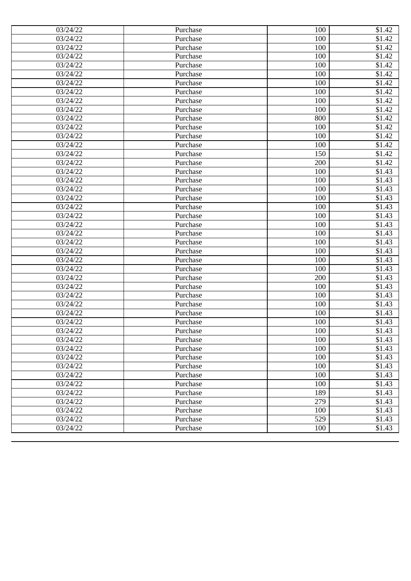| 03/24/22          | Purchase | 100 | \$1.42             |
|-------------------|----------|-----|--------------------|
| 03/24/22          | Purchase | 100 | \$1.42             |
| 03/24/22          | Purchase | 100 | \$1.42             |
| 03/24/22          | Purchase | 100 | \$1.42             |
| 03/24/22          | Purchase | 100 | \$1.42             |
| 03/24/22          | Purchase | 100 | \$1.42             |
| 03/24/22          | Purchase | 100 | \$1.42             |
| 03/24/22          | Purchase | 100 | \$1.42             |
| 03/24/22          | Purchase | 100 | \$1.42             |
| 03/24/22          | Purchase | 100 | \$1.42             |
| 03/24/22          | Purchase | 800 | \$1.42             |
| 03/24/22          | Purchase | 100 | \$1.42             |
| 03/24/22          | Purchase | 100 | \$1.42             |
| 03/24/22          | Purchase | 100 | \$1.42             |
| 03/24/22          | Purchase | 150 | \$1.42             |
| 03/24/22          | Purchase | 200 | \$1.42             |
| 03/24/22          | Purchase | 100 | \$1.43             |
| 03/24/22          | Purchase | 100 | \$1.43             |
| 03/24/22          | Purchase | 100 | \$1.43             |
| 03/24/22          | Purchase | 100 | \$1.43             |
| 03/24/22          | Purchase | 100 | $\overline{$}1.43$ |
| 03/24/22          | Purchase | 100 | \$1.43             |
| 03/24/22          | Purchase | 100 | \$1.43             |
| 03/24/22          | Purchase | 100 | \$1.43             |
| 03/24/22          | Purchase | 100 | \$1.43             |
| 03/24/22          | Purchase | 100 | \$1.43             |
| 03/24/22          | Purchase | 100 | \$1.43             |
| 03/24/22          | Purchase | 100 | \$1.43             |
| 03/24/22          | Purchase | 200 | \$1.43             |
| 03/24/22          | Purchase | 100 | \$1.43             |
| 03/24/22          | Purchase | 100 | \$1.43             |
| 03/24/22          | Purchase | 100 | \$1.43             |
| 03/24/22          | Purchase | 100 | \$1.43             |
| 03/24/22          | Purchase | 100 | \$1.43             |
| 03/24/22          | Purchase | 100 | \$1.43             |
| 03/24/22          | Purchase | 100 | \$1.43             |
| 03/24/22          | Purchase | 100 | \$1.43             |
| 03/24/22          | Purchase | 100 | \$1.43             |
| 03/24/22          | Purchase | 100 | \$1.43             |
| 03/24/22          | Purchase | 100 | \$1.43             |
| 03/24/22          | Purchase | 100 | \$1.43             |
| 03/24/22          | Purchase | 189 | \$1.43             |
| 03/24/22          | Purchase | 279 | \$1.43             |
| $\sqrt{03}/24/22$ | Purchase | 100 | \$1.43             |
| 03/24/22          | Purchase | 529 | \$1.43             |
| 03/24/22          | Purchase | 100 | \$1.43             |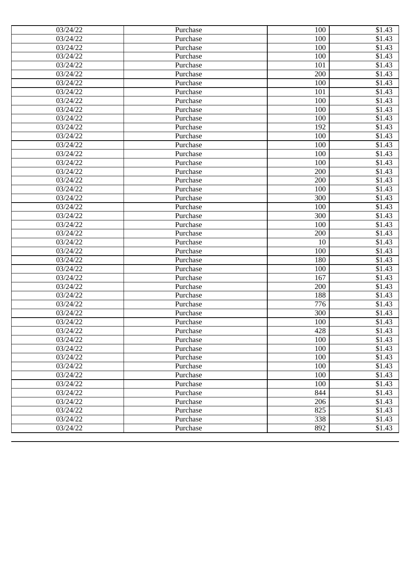| 03/24/22          | Purchase | 100 | \$1.43              |
|-------------------|----------|-----|---------------------|
| 03/24/22          | Purchase | 100 | $\overline{$}31.43$ |
| 03/24/22          | Purchase | 100 | \$1.43              |
| 03/24/22          | Purchase | 100 | \$1.43              |
| 03/24/22          | Purchase | 101 | \$1.43              |
| 03/24/22          | Purchase | 200 | \$1.43              |
| 03/24/22          | Purchase | 100 | \$1.43              |
| 03/24/22          | Purchase | 101 | \$1.43              |
| 03/24/22          | Purchase | 100 | \$1.43              |
| 03/24/22          | Purchase | 100 | \$1.43              |
| 03/24/22          | Purchase | 100 | \$1.43              |
| 03/24/22          | Purchase | 192 | \$1.43              |
| 03/24/22          | Purchase | 100 | \$1.43              |
| 03/24/22          | Purchase | 100 | \$1.43              |
| 03/24/22          | Purchase | 100 | \$1.43              |
| 03/24/22          | Purchase | 100 | \$1.43              |
| 03/24/22          | Purchase | 200 | \$1.43              |
| 03/24/22          | Purchase | 200 | \$1.43              |
| 03/24/22          | Purchase | 100 | \$1.43              |
| 03/24/22          | Purchase | 300 | \$1.43              |
| 03/24/22          | Purchase | 100 | $\overline{$}1.43$  |
| 03/24/22          | Purchase | 300 | \$1.43              |
| 03/24/22          | Purchase | 100 | \$1.43              |
| 03/24/22          | Purchase | 200 | \$1.43              |
| 03/24/22          | Purchase | 10  | \$1.43              |
| 03/24/22          | Purchase | 100 | \$1.43              |
| 03/24/22          | Purchase | 180 | \$1.43              |
| 03/24/22          | Purchase | 100 | \$1.43              |
| 03/24/22          | Purchase | 167 | \$1.43              |
| 03/24/22          | Purchase | 200 | \$1.43              |
| 03/24/22          | Purchase | 188 | \$1.43              |
| 03/24/22          | Purchase | 776 | \$1.43              |
| 03/24/22          | Purchase | 300 | \$1.43              |
| 03/24/22          | Purchase | 100 | \$1.43              |
| 03/24/22          | Purchase | 428 | \$1.43              |
| 03/24/22          | Purchase | 100 | \$1.43              |
| 03/24/22          | Purchase | 100 | \$1.43              |
| 03/24/22          | Purchase | 100 | \$1.43              |
| 03/24/22          | Purchase | 100 | \$1.43              |
| 03/24/22          | Purchase | 100 | \$1.43              |
| 03/24/22          | Purchase | 100 | \$1.43              |
| 03/24/22          | Purchase | 844 | \$1.43              |
| 03/24/22          | Purchase | 206 | \$1.43              |
| $\sqrt{03}/24/22$ | Purchase | 825 | \$1.43              |
| 03/24/22          | Purchase | 338 | \$1.43              |
| 03/24/22          | Purchase | 892 | \$1.43              |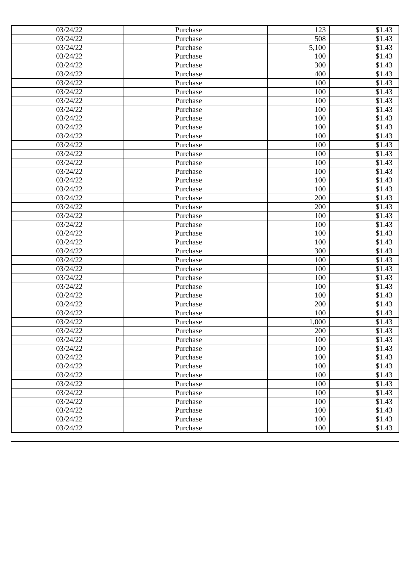| 03/24/22<br>03/24/22<br>03/24/22<br>$\overline{03/2}4/22$<br>03/24/22<br>03/24/22 | Purchase<br>Purchase<br>Purchase<br>Purchase<br>Purchase<br>Purchase<br>Purchase<br>Purchase<br>Purchase | 508<br>5,100<br>100<br>300<br>400<br>100<br>100 | \$1.43<br>\$1.43<br>\$1.43<br>\$1.43<br>\$1.43<br>\$1.43 |
|-----------------------------------------------------------------------------------|----------------------------------------------------------------------------------------------------------|-------------------------------------------------|----------------------------------------------------------|
|                                                                                   |                                                                                                          |                                                 |                                                          |
|                                                                                   |                                                                                                          |                                                 |                                                          |
|                                                                                   |                                                                                                          |                                                 |                                                          |
|                                                                                   |                                                                                                          |                                                 |                                                          |
|                                                                                   |                                                                                                          |                                                 |                                                          |
|                                                                                   |                                                                                                          |                                                 |                                                          |
| 03/24/22                                                                          |                                                                                                          |                                                 | \$1.43                                                   |
| 03/24/22                                                                          |                                                                                                          | 100                                             | \$1.43                                                   |
| 03/24/22                                                                          |                                                                                                          | 100                                             | \$1.43                                                   |
| 03/24/22                                                                          | Purchase                                                                                                 | 100                                             | \$1.43                                                   |
| 03/24/22                                                                          | Purchase                                                                                                 | 100                                             | \$1.43                                                   |
| 03/24/22                                                                          | Purchase                                                                                                 | 100                                             | \$1.43                                                   |
| 03/24/22                                                                          | Purchase                                                                                                 | 100                                             | \$1.43                                                   |
| 03/24/22                                                                          | Purchase                                                                                                 | 100                                             | \$1.43                                                   |
| 03/24/22                                                                          | Purchase                                                                                                 | 100                                             | \$1.43                                                   |
| 03/24/22                                                                          | Purchase                                                                                                 | 100                                             | \$1.43                                                   |
| 03/24/22                                                                          | Purchase                                                                                                 | 100                                             | \$1.43                                                   |
| 03/24/22                                                                          | Purchase                                                                                                 | 100                                             | \$1.43                                                   |
| 03/24/22                                                                          | Purchase                                                                                                 | 200                                             | \$1.43                                                   |
| 03/24/22                                                                          | Purchase                                                                                                 | 200                                             | \$1.43                                                   |
| 03/24/22                                                                          | Purchase                                                                                                 | 100                                             | \$1.43                                                   |
| 03/24/22                                                                          | Purchase                                                                                                 | 100                                             | \$1.43                                                   |
| 03/24/22                                                                          | Purchase                                                                                                 | 100                                             | \$1.43                                                   |
| 03/24/22                                                                          | Purchase                                                                                                 | 100                                             | \$1.43                                                   |
| 03/24/22                                                                          | Purchase                                                                                                 | 300                                             | \$1.43                                                   |
| 03/24/22                                                                          | Purchase                                                                                                 | 100                                             | $\overline{$}1.43$                                       |
| 03/24/22                                                                          | Purchase                                                                                                 | 100                                             | \$1.43                                                   |
| 03/24/22                                                                          | Purchase                                                                                                 | 100                                             | \$1.43                                                   |
| 03/24/22                                                                          | Purchase                                                                                                 | 100                                             | \$1.43                                                   |
| 03/24/22                                                                          | Purchase                                                                                                 | 100                                             | \$1.43                                                   |
| 03/24/22                                                                          | Purchase                                                                                                 | 200                                             | \$1.43                                                   |
| 03/24/22                                                                          | Purchase                                                                                                 | 100                                             | \$1.43                                                   |
| $\overline{0}3/24/22$                                                             | Purchase                                                                                                 | 1,000                                           | \$1.43                                                   |
| 03/24/22                                                                          | Purchase                                                                                                 | 200                                             | \$1.43                                                   |
| 03/24/22                                                                          | Purchase                                                                                                 | 100                                             | \$1.43                                                   |
| 03/24/22                                                                          | Purchase                                                                                                 | 100                                             | \$1.43                                                   |
| 03/24/22                                                                          | Purchase                                                                                                 | 100                                             | \$1.43                                                   |
| 03/24/22                                                                          | Purchase                                                                                                 | 100                                             | \$1.43                                                   |
| 03/24/22                                                                          | Purchase                                                                                                 | 100                                             | \$1.43                                                   |
| 03/24/22                                                                          | Purchase                                                                                                 | 100                                             | \$1.43                                                   |
| 03/24/22                                                                          | Purchase                                                                                                 | 100                                             | \$1.43                                                   |
| 03/24/22                                                                          | Purchase                                                                                                 | 100                                             | \$1.43                                                   |
| 03/24/22                                                                          | Purchase                                                                                                 | 100                                             | \$1.43                                                   |
| 03/24/22                                                                          | Purchase                                                                                                 | 100                                             | \$1.43                                                   |
| 03/24/22                                                                          | Purchase                                                                                                 | 100                                             | \$1.43                                                   |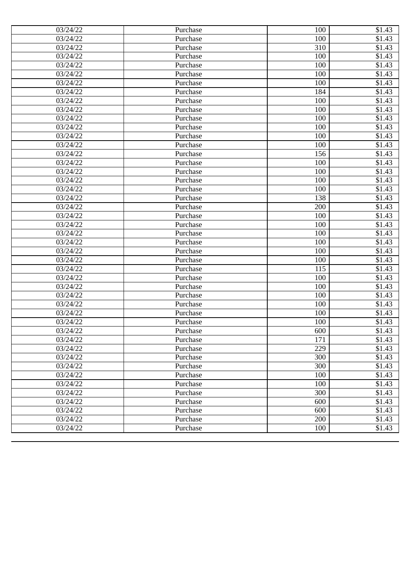| 03/24/22              | Purchase | 100 | \$1.43              |
|-----------------------|----------|-----|---------------------|
| 03/24/22              | Purchase | 100 | $\overline{$}31.43$ |
| 03/24/22              | Purchase | 310 | \$1.43              |
| 03/24/22              | Purchase | 100 | \$1.43              |
| $\overline{03/2}4/22$ | Purchase | 100 | \$1.43              |
| 03/24/22              | Purchase | 100 | \$1.43              |
| 03/24/22              | Purchase | 100 | \$1.43              |
| 03/24/22              | Purchase | 184 | \$1.43              |
| 03/24/22              | Purchase | 100 | \$1.43              |
| 03/24/22              | Purchase | 100 | \$1.43              |
| 03/24/22              | Purchase | 100 | \$1.43              |
| 03/24/22              | Purchase | 100 | \$1.43              |
| 03/24/22              | Purchase | 100 | \$1.43              |
| 03/24/22              | Purchase | 100 | \$1.43              |
| 03/24/22              | Purchase | 156 | \$1.43              |
| 03/24/22              | Purchase | 100 | \$1.43              |
| 03/24/22              | Purchase | 100 | \$1.43              |
| 03/24/22              | Purchase | 100 | \$1.43              |
| 03/24/22              | Purchase | 100 | \$1.43              |
| 03/24/22              | Purchase | 138 | \$1.43              |
| 03/24/22              | Purchase | 200 | \$1.43              |
| 03/24/22              | Purchase | 100 | \$1.43              |
| 03/24/22              | Purchase | 100 | \$1.43              |
| 03/24/22              | Purchase | 100 | \$1.43              |
| 03/24/22              | Purchase | 100 | \$1.43              |
| 03/24/22              | Purchase | 100 | \$1.43              |
| 03/24/22              | Purchase | 100 | $\overline{$}1.43$  |
| 03/24/22              | Purchase | 115 | \$1.43              |
| 03/24/22              | Purchase | 100 | \$1.43              |
| 03/24/22              | Purchase | 100 | \$1.43              |
| 03/24/22              | Purchase | 100 | \$1.43              |
| 03/24/22              | Purchase | 100 | \$1.43              |
| 03/24/22              | Purchase | 100 | \$1.43              |
| $\overline{0}3/24/22$ | Purchase | 100 | \$1.43              |
| 03/24/22              | Purchase | 600 | \$1.43              |
| 03/24/22              | Purchase | 171 | \$1.43              |
| 03/24/22              | Purchase | 229 | \$1.43              |
| 03/24/22              | Purchase | 300 | \$1.43              |
| 03/24/22              | Purchase | 300 | \$1.43              |
| 03/24/22              | Purchase | 100 | \$1.43              |
| 03/24/22              | Purchase | 100 | \$1.43              |
| $\overline{0}3/24/22$ | Purchase | 300 | \$1.43              |
| 03/24/22              | Purchase | 600 | \$1.43              |
| 03/24/22              | Purchase | 600 | \$1.43              |
| 03/24/22              | Purchase | 200 | \$1.43              |
| 03/24/22              | Purchase | 100 | \$1.43              |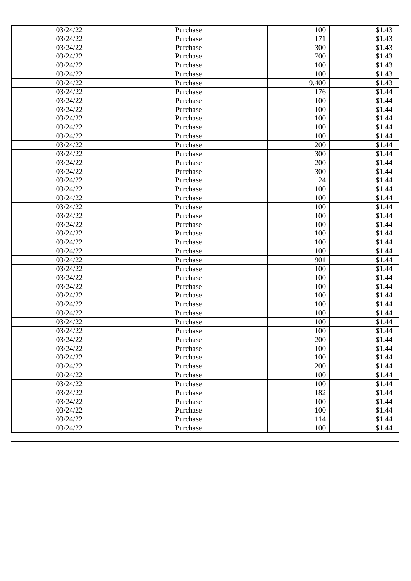| 03/24/22          | Purchase | 100   | \$1.43             |
|-------------------|----------|-------|--------------------|
| 03/24/22          | Purchase | 171   | \$1.43             |
| 03/24/22          | Purchase | 300   | \$1.43             |
| 03/24/22          | Purchase | 700   | \$1.43             |
| 03/24/22          | Purchase | 100   | \$1.43             |
| 03/24/22          | Purchase | 100   | \$1.43             |
| 03/24/22          | Purchase | 9,400 | \$1.43             |
| 03/24/22          | Purchase | 176   | \$1.44             |
| 03/24/22          | Purchase | 100   | \$1.44             |
| 03/24/22          | Purchase | 100   | \$1.44             |
| 03/24/22          | Purchase | 100   | \$1.44             |
| 03/24/22          | Purchase | 100   | $\overline{$}1.44$ |
| 03/24/22          | Purchase | 100   | \$1.44             |
| 03/24/22          | Purchase | 200   | \$1.44             |
| 03/24/22          | Purchase | 300   | \$1.44             |
| 03/24/22          | Purchase | 200   | \$1.44             |
| 03/24/22          | Purchase | 300   | \$1.44             |
| 03/24/22          | Purchase | 24    | \$1.44             |
| 03/24/22          | Purchase | 100   | \$1.44             |
| 03/24/22          | Purchase | 100   | \$1.44             |
| 03/24/22          | Purchase | 100   | \$1.44             |
| 03/24/22          | Purchase | 100   | \$1.44             |
| 03/24/22          | Purchase | 100   | \$1.44             |
| 03/24/22          | Purchase | 100   | \$1.44             |
| 03/24/22          | Purchase | 100   | \$1.44             |
| 03/24/22          | Purchase | 100   | \$1.44             |
| 03/24/22          | Purchase | 901   | \$1.44             |
| 03/24/22          | Purchase | 100   | \$1.44             |
| 03/24/22          | Purchase | 100   | \$1.44             |
| 03/24/22          | Purchase | 100   | \$1.44             |
| 03/24/22          | Purchase | 100   | \$1.44             |
| 03/24/22          | Purchase | 100   | \$1.44             |
| 03/24/22          | Purchase | 100   | \$1.44             |
| 03/24/22          | Purchase | 100   | \$1.44             |
| 03/24/22          | Purchase | 100   | \$1.44             |
| 03/24/22          | Purchase | 200   | \$1.44             |
| 03/24/22          | Purchase | 100   | \$1.44             |
| 03/24/22          | Purchase | 100   | \$1.44             |
| 03/24/22          | Purchase | 200   | \$1.44             |
| 03/24/22          | Purchase | 100   | \$1.44             |
| 03/24/22          | Purchase | 100   | \$1.44             |
| 03/24/22          | Purchase | 182   | \$1.44             |
| 03/24/22          | Purchase | 100   | \$1.44             |
| $\sqrt{03}/24/22$ | Purchase | 100   | \$1.44             |
| 03/24/22          | Purchase | 114   | \$1.44             |
| 03/24/22          | Purchase | 100   | \$1.44             |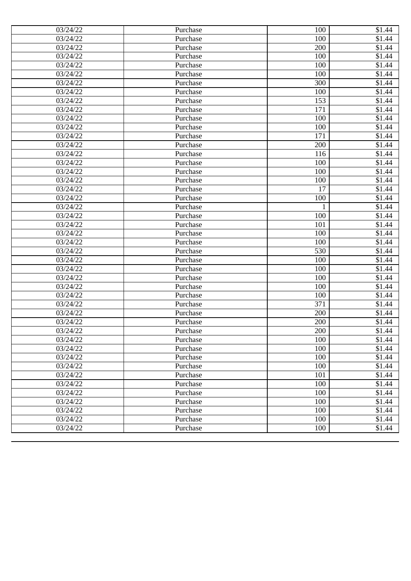| 03/24/22              | Purchase | 100          | \$1.44             |
|-----------------------|----------|--------------|--------------------|
| 03/24/22              | Purchase | 100          | \$1.44             |
| 03/24/22              | Purchase | 200          | \$1.44             |
| 03/24/22              | Purchase | 100          | \$1.44             |
| 03/24/22              | Purchase | 100          | \$1.44             |
| 03/24/22              | Purchase | 100          | \$1.44             |
| 03/24/22              | Purchase | 300          | \$1.44             |
| 03/24/22              | Purchase | 100          | \$1.44             |
| 03/24/22              | Purchase | 153          | \$1.44             |
| 03/24/22              | Purchase | 171          | \$1.44             |
| 03/24/22              | Purchase | 100          | \$1.44             |
| 03/24/22              | Purchase | 100          | \$1.44             |
| 03/24/22              | Purchase | 171          | \$1.44             |
| 03/24/22              | Purchase | 200          | \$1.44             |
| 03/24/22              | Purchase | 116          | \$1.44             |
| 03/24/22              | Purchase | 100          | \$1.44             |
| 03/24/22              | Purchase | 100          | \$1.44             |
| 03/24/22              | Purchase | 100          | \$1.44             |
| 03/24/22              | Purchase | 17           | $\overline{$}1.44$ |
| 03/24/22              | Purchase | 100          | \$1.44             |
| 03/24/22              | Purchase | $\mathbf{1}$ | \$1.44             |
| 03/24/22              | Purchase | 100          | \$1.44             |
| 03/24/22              | Purchase | 101          | \$1.44             |
| 03/24/22              | Purchase | 100          | \$1.44             |
| 03/24/22              | Purchase | 100          | \$1.44             |
| 03/24/22              | Purchase | 530          | \$1.44             |
| 03/24/22              | Purchase | 100          | \$1.44             |
| 03/24/22              | Purchase | 100          | \$1.44             |
| 03/24/22              | Purchase | 100          | \$1.44             |
| 03/24/22              | Purchase | 100          | $\overline{$}1.44$ |
| 03/24/22              | Purchase | 100          | \$1.44             |
| 03/24/22              | Purchase | 371          | \$1.44             |
| 03/24/22              | Purchase | 200          | \$1.44             |
| $\overline{0}3/24/22$ | Purchase | 200          | \$1.44             |
| 03/24/22              | Purchase | 200          | \$1.44             |
| 03/24/22              | Purchase | 100          | \$1.44             |
| 03/24/22              | Purchase | 100          | \$1.44             |
| 03/24/22              | Purchase | 100          | \$1.44             |
| 03/24/22              | Purchase | 100          | \$1.44             |
| 03/24/22              | Purchase | 101          | $\overline{$}1.44$ |
| 03/24/22              | Purchase | 100          | \$1.44             |
| 03/24/22              | Purchase | 100          | \$1.44             |
| 03/24/22              | Purchase | 100          | \$1.44             |
| 03/24/22              | Purchase | 100          | \$1.44             |
| 03/24/22              | Purchase | 100          | \$1.44             |
| 03/24/22              | Purchase | 100          | \$1.44             |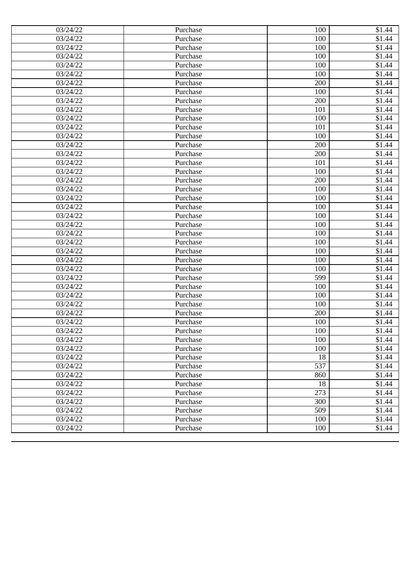| 03/24/22              | Purchase | 100 | \$1.44             |
|-----------------------|----------|-----|--------------------|
| 03/24/22              | Purchase | 100 | \$1.44             |
| 03/24/22              | Purchase | 100 | \$1.44             |
| 03/24/22              | Purchase | 100 | \$1.44             |
| 03/24/22              | Purchase | 100 | \$1.44             |
| 03/24/22              | Purchase | 100 | \$1.44             |
| 03/24/22              | Purchase | 200 | \$1.44             |
| 03/24/22              | Purchase | 100 | \$1.44             |
| 03/24/22              | Purchase | 200 | \$1.44             |
| 03/24/22              | Purchase | 101 | \$1.44             |
| 03/24/22              | Purchase | 100 | \$1.44             |
| 03/24/22              | Purchase | 101 | \$1.44             |
| 03/24/22              | Purchase | 100 | \$1.44             |
| 03/24/22              | Purchase | 200 | \$1.44             |
| 03/24/22              | Purchase | 200 | \$1.44             |
| 03/24/22              | Purchase | 101 | \$1.44             |
| 03/24/22              | Purchase | 100 | \$1.44             |
| 03/24/22              | Purchase | 200 | \$1.44             |
| 03/24/22              | Purchase | 100 | $\overline{$}1.44$ |
| 03/24/22              | Purchase | 100 | \$1.44             |
| 03/24/22              | Purchase | 100 | \$1.44             |
| 03/24/22              | Purchase | 100 | \$1.44             |
| 03/24/22              | Purchase | 100 | \$1.44             |
| 03/24/22              | Purchase | 100 | \$1.44             |
| 03/24/22              | Purchase | 100 | \$1.44             |
| 03/24/22              | Purchase | 100 | \$1.44             |
| 03/24/22              | Purchase | 100 | \$1.44             |
| 03/24/22              | Purchase | 100 | \$1.44             |
| 03/24/22              | Purchase | 599 | \$1.44             |
| 03/24/22              | Purchase | 100 | $\overline{$}1.44$ |
| 03/24/22              | Purchase | 100 | \$1.44             |
| 03/24/22              | Purchase | 100 | \$1.44             |
| 03/24/22              | Purchase | 200 | \$1.44             |
| $\overline{0}3/24/22$ | Purchase | 100 | \$1.44             |
| 03/24/22              | Purchase | 100 | \$1.44             |
| 03/24/22              | Purchase | 100 | \$1.44             |
| 03/24/22              | Purchase | 100 | \$1.44             |
| 03/24/22              | Purchase | 18  | \$1.44             |
| 03/24/22              | Purchase | 537 | \$1.44             |
| 03/24/22              | Purchase | 860 | $\overline{$}1.44$ |
| 03/24/22              | Purchase | 18  | \$1.44             |
| $\overline{0}3/24/22$ | Purchase | 273 | \$1.44             |
| 03/24/22              | Purchase | 300 | \$1.44             |
| 03/24/22              | Purchase | 509 | \$1.44             |
| 03/24/22              | Purchase | 100 | \$1.44             |
| 03/24/22              | Purchase | 100 | \$1.44             |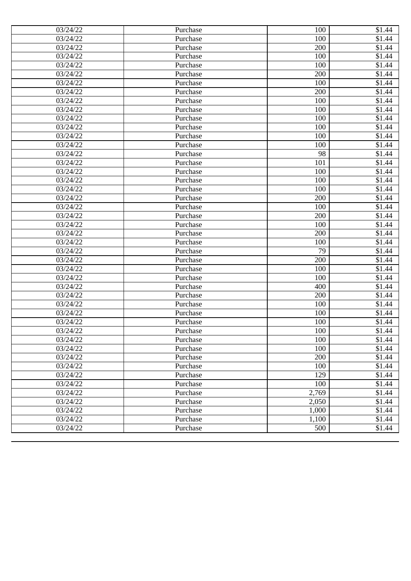| 03/24/22              | Purchase | 100   | \$1.44             |
|-----------------------|----------|-------|--------------------|
| 03/24/22              | Purchase | 100   | \$1.44             |
| 03/24/22              | Purchase | 200   | \$1.44             |
| 03/24/22              | Purchase | 100   | \$1.44             |
| 03/24/22              | Purchase | 100   | \$1.44             |
| 03/24/22              | Purchase | 200   | \$1.44             |
| 03/24/22              | Purchase | 100   | \$1.44             |
| 03/24/22              | Purchase | 200   | \$1.44             |
| 03/24/22              | Purchase | 100   | \$1.44             |
| 03/24/22              | Purchase | 100   | \$1.44             |
| 03/24/22              | Purchase | 100   | \$1.44             |
| 03/24/22              | Purchase | 100   | \$1.44             |
| 03/24/22              | Purchase | 100   | \$1.44             |
| 03/24/22              | Purchase | 100   | \$1.44             |
| 03/24/22              | Purchase | 98    | \$1.44             |
| 03/24/22              | Purchase | 101   | \$1.44             |
| 03/24/22              | Purchase | 100   | \$1.44             |
| 03/24/22              | Purchase | 100   | \$1.44             |
| 03/24/22              | Purchase | 100   | $\overline{$}1.44$ |
| 03/24/22              | Purchase | 200   | \$1.44             |
| 03/24/22              | Purchase | 100   | \$1.44             |
| 03/24/22              | Purchase | 200   | \$1.44             |
| 03/24/22              | Purchase | 100   | \$1.44             |
| 03/24/22              | Purchase | 200   | \$1.44             |
| 03/24/22              | Purchase | 100   | \$1.44             |
| 03/24/22              | Purchase | 79    | \$1.44             |
| 03/24/22              | Purchase | 200   | \$1.44             |
| 03/24/22              | Purchase | 100   | \$1.44             |
| 03/24/22              | Purchase | 100   | \$1.44             |
| 03/24/22              | Purchase | 400   | $\overline{$}1.44$ |
| 03/24/22              | Purchase | 200   | \$1.44             |
| 03/24/22              | Purchase | 100   | \$1.44             |
| 03/24/22              | Purchase | 100   | \$1.44             |
| $\overline{0}3/24/22$ | Purchase | 100   | \$1.44             |
| 03/24/22              | Purchase | 100   | \$1.44             |
| 03/24/22              | Purchase | 100   | \$1.44             |
| 03/24/22              | Purchase | 100   | \$1.44             |
| 03/24/22              | Purchase | 200   | \$1.44             |
| 03/24/22              | Purchase | 100   | \$1.44             |
| 03/24/22              | Purchase | 129   | \$1.44             |
| 03/24/22              | Purchase | 100   | \$1.44             |
| 03/24/22              | Purchase | 2,769 | \$1.44             |
| 03/24/22              | Purchase | 2,050 | \$1.44             |
| 03/24/22              | Purchase | 1,000 | \$1.44             |
| 03/24/22              | Purchase | 1,100 | \$1.44             |
| 03/24/22              | Purchase | 500   | \$1.44             |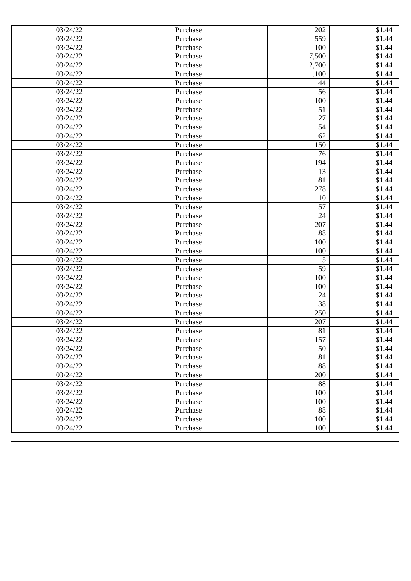| 03/24/22 | Purchase | 202             | \$1.44             |
|----------|----------|-----------------|--------------------|
| 03/24/22 | Purchase | 559             | \$1.44             |
| 03/24/22 | Purchase | 100             | $\overline{$}1.44$ |
| 03/24/22 | Purchase | 7,500           | \$1.44             |
| 03/24/22 | Purchase | 2,700           | \$1.44             |
| 03/24/22 | Purchase | 1,100           | \$1.44             |
| 03/24/22 | Purchase | 44              | \$1.44             |
| 03/24/22 | Purchase | 56              | \$1.44             |
| 03/24/22 | Purchase | 100             | \$1.44             |
| 03/24/22 | Purchase | 51              | \$1.44             |
| 03/24/22 | Purchase | 27              | \$1.44             |
| 03/24/22 | Purchase | 54              | \$1.44             |
| 03/24/22 | Purchase | 62              | \$1.44             |
| 03/24/22 | Purchase | 150             | \$1.44             |
| 03/24/22 | Purchase | 76              | $\overline{$}1.44$ |
| 03/24/22 | Purchase | 194             | \$1.44             |
| 03/24/22 | Purchase | 13              | \$1.44             |
| 03/24/22 | Purchase | 81              | \$1.44             |
| 03/24/22 | Purchase | 278             | \$1.44             |
| 03/24/22 | Purchase | 10              | \$1.44             |
| 03/24/22 | Purchase | 57              | $\overline{$}1.44$ |
| 03/24/22 | Purchase | 24              | \$1.44             |
| 03/24/22 | Purchase | 207             | \$1.44             |
| 03/24/22 | Purchase | 88              | \$1.44             |
| 03/24/22 | Purchase | 100             | \$1.44             |
| 03/24/22 | Purchase | 100             | \$1.44             |
| 03/24/22 | Purchase | 5               | \$1.44             |
| 03/24/22 | Purchase | 59              | \$1.44             |
| 03/24/22 | Purchase | 100             | \$1.44             |
| 03/24/22 | Purchase | 100             | \$1.44             |
| 03/24/22 | Purchase | 24              | \$1.44             |
| 03/24/22 | Purchase | 38              | \$1.44             |
| 03/24/22 | Purchase | 250             | \$1.44             |
| 03/24/22 | Purchase | 207             | \$1.44             |
| 03/24/22 | Purchase | 81              | \$1.44             |
| 03/24/22 | Purchase | 157             | \$1.44             |
| 03/24/22 | Purchase | 50              | \$1.44             |
| 03/24/22 | Purchase | 81              | \$1.44             |
| 03/24/22 | Purchase | 88              | \$1.44             |
| 03/24/22 | Purchase | 200             | \$1.44             |
| 03/24/22 | Purchase | 88              | \$1.44             |
| 03/24/22 | Purchase | 100             | \$1.44             |
| 03/24/22 | Purchase | 100             | \$1.44             |
| 03/24/22 | Purchase | $\overline{88}$ | \$1.44             |
| 03/24/22 | Purchase | 100             | \$1.44             |
| 03/24/22 | Purchase | 100             | \$1.44             |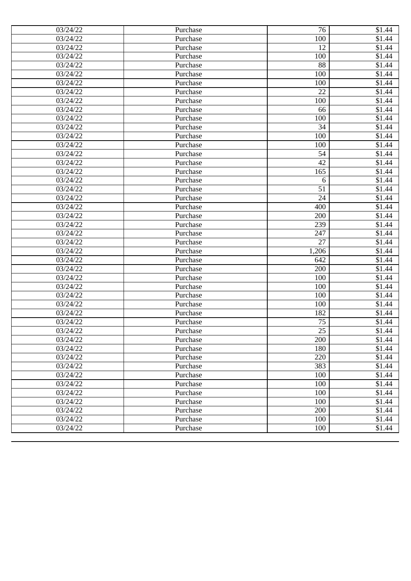| 03/24/22              | Purchase | 76    | \$1.44             |
|-----------------------|----------|-------|--------------------|
| 03/24/22              | Purchase | 100   | \$1.44             |
| 03/24/22              | Purchase | 12    | \$1.44             |
| 03/24/22              | Purchase | 100   | \$1.44             |
| 03/24/22              | Purchase | 88    | \$1.44             |
| 03/24/22              | Purchase | 100   | \$1.44             |
| 03/24/22              | Purchase | 100   | \$1.44             |
| 03/24/22              | Purchase | 22    | \$1.44             |
| 03/24/22              | Purchase | 100   | \$1.44             |
| 03/24/22              | Purchase | 66    | \$1.44             |
| 03/24/22              | Purchase | 100   | \$1.44             |
| 03/24/22              | Purchase | 34    | \$1.44             |
| 03/24/22              | Purchase | 100   | \$1.44             |
| 03/24/22              | Purchase | 100   | \$1.44             |
| 03/24/22              | Purchase | 54    | \$1.44             |
| 03/24/22              | Purchase | 42    | \$1.44             |
| 03/24/22              | Purchase | 165   | \$1.44             |
| 03/24/22              | Purchase | 6     | \$1.44             |
| 03/24/22              | Purchase | 51    | $\overline{$}1.44$ |
| 03/24/22              | Purchase | 24    | \$1.44             |
| 03/24/22              | Purchase | 400   | \$1.44             |
| 03/24/22              | Purchase | 200   | \$1.44             |
| 03/24/22              | Purchase | 239   | \$1.44             |
| 03/24/22              | Purchase | 247   | \$1.44             |
| 03/24/22              | Purchase | 27    | \$1.44             |
| 03/24/22              | Purchase | 1,206 | \$1.44             |
| 03/24/22              | Purchase | 642   | \$1.44             |
| 03/24/22              | Purchase | 200   | \$1.44             |
| 03/24/22              | Purchase | 100   | \$1.44             |
| 03/24/22              | Purchase | 100   | $\overline{$}1.44$ |
| 03/24/22              | Purchase | 100   | \$1.44             |
| 03/24/22              | Purchase | 100   | \$1.44             |
| 03/24/22              | Purchase | 182   | \$1.44             |
| $\overline{0}3/24/22$ | Purchase | 75    | \$1.44             |
| 03/24/22              | Purchase | 25    | \$1.44             |
| 03/24/22              | Purchase | 200   | \$1.44             |
| 03/24/22              | Purchase | 180   | \$1.44             |
| 03/24/22              | Purchase | 220   | \$1.44             |
| 03/24/22              | Purchase | 383   | \$1.44             |
| 03/24/22              | Purchase | 100   | \$1.44             |
| 03/24/22              | Purchase | 100   | \$1.44             |
| 03/24/22              | Purchase | 100   | \$1.44             |
| 03/24/22              | Purchase | 100   | \$1.44             |
| 03/24/22              | Purchase | 200   | \$1.44             |
| 03/24/22              | Purchase | 100   | \$1.44             |
| 03/24/22              | Purchase | 100   | \$1.44             |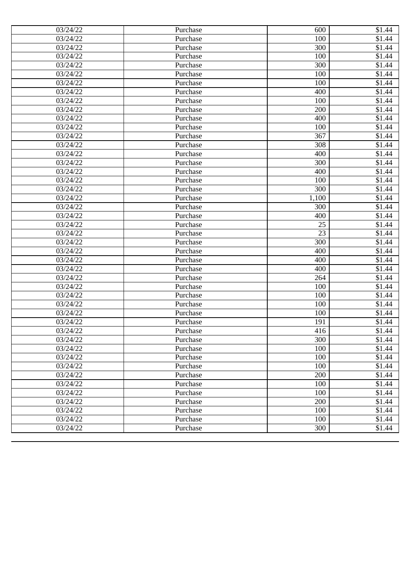| 03/24/22<br>100<br>Purchase<br>300<br>03/24/22<br>Purchase<br>03/24/22<br>100<br>Purchase<br>03/24/22<br>300<br>Purchase<br>03/24/22<br>Purchase<br>100<br>03/24/22<br>100<br>Purchase<br>03/24/22<br>400<br>Purchase<br>03/24/22<br>100<br>Purchase<br>200<br>03/24/22<br>Purchase<br>03/24/22<br>400<br>Purchase<br>03/24/22<br>100<br>Purchase<br>03/24/22<br>367<br>Purchase<br>03/24/22<br>308<br>Purchase<br>03/24/22<br>400<br>Purchase<br>03/24/22<br>300<br>Purchase<br>400<br>03/24/22<br>Purchase<br>03/24/22<br>100<br>Purchase<br>03/24/22<br>300<br>Purchase<br>03/24/22<br>Purchase<br>1,100<br>03/24/22<br>300<br>Purchase<br>03/24/22<br>Purchase<br>400<br>03/24/22<br>Purchase<br>25<br>$\overline{23}$<br>03/24/22<br>Purchase<br>300<br>03/24/22<br>Purchase<br>03/24/22<br>400<br>Purchase<br>03/24/22<br>400<br>Purchase<br>03/24/22<br>400<br>Purchase<br>03/24/22<br>264<br>Purchase<br>03/24/22<br>100<br>Purchase<br>03/24/22<br>100<br>Purchase<br>03/24/22<br>100<br>Purchase<br>03/24/22<br>100<br>Purchase<br>$\overline{0}3/24/22$<br>Purchase<br>191<br>03/24/22<br>Purchase<br>416<br>03/24/22<br>Purchase<br>300<br>100<br>03/24/22<br>Purchase<br>100<br>03/24/22<br>Purchase<br>100<br>03/24/22<br>Purchase<br>200<br>03/24/22<br>Purchase<br>03/24/22<br>100<br>Purchase<br>03/24/22<br>100<br>Purchase<br>03/24/22<br>200<br>Purchase<br>100<br>03/24/22<br>Purchase<br>100<br>03/24/22<br>Purchase | 03/24/22 | Purchase | 600 | \$1.44             |
|--------------------------------------------------------------------------------------------------------------------------------------------------------------------------------------------------------------------------------------------------------------------------------------------------------------------------------------------------------------------------------------------------------------------------------------------------------------------------------------------------------------------------------------------------------------------------------------------------------------------------------------------------------------------------------------------------------------------------------------------------------------------------------------------------------------------------------------------------------------------------------------------------------------------------------------------------------------------------------------------------------------------------------------------------------------------------------------------------------------------------------------------------------------------------------------------------------------------------------------------------------------------------------------------------------------------------------------------------------------------------------------------------------------------------------------------|----------|----------|-----|--------------------|
|                                                                                                                                                                                                                                                                                                                                                                                                                                                                                                                                                                                                                                                                                                                                                                                                                                                                                                                                                                                                                                                                                                                                                                                                                                                                                                                                                                                                                                            |          |          |     | \$1.44             |
|                                                                                                                                                                                                                                                                                                                                                                                                                                                                                                                                                                                                                                                                                                                                                                                                                                                                                                                                                                                                                                                                                                                                                                                                                                                                                                                                                                                                                                            |          |          |     | \$1.44             |
|                                                                                                                                                                                                                                                                                                                                                                                                                                                                                                                                                                                                                                                                                                                                                                                                                                                                                                                                                                                                                                                                                                                                                                                                                                                                                                                                                                                                                                            |          |          |     | \$1.44             |
|                                                                                                                                                                                                                                                                                                                                                                                                                                                                                                                                                                                                                                                                                                                                                                                                                                                                                                                                                                                                                                                                                                                                                                                                                                                                                                                                                                                                                                            |          |          |     | \$1.44             |
|                                                                                                                                                                                                                                                                                                                                                                                                                                                                                                                                                                                                                                                                                                                                                                                                                                                                                                                                                                                                                                                                                                                                                                                                                                                                                                                                                                                                                                            |          |          |     | \$1.44             |
|                                                                                                                                                                                                                                                                                                                                                                                                                                                                                                                                                                                                                                                                                                                                                                                                                                                                                                                                                                                                                                                                                                                                                                                                                                                                                                                                                                                                                                            |          |          |     | \$1.44             |
|                                                                                                                                                                                                                                                                                                                                                                                                                                                                                                                                                                                                                                                                                                                                                                                                                                                                                                                                                                                                                                                                                                                                                                                                                                                                                                                                                                                                                                            |          |          |     | \$1.44             |
|                                                                                                                                                                                                                                                                                                                                                                                                                                                                                                                                                                                                                                                                                                                                                                                                                                                                                                                                                                                                                                                                                                                                                                                                                                                                                                                                                                                                                                            |          |          |     | \$1.44             |
|                                                                                                                                                                                                                                                                                                                                                                                                                                                                                                                                                                                                                                                                                                                                                                                                                                                                                                                                                                                                                                                                                                                                                                                                                                                                                                                                                                                                                                            |          |          |     | \$1.44             |
|                                                                                                                                                                                                                                                                                                                                                                                                                                                                                                                                                                                                                                                                                                                                                                                                                                                                                                                                                                                                                                                                                                                                                                                                                                                                                                                                                                                                                                            |          |          |     | \$1.44             |
|                                                                                                                                                                                                                                                                                                                                                                                                                                                                                                                                                                                                                                                                                                                                                                                                                                                                                                                                                                                                                                                                                                                                                                                                                                                                                                                                                                                                                                            |          |          |     | \$1.44             |
|                                                                                                                                                                                                                                                                                                                                                                                                                                                                                                                                                                                                                                                                                                                                                                                                                                                                                                                                                                                                                                                                                                                                                                                                                                                                                                                                                                                                                                            |          |          |     | \$1.44             |
|                                                                                                                                                                                                                                                                                                                                                                                                                                                                                                                                                                                                                                                                                                                                                                                                                                                                                                                                                                                                                                                                                                                                                                                                                                                                                                                                                                                                                                            |          |          |     | \$1.44             |
|                                                                                                                                                                                                                                                                                                                                                                                                                                                                                                                                                                                                                                                                                                                                                                                                                                                                                                                                                                                                                                                                                                                                                                                                                                                                                                                                                                                                                                            |          |          |     | \$1.44             |
|                                                                                                                                                                                                                                                                                                                                                                                                                                                                                                                                                                                                                                                                                                                                                                                                                                                                                                                                                                                                                                                                                                                                                                                                                                                                                                                                                                                                                                            |          |          |     | \$1.44             |
|                                                                                                                                                                                                                                                                                                                                                                                                                                                                                                                                                                                                                                                                                                                                                                                                                                                                                                                                                                                                                                                                                                                                                                                                                                                                                                                                                                                                                                            |          |          |     | \$1.44             |
|                                                                                                                                                                                                                                                                                                                                                                                                                                                                                                                                                                                                                                                                                                                                                                                                                                                                                                                                                                                                                                                                                                                                                                                                                                                                                                                                                                                                                                            |          |          |     | \$1.44             |
|                                                                                                                                                                                                                                                                                                                                                                                                                                                                                                                                                                                                                                                                                                                                                                                                                                                                                                                                                                                                                                                                                                                                                                                                                                                                                                                                                                                                                                            |          |          |     | $\overline{$}1.44$ |
|                                                                                                                                                                                                                                                                                                                                                                                                                                                                                                                                                                                                                                                                                                                                                                                                                                                                                                                                                                                                                                                                                                                                                                                                                                                                                                                                                                                                                                            |          |          |     | \$1.44             |
|                                                                                                                                                                                                                                                                                                                                                                                                                                                                                                                                                                                                                                                                                                                                                                                                                                                                                                                                                                                                                                                                                                                                                                                                                                                                                                                                                                                                                                            |          |          |     | \$1.44             |
|                                                                                                                                                                                                                                                                                                                                                                                                                                                                                                                                                                                                                                                                                                                                                                                                                                                                                                                                                                                                                                                                                                                                                                                                                                                                                                                                                                                                                                            |          |          |     | \$1.44             |
|                                                                                                                                                                                                                                                                                                                                                                                                                                                                                                                                                                                                                                                                                                                                                                                                                                                                                                                                                                                                                                                                                                                                                                                                                                                                                                                                                                                                                                            |          |          |     | \$1.44             |
|                                                                                                                                                                                                                                                                                                                                                                                                                                                                                                                                                                                                                                                                                                                                                                                                                                                                                                                                                                                                                                                                                                                                                                                                                                                                                                                                                                                                                                            |          |          |     | \$1.44             |
|                                                                                                                                                                                                                                                                                                                                                                                                                                                                                                                                                                                                                                                                                                                                                                                                                                                                                                                                                                                                                                                                                                                                                                                                                                                                                                                                                                                                                                            |          |          |     | \$1.44             |
|                                                                                                                                                                                                                                                                                                                                                                                                                                                                                                                                                                                                                                                                                                                                                                                                                                                                                                                                                                                                                                                                                                                                                                                                                                                                                                                                                                                                                                            |          |          |     | \$1.44             |
|                                                                                                                                                                                                                                                                                                                                                                                                                                                                                                                                                                                                                                                                                                                                                                                                                                                                                                                                                                                                                                                                                                                                                                                                                                                                                                                                                                                                                                            |          |          |     | \$1.44             |
|                                                                                                                                                                                                                                                                                                                                                                                                                                                                                                                                                                                                                                                                                                                                                                                                                                                                                                                                                                                                                                                                                                                                                                                                                                                                                                                                                                                                                                            |          |          |     | \$1.44             |
|                                                                                                                                                                                                                                                                                                                                                                                                                                                                                                                                                                                                                                                                                                                                                                                                                                                                                                                                                                                                                                                                                                                                                                                                                                                                                                                                                                                                                                            |          |          |     | \$1.44             |
|                                                                                                                                                                                                                                                                                                                                                                                                                                                                                                                                                                                                                                                                                                                                                                                                                                                                                                                                                                                                                                                                                                                                                                                                                                                                                                                                                                                                                                            |          |          |     | $\overline{$}1.44$ |
|                                                                                                                                                                                                                                                                                                                                                                                                                                                                                                                                                                                                                                                                                                                                                                                                                                                                                                                                                                                                                                                                                                                                                                                                                                                                                                                                                                                                                                            |          |          |     | \$1.44             |
|                                                                                                                                                                                                                                                                                                                                                                                                                                                                                                                                                                                                                                                                                                                                                                                                                                                                                                                                                                                                                                                                                                                                                                                                                                                                                                                                                                                                                                            |          |          |     | \$1.44             |
|                                                                                                                                                                                                                                                                                                                                                                                                                                                                                                                                                                                                                                                                                                                                                                                                                                                                                                                                                                                                                                                                                                                                                                                                                                                                                                                                                                                                                                            |          |          |     | \$1.44             |
|                                                                                                                                                                                                                                                                                                                                                                                                                                                                                                                                                                                                                                                                                                                                                                                                                                                                                                                                                                                                                                                                                                                                                                                                                                                                                                                                                                                                                                            |          |          |     | \$1.44             |
|                                                                                                                                                                                                                                                                                                                                                                                                                                                                                                                                                                                                                                                                                                                                                                                                                                                                                                                                                                                                                                                                                                                                                                                                                                                                                                                                                                                                                                            |          |          |     | \$1.44             |
|                                                                                                                                                                                                                                                                                                                                                                                                                                                                                                                                                                                                                                                                                                                                                                                                                                                                                                                                                                                                                                                                                                                                                                                                                                                                                                                                                                                                                                            |          |          |     | \$1.44             |
|                                                                                                                                                                                                                                                                                                                                                                                                                                                                                                                                                                                                                                                                                                                                                                                                                                                                                                                                                                                                                                                                                                                                                                                                                                                                                                                                                                                                                                            |          |          |     | \$1.44             |
|                                                                                                                                                                                                                                                                                                                                                                                                                                                                                                                                                                                                                                                                                                                                                                                                                                                                                                                                                                                                                                                                                                                                                                                                                                                                                                                                                                                                                                            |          |          |     | \$1.44             |
|                                                                                                                                                                                                                                                                                                                                                                                                                                                                                                                                                                                                                                                                                                                                                                                                                                                                                                                                                                                                                                                                                                                                                                                                                                                                                                                                                                                                                                            |          |          |     | \$1.44             |
|                                                                                                                                                                                                                                                                                                                                                                                                                                                                                                                                                                                                                                                                                                                                                                                                                                                                                                                                                                                                                                                                                                                                                                                                                                                                                                                                                                                                                                            |          |          |     | $\overline{$}1.44$ |
|                                                                                                                                                                                                                                                                                                                                                                                                                                                                                                                                                                                                                                                                                                                                                                                                                                                                                                                                                                                                                                                                                                                                                                                                                                                                                                                                                                                                                                            |          |          |     | \$1.44             |
|                                                                                                                                                                                                                                                                                                                                                                                                                                                                                                                                                                                                                                                                                                                                                                                                                                                                                                                                                                                                                                                                                                                                                                                                                                                                                                                                                                                                                                            |          |          |     | \$1.44             |
|                                                                                                                                                                                                                                                                                                                                                                                                                                                                                                                                                                                                                                                                                                                                                                                                                                                                                                                                                                                                                                                                                                                                                                                                                                                                                                                                                                                                                                            |          |          |     | \$1.44             |
|                                                                                                                                                                                                                                                                                                                                                                                                                                                                                                                                                                                                                                                                                                                                                                                                                                                                                                                                                                                                                                                                                                                                                                                                                                                                                                                                                                                                                                            |          |          |     | \$1.44             |
|                                                                                                                                                                                                                                                                                                                                                                                                                                                                                                                                                                                                                                                                                                                                                                                                                                                                                                                                                                                                                                                                                                                                                                                                                                                                                                                                                                                                                                            |          |          |     | \$1.44             |
|                                                                                                                                                                                                                                                                                                                                                                                                                                                                                                                                                                                                                                                                                                                                                                                                                                                                                                                                                                                                                                                                                                                                                                                                                                                                                                                                                                                                                                            | 03/24/22 | Purchase | 300 | \$1.44             |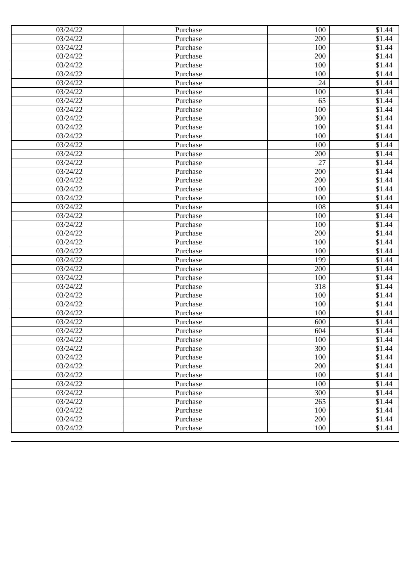| 03/24/22              | Purchase | 100 | \$1.44             |
|-----------------------|----------|-----|--------------------|
| 03/24/22              | Purchase | 200 | \$1.44             |
| 03/24/22              | Purchase | 100 | \$1.44             |
| 03/24/22              | Purchase | 200 | \$1.44             |
| 03/24/22              | Purchase | 100 | \$1.44             |
| 03/24/22              | Purchase | 100 | \$1.44             |
| 03/24/22              | Purchase | 24  | \$1.44             |
| 03/24/22              | Purchase | 100 | \$1.44             |
| 03/24/22              | Purchase | 65  | \$1.44             |
| 03/24/22              | Purchase | 100 | \$1.44             |
| 03/24/22              | Purchase | 300 | \$1.44             |
| 03/24/22              | Purchase | 100 | \$1.44             |
| 03/24/22              | Purchase | 100 | \$1.44             |
| 03/24/22              | Purchase | 100 | \$1.44             |
| 03/24/22              | Purchase | 200 | \$1.44             |
| 03/24/22              | Purchase | 27  | \$1.44             |
| 03/24/22              | Purchase | 200 | \$1.44             |
| 03/24/22              | Purchase | 200 | \$1.44             |
| 03/24/22              | Purchase | 100 | $\overline{$}1.44$ |
| 03/24/22              | Purchase | 100 | \$1.44             |
| 03/24/22              | Purchase | 108 | \$1.44             |
| 03/24/22              | Purchase | 100 | \$1.44             |
| 03/24/22              | Purchase | 100 | \$1.44             |
| 03/24/22              | Purchase | 200 | \$1.44             |
| 03/24/22              | Purchase | 100 | \$1.44             |
| 03/24/22              | Purchase | 100 | \$1.44             |
| 03/24/22              | Purchase | 199 | \$1.44             |
| 03/24/22              | Purchase | 200 | \$1.44             |
| 03/24/22              | Purchase | 100 | \$1.44             |
| 03/24/22              | Purchase | 318 | $\overline{$}1.44$ |
| 03/24/22              | Purchase | 100 | \$1.44             |
| 03/24/22              | Purchase | 100 | \$1.44             |
| 03/24/22              | Purchase | 100 | \$1.44             |
| $\overline{0}3/24/22$ | Purchase | 600 | \$1.44             |
| 03/24/22              | Purchase | 604 | \$1.44             |
| 03/24/22              | Purchase | 100 | \$1.44             |
| 03/24/22              | Purchase | 300 | \$1.44             |
| 03/24/22              | Purchase | 100 | \$1.44             |
| 03/24/22              | Purchase | 200 | \$1.44             |
| 03/24/22              | Purchase | 100 | $\overline{$}1.44$ |
| 03/24/22              | Purchase | 100 | \$1.44             |
| $\overline{0}3/24/22$ | Purchase | 300 | \$1.44             |
| 03/24/22              | Purchase | 265 | \$1.44             |
| 03/24/22              | Purchase | 100 | \$1.44             |
| 03/24/22              | Purchase | 200 | \$1.44             |
| 03/24/22              | Purchase | 100 | \$1.44             |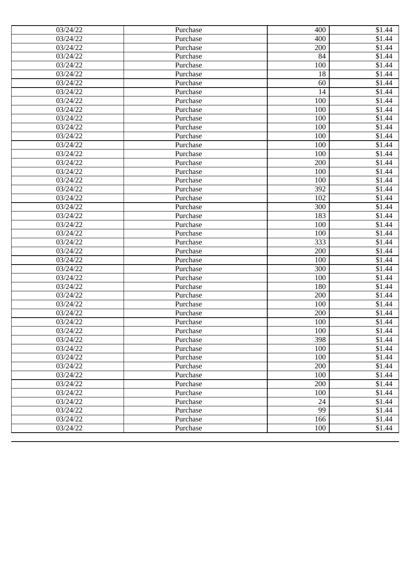| 03/24/22 | Purchase | 400 | \$1.44             |
|----------|----------|-----|--------------------|
| 03/24/22 | Purchase | 400 | \$1.44             |
| 03/24/22 | Purchase | 200 | \$1.44             |
| 03/24/22 | Purchase | 84  | \$1.44             |
| 03/24/22 | Purchase | 100 | \$1.44             |
| 03/24/22 | Purchase | 18  | \$1.44             |
| 03/24/22 | Purchase | 60  | \$1.44             |
| 03/24/22 | Purchase | 14  | \$1.44             |
| 03/24/22 | Purchase | 100 | \$1.44             |
| 03/24/22 | Purchase | 100 | \$1.44             |
| 03/24/22 | Purchase | 100 | \$1.44             |
| 03/24/22 | Purchase | 100 | $\overline{$}1.44$ |
| 03/24/22 | Purchase | 100 | \$1.44             |
| 03/24/22 | Purchase | 100 | \$1.44             |
| 03/24/22 | Purchase | 100 | \$1.44             |
| 03/24/22 | Purchase | 200 | \$1.44             |
| 03/24/22 | Purchase | 100 | \$1.44             |
| 03/24/22 | Purchase | 100 | \$1.44             |
| 03/24/22 | Purchase | 392 | \$1.44             |
| 03/24/22 | Purchase | 102 | \$1.44             |
| 03/24/22 | Purchase | 300 | \$1.44             |
| 03/24/22 | Purchase | 183 | \$1.44             |
| 03/24/22 | Purchase | 100 | \$1.44             |
| 03/24/22 | Purchase | 100 | \$1.44             |
| 03/24/22 | Purchase | 333 | \$1.44             |
| 03/24/22 | Purchase | 200 | \$1.44             |
| 03/24/22 | Purchase | 100 | \$1.44             |
| 03/24/22 | Purchase | 300 | \$1.44             |
| 03/24/22 | Purchase | 100 | \$1.44             |
| 03/24/22 | Purchase | 180 | \$1.44             |
| 03/24/22 | Purchase | 200 | \$1.44             |
| 03/24/22 | Purchase | 100 | \$1.44             |
| 03/24/22 | Purchase | 200 | \$1.44             |
| 03/24/22 | Purchase | 100 | \$1.44             |
| 03/24/22 | Purchase | 100 | \$1.44             |
| 03/24/22 | Purchase | 398 | \$1.44             |
| 03/24/22 | Purchase | 100 | \$1.44             |
| 03/24/22 | Purchase | 100 | \$1.44             |
| 03/24/22 | Purchase | 200 | \$1.44             |
| 03/24/22 | Purchase | 100 | \$1.44             |
| 03/24/22 | Purchase | 200 | \$1.44             |
| 03/24/22 | Purchase | 100 | \$1.44             |
| 03/24/22 | Purchase | 24  | \$1.44             |
| 03/24/22 | Purchase | 99  | \$1.44             |
| 03/24/22 | Purchase | 166 | \$1.44             |
| 03/24/22 | Purchase | 100 | \$1.44             |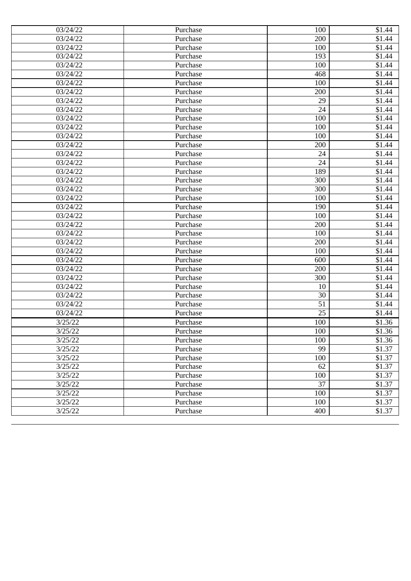| 03/24/22 | Purchase | 100             | \$1.44             |
|----------|----------|-----------------|--------------------|
| 03/24/22 | Purchase | 200             | \$1.44             |
| 03/24/22 | Purchase | 100             | \$1.44             |
| 03/24/22 | Purchase | 193             | \$1.44             |
| 03/24/22 | Purchase | 100             | \$1.44             |
| 03/24/22 | Purchase | 468             | \$1.44             |
| 03/24/22 | Purchase | 100             | \$1.44             |
| 03/24/22 | Purchase | 200             | \$1.44             |
| 03/24/22 | Purchase | 29              | \$1.44             |
| 03/24/22 | Purchase | 24              | \$1.44             |
| 03/24/22 | Purchase | 100             | \$1.44             |
| 03/24/22 | Purchase | 100             | $\overline{$}1.44$ |
| 03/24/22 | Purchase | 100             | \$1.44             |
| 03/24/22 | Purchase | 200             | $\overline{$1,44}$ |
| 03/24/22 | Purchase | 24              | \$1.44             |
| 03/24/22 | Purchase | 24              | \$1.44             |
| 03/24/22 | Purchase | 189             | \$1.44             |
| 03/24/22 | Purchase | 300             | \$1.44             |
| 03/24/22 | Purchase | 300             | \$1.44             |
| 03/24/22 | Purchase | 100             | \$1.44             |
| 03/24/22 | Purchase | 190             | $\overline{$}1.44$ |
| 03/24/22 | Purchase | 100             | \$1.44             |
| 03/24/22 | Purchase | 200             | \$1.44             |
| 03/24/22 | Purchase | 100             | \$1.44             |
| 03/24/22 | Purchase | 200             | \$1.44             |
| 03/24/22 | Purchase | 100             | \$1.44             |
| 03/24/22 | Purchase | 600             | \$1.44             |
| 03/24/22 | Purchase | 200             | \$1.44             |
| 03/24/22 | Purchase | 300             | \$1.44             |
| 03/24/22 | Purchase | 10              | \$1.44             |
| 03/24/22 | Purchase | 30              | \$1.44             |
| 03/24/22 | Purchase | 51              | \$1.44             |
| 03/24/22 | Purchase | $\overline{25}$ | \$1.44             |
| 3/25/22  | Purchase | 100             | \$1.36             |
| 3/25/22  | Purchase | 100             | \$1.36             |
| 3/25/22  | Purchase | 100             | \$1.36             |
| 3/25/22  | Purchase | 99              | \$1.37             |
| 3/25/22  | Purchase | 100             | \$1.37             |
| 3/25/22  | Purchase | 62              | \$1.37             |
| 3/25/22  | Purchase | 100             | \$1.37             |
| 3/25/22  | Purchase | 37              | \$1.37             |
| 3/25/22  | Purchase | 10 <sub>0</sub> | \$1.37             |
| 3/25/22  | Purchase | 100             | \$1.37             |
| 3/25/22  | Purchase | 400             | \$1.37             |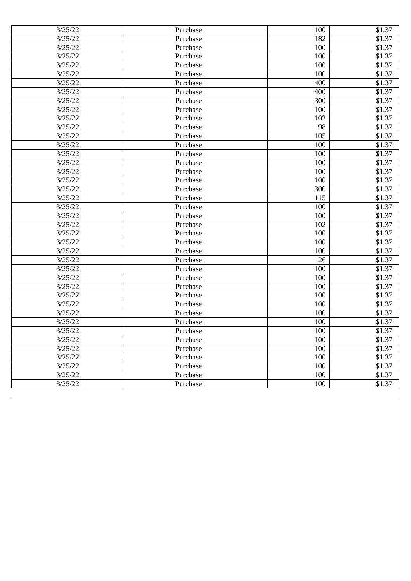| 3/25/22 | Purchase | 100 | \$1.37 |
|---------|----------|-----|--------|
| 3/25/22 | Purchase | 182 | \$1.37 |
| 3/25/22 | Purchase | 100 | \$1.37 |
| 3/25/22 | Purchase | 100 | \$1.37 |
| 3/25/22 | Purchase | 100 | \$1.37 |
| 3/25/22 | Purchase | 100 | \$1.37 |
| 3/25/22 | Purchase | 400 | \$1.37 |
| 3/25/22 | Purchase | 400 | \$1.37 |
| 3/25/22 | Purchase | 300 | \$1.37 |
| 3/25/22 | Purchase | 100 | \$1.37 |
| 3/25/22 | Purchase | 102 | \$1.37 |
| 3/25/22 | Purchase | 98  | \$1.37 |
| 3/25/22 | Purchase | 105 | \$1.37 |
| 3/25/22 | Purchase | 100 | \$1.37 |
| 3/25/22 | Purchase | 100 | \$1.37 |
| 3/25/22 | Purchase | 100 | \$1.37 |
| 3/25/22 | Purchase | 100 | \$1.37 |
| 3/25/22 | Purchase | 100 | \$1.37 |
| 3/25/22 | Purchase | 300 | \$1.37 |
| 3/25/22 | Purchase | 115 | \$1.37 |
| 3/25/22 | Purchase | 100 | \$1.37 |
| 3/25/22 | Purchase | 100 | \$1.37 |
| 3/25/22 | Purchase | 102 | \$1.37 |
| 3/25/22 | Purchase | 100 | \$1.37 |
| 3/25/22 | Purchase | 100 | \$1.37 |
| 3/25/22 | Purchase | 100 | \$1.37 |
| 3/25/22 | Purchase | 26  | \$1.37 |
| 3/25/22 | Purchase | 100 | \$1.37 |
| 3/25/22 | Purchase | 100 | \$1.37 |
| 3/25/22 | Purchase | 100 | \$1.37 |
| 3/25/22 | Purchase | 100 | \$1.37 |
| 3/25/22 | Purchase | 100 | \$1.37 |
| 3/25/22 | Purchase | 100 | \$1.37 |
| 3/25/22 | Purchase | 100 | \$1.37 |
| 3/25/22 | Purchase | 100 | \$1.37 |
| 3/25/22 | Purchase | 100 | \$1.37 |
| 3/25/22 | Purchase | 100 | \$1.37 |
| 3/25/22 | Purchase | 100 | \$1.37 |
| 3/25/22 | Purchase | 100 | \$1.37 |
| 3/25/22 | Purchase | 100 | \$1.37 |
| 3/25/22 | Purchase | 100 | \$1.37 |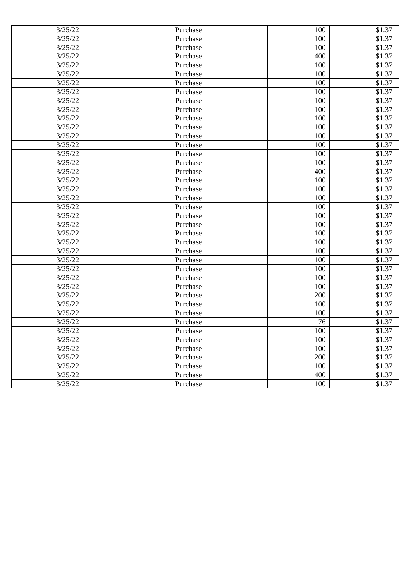| 3/25/22 | Purchase | 100 | \$1.37 |
|---------|----------|-----|--------|
| 3/25/22 | Purchase | 100 | \$1.37 |
| 3/25/22 | Purchase | 100 | \$1.37 |
| 3/25/22 | Purchase | 400 | \$1.37 |
| 3/25/22 | Purchase | 100 | \$1.37 |
| 3/25/22 | Purchase | 100 | \$1.37 |
| 3/25/22 | Purchase | 100 | \$1.37 |
| 3/25/22 | Purchase | 100 | \$1.37 |
| 3/25/22 | Purchase | 100 | \$1.37 |
| 3/25/22 | Purchase | 100 | \$1.37 |
| 3/25/22 | Purchase | 100 | \$1.37 |
| 3/25/22 | Purchase | 100 | \$1.37 |
| 3/25/22 | Purchase | 100 | \$1.37 |
| 3/25/22 | Purchase | 100 | \$1.37 |
| 3/25/22 | Purchase | 100 | \$1.37 |
| 3/25/22 | Purchase | 100 | \$1.37 |
| 3/25/22 | Purchase | 400 | \$1.37 |
| 3/25/22 | Purchase | 100 | \$1.37 |
| 3/25/22 | Purchase | 100 | \$1.37 |
| 3/25/22 | Purchase | 100 | \$1.37 |
| 3/25/22 | Purchase | 100 | \$1.37 |
| 3/25/22 | Purchase | 100 | \$1.37 |
| 3/25/22 | Purchase | 100 | \$1.37 |
| 3/25/22 | Purchase | 100 | \$1.37 |
| 3/25/22 | Purchase | 100 | \$1.37 |
| 3/25/22 | Purchase | 100 | \$1.37 |
| 3/25/22 | Purchase | 100 | \$1.37 |
| 3/25/22 | Purchase | 100 | \$1.37 |
| 3/25/22 | Purchase | 100 | \$1.37 |
| 3/25/22 | Purchase | 100 | \$1.37 |
| 3/25/22 | Purchase | 200 | \$1.37 |
| 3/25/22 | Purchase | 100 | \$1.37 |
| 3/25/22 | Purchase | 100 | \$1.37 |
| 3/25/22 | Purchase | 76  | \$1.37 |
| 3/25/22 | Purchase | 100 | \$1.37 |
| 3/25/22 | Purchase | 100 | \$1.37 |
| 3/25/22 | Purchase | 100 | \$1.37 |
| 3/25/22 | Purchase | 200 | \$1.37 |
| 3/25/22 | Purchase | 100 | \$1.37 |
| 3/25/22 | Purchase | 400 | \$1.37 |
| 3/25/22 | Purchase | 100 | \$1.37 |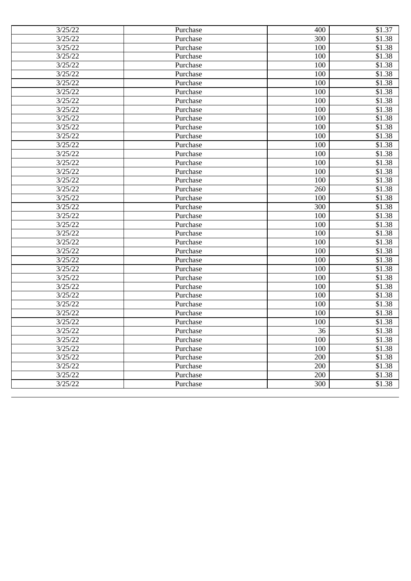| 3/25/22 | Purchase | 400 | \$1.37 |
|---------|----------|-----|--------|
| 3/25/22 | Purchase | 300 | \$1.38 |
| 3/25/22 | Purchase | 100 | \$1.38 |
| 3/25/22 | Purchase | 100 | \$1.38 |
| 3/25/22 | Purchase | 100 | \$1.38 |
| 3/25/22 | Purchase | 100 | \$1.38 |
| 3/25/22 | Purchase | 100 | \$1.38 |
| 3/25/22 | Purchase | 100 | \$1.38 |
| 3/25/22 | Purchase | 100 | \$1.38 |
| 3/25/22 | Purchase | 100 | \$1.38 |
| 3/25/22 | Purchase | 100 | \$1.38 |
| 3/25/22 | Purchase | 100 | \$1.38 |
| 3/25/22 | Purchase | 100 | \$1.38 |
| 3/25/22 | Purchase | 100 | \$1.38 |
| 3/25/22 | Purchase | 100 | \$1.38 |
| 3/25/22 | Purchase | 100 | \$1.38 |
| 3/25/22 | Purchase | 100 | \$1.38 |
| 3/25/22 | Purchase | 100 | \$1.38 |
| 3/25/22 | Purchase | 260 | \$1.38 |
| 3/25/22 | Purchase | 100 | \$1.38 |
| 3/25/22 | Purchase | 300 | \$1.38 |
| 3/25/22 | Purchase | 100 | \$1.38 |
| 3/25/22 | Purchase | 100 | \$1.38 |
| 3/25/22 | Purchase | 100 | \$1.38 |
| 3/25/22 | Purchase | 100 | \$1.38 |
| 3/25/22 | Purchase | 100 | \$1.38 |
| 3/25/22 | Purchase | 100 | \$1.38 |
| 3/25/22 | Purchase | 100 | \$1.38 |
| 3/25/22 | Purchase | 100 | \$1.38 |
| 3/25/22 | Purchase | 100 | \$1.38 |
| 3/25/22 | Purchase | 100 | \$1.38 |
| 3/25/22 | Purchase | 100 | \$1.38 |
| 3/25/22 | Purchase | 100 | \$1.38 |
| 3/25/22 | Purchase | 100 | \$1.38 |
| 3/25/22 | Purchase | 36  | \$1.38 |
| 3/25/22 | Purchase | 100 | \$1.38 |
| 3/25/22 | Purchase | 100 | \$1.38 |
| 3/25/22 | Purchase | 200 | \$1.38 |
| 3/25/22 | Purchase | 200 | \$1.38 |
| 3/25/22 | Purchase | 200 | \$1.38 |
| 3/25/22 | Purchase | 300 | \$1.38 |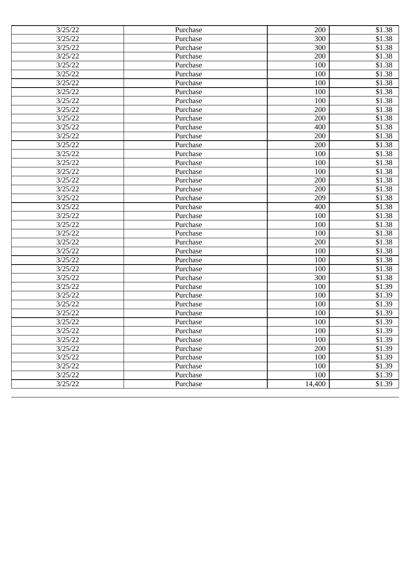| 3/25/22 | Purchase | 200    | \$1.38 |
|---------|----------|--------|--------|
| 3/25/22 | Purchase | 300    | \$1.38 |
| 3/25/22 | Purchase | 300    | \$1.38 |
| 3/25/22 | Purchase | 200    | \$1.38 |
| 3/25/22 | Purchase | 100    | \$1.38 |
| 3/25/22 | Purchase | 100    | \$1.38 |
| 3/25/22 | Purchase | 100    | \$1.38 |
| 3/25/22 | Purchase | 100    | \$1.38 |
| 3/25/22 | Purchase | 100    | \$1.38 |
| 3/25/22 | Purchase | 200    | \$1.38 |
| 3/25/22 | Purchase | 200    | \$1.38 |
| 3/25/22 | Purchase | 400    | \$1.38 |
| 3/25/22 | Purchase | 200    | \$1.38 |
| 3/25/22 | Purchase | 200    | \$1.38 |
| 3/25/22 | Purchase | 100    | \$1.38 |
| 3/25/22 | Purchase | 100    | \$1.38 |
| 3/25/22 | Purchase | 100    | \$1.38 |
| 3/25/22 | Purchase | 200    | \$1.38 |
| 3/25/22 | Purchase | 200    | \$1.38 |
| 3/25/22 | Purchase | 209    | \$1.38 |
| 3/25/22 | Purchase | 400    | \$1.38 |
| 3/25/22 | Purchase | 100    | \$1.38 |
| 3/25/22 | Purchase | 100    | \$1.38 |
| 3/25/22 | Purchase | 100    | \$1.38 |
| 3/25/22 | Purchase | 200    | \$1.38 |
| 3/25/22 | Purchase | 100    | \$1.38 |
| 3/25/22 | Purchase | 100    | \$1.38 |
| 3/25/22 | Purchase | 100    | \$1.38 |
| 3/25/22 | Purchase | 300    | \$1.38 |
| 3/25/22 | Purchase | 100    | \$1.39 |
| 3/25/22 | Purchase | 100    | \$1.39 |
| 3/25/22 | Purchase | 100    | \$1.39 |
| 3/25/22 | Purchase | 100    | \$1.39 |
| 3/25/22 | Purchase | 100    | \$1.39 |
| 3/25/22 | Purchase | 100    | \$1.39 |
| 3/25/22 | Purchase | 100    | \$1.39 |
| 3/25/22 | Purchase | 200    | \$1.39 |
| 3/25/22 | Purchase | 100    | \$1.39 |
| 3/25/22 | Purchase | 100    | \$1.39 |
| 3/25/22 | Purchase | 100    | \$1.39 |
| 3/25/22 | Purchase | 14,400 | \$1.39 |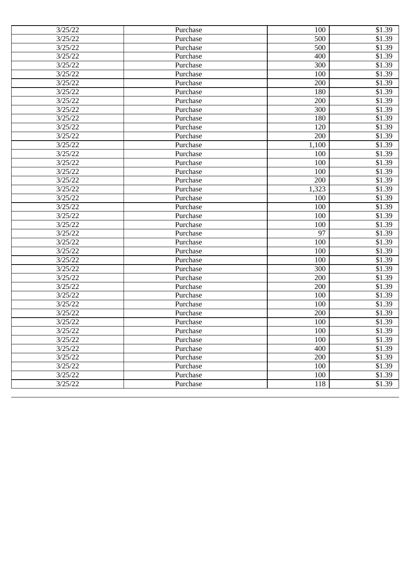| 3/25/22 | Purchase | 100   | \$1.39 |
|---------|----------|-------|--------|
| 3/25/22 | Purchase | 500   | \$1.39 |
| 3/25/22 | Purchase | 500   | \$1.39 |
| 3/25/22 | Purchase | 400   | \$1.39 |
| 3/25/22 | Purchase | 300   | \$1.39 |
| 3/25/22 | Purchase | 100   | \$1.39 |
| 3/25/22 | Purchase | 200   | \$1.39 |
| 3/25/22 | Purchase | 180   | \$1.39 |
| 3/25/22 | Purchase | 200   | \$1.39 |
| 3/25/22 | Purchase | 300   | \$1.39 |
| 3/25/22 | Purchase | 180   | \$1.39 |
| 3/25/22 | Purchase | 120   | \$1.39 |
| 3/25/22 | Purchase | 200   | \$1.39 |
| 3/25/22 | Purchase | 1,100 | \$1.39 |
| 3/25/22 | Purchase | 100   | \$1.39 |
| 3/25/22 | Purchase | 100   | \$1.39 |
| 3/25/22 | Purchase | 100   | \$1.39 |
| 3/25/22 | Purchase | 200   | \$1.39 |
| 3/25/22 | Purchase | 1,323 | \$1.39 |
| 3/25/22 | Purchase | 100   | \$1.39 |
| 3/25/22 | Purchase | 100   | \$1.39 |
| 3/25/22 | Purchase | 100   | \$1.39 |
| 3/25/22 | Purchase | 100   | \$1.39 |
| 3/25/22 | Purchase | 97    | \$1.39 |
| 3/25/22 | Purchase | 100   | \$1.39 |
| 3/25/22 | Purchase | 100   | \$1.39 |
| 3/25/22 | Purchase | 100   | \$1.39 |
| 3/25/22 | Purchase | 300   | \$1.39 |
| 3/25/22 | Purchase | 200   | \$1.39 |
| 3/25/22 | Purchase | 200   | \$1.39 |
| 3/25/22 | Purchase | 100   | \$1.39 |
| 3/25/22 | Purchase | 100   | \$1.39 |
| 3/25/22 | Purchase | 200   | \$1.39 |
| 3/25/22 | Purchase | 100   | \$1.39 |
| 3/25/22 | Purchase | 100   | \$1.39 |
| 3/25/22 | Purchase | 100   | \$1.39 |
| 3/25/22 | Purchase | 400   | \$1.39 |
| 3/25/22 | Purchase | 200   | \$1.39 |
| 3/25/22 | Purchase | 100   | \$1.39 |
| 3/25/22 | Purchase | 100   | \$1.39 |
| 3/25/22 | Purchase | 118   | \$1.39 |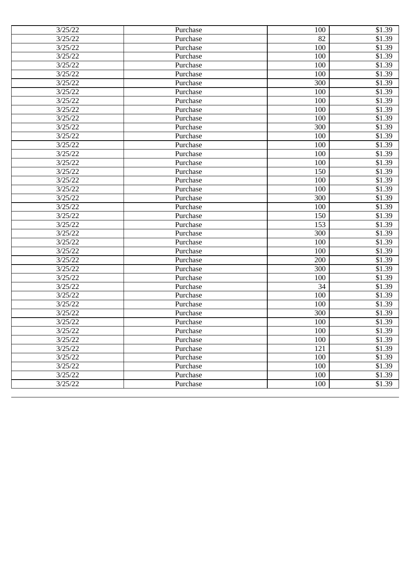| 3/25/22 | Purchase | 100 | \$1.39 |
|---------|----------|-----|--------|
| 3/25/22 | Purchase | 82  | \$1.39 |
| 3/25/22 | Purchase | 100 | \$1.39 |
| 3/25/22 | Purchase | 100 | \$1.39 |
| 3/25/22 | Purchase | 100 | \$1.39 |
| 3/25/22 | Purchase | 100 | \$1.39 |
| 3/25/22 | Purchase | 300 | \$1.39 |
| 3/25/22 | Purchase | 100 | \$1.39 |
| 3/25/22 | Purchase | 100 | \$1.39 |
| 3/25/22 | Purchase | 100 | \$1.39 |
| 3/25/22 | Purchase | 100 | \$1.39 |
| 3/25/22 | Purchase | 300 | \$1.39 |
| 3/25/22 | Purchase | 100 | \$1.39 |
| 3/25/22 | Purchase | 100 | \$1.39 |
| 3/25/22 | Purchase | 100 | \$1.39 |
| 3/25/22 | Purchase | 100 | \$1.39 |
| 3/25/22 | Purchase | 150 | \$1.39 |
| 3/25/22 | Purchase | 100 | \$1.39 |
| 3/25/22 | Purchase | 100 | \$1.39 |
| 3/25/22 | Purchase | 300 | \$1.39 |
| 3/25/22 | Purchase | 100 | \$1.39 |
| 3/25/22 | Purchase | 150 | \$1.39 |
| 3/25/22 | Purchase | 153 | \$1.39 |
| 3/25/22 | Purchase | 300 | \$1.39 |
| 3/25/22 | Purchase | 100 | \$1.39 |
| 3/25/22 | Purchase | 100 | \$1.39 |
| 3/25/22 | Purchase | 200 | \$1.39 |
| 3/25/22 | Purchase | 300 | \$1.39 |
| 3/25/22 | Purchase | 100 | \$1.39 |
| 3/25/22 | Purchase | 34  | \$1.39 |
| 3/25/22 | Purchase | 100 | \$1.39 |
| 3/25/22 | Purchase | 100 | \$1.39 |
| 3/25/22 | Purchase | 300 | \$1.39 |
| 3/25/22 | Purchase | 100 | \$1.39 |
| 3/25/22 | Purchase | 100 | \$1.39 |
| 3/25/22 | Purchase | 100 | \$1.39 |
| 3/25/22 | Purchase | 121 | \$1.39 |
| 3/25/22 | Purchase | 100 | \$1.39 |
| 3/25/22 | Purchase | 100 | \$1.39 |
| 3/25/22 | Purchase | 100 | \$1.39 |
| 3/25/22 | Purchase | 100 | \$1.39 |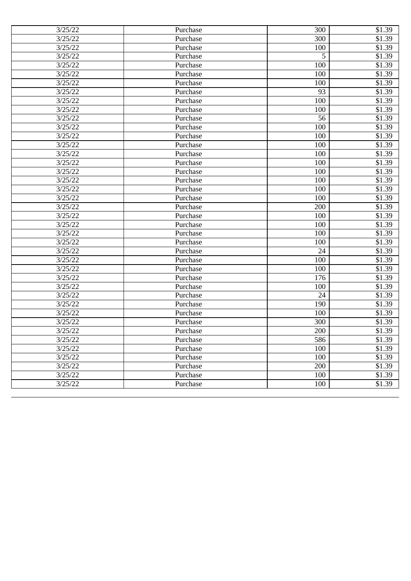| 3/25/22 | Purchase | 300 | \$1.39 |
|---------|----------|-----|--------|
| 3/25/22 | Purchase | 300 | \$1.39 |
| 3/25/22 | Purchase | 100 | \$1.39 |
| 3/25/22 | Purchase | 5   | \$1.39 |
| 3/25/22 | Purchase | 100 | \$1.39 |
| 3/25/22 | Purchase | 100 | \$1.39 |
| 3/25/22 | Purchase | 100 | \$1.39 |
| 3/25/22 | Purchase | 93  | \$1.39 |
| 3/25/22 | Purchase | 100 | \$1.39 |
| 3/25/22 | Purchase | 100 | \$1.39 |
| 3/25/22 | Purchase | 56  | \$1.39 |
| 3/25/22 | Purchase | 100 | \$1.39 |
| 3/25/22 | Purchase | 100 | \$1.39 |
| 3/25/22 | Purchase | 100 | \$1.39 |
| 3/25/22 | Purchase | 100 | \$1.39 |
| 3/25/22 | Purchase | 100 | \$1.39 |
| 3/25/22 | Purchase | 100 | \$1.39 |
| 3/25/22 | Purchase | 100 | \$1.39 |
| 3/25/22 | Purchase | 100 | \$1.39 |
| 3/25/22 | Purchase | 100 | \$1.39 |
| 3/25/22 | Purchase | 200 | \$1.39 |
| 3/25/22 | Purchase | 100 | \$1.39 |
| 3/25/22 | Purchase | 100 | \$1.39 |
| 3/25/22 | Purchase | 100 | \$1.39 |
| 3/25/22 | Purchase | 100 | \$1.39 |
| 3/25/22 | Purchase | 24  | \$1.39 |
| 3/25/22 | Purchase | 100 | \$1.39 |
| 3/25/22 | Purchase | 100 | \$1.39 |
| 3/25/22 | Purchase | 176 | \$1.39 |
| 3/25/22 | Purchase | 100 | \$1.39 |
| 3/25/22 | Purchase | 24  | \$1.39 |
| 3/25/22 | Purchase | 190 | \$1.39 |
| 3/25/22 | Purchase | 100 | \$1.39 |
| 3/25/22 | Purchase | 300 | \$1.39 |
| 3/25/22 | Purchase | 200 | \$1.39 |
| 3/25/22 | Purchase | 586 | \$1.39 |
| 3/25/22 | Purchase | 100 | \$1.39 |
| 3/25/22 | Purchase | 100 | \$1.39 |
| 3/25/22 | Purchase | 200 | \$1.39 |
| 3/25/22 | Purchase | 100 | \$1.39 |
| 3/25/22 | Purchase | 100 | \$1.39 |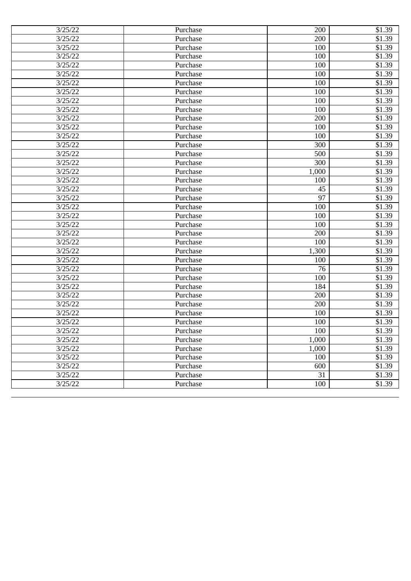| 3/25/22 | Purchase | 200   | \$1.39 |
|---------|----------|-------|--------|
| 3/25/22 | Purchase | 200   | \$1.39 |
| 3/25/22 | Purchase | 100   | \$1.39 |
| 3/25/22 | Purchase | 100   | \$1.39 |
| 3/25/22 | Purchase | 100   | \$1.39 |
| 3/25/22 | Purchase | 100   | \$1.39 |
| 3/25/22 | Purchase | 100   | \$1.39 |
| 3/25/22 | Purchase | 100   | \$1.39 |
| 3/25/22 | Purchase | 100   | \$1.39 |
| 3/25/22 | Purchase | 100   | \$1.39 |
| 3/25/22 | Purchase | 200   | \$1.39 |
| 3/25/22 | Purchase | 100   | \$1.39 |
| 3/25/22 | Purchase | 100   | \$1.39 |
| 3/25/22 | Purchase | 300   | \$1.39 |
| 3/25/22 | Purchase | 500   | \$1.39 |
| 3/25/22 | Purchase | 300   | \$1.39 |
| 3/25/22 | Purchase | 1,000 | \$1.39 |
| 3/25/22 | Purchase | 100   | \$1.39 |
| 3/25/22 | Purchase | 45    | \$1.39 |
| 3/25/22 | Purchase | 97    | \$1.39 |
| 3/25/22 | Purchase | 100   | \$1.39 |
| 3/25/22 | Purchase | 100   | \$1.39 |
| 3/25/22 | Purchase | 100   | \$1.39 |
| 3/25/22 | Purchase | 200   | \$1.39 |
| 3/25/22 | Purchase | 100   | \$1.39 |
| 3/25/22 | Purchase | 1,300 | \$1.39 |
| 3/25/22 | Purchase | 100   | \$1.39 |
| 3/25/22 | Purchase | 76    | \$1.39 |
| 3/25/22 | Purchase | 100   | \$1.39 |
| 3/25/22 | Purchase | 184   | \$1.39 |
| 3/25/22 | Purchase | 200   | \$1.39 |
| 3/25/22 | Purchase | 200   | \$1.39 |
| 3/25/22 | Purchase | 100   | \$1.39 |
| 3/25/22 | Purchase | 100   | \$1.39 |
| 3/25/22 | Purchase | 100   | \$1.39 |
| 3/25/22 | Purchase | 1,000 | \$1.39 |
| 3/25/22 | Purchase | 1,000 | \$1.39 |
| 3/25/22 | Purchase | 100   | \$1.39 |
| 3/25/22 | Purchase | 600   | \$1.39 |
| 3/25/22 | Purchase | 31    | \$1.39 |
| 3/25/22 | Purchase | 100   | \$1.39 |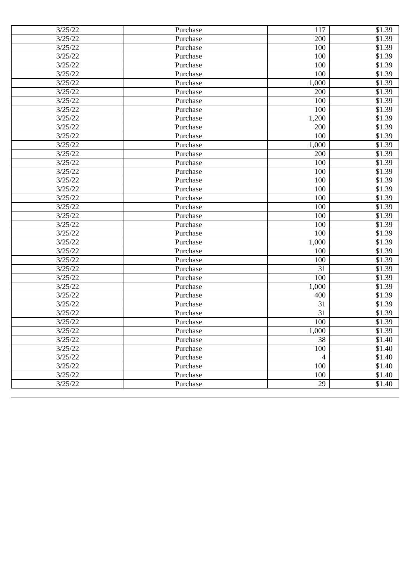| 3/25/22 | Purchase | 117                      | \$1.39 |
|---------|----------|--------------------------|--------|
| 3/25/22 | Purchase | 200                      | \$1.39 |
| 3/25/22 | Purchase | 100                      | \$1.39 |
| 3/25/22 | Purchase | 100                      | \$1.39 |
| 3/25/22 | Purchase | 100                      | \$1.39 |
| 3/25/22 | Purchase | 100                      | \$1.39 |
| 3/25/22 | Purchase | 1,000                    | \$1.39 |
| 3/25/22 | Purchase | 200                      | \$1.39 |
| 3/25/22 | Purchase | 100                      | \$1.39 |
| 3/25/22 | Purchase | 100                      | \$1.39 |
| 3/25/22 | Purchase | 1,200                    | \$1.39 |
| 3/25/22 | Purchase | 200                      | \$1.39 |
| 3/25/22 | Purchase | 100                      | \$1.39 |
| 3/25/22 | Purchase | 1,000                    | \$1.39 |
| 3/25/22 | Purchase | 200                      | \$1.39 |
| 3/25/22 | Purchase | 100                      | \$1.39 |
| 3/25/22 | Purchase | 100                      | \$1.39 |
| 3/25/22 | Purchase | 100                      | \$1.39 |
| 3/25/22 | Purchase | 100                      | \$1.39 |
| 3/25/22 | Purchase | 100                      | \$1.39 |
| 3/25/22 | Purchase | 100                      | \$1.39 |
| 3/25/22 | Purchase | 100                      | \$1.39 |
| 3/25/22 | Purchase | 100                      | \$1.39 |
| 3/25/22 | Purchase | 100                      | \$1.39 |
| 3/25/22 | Purchase | 1,000                    | \$1.39 |
| 3/25/22 | Purchase | 100                      | \$1.39 |
| 3/25/22 | Purchase | 100                      | \$1.39 |
| 3/25/22 | Purchase | 31                       | \$1.39 |
| 3/25/22 | Purchase | 100                      | \$1.39 |
| 3/25/22 | Purchase | 1,000                    | \$1.39 |
| 3/25/22 | Purchase | 400                      | \$1.39 |
| 3/25/22 | Purchase | 31                       | \$1.39 |
| 3/25/22 | Purchase | 31                       | \$1.39 |
| 3/25/22 | Purchase | 100                      | \$1.39 |
| 3/25/22 | Purchase | 1,000                    | \$1.39 |
| 3/25/22 | Purchase | 38                       | \$1.40 |
| 3/25/22 | Purchase | 100                      | \$1.40 |
| 3/25/22 | Purchase | $\overline{\mathcal{L}}$ | \$1.40 |
| 3/25/22 | Purchase | 100                      | \$1.40 |
| 3/25/22 | Purchase | 100                      | \$1.40 |
| 3/25/22 | Purchase | 29                       | \$1.40 |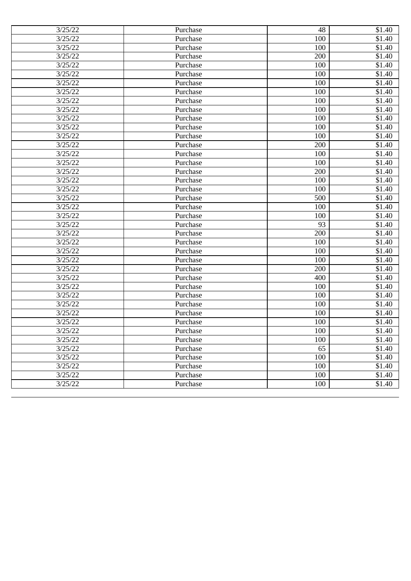| 3/25/22 | Purchase | 48  | \$1.40             |
|---------|----------|-----|--------------------|
| 3/25/22 | Purchase | 100 | $\overline{$}1.40$ |
| 3/25/22 | Purchase | 100 | \$1.40             |
| 3/25/22 | Purchase | 200 | \$1.40             |
| 3/25/22 | Purchase | 100 | $\overline{$}1.40$ |
| 3/25/22 | Purchase | 100 | \$1.40             |
| 3/25/22 | Purchase | 100 | \$1.40             |
| 3/25/22 | Purchase | 100 | \$1.40             |
| 3/25/22 | Purchase | 100 | \$1.40             |
| 3/25/22 | Purchase | 100 | \$1.40             |
| 3/25/22 | Purchase | 100 | \$1.40             |
| 3/25/22 | Purchase | 100 | $\overline{$}1.40$ |
| 3/25/22 | Purchase | 100 | $\overline{$}1.40$ |
| 3/25/22 | Purchase | 200 | \$1.40             |
| 3/25/22 | Purchase | 100 | \$1.40             |
| 3/25/22 | Purchase | 100 | \$1.40             |
| 3/25/22 | Purchase | 200 | \$1.40             |
| 3/25/22 | Purchase | 100 | \$1.40             |
| 3/25/22 | Purchase | 100 | $\overline{$}1.40$ |
| 3/25/22 | Purchase | 500 | \$1.40             |
| 3/25/22 | Purchase | 100 | \$1.40             |
| 3/25/22 | Purchase | 100 | $\overline{$1,40}$ |
| 3/25/22 | Purchase | 93  | \$1.40             |
| 3/25/22 | Purchase | 200 | \$1.40             |
| 3/25/22 | Purchase | 100 | \$1.40             |
| 3/25/22 | Purchase | 100 | \$1.40             |
| 3/25/22 | Purchase | 100 | $\overline{$}1.40$ |
| 3/25/22 | Purchase | 200 | \$1.40             |
| 3/25/22 | Purchase | 400 | $\overline{$1,40}$ |
| 3/25/22 | Purchase | 100 | $\overline{$}1.40$ |
| 3/25/22 | Purchase | 100 | \$1.40             |
| 3/25/22 | Purchase | 100 | \$1.40             |
| 3/25/22 | Purchase | 100 | \$1.40             |
| 3/25/22 | Purchase | 100 | \$1.40             |
| 3/25/22 | Purchase | 100 | \$1.40             |
| 3/25/22 | Purchase | 100 | \$1.40             |
| 3/25/22 | Purchase | 65  | \$1.40             |
| 3/25/22 | Purchase | 100 | \$1.40             |
| 3/25/22 | Purchase | 100 | \$1.40             |
| 3/25/22 | Purchase | 100 | \$1.40             |
| 3/25/22 | Purchase | 100 | \$1.40             |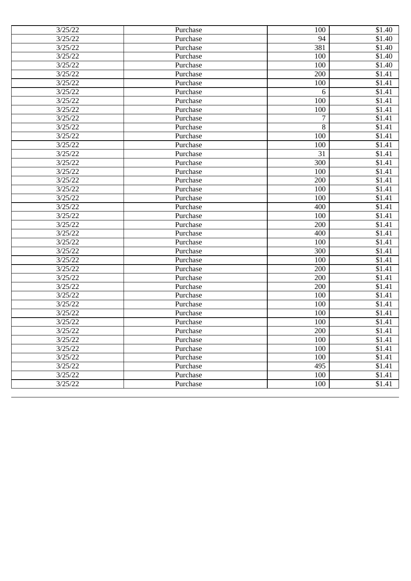| 3/25/22 | Purchase | 100 | \$1.40              |
|---------|----------|-----|---------------------|
| 3/25/22 | Purchase | 94  | \$1.40              |
| 3/25/22 | Purchase | 381 | \$1.40              |
| 3/25/22 | Purchase | 100 | \$1.40              |
| 3/25/22 | Purchase | 100 | \$1.40              |
| 3/25/22 | Purchase | 200 | \$1.41              |
| 3/25/22 | Purchase | 100 | \$1.41              |
| 3/25/22 | Purchase | 6   | \$1.41              |
| 3/25/22 | Purchase | 100 | \$1.41              |
| 3/25/22 | Purchase | 100 | \$1.41              |
| 3/25/22 | Purchase | 7   | \$1.41              |
| 3/25/22 | Purchase | 8   | \$1.41              |
| 3/25/22 | Purchase | 100 | $\overline{$1,41}$  |
| 3/25/22 | Purchase | 100 | \$1.41              |
| 3/25/22 | Purchase | 31  | \$1.41              |
| 3/25/22 | Purchase | 300 | \$1.41              |
| 3/25/22 | Purchase | 100 | \$1.41              |
| 3/25/22 | Purchase | 200 | \$1.41              |
| 3/25/22 | Purchase | 100 | \$1.41              |
| 3/25/22 | Purchase | 100 | \$1.41              |
| 3/25/22 | Purchase | 400 | \$1.41              |
| 3/25/22 | Purchase | 100 | \$1.41              |
| 3/25/22 | Purchase | 200 | $\overline{$}1.41$  |
| 3/25/22 | Purchase | 400 | \$1.41              |
| 3/25/22 | Purchase | 100 | \$1.41              |
| 3/25/22 | Purchase | 300 | \$1.41              |
| 3/25/22 | Purchase | 100 | $\overline{\$1.41}$ |
| 3/25/22 | Purchase | 200 | \$1.41              |
| 3/25/22 | Purchase | 200 | $\overline{$1,41}$  |
| 3/25/22 | Purchase | 200 | \$1.41              |
| 3/25/22 | Purchase | 100 | \$1.41              |
| 3/25/22 | Purchase | 100 | \$1.41              |
| 3/25/22 | Purchase | 100 | $\overline{\$1.41}$ |
| 3/25/22 | Purchase | 100 | \$1.41              |
| 3/25/22 | Purchase | 200 | \$1.41              |
| 3/25/22 | Purchase | 100 | \$1.41              |
| 3/25/22 | Purchase | 100 | \$1.41              |
| 3/25/22 | Purchase | 100 | \$1.41              |
| 3/25/22 | Purchase | 495 | \$1.41              |
| 3/25/22 | Purchase | 100 | \$1.41              |
| 3/25/22 | Purchase | 100 | \$1.41              |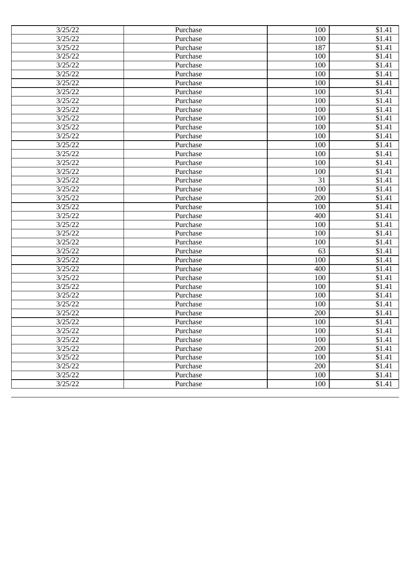| 3/25/22 | Purchase | 100 | \$1.41              |
|---------|----------|-----|---------------------|
| 3/25/22 | Purchase | 100 | \$1.41              |
| 3/25/22 | Purchase | 187 | $\overline{\$1.41}$ |
| 3/25/22 | Purchase | 100 | \$1.41              |
| 3/25/22 | Purchase | 100 | \$1.41              |
| 3/25/22 | Purchase | 100 | \$1.41              |
| 3/25/22 | Purchase | 100 | \$1.41              |
| 3/25/22 | Purchase | 100 | \$1.41              |
| 3/25/22 | Purchase | 100 | \$1.41              |
| 3/25/22 | Purchase | 100 | \$1.41              |
| 3/25/22 | Purchase | 100 | \$1.41              |
| 3/25/22 | Purchase | 100 | \$1.41              |
| 3/25/22 | Purchase | 100 | $\overline{$1,41}$  |
| 3/25/22 | Purchase | 100 | \$1.41              |
| 3/25/22 | Purchase | 100 | \$1.41              |
| 3/25/22 | Purchase | 100 | \$1.41              |
| 3/25/22 | Purchase | 100 | \$1.41              |
| 3/25/22 | Purchase | 31  | \$1.41              |
| 3/25/22 | Purchase | 100 | \$1.41              |
| 3/25/22 | Purchase | 200 | \$1.41              |
| 3/25/22 | Purchase | 100 | \$1.41              |
| 3/25/22 | Purchase | 400 | \$1.41              |
| 3/25/22 | Purchase | 100 | $\overline{\$1.41}$ |
| 3/25/22 | Purchase | 100 | \$1.41              |
| 3/25/22 | Purchase | 100 | \$1.41              |
| 3/25/22 | Purchase | 63  | \$1.41              |
| 3/25/22 | Purchase | 100 | $\overline{\$1.41}$ |
| 3/25/22 | Purchase | 400 | \$1.41              |
| 3/25/22 | Purchase | 100 | $\overline{$1,41}$  |
| 3/25/22 | Purchase | 100 | \$1.41              |
| 3/25/22 | Purchase | 100 | \$1.41              |
| 3/25/22 | Purchase | 100 | \$1.41              |
| 3/25/22 | Purchase | 200 | $\overline{\$1.41}$ |
| 3/25/22 | Purchase | 100 | \$1.41              |
| 3/25/22 | Purchase | 100 | \$1.41              |
| 3/25/22 | Purchase | 100 | \$1.41              |
| 3/25/22 | Purchase | 200 | \$1.41              |
| 3/25/22 | Purchase | 100 | \$1.41              |
| 3/25/22 | Purchase | 200 | \$1.41              |
| 3/25/22 | Purchase | 100 | \$1.41              |
| 3/25/22 | Purchase | 100 | \$1.41              |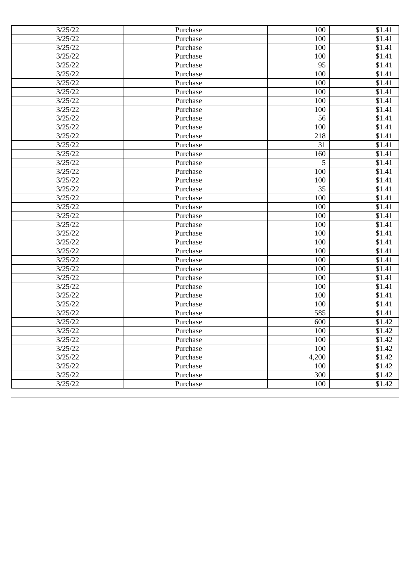| 3/25/22 | Purchase | 100   | \$1.41              |
|---------|----------|-------|---------------------|
| 3/25/22 | Purchase | 100   | \$1.41              |
| 3/25/22 | Purchase | 100   | $\overline{\$1.41}$ |
| 3/25/22 | Purchase | 100   | \$1.41              |
| 3/25/22 | Purchase | 95    | \$1.41              |
| 3/25/22 | Purchase | 100   | \$1.41              |
| 3/25/22 | Purchase | 100   | $\overline{\$1.41}$ |
| 3/25/22 | Purchase | 100   | \$1.41              |
| 3/25/22 | Purchase | 100   | \$1.41              |
| 3/25/22 | Purchase | 100   | \$1.41              |
| 3/25/22 | Purchase | 56    | \$1.41              |
| 3/25/22 | Purchase | 100   | \$1.41              |
| 3/25/22 | Purchase | 218   | $\overline{$1,41}$  |
| 3/25/22 | Purchase | 31    | \$1.41              |
| 3/25/22 | Purchase | 160   | \$1.41              |
| 3/25/22 | Purchase | 5     | \$1.41              |
| 3/25/22 | Purchase | 100   | \$1.41              |
| 3/25/22 | Purchase | 100   | \$1.41              |
| 3/25/22 | Purchase | 35    | \$1.41              |
| 3/25/22 | Purchase | 100   | \$1.41              |
| 3/25/22 | Purchase | 100   | \$1.41              |
| 3/25/22 | Purchase | 100   | \$1.41              |
| 3/25/22 | Purchase | 100   | $\overline{\$1.41}$ |
| 3/25/22 | Purchase | 100   | \$1.41              |
| 3/25/22 | Purchase | 100   | \$1.41              |
| 3/25/22 | Purchase | 100   | \$1.41              |
| 3/25/22 | Purchase | 100   | $\overline{\$1.41}$ |
| 3/25/22 | Purchase | 100   | \$1.41              |
| 3/25/22 | Purchase | 100   | \$1.41              |
| 3/25/22 | Purchase | 100   | \$1.41              |
| 3/25/22 | Purchase | 100   | \$1.41              |
| 3/25/22 | Purchase | 100   | \$1.41              |
| 3/25/22 | Purchase | 585   | $\overline{\$1.41}$ |
| 3/25/22 | Purchase | 600   | \$1.42              |
| 3/25/22 | Purchase | 100   | \$1.42              |
| 3/25/22 | Purchase | 100   | \$1.42              |
| 3/25/22 | Purchase | 100   | \$1.42              |
| 3/25/22 | Purchase | 4,200 | \$1.42              |
| 3/25/22 | Purchase | 100   | \$1.42              |
| 3/25/22 | Purchase | 300   | \$1.42              |
| 3/25/22 | Purchase | 100   | \$1.42              |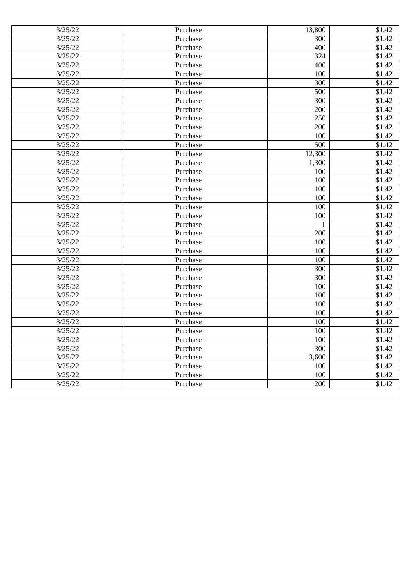| 3/25/22 | Purchase | 13,800       | \$1.42             |
|---------|----------|--------------|--------------------|
| 3/25/22 | Purchase | 300          | \$1.42             |
| 3/25/22 | Purchase | 400          | $\overline{$}1.42$ |
| 3/25/22 | Purchase | 324          | \$1.42             |
| 3/25/22 | Purchase | 400          | \$1.42             |
| 3/25/22 | Purchase | 100          | \$1.42             |
| 3/25/22 | Purchase | 300          | \$1.42             |
| 3/25/22 | Purchase | 500          | \$1.42             |
| 3/25/22 | Purchase | 300          | \$1.42             |
| 3/25/22 | Purchase | 200          | \$1.42             |
| 3/25/22 | Purchase | 250          | \$1.42             |
| 3/25/22 | Purchase | 200          | \$1.42             |
| 3/25/22 | Purchase | 100          | \$1.42             |
| 3/25/22 | Purchase | 500          | \$1.42             |
| 3/25/22 | Purchase | 12,300       | \$1.42             |
| 3/25/22 | Purchase | 1,300        | \$1.42             |
| 3/25/22 | Purchase | 100          | \$1.42             |
| 3/25/22 | Purchase | 100          | \$1.42             |
| 3/25/22 | Purchase | 100          | \$1.42             |
| 3/25/22 | Purchase | 100          | \$1.42             |
| 3/25/22 | Purchase | 100          | \$1.42             |
| 3/25/22 | Purchase | 100          | \$1.42             |
| 3/25/22 | Purchase | $\mathbf{1}$ | \$1.42             |
| 3/25/22 | Purchase | 200          | \$1.42             |
| 3/25/22 | Purchase | 100          | \$1.42             |
| 3/25/22 | Purchase | 100          | \$1.42             |
| 3/25/22 | Purchase | 100          | \$1.42             |
| 3/25/22 | Purchase | 300          | \$1.42             |
| 3/25/22 | Purchase | 300          | \$1.42             |
| 3/25/22 | Purchase | 100          | \$1.42             |
| 3/25/22 | Purchase | 100          | \$1.42             |
| 3/25/22 | Purchase | 100          | \$1.42             |
| 3/25/22 | Purchase | 100          | \$1.42             |
| 3/25/22 | Purchase | 100          | \$1.42             |
| 3/25/22 | Purchase | 100          | \$1.42             |
| 3/25/22 | Purchase | 100          | \$1.42             |
| 3/25/22 | Purchase | 300          | \$1.42             |
| 3/25/22 | Purchase | 3,600        | \$1.42             |
| 3/25/22 | Purchase | 100          | \$1.42             |
| 3/25/22 | Purchase | 100          | \$1.42             |
| 3/25/22 | Purchase | 200          | \$1.42             |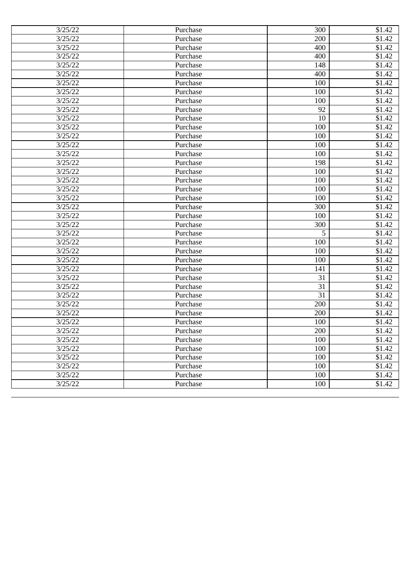| 3/25/22 | Purchase | 300 | \$1.42 |
|---------|----------|-----|--------|
| 3/25/22 | Purchase | 200 | \$1.42 |
| 3/25/22 | Purchase | 400 | \$1.42 |
| 3/25/22 | Purchase | 400 | \$1.42 |
| 3/25/22 | Purchase | 148 | \$1.42 |
| 3/25/22 | Purchase | 400 | \$1.42 |
| 3/25/22 | Purchase | 100 | \$1.42 |
| 3/25/22 | Purchase | 100 | \$1.42 |
| 3/25/22 | Purchase | 100 | \$1.42 |
| 3/25/22 | Purchase | 92  | \$1.42 |
| 3/25/22 | Purchase | 10  | \$1.42 |
| 3/25/22 | Purchase | 100 | \$1.42 |
| 3/25/22 | Purchase | 100 | \$1.42 |
| 3/25/22 | Purchase | 100 | \$1.42 |
| 3/25/22 | Purchase | 100 | \$1.42 |
| 3/25/22 | Purchase | 198 | \$1.42 |
| 3/25/22 | Purchase | 100 | \$1.42 |
| 3/25/22 | Purchase | 100 | \$1.42 |
| 3/25/22 | Purchase | 100 | \$1.42 |
| 3/25/22 | Purchase | 100 | \$1.42 |
| 3/25/22 | Purchase | 300 | \$1.42 |
| 3/25/22 | Purchase | 100 | \$1.42 |
| 3/25/22 | Purchase | 300 | \$1.42 |
| 3/25/22 | Purchase | 5   | \$1.42 |
| 3/25/22 | Purchase | 100 | \$1.42 |
| 3/25/22 | Purchase | 100 | \$1.42 |
| 3/25/22 | Purchase | 100 | \$1.42 |
| 3/25/22 | Purchase | 141 | \$1.42 |
| 3/25/22 | Purchase | 31  | \$1.42 |
| 3/25/22 | Purchase | 31  | \$1.42 |
| 3/25/22 | Purchase | 31  | \$1.42 |
| 3/25/22 | Purchase | 200 | \$1.42 |
| 3/25/22 | Purchase | 200 | \$1.42 |
| 3/25/22 | Purchase | 100 | \$1.42 |
| 3/25/22 | Purchase | 200 | \$1.42 |
| 3/25/22 | Purchase | 100 | \$1.42 |
| 3/25/22 | Purchase | 100 | \$1.42 |
| 3/25/22 | Purchase | 100 | \$1.42 |
| 3/25/22 | Purchase | 100 | \$1.42 |
| 3/25/22 | Purchase | 100 | \$1.42 |
| 3/25/22 | Purchase | 100 | \$1.42 |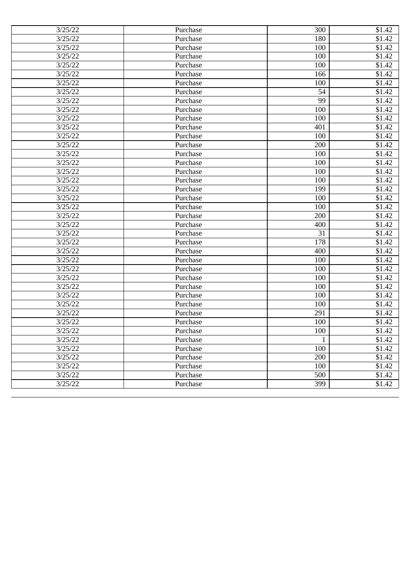| 3/25/22 | Purchase | 300          | \$1.42             |
|---------|----------|--------------|--------------------|
| 3/25/22 | Purchase | 180          | \$1.42             |
| 3/25/22 | Purchase | 100          | $\overline{$}1.42$ |
| 3/25/22 | Purchase | 100          | \$1.42             |
| 3/25/22 | Purchase | 100          | \$1.42             |
| 3/25/22 | Purchase | 166          | \$1.42             |
| 3/25/22 | Purchase | 100          | \$1.42             |
| 3/25/22 | Purchase | 54           | \$1.42             |
| 3/25/22 | Purchase | 99           | \$1.42             |
| 3/25/22 | Purchase | 100          | \$1.42             |
| 3/25/22 | Purchase | 100          | \$1.42             |
| 3/25/22 | Purchase | 401          | \$1.42             |
| 3/25/22 | Purchase | 100          | \$1.42             |
| 3/25/22 | Purchase | 200          | \$1.42             |
| 3/25/22 | Purchase | 100          | \$1.42             |
| 3/25/22 | Purchase | 100          | \$1.42             |
| 3/25/22 | Purchase | 100          | \$1.42             |
| 3/25/22 | Purchase | 100          | \$1.42             |
| 3/25/22 | Purchase | 199          | \$1.42             |
| 3/25/22 | Purchase | 100          | \$1.42             |
| 3/25/22 | Purchase | 100          | \$1.42             |
| 3/25/22 | Purchase | 200          | \$1.42             |
| 3/25/22 | Purchase | 400          | \$1.42             |
| 3/25/22 | Purchase | 31           | \$1.42             |
| 3/25/22 | Purchase | 178          | \$1.42             |
| 3/25/22 | Purchase | 400          | \$1.42             |
| 3/25/22 | Purchase | 100          | \$1.42             |
| 3/25/22 | Purchase | 100          | \$1.42             |
| 3/25/22 | Purchase | 100          | \$1.42             |
| 3/25/22 | Purchase | 100          | \$1.42             |
| 3/25/22 | Purchase | 100          | \$1.42             |
| 3/25/22 | Purchase | 100          | \$1.42             |
| 3/25/22 | Purchase | 291          | \$1.42             |
| 3/25/22 | Purchase | 100          | \$1.42             |
| 3/25/22 | Purchase | 100          | \$1.42             |
| 3/25/22 | Purchase | $\mathbf{1}$ | \$1.42             |
| 3/25/22 | Purchase | 100          | \$1.42             |
| 3/25/22 | Purchase | 200          | \$1.42             |
| 3/25/22 | Purchase | 100          | \$1.42             |
| 3/25/22 | Purchase | 500          | \$1.42             |
| 3/25/22 | Purchase | 399          | \$1.42             |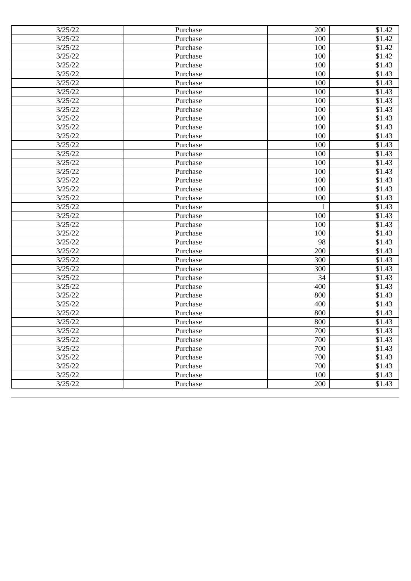| 3/25/22 | Purchase | 200 | \$1.42             |
|---------|----------|-----|--------------------|
| 3/25/22 | Purchase | 100 | \$1.42             |
| 3/25/22 | Purchase | 100 | $\overline{$}1.42$ |
| 3/25/22 | Purchase | 100 | \$1.42             |
| 3/25/22 | Purchase | 100 | \$1.43             |
| 3/25/22 | Purchase | 100 | \$1.43             |
| 3/25/22 | Purchase | 100 | \$1.43             |
| 3/25/22 | Purchase | 100 | \$1.43             |
| 3/25/22 | Purchase | 100 | \$1.43             |
| 3/25/22 | Purchase | 100 | \$1.43             |
| 3/25/22 | Purchase | 100 | \$1.43             |
| 3/25/22 | Purchase | 100 | \$1.43             |
| 3/25/22 | Purchase | 100 | $\overline{$}1.43$ |
| 3/25/22 | Purchase | 100 | $\overline{$1,43}$ |
| 3/25/22 | Purchase | 100 | \$1.43             |
| 3/25/22 | Purchase | 100 | \$1.43             |
| 3/25/22 | Purchase | 100 | \$1.43             |
| 3/25/22 | Purchase | 100 | \$1.43             |
| 3/25/22 | Purchase | 100 | \$1.43             |
| 3/25/22 | Purchase | 100 | \$1.43             |
| 3/25/22 | Purchase | 1   | \$1.43             |
| 3/25/22 | Purchase | 100 | \$1.43             |
| 3/25/22 | Purchase | 100 | \$1.43             |
| 3/25/22 | Purchase | 100 | \$1.43             |
| 3/25/22 | Purchase | 98  | \$1.43             |
| 3/25/22 | Purchase | 200 | \$1.43             |
| 3/25/22 | Purchase | 300 | \$1.43             |
| 3/25/22 | Purchase | 300 | \$1.43             |
| 3/25/22 | Purchase | 34  | \$1.43             |
| 3/25/22 | Purchase | 400 | \$1.43             |
| 3/25/22 | Purchase | 800 | \$1.43             |
| 3/25/22 | Purchase | 400 | \$1.43             |
| 3/25/22 | Purchase | 800 | \$1.43             |
| 3/25/22 | Purchase | 800 | \$1.43             |
| 3/25/22 | Purchase | 700 | \$1.43             |
| 3/25/22 | Purchase | 700 | \$1.43             |
| 3/25/22 | Purchase | 700 | \$1.43             |
| 3/25/22 | Purchase | 700 | \$1.43             |
| 3/25/22 | Purchase | 700 | \$1.43             |
| 3/25/22 | Purchase | 100 | \$1.43             |
| 3/25/22 | Purchase | 200 | \$1.43             |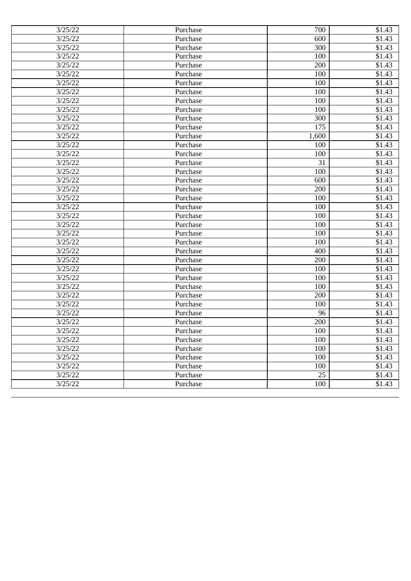| 3/25/22 | Purchase | 700             | \$1.43             |
|---------|----------|-----------------|--------------------|
| 3/25/22 | Purchase | 600             | \$1.43             |
| 3/25/22 | Purchase | 300             | \$1.43             |
| 3/25/22 | Purchase | 100             | \$1.43             |
| 3/25/22 | Purchase | 200             | \$1.43             |
| 3/25/22 | Purchase | 100             | \$1.43             |
| 3/25/22 | Purchase | 100             | \$1.43             |
| 3/25/22 | Purchase | 100             | \$1.43             |
| 3/25/22 | Purchase | 100             | \$1.43             |
| 3/25/22 | Purchase | 100             | \$1.43             |
| 3/25/22 | Purchase | 300             | \$1.43             |
| 3/25/22 | Purchase | 175             | \$1.43             |
| 3/25/22 | Purchase | 1,600           | $\overline{$}1.43$ |
| 3/25/22 | Purchase | 100             | $\overline{$1,43}$ |
| 3/25/22 | Purchase | 100             | \$1.43             |
| 3/25/22 | Purchase | 31              | \$1.43             |
| 3/25/22 | Purchase | 100             | \$1.43             |
| 3/25/22 | Purchase | 600             | \$1.43             |
| 3/25/22 | Purchase | 200             | \$1.43             |
| 3/25/22 | Purchase | 100             | \$1.43             |
| 3/25/22 | Purchase | 100             | \$1.43             |
| 3/25/22 | Purchase | 100             | \$1.43             |
| 3/25/22 | Purchase | 100             | \$1.43             |
| 3/25/22 | Purchase | 100             | \$1.43             |
| 3/25/22 | Purchase | 100             | \$1.43             |
| 3/25/22 | Purchase | 400             | \$1.43             |
| 3/25/22 | Purchase | 200             | \$1.43             |
| 3/25/22 | Purchase | 100             | \$1.43             |
| 3/25/22 | Purchase | 100             | \$1.43             |
| 3/25/22 | Purchase | 100             | \$1.43             |
| 3/25/22 | Purchase | 200             | \$1.43             |
| 3/25/22 | Purchase | 100             | \$1.43             |
| 3/25/22 | Purchase | 96              | \$1.43             |
| 3/25/22 | Purchase | 200             | \$1.43             |
| 3/25/22 | Purchase | 100             | \$1.43             |
| 3/25/22 | Purchase | 100             | \$1.43             |
| 3/25/22 | Purchase | 100             | \$1.43             |
| 3/25/22 | Purchase | 100             | \$1.43             |
| 3/25/22 | Purchase | 100             | \$1.43             |
| 3/25/22 | Purchase | $\overline{25}$ | \$1.43             |
| 3/25/22 | Purchase | 100             | \$1.43             |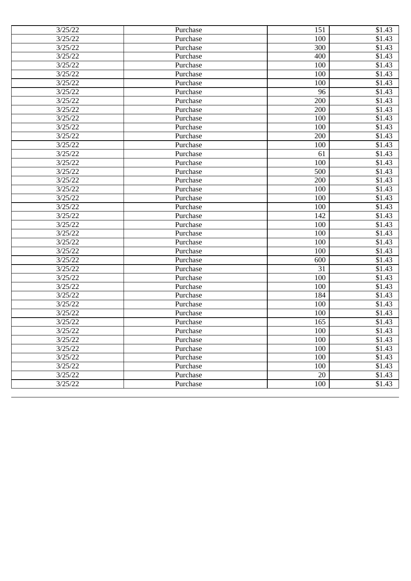| 3/25/22 | Purchase | 151 | \$1.43             |
|---------|----------|-----|--------------------|
| 3/25/22 | Purchase | 100 | \$1.43             |
| 3/25/22 | Purchase | 300 | \$1.43             |
| 3/25/22 | Purchase | 400 | \$1.43             |
| 3/25/22 | Purchase | 100 | \$1.43             |
| 3/25/22 | Purchase | 100 | \$1.43             |
| 3/25/22 | Purchase | 100 | \$1.43             |
| 3/25/22 | Purchase | 96  | \$1.43             |
| 3/25/22 | Purchase | 200 | \$1.43             |
| 3/25/22 | Purchase | 200 | \$1.43             |
| 3/25/22 | Purchase | 100 | \$1.43             |
| 3/25/22 | Purchase | 100 | \$1.43             |
| 3/25/22 | Purchase | 200 | \$1.43             |
| 3/25/22 | Purchase | 100 | \$1.43             |
| 3/25/22 | Purchase | 61  | \$1.43             |
| 3/25/22 | Purchase | 100 | \$1.43             |
| 3/25/22 | Purchase | 500 | \$1.43             |
| 3/25/22 | Purchase | 200 | \$1.43             |
| 3/25/22 | Purchase | 100 | \$1.43             |
| 3/25/22 | Purchase | 100 | \$1.43             |
| 3/25/22 | Purchase | 100 | $\overline{$}1.43$ |
| 3/25/22 | Purchase | 142 | \$1.43             |
| 3/25/22 | Purchase | 100 | \$1.43             |
| 3/25/22 | Purchase | 100 | \$1.43             |
| 3/25/22 | Purchase | 100 | \$1.43             |
| 3/25/22 | Purchase | 100 | \$1.43             |
| 3/25/22 | Purchase | 600 | $\overline{$}1.43$ |
| 3/25/22 | Purchase | 31  | \$1.43             |
| 3/25/22 | Purchase | 100 | \$1.43             |
| 3/25/22 | Purchase | 100 | \$1.43             |
| 3/25/22 | Purchase | 184 | \$1.43             |
| 3/25/22 | Purchase | 100 | \$1.43             |
| 3/25/22 | Purchase | 100 | \$1.43             |
| 3/25/22 | Purchase | 165 | \$1.43             |
| 3/25/22 | Purchase | 100 | \$1.43             |
| 3/25/22 | Purchase | 100 | \$1.43             |
| 3/25/22 | Purchase | 100 | \$1.43             |
| 3/25/22 | Purchase | 100 | \$1.43             |
| 3/25/22 | Purchase | 100 | \$1.43             |
| 3/25/22 | Purchase | 20  | \$1.43             |
| 3/25/22 | Purchase | 100 | \$1.43             |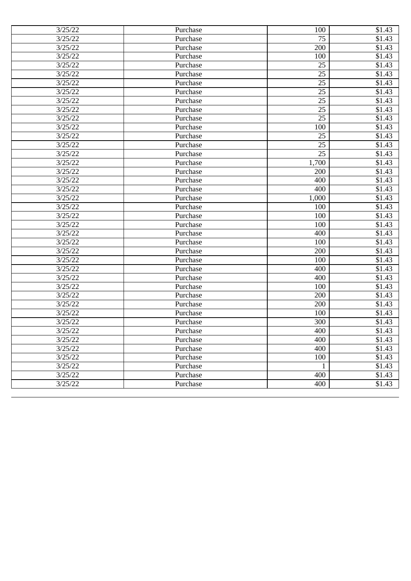| 3/25/22 | Purchase | 100             | \$1.43 |
|---------|----------|-----------------|--------|
| 3/25/22 | Purchase | 75              | \$1.43 |
| 3/25/22 | Purchase | 200             | \$1.43 |
| 3/25/22 | Purchase | 100             | \$1.43 |
| 3/25/22 | Purchase | 25              | \$1.43 |
| 3/25/22 | Purchase | 25              | \$1.43 |
| 3/25/22 | Purchase | 25              | \$1.43 |
| 3/25/22 | Purchase | 25              | \$1.43 |
| 3/25/22 | Purchase | 25              | \$1.43 |
| 3/25/22 | Purchase | 25              | \$1.43 |
| 3/25/22 | Purchase | 25              | \$1.43 |
| 3/25/22 | Purchase | 100             | \$1.43 |
| 3/25/22 | Purchase | 25              | \$1.43 |
| 3/25/22 | Purchase | 25              | \$1.43 |
| 3/25/22 | Purchase | $\overline{25}$ | \$1.43 |
| 3/25/22 | Purchase | 1,700           | \$1.43 |
| 3/25/22 | Purchase | 200             | \$1.43 |
| 3/25/22 | Purchase | 400             | \$1.43 |
| 3/25/22 | Purchase | 400             | \$1.43 |
| 3/25/22 | Purchase | 1,000           | \$1.43 |
| 3/25/22 | Purchase | 100             | \$1.43 |
| 3/25/22 | Purchase | 100             | \$1.43 |
| 3/25/22 | Purchase | 100             | \$1.43 |
| 3/25/22 | Purchase | 400             | \$1.43 |
| 3/25/22 | Purchase | 100             | \$1.43 |
| 3/25/22 | Purchase | 200             | \$1.43 |
| 3/25/22 | Purchase | 100             | \$1.43 |
| 3/25/22 | Purchase | 400             | \$1.43 |
| 3/25/22 | Purchase | 400             | \$1.43 |
| 3/25/22 | Purchase | 100             | \$1.43 |
| 3/25/22 | Purchase | 200             | \$1.43 |
| 3/25/22 | Purchase | 200             | \$1.43 |
| 3/25/22 | Purchase | 100             | \$1.43 |
| 3/25/22 | Purchase | 300             | \$1.43 |
| 3/25/22 | Purchase | 400             | \$1.43 |
| 3/25/22 | Purchase | 400             | \$1.43 |
| 3/25/22 | Purchase | 400             | \$1.43 |
| 3/25/22 | Purchase | 100             | \$1.43 |
| 3/25/22 | Purchase | 1               | \$1.43 |
| 3/25/22 | Purchase | 400             | \$1.43 |
| 3/25/22 | Purchase | 400             | \$1.43 |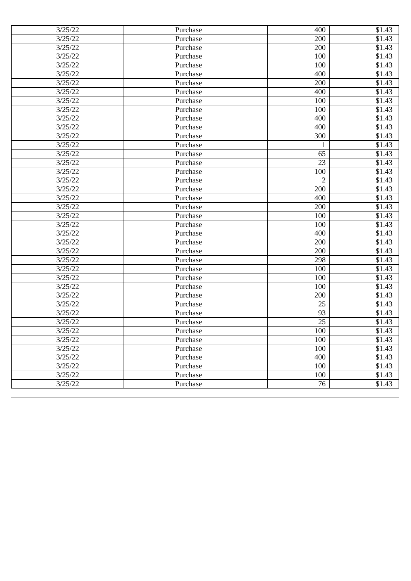| 3/25/22 | Purchase | 400             | \$1.43             |
|---------|----------|-----------------|--------------------|
| 3/25/22 | Purchase | 200             | \$1.43             |
| 3/25/22 | Purchase | 200             | \$1.43             |
| 3/25/22 | Purchase | 100             | \$1.43             |
| 3/25/22 | Purchase | 100             | \$1.43             |
| 3/25/22 | Purchase | 400             | \$1.43             |
| 3/25/22 | Purchase | 200             | \$1.43             |
| 3/25/22 | Purchase | 400             | \$1.43             |
| 3/25/22 | Purchase | 100             | \$1.43             |
| 3/25/22 | Purchase | 100             | \$1.43             |
| 3/25/22 | Purchase | 400             | \$1.43             |
| 3/25/22 | Purchase | 400             | \$1.43             |
| 3/25/22 | Purchase | 300             | \$1.43             |
| 3/25/22 | Purchase | 1               | \$1.43             |
| 3/25/22 | Purchase | 65              | \$1.43             |
| 3/25/22 | Purchase | 23              | \$1.43             |
| 3/25/22 | Purchase | 100             | \$1.43             |
| 3/25/22 | Purchase | $\overline{2}$  | \$1.43             |
| 3/25/22 | Purchase | 200             | \$1.43             |
| 3/25/22 | Purchase | 400             | \$1.43             |
| 3/25/22 | Purchase | 200             | $\overline{$}1.43$ |
| 3/25/22 | Purchase | 100             | \$1.43             |
| 3/25/22 | Purchase | 100             | \$1.43             |
| 3/25/22 | Purchase | 400             | \$1.43             |
| 3/25/22 | Purchase | 200             | \$1.43             |
| 3/25/22 | Purchase | 200             | \$1.43             |
| 3/25/22 | Purchase | 298             | \$1.43             |
| 3/25/22 | Purchase | 100             | \$1.43             |
| 3/25/22 | Purchase | 100             | \$1.43             |
| 3/25/22 | Purchase | 100             | \$1.43             |
| 3/25/22 | Purchase | 200             | \$1.43             |
| 3/25/22 | Purchase | 25              | \$1.43             |
| 3/25/22 | Purchase | 93              | \$1.43             |
| 3/25/22 | Purchase | 25              | \$1.43             |
| 3/25/22 | Purchase | 100             | \$1.43             |
| 3/25/22 | Purchase | 100             | \$1.43             |
| 3/25/22 | Purchase | 100             | \$1.43             |
| 3/25/22 | Purchase | 400             | \$1.43             |
| 3/25/22 | Purchase | 100             | \$1.43             |
| 3/25/22 | Purchase | 100             | \$1.43             |
| 3/25/22 | Purchase | $\overline{76}$ | \$1.43             |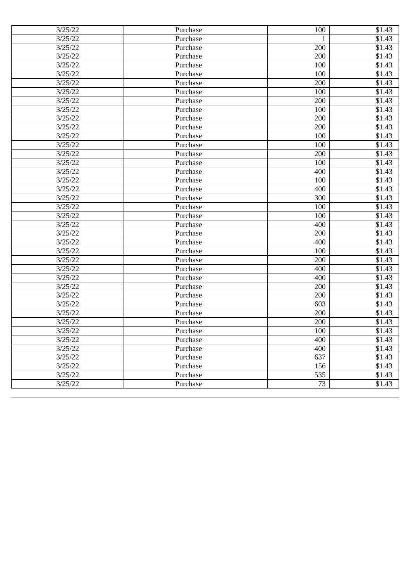| 3/25/22 | Purchase | 100          | \$1.43 |
|---------|----------|--------------|--------|
| 3/25/22 | Purchase | $\mathbf{1}$ | \$1.43 |
| 3/25/22 | Purchase | 200          | \$1.43 |
| 3/25/22 | Purchase | 200          | \$1.43 |
| 3/25/22 | Purchase | 100          | \$1.43 |
| 3/25/22 | Purchase | 100          | \$1.43 |
| 3/25/22 | Purchase | 200          | \$1.43 |
| 3/25/22 | Purchase | 100          | \$1.43 |
| 3/25/22 | Purchase | 200          | \$1.43 |
| 3/25/22 | Purchase | 100          | \$1.43 |
| 3/25/22 | Purchase | 200          | \$1.43 |
| 3/25/22 | Purchase | 200          | \$1.43 |
| 3/25/22 | Purchase | 100          | \$1.43 |
| 3/25/22 | Purchase | 100          | \$1.43 |
| 3/25/22 | Purchase | 200          | \$1.43 |
| 3/25/22 | Purchase | 100          | \$1.43 |
| 3/25/22 | Purchase | 400          | \$1.43 |
| 3/25/22 | Purchase | 100          | \$1.43 |
| 3/25/22 | Purchase | 400          | \$1.43 |
| 3/25/22 | Purchase | 300          | \$1.43 |
| 3/25/22 | Purchase | 100          | \$1.43 |
| 3/25/22 | Purchase | 100          | \$1.43 |
| 3/25/22 | Purchase | 400          | \$1.43 |
| 3/25/22 | Purchase | 200          | \$1.43 |
| 3/25/22 | Purchase | 400          | \$1.43 |
| 3/25/22 | Purchase | 100          | \$1.43 |
| 3/25/22 | Purchase | 200          | \$1.43 |
| 3/25/22 | Purchase | 400          | \$1.43 |
| 3/25/22 | Purchase | 400          | \$1.43 |
| 3/25/22 | Purchase | 200          | \$1.43 |
| 3/25/22 | Purchase | 200          | \$1.43 |
| 3/25/22 | Purchase | 603          | \$1.43 |
| 3/25/22 | Purchase | 200          | \$1.43 |
| 3/25/22 | Purchase | 200          | \$1.43 |
| 3/25/22 | Purchase | 100          | \$1.43 |
| 3/25/22 | Purchase | 400          | \$1.43 |
| 3/25/22 | Purchase | 400          | \$1.43 |
| 3/25/22 | Purchase | 637          | \$1.43 |
| 3/25/22 | Purchase | 156          | \$1.43 |
| 3/25/22 | Purchase | 535          | \$1.43 |
| 3/25/22 | Purchase | 73           | \$1.43 |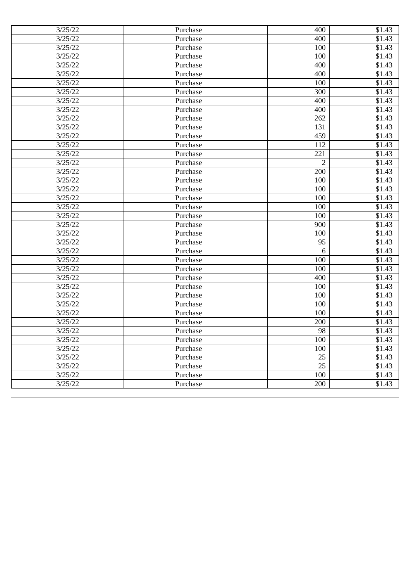| 3/25/22 | Purchase | 400             | \$1.43             |
|---------|----------|-----------------|--------------------|
| 3/25/22 | Purchase | 400             | \$1.43             |
| 3/25/22 | Purchase | 100             | \$1.43             |
| 3/25/22 | Purchase | 100             | \$1.43             |
| 3/25/22 | Purchase | 400             | \$1.43             |
| 3/25/22 | Purchase | 400             | \$1.43             |
| 3/25/22 | Purchase | 100             | \$1.43             |
| 3/25/22 | Purchase | 300             | \$1.43             |
| 3/25/22 | Purchase | 400             | \$1.43             |
| 3/25/22 | Purchase | 400             | \$1.43             |
| 3/25/22 | Purchase | 262             | \$1.43             |
| 3/25/22 | Purchase | 131             | \$1.43             |
| 3/25/22 | Purchase | 459             | $\overline{$}1.43$ |
| 3/25/22 | Purchase | 112             | \$1.43             |
| 3/25/22 | Purchase | 221             | \$1.43             |
| 3/25/22 | Purchase | $\overline{2}$  | \$1.43             |
| 3/25/22 | Purchase | 200             | \$1.43             |
| 3/25/22 | Purchase | 100             | \$1.43             |
| 3/25/22 | Purchase | 100             | \$1.43             |
| 3/25/22 | Purchase | 100             | \$1.43             |
| 3/25/22 | Purchase | 100             | \$1.43             |
| 3/25/22 | Purchase | 100             | \$1.43             |
| 3/25/22 | Purchase | 900             | \$1.43             |
| 3/25/22 | Purchase | 100             | \$1.43             |
| 3/25/22 | Purchase | 95              | \$1.43             |
| 3/25/22 | Purchase | 6               | \$1.43             |
| 3/25/22 | Purchase | 100             | \$1.43             |
| 3/25/22 | Purchase | 100             | \$1.43             |
| 3/25/22 | Purchase | 400             | \$1.43             |
| 3/25/22 | Purchase | 100             | \$1.43             |
| 3/25/22 | Purchase | 100             | \$1.43             |
| 3/25/22 | Purchase | 100             | \$1.43             |
| 3/25/22 | Purchase | 100             | \$1.43             |
| 3/25/22 | Purchase | 200             | \$1.43             |
| 3/25/22 | Purchase | 98              | \$1.43             |
| 3/25/22 | Purchase | 100             | \$1.43             |
| 3/25/22 | Purchase | 100             | \$1.43             |
| 3/25/22 | Purchase | 25              | \$1.43             |
| 3/25/22 | Purchase | $\overline{25}$ | \$1.43             |
| 3/25/22 | Purchase | 100             | \$1.43             |
| 3/25/22 | Purchase | 200             | \$1.43             |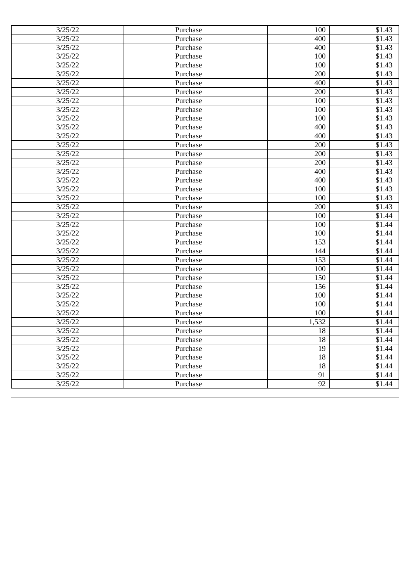| 3/25/22 | Purchase | 100             | \$1.43             |
|---------|----------|-----------------|--------------------|
| 3/25/22 | Purchase | 400             | \$1.43             |
| 3/25/22 | Purchase | 400             | \$1.43             |
| 3/25/22 | Purchase | 100             | \$1.43             |
| 3/25/22 | Purchase | 100             | \$1.43             |
| 3/25/22 | Purchase | 200             | \$1.43             |
| 3/25/22 | Purchase | 400             | \$1.43             |
| 3/25/22 | Purchase | 200             | \$1.43             |
| 3/25/22 | Purchase | 100             | \$1.43             |
| 3/25/22 | Purchase | 100             | \$1.43             |
| 3/25/22 | Purchase | 100             | \$1.43             |
| 3/25/22 | Purchase | 400             | \$1.43             |
| 3/25/22 | Purchase | 400             | $\overline{$}1.43$ |
| 3/25/22 | Purchase | 200             | $\overline{$1,43}$ |
| 3/25/22 | Purchase | 200             | \$1.43             |
| 3/25/22 | Purchase | 200             | \$1.43             |
| 3/25/22 | Purchase | 400             | \$1.43             |
| 3/25/22 | Purchase | 400             | \$1.43             |
| 3/25/22 | Purchase | 100             | \$1.43             |
| 3/25/22 | Purchase | 100             | \$1.43             |
| 3/25/22 | Purchase | 200             | \$1.43             |
| 3/25/22 | Purchase | 100             | \$1.44             |
| 3/25/22 | Purchase | 100             | \$1.44             |
| 3/25/22 | Purchase | 100             | \$1.44             |
| 3/25/22 | Purchase | 153             | \$1.44             |
| 3/25/22 | Purchase | 144             | \$1.44             |
| 3/25/22 | Purchase | 153             | \$1.44             |
| 3/25/22 | Purchase | 100             | \$1.44             |
| 3/25/22 | Purchase | 150             | \$1.44             |
| 3/25/22 | Purchase | 156             | \$1.44             |
| 3/25/22 | Purchase | 100             | \$1.44             |
| 3/25/22 | Purchase | 100             | \$1.44             |
| 3/25/22 | Purchase | 100             | \$1.44             |
| 3/25/22 | Purchase | 1,532           | \$1.44             |
| 3/25/22 | Purchase | 18              | \$1.44             |
| 3/25/22 | Purchase | 18              | \$1.44             |
| 3/25/22 | Purchase | 19              | $\overline{$}1.44$ |
| 3/25/22 | Purchase | 18              | \$1.44             |
| 3/25/22 | Purchase | 18              | \$1.44             |
| 3/25/22 | Purchase | 91              | \$1.44             |
| 3/25/22 | Purchase | $\overline{92}$ | \$1.44             |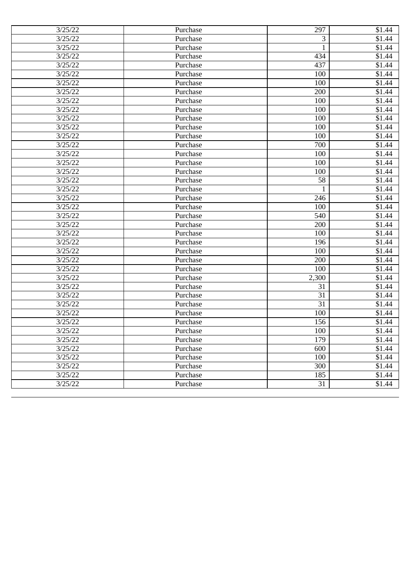| 3/25/22 | Purchase | 297          | \$1.44 |
|---------|----------|--------------|--------|
| 3/25/22 | Purchase | 3            | \$1.44 |
| 3/25/22 | Purchase | $\mathbf{1}$ | \$1.44 |
| 3/25/22 | Purchase | 434          | \$1.44 |
| 3/25/22 | Purchase | 437          | \$1.44 |
| 3/25/22 | Purchase | 100          | \$1.44 |
| 3/25/22 | Purchase | 100          | \$1.44 |
| 3/25/22 | Purchase | 200          | \$1.44 |
| 3/25/22 | Purchase | 100          | \$1.44 |
| 3/25/22 | Purchase | 100          | \$1.44 |
| 3/25/22 | Purchase | 100          | \$1.44 |
| 3/25/22 | Purchase | 100          | \$1.44 |
| 3/25/22 | Purchase | 100          | \$1.44 |
| 3/25/22 | Purchase | 700          | \$1.44 |
| 3/25/22 | Purchase | 100          | \$1.44 |
| 3/25/22 | Purchase | 100          | \$1.44 |
| 3/25/22 | Purchase | 100          | \$1.44 |
| 3/25/22 | Purchase | 58           | \$1.44 |
| 3/25/22 | Purchase | 1            | \$1.44 |
| 3/25/22 | Purchase | 246          | \$1.44 |
| 3/25/22 | Purchase | 100          | \$1.44 |
| 3/25/22 | Purchase | 540          | \$1.44 |
| 3/25/22 | Purchase | 200          | \$1.44 |
| 3/25/22 | Purchase | 100          | \$1.44 |
| 3/25/22 | Purchase | 196          | \$1.44 |
| 3/25/22 | Purchase | 100          | \$1.44 |
| 3/25/22 | Purchase | 200          | \$1.44 |
| 3/25/22 | Purchase | 100          | \$1.44 |
| 3/25/22 | Purchase | 2,300        | \$1.44 |
| 3/25/22 | Purchase | 31           | \$1.44 |
| 3/25/22 | Purchase | 31           | \$1.44 |
| 3/25/22 | Purchase | 31           | \$1.44 |
| 3/25/22 | Purchase | 100          | \$1.44 |
| 3/25/22 | Purchase | 156          | \$1.44 |
| 3/25/22 | Purchase | 100          | \$1.44 |
| 3/25/22 | Purchase | 179          | \$1.44 |
| 3/25/22 | Purchase | 600          | \$1.44 |
| 3/25/22 | Purchase | 100          | \$1.44 |
| 3/25/22 | Purchase | 300          | \$1.44 |
| 3/25/22 | Purchase | 185          | \$1.44 |
| 3/25/22 | Purchase | 31           | \$1.44 |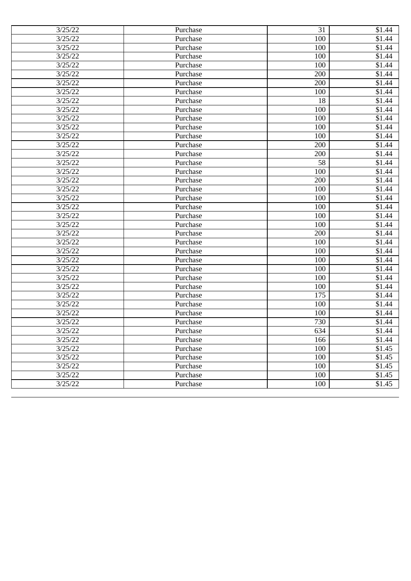| 3/25/22 | Purchase | 31  | \$1.44             |
|---------|----------|-----|--------------------|
| 3/25/22 | Purchase | 100 | \$1.44             |
| 3/25/22 | Purchase | 100 | \$1.44             |
| 3/25/22 | Purchase | 100 | \$1.44             |
| 3/25/22 | Purchase | 100 | \$1.44             |
| 3/25/22 | Purchase | 200 | \$1.44             |
| 3/25/22 | Purchase | 200 | \$1.44             |
| 3/25/22 | Purchase | 100 | \$1.44             |
| 3/25/22 | Purchase | 18  | \$1.44             |
| 3/25/22 | Purchase | 100 | \$1.44             |
| 3/25/22 | Purchase | 100 | \$1.44             |
| 3/25/22 | Purchase | 100 | $\overline{$}1.44$ |
| 3/25/22 | Purchase | 100 | $\overline{$}1.44$ |
| 3/25/22 | Purchase | 200 | \$1.44             |
| 3/25/22 | Purchase | 200 | \$1.44             |
| 3/25/22 | Purchase | 58  | \$1.44             |
| 3/25/22 | Purchase | 100 | \$1.44             |
| 3/25/22 | Purchase | 200 | \$1.44             |
| 3/25/22 | Purchase | 100 | $\overline{$1,44}$ |
| 3/25/22 | Purchase | 100 | \$1.44             |
| 3/25/22 | Purchase | 100 | \$1.44             |
| 3/25/22 | Purchase | 100 | \$1.44             |
| 3/25/22 | Purchase | 100 | \$1.44             |
| 3/25/22 | Purchase | 200 | \$1.44             |
| 3/25/22 | Purchase | 100 | \$1.44             |
| 3/25/22 | Purchase | 100 | \$1.44             |
| 3/25/22 | Purchase | 100 | \$1.44             |
| 3/25/22 | Purchase | 100 | \$1.44             |
| 3/25/22 | Purchase | 100 | \$1.44             |
| 3/25/22 | Purchase | 100 | \$1.44             |
| 3/25/22 | Purchase | 175 | \$1.44             |
| 3/25/22 | Purchase | 100 | \$1.44             |
| 3/25/22 | Purchase | 100 | \$1.44             |
| 3/25/22 | Purchase | 730 | \$1.44             |
| 3/25/22 | Purchase | 634 | \$1.44             |
| 3/25/22 | Purchase | 166 | \$1.44             |
| 3/25/22 | Purchase | 100 | \$1.45             |
| 3/25/22 | Purchase | 100 | \$1.45             |
| 3/25/22 | Purchase | 100 | \$1.45             |
| 3/25/22 | Purchase | 100 | \$1.45             |
| 3/25/22 | Purchase | 100 | $\overline{$}1.45$ |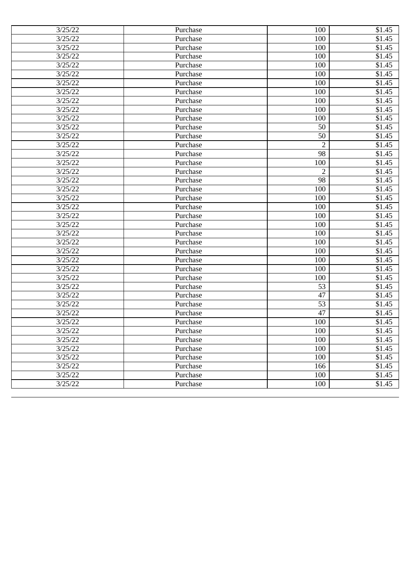| 3/25/22 | Purchase | 100            | \$1.45              |
|---------|----------|----------------|---------------------|
| 3/25/22 | Purchase | 100            | \$1.45              |
| 3/25/22 | Purchase | 100            | \$1.45              |
| 3/25/22 | Purchase | 100            | \$1.45              |
| 3/25/22 | Purchase | 100            | \$1.45              |
| 3/25/22 | Purchase | 100            | \$1.45              |
| 3/25/22 | Purchase | 100            | \$1.45              |
| 3/25/22 | Purchase | 100            | \$1.45              |
| 3/25/22 | Purchase | 100            | \$1.45              |
| 3/25/22 | Purchase | 100            | \$1.45              |
| 3/25/22 | Purchase | 100            | \$1.45              |
| 3/25/22 | Purchase | 50             | \$1.45              |
| 3/25/22 | Purchase | 50             | $\overline{$}1.45$  |
| 3/25/22 | Purchase | $\overline{2}$ | $\overline{\$}1.45$ |
| 3/25/22 | Purchase | 98             | \$1.45              |
| 3/25/22 | Purchase | 100            | \$1.45              |
| 3/25/22 | Purchase | $\overline{2}$ | \$1.45              |
| 3/25/22 | Purchase | 98             | \$1.45              |
| 3/25/22 | Purchase | 100            | \$1.45              |
| 3/25/22 | Purchase | 100            | \$1.45              |
| 3/25/22 | Purchase | 100            | \$1.45              |
| 3/25/22 | Purchase | 100            | \$1.45              |
| 3/25/22 | Purchase | 100            | \$1.45              |
| 3/25/22 | Purchase | 100            | \$1.45              |
| 3/25/22 | Purchase | 100            | \$1.45              |
| 3/25/22 | Purchase | 100            | \$1.45              |
| 3/25/22 | Purchase | 100            | \$1.45              |
| 3/25/22 | Purchase | 100            | \$1.45              |
| 3/25/22 | Purchase | 100            | \$1.45              |
| 3/25/22 | Purchase | 53             | \$1.45              |
| 3/25/22 | Purchase | 47             | \$1.45              |
| 3/25/22 | Purchase | 53             | \$1.45              |
| 3/25/22 | Purchase | 47             | \$1.45              |
| 3/25/22 | Purchase | 100            | \$1.45              |
| 3/25/22 | Purchase | 100            | \$1.45              |
| 3/25/22 | Purchase | 100            | \$1.45              |
| 3/25/22 | Purchase | 100            | \$1.45              |
| 3/25/22 | Purchase | 100            | \$1.45              |
| 3/25/22 | Purchase | 166            | \$1.45              |
| 3/25/22 | Purchase | 100            | \$1.45              |
| 3/25/22 | Purchase | 100            | \$1.45              |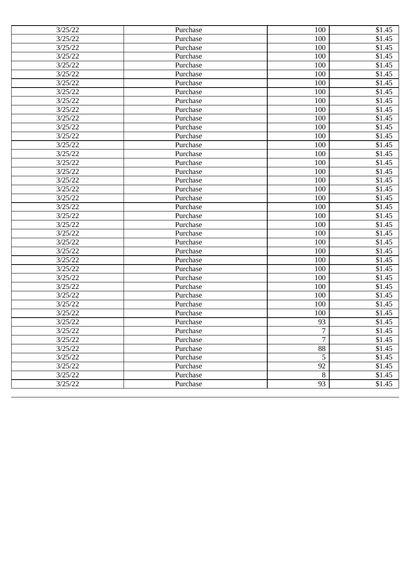| 3/25/22 | Purchase | 100             | \$1.45 |
|---------|----------|-----------------|--------|
| 3/25/22 | Purchase | 100             | \$1.45 |
| 3/25/22 | Purchase | 100             | \$1.45 |
| 3/25/22 | Purchase | 100             | \$1.45 |
| 3/25/22 | Purchase | 100             | \$1.45 |
| 3/25/22 | Purchase | 100             | \$1.45 |
| 3/25/22 | Purchase | 100             | \$1.45 |
| 3/25/22 | Purchase | 100             | \$1.45 |
| 3/25/22 | Purchase | 100             | \$1.45 |
| 3/25/22 | Purchase | 100             | \$1.45 |
| 3/25/22 | Purchase | 100             | \$1.45 |
| 3/25/22 | Purchase | 100             | \$1.45 |
| 3/25/22 | Purchase | 100             | \$1.45 |
| 3/25/22 | Purchase | 100             | \$1.45 |
| 3/25/22 | Purchase | 100             | \$1.45 |
| 3/25/22 | Purchase | 100             | \$1.45 |
| 3/25/22 | Purchase | 100             | \$1.45 |
| 3/25/22 | Purchase | 100             | \$1.45 |
| 3/25/22 | Purchase | 100             | \$1.45 |
| 3/25/22 | Purchase | 100             | \$1.45 |
| 3/25/22 | Purchase | 100             | \$1.45 |
| 3/25/22 | Purchase | 100             | \$1.45 |
| 3/25/22 | Purchase | 100             | \$1.45 |
| 3/25/22 | Purchase | 100             | \$1.45 |
| 3/25/22 | Purchase | 100             | \$1.45 |
| 3/25/22 | Purchase | 100             | \$1.45 |
| 3/25/22 | Purchase | 100             | \$1.45 |
| 3/25/22 | Purchase | 100             | \$1.45 |
| 3/25/22 | Purchase | 100             | \$1.45 |
| 3/25/22 | Purchase | 100             | \$1.45 |
| 3/25/22 | Purchase | 100             | \$1.45 |
| 3/25/22 | Purchase | 100             | \$1.45 |
| 3/25/22 | Purchase | 100             | \$1.45 |
| 3/25/22 | Purchase | 93              | \$1.45 |
| 3/25/22 | Purchase | 7               | \$1.45 |
| 3/25/22 | Purchase | 7               | \$1.45 |
| 3/25/22 | Purchase | 88              | \$1.45 |
| 3/25/22 | Purchase | $\overline{5}$  | \$1.45 |
| 3/25/22 | Purchase | $\overline{92}$ | \$1.45 |
| 3/25/22 | Purchase | $\overline{8}$  | \$1.45 |
| 3/25/22 | Purchase | $\overline{93}$ | \$1.45 |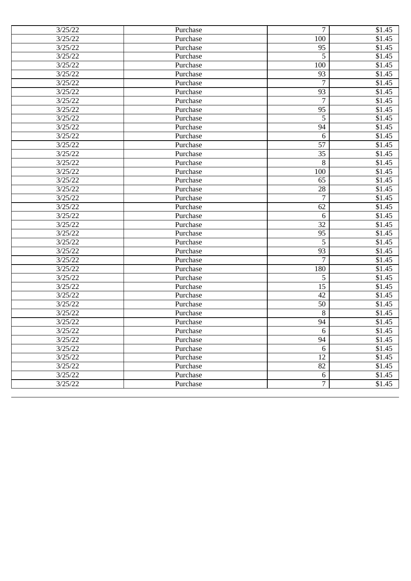| 3/25/22 | Purchase | 7                | \$1.45 |
|---------|----------|------------------|--------|
| 3/25/22 | Purchase | 100              | \$1.45 |
| 3/25/22 | Purchase | 95               | \$1.45 |
| 3/25/22 | Purchase | 5                | \$1.45 |
| 3/25/22 | Purchase | 100              | \$1.45 |
| 3/25/22 | Purchase | 93               | \$1.45 |
| 3/25/22 | Purchase | 7                | \$1.45 |
| 3/25/22 | Purchase | 93               | \$1.45 |
| 3/25/22 | Purchase | 7                | \$1.45 |
| 3/25/22 | Purchase | 95               | \$1.45 |
| 3/25/22 | Purchase | 5                | \$1.45 |
| 3/25/22 | Purchase | 94               | \$1.45 |
| 3/25/22 | Purchase | 6                | \$1.45 |
| 3/25/22 | Purchase | 57               | \$1.45 |
| 3/25/22 | Purchase | 35               | \$1.45 |
| 3/25/22 | Purchase | 8                | \$1.45 |
| 3/25/22 | Purchase | 100              | \$1.45 |
| 3/25/22 | Purchase | 65               | \$1.45 |
| 3/25/22 | Purchase | 28               | \$1.45 |
| 3/25/22 | Purchase | 7                | \$1.45 |
| 3/25/22 | Purchase | 62               | \$1.45 |
| 3/25/22 | Purchase | 6                | \$1.45 |
| 3/25/22 | Purchase | 32               | \$1.45 |
| 3/25/22 | Purchase | 95               | \$1.45 |
| 3/25/22 | Purchase | 5                | \$1.45 |
| 3/25/22 | Purchase | 93               | \$1.45 |
| 3/25/22 | Purchase | 7                | \$1.45 |
| 3/25/22 | Purchase | 180              | \$1.45 |
| 3/25/22 | Purchase | 5                | \$1.45 |
| 3/25/22 | Purchase | 15               | \$1.45 |
| 3/25/22 | Purchase | 42               | \$1.45 |
| 3/25/22 | Purchase | 50               | \$1.45 |
| 3/25/22 | Purchase | 8                | \$1.45 |
| 3/25/22 | Purchase | 94               | \$1.45 |
| 3/25/22 | Purchase | 6                | \$1.45 |
| 3/25/22 | Purchase | 94               | \$1.45 |
| 3/25/22 | Purchase | $6\,$            | \$1.45 |
| 3/25/22 | Purchase | $\overline{12}$  | \$1.45 |
| 3/25/22 | Purchase | $\overline{82}$  | \$1.45 |
| 3/25/22 | Purchase | $6 \overline{6}$ | \$1.45 |
| 3/25/22 | Purchase | 7                | \$1.45 |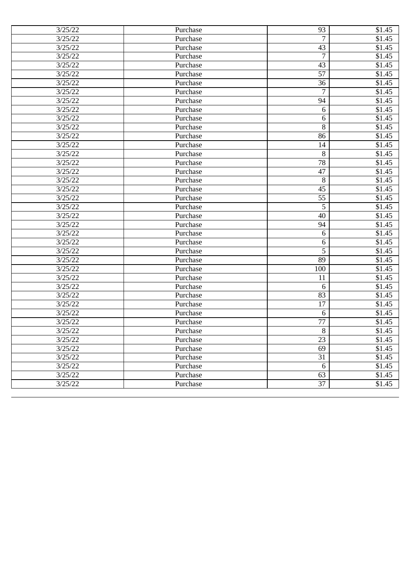| 3/25/22              | Purchase | 93              | \$1.45 |
|----------------------|----------|-----------------|--------|
| 3/25/22              | Purchase | $\overline{7}$  | \$1.45 |
| 3/25/22              | Purchase | 43              | \$1.45 |
| 3/25/22              | Purchase | 7               | \$1.45 |
| 3/25/22              | Purchase | 43              | \$1.45 |
| 3/25/22              | Purchase | 57              | \$1.45 |
| 3/25/22              | Purchase | 36              | \$1.45 |
| 3/25/22              | Purchase | 7               | \$1.45 |
| 3/25/22              | Purchase | 94              | \$1.45 |
| 3/25/22              | Purchase | 6               | \$1.45 |
| 3/25/22              | Purchase | 6               | \$1.45 |
| 3/25/22              | Purchase | 8               | \$1.45 |
| 3/25/22              | Purchase | 86              | \$1.45 |
| 3/25/22              | Purchase | 14              | \$1.45 |
| 3/25/22              | Purchase | 8               | \$1.45 |
| 3/25/22              | Purchase | 78              | \$1.45 |
| 3/25/22              | Purchase | 47              | \$1.45 |
| 3/25/22              | Purchase | 8               | \$1.45 |
| 3/25/22              | Purchase | 45              | \$1.45 |
| 3/25/22              | Purchase | 55              | \$1.45 |
| 3/25/22              | Purchase | 5               | \$1.45 |
| 3/25/22              | Purchase | 40              | \$1.45 |
| 3/25/22              | Purchase | 94              | \$1.45 |
| 3/25/22              | Purchase | 6               | \$1.45 |
| 3/25/22              | Purchase | $6\,$           | \$1.45 |
| 3/25/22              | Purchase | 5               | \$1.45 |
| 3/25/22              | Purchase | 89              | \$1.45 |
| 3/25/22              | Purchase | 100             | \$1.45 |
| 3/25/22              | Purchase | 11              | \$1.45 |
| 3/25/22              | Purchase | 6               | \$1.45 |
| 3/25/22              | Purchase | 83              | \$1.45 |
| 3/25/22              | Purchase | 17              | \$1.45 |
| 3/25/22              | Purchase | 6               | \$1.45 |
| 3/25/22              | Purchase | 77              | \$1.45 |
| 3/25/22              | Purchase | 8               | \$1.45 |
| 3/25/22              | Purchase | $\overline{23}$ | \$1.45 |
| $\overline{3}/25/22$ | Purchase | 69              | \$1.45 |
| 3/25/22              | Purchase | 31              | \$1.45 |
| 3/25/22              | Purchase | $\overline{6}$  | \$1.45 |
| 3/25/22              | Purchase | 63              | \$1.45 |
| 3/25/22              | Purchase | $\overline{37}$ | \$1.45 |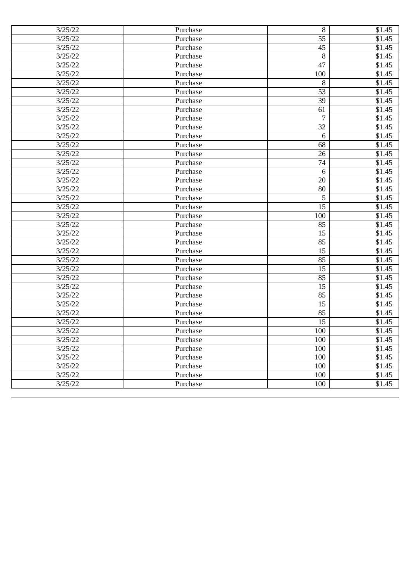| 3/25/22 | Purchase | 8                | \$1.45              |
|---------|----------|------------------|---------------------|
| 3/25/22 | Purchase | 55               | \$1.45              |
| 3/25/22 | Purchase | 45               | \$1.45              |
| 3/25/22 | Purchase | $\boldsymbol{8}$ | \$1.45              |
| 3/25/22 | Purchase | 47               | \$1.45              |
| 3/25/22 | Purchase | 100              | \$1.45              |
| 3/25/22 | Purchase | 8                | \$1.45              |
| 3/25/22 | Purchase | 53               | \$1.45              |
| 3/25/22 | Purchase | 39               | \$1.45              |
| 3/25/22 | Purchase | 61               | \$1.45              |
| 3/25/22 | Purchase | 7                | \$1.45              |
| 3/25/22 | Purchase | 32               | \$1.45              |
| 3/25/22 | Purchase | 6                | $\overline{$}1.45$  |
| 3/25/22 | Purchase | 68               | $\overline{\$}1.45$ |
| 3/25/22 | Purchase | 26               | \$1.45              |
| 3/25/22 | Purchase | 74               | \$1.45              |
| 3/25/22 | Purchase | 6                | \$1.45              |
| 3/25/22 | Purchase | 20               | \$1.45              |
| 3/25/22 | Purchase | 80               | \$1.45              |
| 3/25/22 | Purchase | 5                | \$1.45              |
| 3/25/22 | Purchase | 15               | \$1.45              |
| 3/25/22 | Purchase | 100              | \$1.45              |
| 3/25/22 | Purchase | 85               | \$1.45              |
| 3/25/22 | Purchase | 15               | \$1.45              |
| 3/25/22 | Purchase | 85               | \$1.45              |
| 3/25/22 | Purchase | 15               | \$1.45              |
| 3/25/22 | Purchase | 85               | \$1.45              |
| 3/25/22 | Purchase | 15               | \$1.45              |
| 3/25/22 | Purchase | 85               | \$1.45              |
| 3/25/22 | Purchase | 15               | \$1.45              |
| 3/25/22 | Purchase | 85               | \$1.45              |
| 3/25/22 | Purchase | 15               | \$1.45              |
| 3/25/22 | Purchase | 85               | \$1.45              |
| 3/25/22 | Purchase | 15               | \$1.45              |
| 3/25/22 | Purchase | 100              | \$1.45              |
| 3/25/22 | Purchase | 100              | \$1.45              |
| 3/25/22 | Purchase | 100              | \$1.45              |
| 3/25/22 | Purchase | 100              | \$1.45              |
| 3/25/22 | Purchase | 100              | \$1.45              |
| 3/25/22 | Purchase | 100              | \$1.45              |
| 3/25/22 | Purchase | 100              | \$1.45              |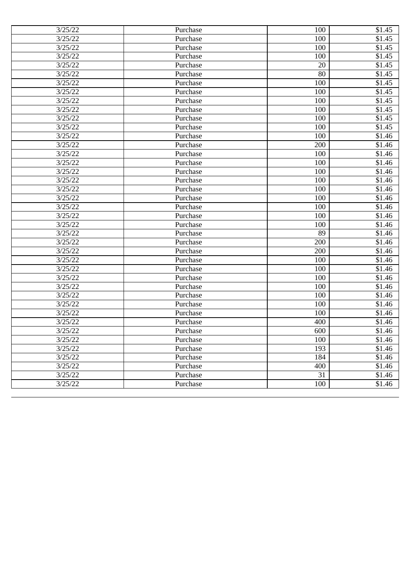| 3/25/22 | Purchase | 100 | \$1.45             |
|---------|----------|-----|--------------------|
| 3/25/22 | Purchase | 100 | \$1.45             |
| 3/25/22 | Purchase | 100 | \$1.45             |
| 3/25/22 | Purchase | 100 | \$1.45             |
| 3/25/22 | Purchase | 20  | \$1.45             |
| 3/25/22 | Purchase | 80  | \$1.45             |
| 3/25/22 | Purchase | 100 | \$1.45             |
| 3/25/22 | Purchase | 100 | \$1.45             |
| 3/25/22 | Purchase | 100 | \$1.45             |
| 3/25/22 | Purchase | 100 | \$1.45             |
| 3/25/22 | Purchase | 100 | \$1.45             |
| 3/25/22 | Purchase | 100 | \$1.45             |
| 3/25/22 | Purchase | 100 | $\overline{$1,46}$ |
| 3/25/22 | Purchase | 200 | $\overline{$1,46}$ |
| 3/25/22 | Purchase | 100 | \$1.46             |
| 3/25/22 | Purchase | 100 | \$1.46             |
| 3/25/22 | Purchase | 100 | \$1.46             |
| 3/25/22 | Purchase | 100 | \$1.46             |
| 3/25/22 | Purchase | 100 | \$1.46             |
| 3/25/22 | Purchase | 100 | \$1.46             |
| 3/25/22 | Purchase | 100 | \$1.46             |
| 3/25/22 | Purchase | 100 | \$1.46             |
| 3/25/22 | Purchase | 100 | \$1.46             |
| 3/25/22 | Purchase | 89  | \$1.46             |
| 3/25/22 | Purchase | 200 | \$1.46             |
| 3/25/22 | Purchase | 200 | \$1.46             |
| 3/25/22 | Purchase | 100 | $\overline{$}1.46$ |
| 3/25/22 | Purchase | 100 | \$1.46             |
| 3/25/22 | Purchase | 100 | \$1.46             |
| 3/25/22 | Purchase | 100 | \$1.46             |
| 3/25/22 | Purchase | 100 | \$1.46             |
| 3/25/22 | Purchase | 100 | \$1.46             |
| 3/25/22 | Purchase | 100 | \$1.46             |
| 3/25/22 | Purchase | 400 | \$1.46             |
| 3/25/22 | Purchase | 600 | \$1.46             |
| 3/25/22 | Purchase | 100 | \$1.46             |
| 3/25/22 | Purchase | 193 | \$1.46             |
| 3/25/22 | Purchase | 184 | \$1.46             |
| 3/25/22 | Purchase | 400 | \$1.46             |
| 3/25/22 | Purchase | 31  | \$1.46             |
| 3/25/22 | Purchase | 100 | \$1.46             |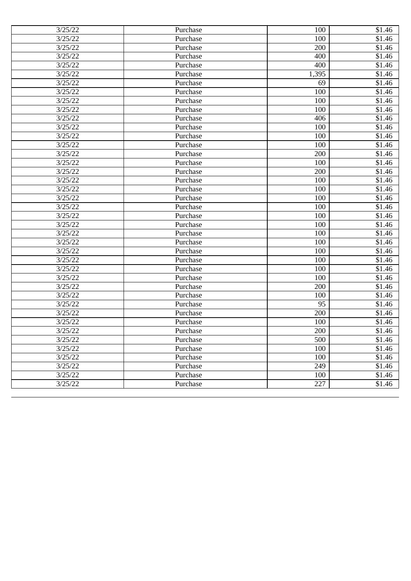| 3/25/22 | Purchase | 100   | \$1.46             |
|---------|----------|-------|--------------------|
| 3/25/22 | Purchase | 100   | \$1.46             |
| 3/25/22 | Purchase | 200   | \$1.46             |
| 3/25/22 | Purchase | 400   | \$1.46             |
| 3/25/22 | Purchase | 400   | $\overline{$}1.46$ |
| 3/25/22 | Purchase | 1,395 | \$1.46             |
| 3/25/22 | Purchase | 69    | \$1.46             |
| 3/25/22 | Purchase | 100   | \$1.46             |
| 3/25/22 | Purchase | 100   | \$1.46             |
| 3/25/22 | Purchase | 100   | \$1.46             |
| 3/25/22 | Purchase | 406   | \$1.46             |
| 3/25/22 | Purchase | 100   | \$1.46             |
| 3/25/22 | Purchase | 100   | $\overline{$1,46}$ |
| 3/25/22 | Purchase | 100   | $\overline{$1,46}$ |
| 3/25/22 | Purchase | 200   | $\overline{$}1.46$ |
| 3/25/22 | Purchase | 100   | \$1.46             |
| 3/25/22 | Purchase | 200   | \$1.46             |
| 3/25/22 | Purchase | 100   | \$1.46             |
| 3/25/22 | Purchase | 100   | \$1.46             |
| 3/25/22 | Purchase | 100   | \$1.46             |
| 3/25/22 | Purchase | 100   | \$1.46             |
| 3/25/22 | Purchase | 100   | \$1.46             |
| 3/25/22 | Purchase | 100   | \$1.46             |
| 3/25/22 | Purchase | 100   | \$1.46             |
| 3/25/22 | Purchase | 100   | \$1.46             |
| 3/25/22 | Purchase | 100   | \$1.46             |
| 3/25/22 | Purchase | 100   | $\overline{$}1.46$ |
| 3/25/22 | Purchase | 100   | \$1.46             |
| 3/25/22 | Purchase | 100   | \$1.46             |
| 3/25/22 | Purchase | 200   | \$1.46             |
| 3/25/22 | Purchase | 100   | \$1.46             |
| 3/25/22 | Purchase | 95    | \$1.46             |
| 3/25/22 | Purchase | 200   | \$1.46             |
| 3/25/22 | Purchase | 100   | \$1.46             |
| 3/25/22 | Purchase | 200   | \$1.46             |
| 3/25/22 | Purchase | 500   | \$1.46             |
| 3/25/22 | Purchase | 100   | \$1.46             |
| 3/25/22 | Purchase | 100   | \$1.46             |
| 3/25/22 | Purchase | 249   | \$1.46             |
| 3/25/22 | Purchase | 100   | \$1.46             |
| 3/25/22 | Purchase | 227   | \$1.46             |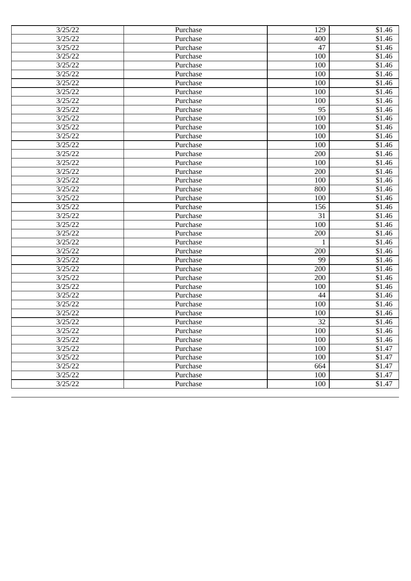| 3/25/22 | Purchase | 129          | \$1.46             |
|---------|----------|--------------|--------------------|
| 3/25/22 | Purchase | 400          | \$1.46             |
| 3/25/22 | Purchase | 47           | \$1.46             |
| 3/25/22 | Purchase | 100          | \$1.46             |
| 3/25/22 | Purchase | 100          | $\overline{$}1.46$ |
| 3/25/22 | Purchase | 100          | \$1.46             |
| 3/25/22 | Purchase | 100          | \$1.46             |
| 3/25/22 | Purchase | 100          | \$1.46             |
| 3/25/22 | Purchase | 100          | \$1.46             |
| 3/25/22 | Purchase | 95           | \$1.46             |
| 3/25/22 | Purchase | 100          | \$1.46             |
| 3/25/22 | Purchase | 100          | \$1.46             |
| 3/25/22 | Purchase | 100          | $\overline{$1,46}$ |
| 3/25/22 | Purchase | 100          | $\overline{$1,46}$ |
| 3/25/22 | Purchase | 200          | \$1.46             |
| 3/25/22 | Purchase | 100          | \$1.46             |
| 3/25/22 | Purchase | 200          | \$1.46             |
| 3/25/22 | Purchase | 100          | \$1.46             |
| 3/25/22 | Purchase | 800          | \$1.46             |
| 3/25/22 | Purchase | 100          | \$1.46             |
| 3/25/22 | Purchase | 156          | \$1.46             |
| 3/25/22 | Purchase | 31           | \$1.46             |
| 3/25/22 | Purchase | 100          | \$1.46             |
| 3/25/22 | Purchase | 200          | \$1.46             |
| 3/25/22 | Purchase | $\mathbf{1}$ | \$1.46             |
| 3/25/22 | Purchase | 200          | \$1.46             |
| 3/25/22 | Purchase | 99           | \$1.46             |
| 3/25/22 | Purchase | 200          | \$1.46             |
| 3/25/22 | Purchase | 200          | \$1.46             |
| 3/25/22 | Purchase | 100          | \$1.46             |
| 3/25/22 | Purchase | 44           | \$1.46             |
| 3/25/22 | Purchase | 100          | \$1.46             |
| 3/25/22 | Purchase | 100          | \$1.46             |
| 3/25/22 | Purchase | 32           | \$1.46             |
| 3/25/22 | Purchase | 100          | \$1.46             |
| 3/25/22 | Purchase | 100          | \$1.46             |
| 3/25/22 | Purchase | 100          | \$1.47             |
| 3/25/22 | Purchase | 100          | \$1.47             |
| 3/25/22 | Purchase | 664          | \$1.47             |
| 3/25/22 | Purchase | 100          | \$1.47             |
| 3/25/22 | Purchase | 100          | \$1.47             |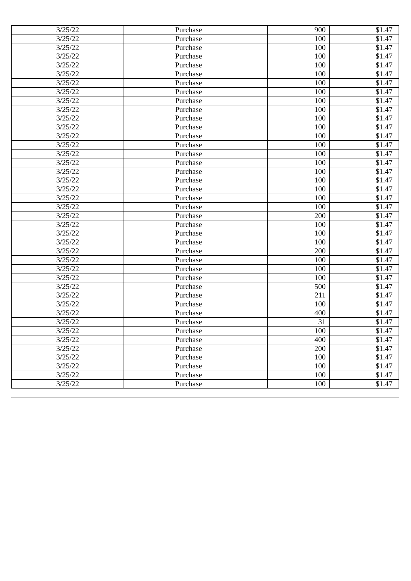| 3/25/22 | Purchase | 900 | \$1.47             |
|---------|----------|-----|--------------------|
| 3/25/22 | Purchase | 100 | \$1.47             |
| 3/25/22 | Purchase | 100 | \$1.47             |
| 3/25/22 | Purchase | 100 | \$1.47             |
| 3/25/22 | Purchase | 100 | $\overline{$}1.47$ |
| 3/25/22 | Purchase | 100 | \$1.47             |
| 3/25/22 | Purchase | 100 | \$1.47             |
| 3/25/22 | Purchase | 100 | \$1.47             |
| 3/25/22 | Purchase | 100 | \$1.47             |
| 3/25/22 | Purchase | 100 | \$1.47             |
| 3/25/22 | Purchase | 100 | \$1.47             |
| 3/25/22 | Purchase | 100 | $\overline{$}1.47$ |
| 3/25/22 | Purchase | 100 | \$1.47             |
| 3/25/22 | Purchase | 100 | \$1.47             |
| 3/25/22 | Purchase | 100 | \$1.47             |
| 3/25/22 | Purchase | 100 | \$1.47             |
| 3/25/22 | Purchase | 100 | \$1.47             |
| 3/25/22 | Purchase | 100 | \$1.47             |
| 3/25/22 | Purchase | 100 | \$1.47             |
| 3/25/22 | Purchase | 100 | \$1.47             |
| 3/25/22 | Purchase | 100 | \$1.47             |
| 3/25/22 | Purchase | 200 | \$1.47             |
| 3/25/22 | Purchase | 100 | \$1.47             |
| 3/25/22 | Purchase | 100 | \$1.47             |
| 3/25/22 | Purchase | 100 | \$1.47             |
| 3/25/22 | Purchase | 200 | \$1.47             |
| 3/25/22 | Purchase | 100 | \$1.47             |
| 3/25/22 | Purchase | 100 | \$1.47             |
| 3/25/22 | Purchase | 100 | \$1.47             |
| 3/25/22 | Purchase | 500 | \$1.47             |
| 3/25/22 | Purchase | 211 | \$1.47             |
| 3/25/22 | Purchase | 100 | \$1.47             |
| 3/25/22 | Purchase | 400 | \$1.47             |
| 3/25/22 | Purchase | 31  | \$1.47             |
| 3/25/22 | Purchase | 100 | \$1.47             |
| 3/25/22 | Purchase | 400 | \$1.47             |
| 3/25/22 | Purchase | 200 | \$1.47             |
| 3/25/22 | Purchase | 100 | \$1.47             |
| 3/25/22 | Purchase | 100 | \$1.47             |
| 3/25/22 | Purchase | 100 | \$1.47             |
| 3/25/22 | Purchase | 100 | \$1.47             |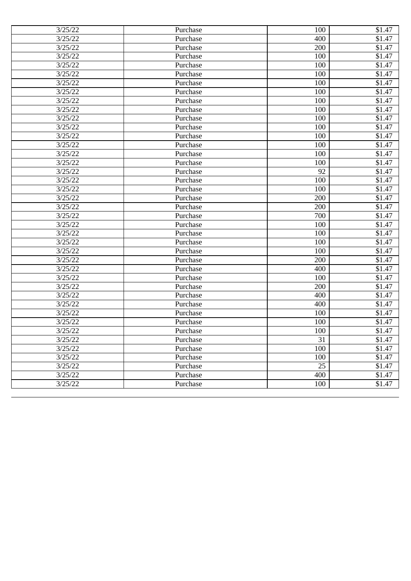| 3/25/22 | Purchase | 100             | \$1.47             |
|---------|----------|-----------------|--------------------|
| 3/25/22 | Purchase | 400             | \$1.47             |
| 3/25/22 | Purchase | 200             | \$1.47             |
| 3/25/22 | Purchase | 100             | \$1.47             |
| 3/25/22 | Purchase | 100             | $\overline{$}1.47$ |
| 3/25/22 | Purchase | 100             | \$1.47             |
| 3/25/22 | Purchase | 100             | \$1.47             |
| 3/25/22 | Purchase | 100             | \$1.47             |
| 3/25/22 | Purchase | 100             | \$1.47             |
| 3/25/22 | Purchase | 100             | \$1.47             |
| 3/25/22 | Purchase | 100             | \$1.47             |
| 3/25/22 | Purchase | 100             | $\overline{$}1.47$ |
| 3/25/22 | Purchase | 100             | \$1.47             |
| 3/25/22 | Purchase | 100             | \$1.47             |
| 3/25/22 | Purchase | 100             | \$1.47             |
| 3/25/22 | Purchase | 100             | \$1.47             |
| 3/25/22 | Purchase | 92              | \$1.47             |
| 3/25/22 | Purchase | 100             | \$1.47             |
| 3/25/22 | Purchase | 100             | \$1.47             |
| 3/25/22 | Purchase | 200             | \$1.47             |
| 3/25/22 | Purchase | 200             | \$1.47             |
| 3/25/22 | Purchase | 700             | \$1.47             |
| 3/25/22 | Purchase | 100             | \$1.47             |
| 3/25/22 | Purchase | 100             | \$1.47             |
| 3/25/22 | Purchase | 100             | \$1.47             |
| 3/25/22 | Purchase | 100             | \$1.47             |
| 3/25/22 | Purchase | 200             | \$1.47             |
| 3/25/22 | Purchase | 400             | \$1.47             |
| 3/25/22 | Purchase | 100             | \$1.47             |
| 3/25/22 | Purchase | 200             | \$1.47             |
| 3/25/22 | Purchase | 400             | \$1.47             |
| 3/25/22 | Purchase | 400             | \$1.47             |
| 3/25/22 | Purchase | 100             | \$1.47             |
| 3/25/22 | Purchase | 100             | \$1.47             |
| 3/25/22 | Purchase | 100             | \$1.47             |
| 3/25/22 | Purchase | 31              | \$1.47             |
| 3/25/22 | Purchase | 100             | \$1.47             |
| 3/25/22 | Purchase | 100             | \$1.47             |
| 3/25/22 | Purchase | $\overline{25}$ | \$1.47             |
| 3/25/22 | Purchase | 400             | \$1.47             |
| 3/25/22 | Purchase | 100             | \$1.47             |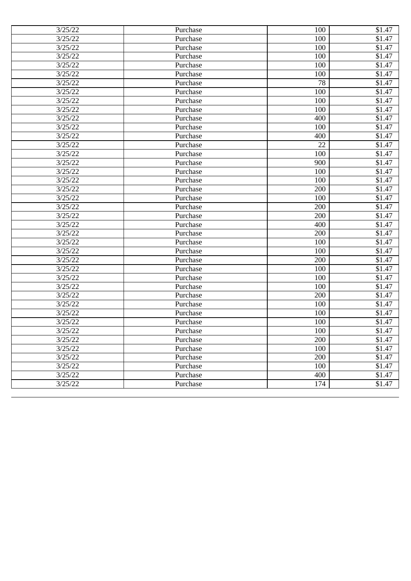| 3/25/22 | Purchase | 100 | \$1.47 |
|---------|----------|-----|--------|
| 3/25/22 | Purchase | 100 | \$1.47 |
| 3/25/22 | Purchase | 100 | \$1.47 |
| 3/25/22 | Purchase | 100 | \$1.47 |
| 3/25/22 | Purchase | 100 | \$1.47 |
| 3/25/22 | Purchase | 100 | \$1.47 |
| 3/25/22 | Purchase | 78  | \$1.47 |
| 3/25/22 | Purchase | 100 | \$1.47 |
| 3/25/22 | Purchase | 100 | \$1.47 |
| 3/25/22 | Purchase | 100 | \$1.47 |
| 3/25/22 | Purchase | 400 | \$1.47 |
| 3/25/22 | Purchase | 100 | \$1.47 |
| 3/25/22 | Purchase | 400 | \$1.47 |
| 3/25/22 | Purchase | 22  | \$1.47 |
| 3/25/22 | Purchase | 100 | \$1.47 |
| 3/25/22 | Purchase | 900 | \$1.47 |
| 3/25/22 | Purchase | 100 | \$1.47 |
| 3/25/22 | Purchase | 100 | \$1.47 |
| 3/25/22 | Purchase | 200 | \$1.47 |
| 3/25/22 | Purchase | 100 | \$1.47 |
| 3/25/22 | Purchase | 200 | \$1.47 |
| 3/25/22 | Purchase | 200 | \$1.47 |
| 3/25/22 | Purchase | 400 | \$1.47 |
| 3/25/22 | Purchase | 200 | \$1.47 |
| 3/25/22 | Purchase | 100 | \$1.47 |
| 3/25/22 | Purchase | 100 | \$1.47 |
| 3/25/22 | Purchase | 200 | \$1.47 |
| 3/25/22 | Purchase | 100 | \$1.47 |
| 3/25/22 | Purchase | 100 | \$1.47 |
| 3/25/22 | Purchase | 100 | \$1.47 |
| 3/25/22 | Purchase | 200 | \$1.47 |
| 3/25/22 | Purchase | 100 | \$1.47 |
| 3/25/22 | Purchase | 100 | \$1.47 |
| 3/25/22 | Purchase | 100 | \$1.47 |
| 3/25/22 | Purchase | 100 | \$1.47 |
| 3/25/22 | Purchase | 200 | \$1.47 |
| 3/25/22 | Purchase | 100 | \$1.47 |
| 3/25/22 | Purchase | 200 | \$1.47 |
| 3/25/22 | Purchase | 100 | \$1.47 |
| 3/25/22 | Purchase | 400 | \$1.47 |
| 3/25/22 | Purchase | 174 | \$1.47 |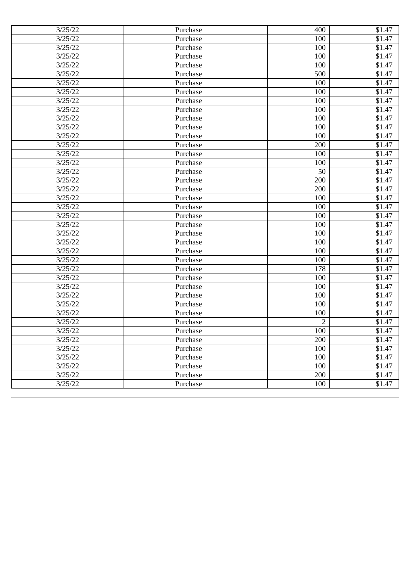| 3/25/22 | Purchase | 400 | \$1.47             |
|---------|----------|-----|--------------------|
| 3/25/22 | Purchase | 100 | \$1.47             |
| 3/25/22 | Purchase | 100 | \$1.47             |
| 3/25/22 | Purchase | 100 | \$1.47             |
| 3/25/22 | Purchase | 100 | $\overline{$}1.47$ |
| 3/25/22 | Purchase | 500 | \$1.47             |
| 3/25/22 | Purchase | 100 | \$1.47             |
| 3/25/22 | Purchase | 100 | \$1.47             |
| 3/25/22 | Purchase | 100 | \$1.47             |
| 3/25/22 | Purchase | 100 | \$1.47             |
| 3/25/22 | Purchase | 100 | \$1.47             |
| 3/25/22 | Purchase | 100 | $\overline{$}1.47$ |
| 3/25/22 | Purchase | 100 | \$1.47             |
| 3/25/22 | Purchase | 200 | \$1.47             |
| 3/25/22 | Purchase | 100 | \$1.47             |
| 3/25/22 | Purchase | 100 | \$1.47             |
| 3/25/22 | Purchase | 50  | \$1.47             |
| 3/25/22 | Purchase | 200 | \$1.47             |
| 3/25/22 | Purchase | 200 | \$1.47             |
| 3/25/22 | Purchase | 100 | \$1.47             |
| 3/25/22 | Purchase | 100 | \$1.47             |
| 3/25/22 | Purchase | 100 | \$1.47             |
| 3/25/22 | Purchase | 100 | \$1.47             |
| 3/25/22 | Purchase | 100 | \$1.47             |
| 3/25/22 | Purchase | 100 | \$1.47             |
| 3/25/22 | Purchase | 100 | \$1.47             |
| 3/25/22 | Purchase | 100 | \$1.47             |
| 3/25/22 | Purchase | 178 | \$1.47             |
| 3/25/22 | Purchase | 100 | \$1.47             |
| 3/25/22 | Purchase | 100 | \$1.47             |
| 3/25/22 | Purchase | 100 | \$1.47             |
| 3/25/22 | Purchase | 100 | \$1.47             |
| 3/25/22 | Purchase | 100 | \$1.47             |
| 3/25/22 | Purchase | 2   | \$1.47             |
| 3/25/22 | Purchase | 100 | \$1.47             |
| 3/25/22 | Purchase | 200 | \$1.47             |
| 3/25/22 | Purchase | 100 | \$1.47             |
| 3/25/22 | Purchase | 100 | \$1.47             |
| 3/25/22 | Purchase | 100 | \$1.47             |
| 3/25/22 | Purchase | 200 | \$1.47             |
| 3/25/22 | Purchase | 100 | \$1.47             |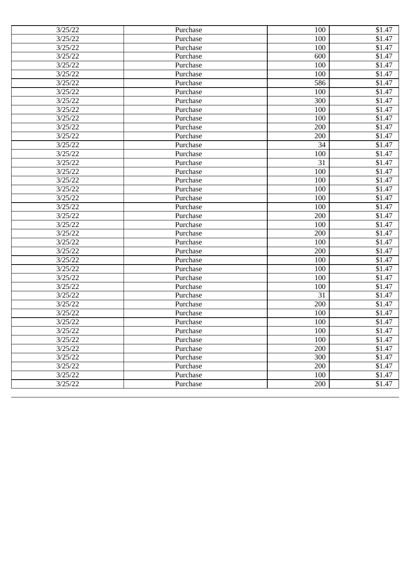| 3/25/22 | Purchase | 100 | \$1.47             |
|---------|----------|-----|--------------------|
| 3/25/22 | Purchase | 100 | \$1.47             |
| 3/25/22 | Purchase | 100 | \$1.47             |
| 3/25/22 | Purchase | 600 | \$1.47             |
| 3/25/22 | Purchase | 100 | $\overline{$}1.47$ |
| 3/25/22 | Purchase | 100 | \$1.47             |
| 3/25/22 | Purchase | 586 | \$1.47             |
| 3/25/22 | Purchase | 100 | \$1.47             |
| 3/25/22 | Purchase | 300 | \$1.47             |
| 3/25/22 | Purchase | 100 | \$1.47             |
| 3/25/22 | Purchase | 100 | \$1.47             |
| 3/25/22 | Purchase | 200 | $\overline{$}1.47$ |
| 3/25/22 | Purchase | 200 | \$1.47             |
| 3/25/22 | Purchase | 34  | \$1.47             |
| 3/25/22 | Purchase | 100 | \$1.47             |
| 3/25/22 | Purchase | 31  | \$1.47             |
| 3/25/22 | Purchase | 100 | \$1.47             |
| 3/25/22 | Purchase | 100 | \$1.47             |
| 3/25/22 | Purchase | 100 | \$1.47             |
| 3/25/22 | Purchase | 100 | \$1.47             |
| 3/25/22 | Purchase | 100 | \$1.47             |
| 3/25/22 | Purchase | 200 | \$1.47             |
| 3/25/22 | Purchase | 100 | \$1.47             |
| 3/25/22 | Purchase | 200 | \$1.47             |
| 3/25/22 | Purchase | 100 | \$1.47             |
| 3/25/22 | Purchase | 200 | \$1.47             |
| 3/25/22 | Purchase | 100 | \$1.47             |
| 3/25/22 | Purchase | 100 | \$1.47             |
| 3/25/22 | Purchase | 100 | \$1.47             |
| 3/25/22 | Purchase | 100 | \$1.47             |
| 3/25/22 | Purchase | 31  | \$1.47             |
| 3/25/22 | Purchase | 200 | \$1.47             |
| 3/25/22 | Purchase | 100 | \$1.47             |
| 3/25/22 | Purchase | 100 | \$1.47             |
| 3/25/22 | Purchase | 100 | \$1.47             |
| 3/25/22 | Purchase | 100 | \$1.47             |
| 3/25/22 | Purchase | 200 | \$1.47             |
| 3/25/22 | Purchase | 300 | \$1.47             |
| 3/25/22 | Purchase | 200 | \$1.47             |
| 3/25/22 | Purchase | 100 | \$1.47             |
| 3/25/22 | Purchase | 200 | \$1.47             |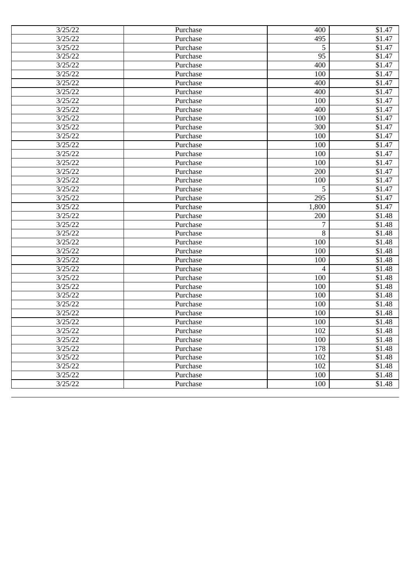| 3/25/22 | Purchase | 400   | \$1.47             |
|---------|----------|-------|--------------------|
| 3/25/22 | Purchase | 495   | \$1.47             |
| 3/25/22 | Purchase | 5     | \$1.47             |
| 3/25/22 | Purchase | 95    | \$1.47             |
| 3/25/22 | Purchase | 400   | \$1.47             |
| 3/25/22 | Purchase | 100   | \$1.47             |
| 3/25/22 | Purchase | 400   | \$1.47             |
| 3/25/22 | Purchase | 400   | \$1.47             |
| 3/25/22 | Purchase | 100   | \$1.47             |
| 3/25/22 | Purchase | 400   | \$1.47             |
| 3/25/22 | Purchase | 100   | \$1.47             |
| 3/25/22 | Purchase | 300   | \$1.47             |
| 3/25/22 | Purchase | 100   | \$1.47             |
| 3/25/22 | Purchase | 100   | $\overline{$1,47}$ |
| 3/25/22 | Purchase | 100   | \$1.47             |
| 3/25/22 | Purchase | 100   | \$1.47             |
| 3/25/22 | Purchase | 200   | \$1.47             |
| 3/25/22 | Purchase | 100   | \$1.47             |
| 3/25/22 | Purchase | 5     | \$1.47             |
| 3/25/22 | Purchase | 295   | \$1.47             |
| 3/25/22 | Purchase | 1,800 | \$1.47             |
| 3/25/22 | Purchase | 200   | \$1.48             |
| 3/25/22 | Purchase | 7     | \$1.48             |
| 3/25/22 | Purchase | 8     | \$1.48             |
| 3/25/22 | Purchase | 100   | \$1.48             |
| 3/25/22 | Purchase | 100   | \$1.48             |
| 3/25/22 | Purchase | 100   | \$1.48             |
| 3/25/22 | Purchase | 4     | $\overline{$1,48}$ |
| 3/25/22 | Purchase | 100   | \$1.48             |
| 3/25/22 | Purchase | 100   | \$1.48             |
| 3/25/22 | Purchase | 100   | \$1.48             |
| 3/25/22 | Purchase | 100   | \$1.48             |
| 3/25/22 | Purchase | 100   | \$1.48             |
| 3/25/22 | Purchase | 100   | \$1.48             |
| 3/25/22 | Purchase | 102   | \$1.48             |
| 3/25/22 | Purchase | 100   | \$1.48             |
| 3/25/22 | Purchase | 178   | \$1.48             |
| 3/25/22 | Purchase | 102   | \$1.48             |
| 3/25/22 | Purchase | 102   | \$1.48             |
| 3/25/22 | Purchase | 100   | \$1.48             |
| 3/25/22 | Purchase | 100   | \$1.48             |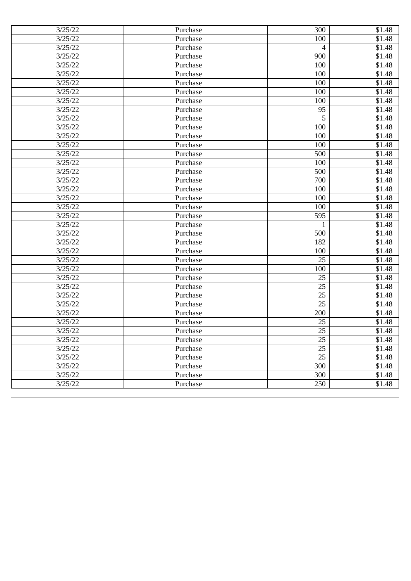| 3/25/22 | Purchase | 300             | \$1.48 |
|---------|----------|-----------------|--------|
| 3/25/22 | Purchase | 100             | \$1.48 |
| 3/25/22 | Purchase | 4               | \$1.48 |
| 3/25/22 | Purchase | 900             | \$1.48 |
| 3/25/22 | Purchase | 100             | \$1.48 |
| 3/25/22 | Purchase | 100             | \$1.48 |
| 3/25/22 | Purchase | 100             | \$1.48 |
| 3/25/22 | Purchase | 100             | \$1.48 |
| 3/25/22 | Purchase | 100             | \$1.48 |
| 3/25/22 | Purchase | 95              | \$1.48 |
| 3/25/22 | Purchase | 5               | \$1.48 |
| 3/25/22 | Purchase | 100             | \$1.48 |
| 3/25/22 | Purchase | 100             | \$1.48 |
| 3/25/22 | Purchase | 100             | \$1.48 |
| 3/25/22 | Purchase | 500             | \$1.48 |
| 3/25/22 | Purchase | 100             | \$1.48 |
| 3/25/22 | Purchase | 500             | \$1.48 |
| 3/25/22 | Purchase | 700             | \$1.48 |
| 3/25/22 | Purchase | 100             | \$1.48 |
| 3/25/22 | Purchase | 100             | \$1.48 |
| 3/25/22 | Purchase | 100             | \$1.48 |
| 3/25/22 | Purchase | 595             | \$1.48 |
| 3/25/22 | Purchase | 1               | \$1.48 |
| 3/25/22 | Purchase | 500             | \$1.48 |
| 3/25/22 | Purchase | 182             | \$1.48 |
| 3/25/22 | Purchase | 100             | \$1.48 |
| 3/25/22 | Purchase | 25              | \$1.48 |
| 3/25/22 | Purchase | 100             | \$1.48 |
| 3/25/22 | Purchase | 25              | \$1.48 |
| 3/25/22 | Purchase | 25              | \$1.48 |
| 3/25/22 | Purchase | $\overline{25}$ | \$1.48 |
| 3/25/22 | Purchase | 25              | \$1.48 |
| 3/25/22 | Purchase | 200             | \$1.48 |
| 3/25/22 | Purchase | 25              | \$1.48 |
| 3/25/22 | Purchase | 25              | \$1.48 |
| 3/25/22 | Purchase | 25              | \$1.48 |
| 3/25/22 | Purchase | 25              | \$1.48 |
| 3/25/22 | Purchase | $\overline{25}$ | \$1.48 |
| 3/25/22 | Purchase | 300             | \$1.48 |
| 3/25/22 | Purchase | 300             | \$1.48 |
| 3/25/22 | Purchase | 250             | \$1.48 |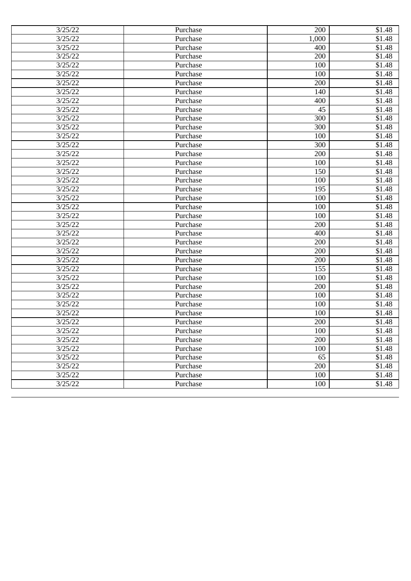| 3/25/22 | Purchase | 200   | \$1.48 |
|---------|----------|-------|--------|
| 3/25/22 | Purchase | 1,000 | \$1.48 |
| 3/25/22 | Purchase | 400   | \$1.48 |
| 3/25/22 | Purchase | 200   | \$1.48 |
| 3/25/22 | Purchase | 100   | \$1.48 |
| 3/25/22 | Purchase | 100   | \$1.48 |
| 3/25/22 | Purchase | 200   | \$1.48 |
| 3/25/22 | Purchase | 140   | \$1.48 |
| 3/25/22 | Purchase | 400   | \$1.48 |
| 3/25/22 | Purchase | 45    | \$1.48 |
| 3/25/22 | Purchase | 300   | \$1.48 |
| 3/25/22 | Purchase | 300   | \$1.48 |
| 3/25/22 | Purchase | 100   | \$1.48 |
| 3/25/22 | Purchase | 300   | \$1.48 |
| 3/25/22 | Purchase | 200   | \$1.48 |
| 3/25/22 | Purchase | 100   | \$1.48 |
| 3/25/22 | Purchase | 150   | \$1.48 |
| 3/25/22 | Purchase | 100   | \$1.48 |
| 3/25/22 | Purchase | 195   | \$1.48 |
| 3/25/22 | Purchase | 100   | \$1.48 |
| 3/25/22 | Purchase | 100   | \$1.48 |
| 3/25/22 | Purchase | 100   | \$1.48 |
| 3/25/22 | Purchase | 200   | \$1.48 |
| 3/25/22 | Purchase | 400   | \$1.48 |
| 3/25/22 | Purchase | 200   | \$1.48 |
| 3/25/22 | Purchase | 200   | \$1.48 |
| 3/25/22 | Purchase | 200   | \$1.48 |
| 3/25/22 | Purchase | 155   | \$1.48 |
| 3/25/22 | Purchase | 100   | \$1.48 |
| 3/25/22 | Purchase | 200   | \$1.48 |
| 3/25/22 | Purchase | 100   | \$1.48 |
| 3/25/22 | Purchase | 100   | \$1.48 |
| 3/25/22 | Purchase | 100   | \$1.48 |
| 3/25/22 | Purchase | 200   | \$1.48 |
| 3/25/22 | Purchase | 100   | \$1.48 |
| 3/25/22 | Purchase | 200   | \$1.48 |
| 3/25/22 | Purchase | 100   | \$1.48 |
| 3/25/22 | Purchase | 65    | \$1.48 |
| 3/25/22 | Purchase | 200   | \$1.48 |
| 3/25/22 | Purchase | 100   | \$1.48 |
| 3/25/22 | Purchase | 100   | \$1.48 |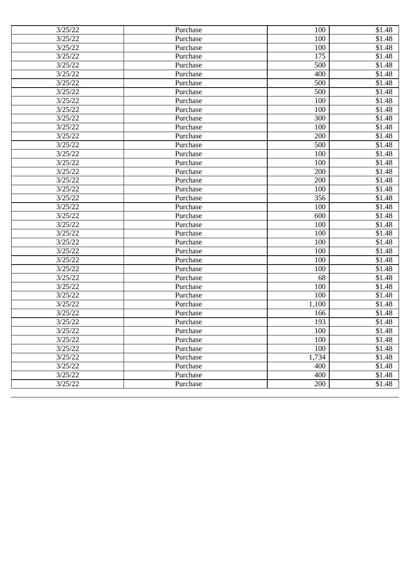| 3/25/22 | Purchase | 100   | \$1.48 |
|---------|----------|-------|--------|
| 3/25/22 | Purchase | 100   | \$1.48 |
| 3/25/22 | Purchase | 100   | \$1.48 |
| 3/25/22 | Purchase | 175   | \$1.48 |
| 3/25/22 | Purchase | 500   | \$1.48 |
| 3/25/22 | Purchase | 400   | \$1.48 |
| 3/25/22 | Purchase | 500   | \$1.48 |
| 3/25/22 | Purchase | 500   | \$1.48 |
| 3/25/22 | Purchase | 100   | \$1.48 |
| 3/25/22 | Purchase | 100   | \$1.48 |
| 3/25/22 | Purchase | 300   | \$1.48 |
| 3/25/22 | Purchase | 100   | \$1.48 |
| 3/25/22 | Purchase | 200   | \$1.48 |
| 3/25/22 | Purchase | 500   | \$1.48 |
| 3/25/22 | Purchase | 100   | \$1.48 |
| 3/25/22 | Purchase | 100   | \$1.48 |
| 3/25/22 | Purchase | 200   | \$1.48 |
| 3/25/22 | Purchase | 200   | \$1.48 |
| 3/25/22 | Purchase | 100   | \$1.48 |
| 3/25/22 | Purchase | 356   | \$1.48 |
| 3/25/22 | Purchase | 100   | \$1.48 |
| 3/25/22 | Purchase | 600   | \$1.48 |
| 3/25/22 | Purchase | 100   | \$1.48 |
| 3/25/22 | Purchase | 100   | \$1.48 |
| 3/25/22 | Purchase | 100   | \$1.48 |
| 3/25/22 | Purchase | 100   | \$1.48 |
| 3/25/22 | Purchase | 100   | \$1.48 |
| 3/25/22 | Purchase | 100   | \$1.48 |
| 3/25/22 | Purchase | 68    | \$1.48 |
| 3/25/22 | Purchase | 100   | \$1.48 |
| 3/25/22 | Purchase | 100   | \$1.48 |
| 3/25/22 | Purchase | 1,100 | \$1.48 |
| 3/25/22 | Purchase | 166   | \$1.48 |
| 3/25/22 | Purchase | 193   | \$1.48 |
| 3/25/22 | Purchase | 100   | \$1.48 |
| 3/25/22 | Purchase | 100   | \$1.48 |
| 3/25/22 | Purchase | 100   | \$1.48 |
| 3/25/22 | Purchase | 1,734 | \$1.48 |
| 3/25/22 | Purchase | 400   | \$1.48 |
| 3/25/22 | Purchase | 400   | \$1.48 |
| 3/25/22 | Purchase | 200   | \$1.48 |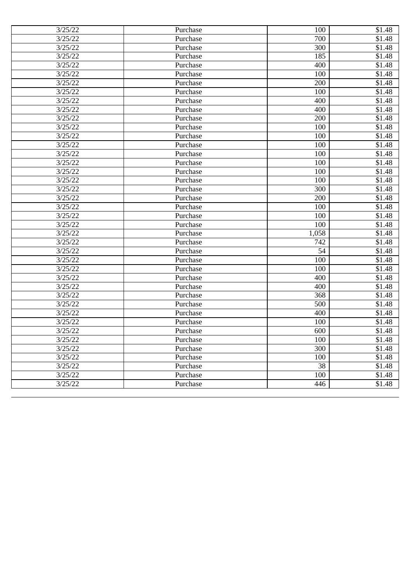| 3/25/22 | Purchase | 100             | \$1.48             |
|---------|----------|-----------------|--------------------|
| 3/25/22 | Purchase | 700             | \$1.48             |
| 3/25/22 | Purchase | 300             | \$1.48             |
| 3/25/22 | Purchase | 185             | \$1.48             |
| 3/25/22 | Purchase | 400             | $\overline{$}1.48$ |
| 3/25/22 | Purchase | 100             | \$1.48             |
| 3/25/22 | Purchase | 200             | $\overline{$}1.48$ |
| 3/25/22 | Purchase | 100             | \$1.48             |
| 3/25/22 | Purchase | 400             | \$1.48             |
| 3/25/22 | Purchase | 400             | \$1.48             |
| 3/25/22 | Purchase | 200             | \$1.48             |
| 3/25/22 | Purchase | 100             | \$1.48             |
| 3/25/22 | Purchase | 100             | $\overline{$}1.48$ |
| 3/25/22 | Purchase | 100             | $\overline{$}1.48$ |
| 3/25/22 | Purchase | 100             | $\overline{$}1.48$ |
| 3/25/22 | Purchase | 100             | \$1.48             |
| 3/25/22 | Purchase | 100             | \$1.48             |
| 3/25/22 | Purchase | 100             | \$1.48             |
| 3/25/22 | Purchase | 300             | \$1.48             |
| 3/25/22 | Purchase | 200             | \$1.48             |
| 3/25/22 | Purchase | 100             | \$1.48             |
| 3/25/22 | Purchase | 100             | \$1.48             |
| 3/25/22 | Purchase | 100             | \$1.48             |
| 3/25/22 | Purchase | 1,058           | \$1.48             |
| 3/25/22 | Purchase | 742             | \$1.48             |
| 3/25/22 | Purchase | 54              | \$1.48             |
| 3/25/22 | Purchase | 100             | \$1.48             |
| 3/25/22 | Purchase | 100             | \$1.48             |
| 3/25/22 | Purchase | 400             | \$1.48             |
| 3/25/22 | Purchase | 400             | \$1.48             |
| 3/25/22 | Purchase | 368             | \$1.48             |
| 3/25/22 | Purchase | 500             | \$1.48             |
| 3/25/22 | Purchase | 400             | \$1.48             |
| 3/25/22 | Purchase | 100             | \$1.48             |
| 3/25/22 | Purchase | 600             | \$1.48             |
| 3/25/22 | Purchase | 100             | \$1.48             |
| 3/25/22 | Purchase | 300             | \$1.48             |
| 3/25/22 | Purchase | 100             | \$1.48             |
| 3/25/22 | Purchase | $\overline{38}$ | \$1.48             |
| 3/25/22 | Purchase | 100             | \$1.48             |
| 3/25/22 | Purchase | 446             | \$1.48             |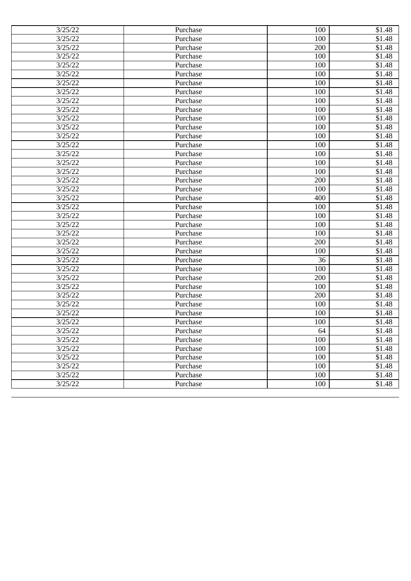| 3/25/22 | Purchase | 100 | \$1.48             |
|---------|----------|-----|--------------------|
| 3/25/22 | Purchase | 100 | \$1.48             |
| 3/25/22 | Purchase | 200 | \$1.48             |
| 3/25/22 | Purchase | 100 | \$1.48             |
| 3/25/22 | Purchase | 100 | $\overline{$}1.48$ |
| 3/25/22 | Purchase | 100 | \$1.48             |
| 3/25/22 | Purchase | 100 | $\overline{$}1.48$ |
| 3/25/22 | Purchase | 100 | \$1.48             |
| 3/25/22 | Purchase | 100 | \$1.48             |
| 3/25/22 | Purchase | 100 | \$1.48             |
| 3/25/22 | Purchase | 100 | \$1.48             |
| 3/25/22 | Purchase | 100 | \$1.48             |
| 3/25/22 | Purchase | 100 | $\overline{$}1.48$ |
| 3/25/22 | Purchase | 100 | $\overline{$1,48}$ |
| 3/25/22 | Purchase | 100 | $\overline{$}1.48$ |
| 3/25/22 | Purchase | 100 | \$1.48             |
| 3/25/22 | Purchase | 100 | \$1.48             |
| 3/25/22 | Purchase | 200 | \$1.48             |
| 3/25/22 | Purchase | 100 | \$1.48             |
| 3/25/22 | Purchase | 400 | \$1.48             |
| 3/25/22 | Purchase | 100 | \$1.48             |
| 3/25/22 | Purchase | 100 | \$1.48             |
| 3/25/22 | Purchase | 100 | \$1.48             |
| 3/25/22 | Purchase | 100 | \$1.48             |
| 3/25/22 | Purchase | 200 | \$1.48             |
| 3/25/22 | Purchase | 100 | \$1.48             |
| 3/25/22 | Purchase | 36  | \$1.48             |
| 3/25/22 | Purchase | 100 | \$1.48             |
| 3/25/22 | Purchase | 200 | \$1.48             |
| 3/25/22 | Purchase | 100 | \$1.48             |
| 3/25/22 | Purchase | 200 | \$1.48             |
| 3/25/22 | Purchase | 100 | \$1.48             |
| 3/25/22 | Purchase | 100 | \$1.48             |
| 3/25/22 | Purchase | 100 | \$1.48             |
| 3/25/22 | Purchase | 64  | \$1.48             |
| 3/25/22 | Purchase | 100 | \$1.48             |
| 3/25/22 | Purchase | 100 | \$1.48             |
| 3/25/22 | Purchase | 100 | \$1.48             |
| 3/25/22 | Purchase | 100 | \$1.48             |
| 3/25/22 | Purchase | 100 | \$1.48             |
| 3/25/22 | Purchase | 100 | \$1.48             |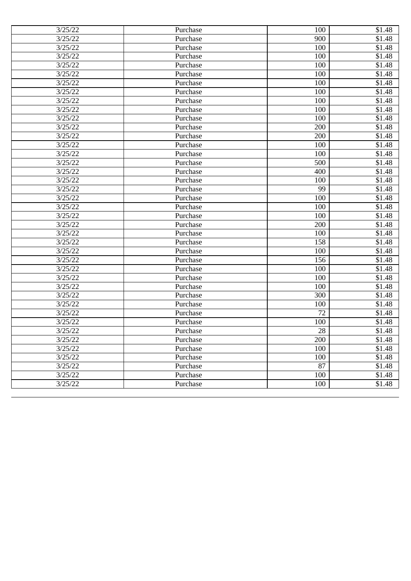| 3/25/22 | Purchase | 100 | \$1.48             |
|---------|----------|-----|--------------------|
| 3/25/22 | Purchase | 900 | \$1.48             |
| 3/25/22 | Purchase | 100 | \$1.48             |
| 3/25/22 | Purchase | 100 | \$1.48             |
| 3/25/22 | Purchase | 100 | \$1.48             |
| 3/25/22 | Purchase | 100 | \$1.48             |
| 3/25/22 | Purchase | 100 | \$1.48             |
| 3/25/22 | Purchase | 100 | \$1.48             |
| 3/25/22 | Purchase | 100 | \$1.48             |
| 3/25/22 | Purchase | 100 | \$1.48             |
| 3/25/22 | Purchase | 100 | \$1.48             |
| 3/25/22 | Purchase | 200 | \$1.48             |
| 3/25/22 | Purchase | 200 | \$1.48             |
| 3/25/22 | Purchase | 100 | \$1.48             |
| 3/25/22 | Purchase | 100 | \$1.48             |
| 3/25/22 | Purchase | 500 | \$1.48             |
| 3/25/22 | Purchase | 400 | \$1.48             |
| 3/25/22 | Purchase | 100 | \$1.48             |
| 3/25/22 | Purchase | 99  | \$1.48             |
| 3/25/22 | Purchase | 100 | \$1.48             |
| 3/25/22 | Purchase | 100 | $\overline{$}1.48$ |
| 3/25/22 | Purchase | 100 | \$1.48             |
| 3/25/22 | Purchase | 200 | \$1.48             |
| 3/25/22 | Purchase | 100 | \$1.48             |
| 3/25/22 | Purchase | 158 | \$1.48             |
| 3/25/22 | Purchase | 100 | \$1.48             |
| 3/25/22 | Purchase | 156 | \$1.48             |
| 3/25/22 | Purchase | 100 | $\overline{$1,48}$ |
| 3/25/22 | Purchase | 100 | \$1.48             |
| 3/25/22 | Purchase | 100 | \$1.48             |
| 3/25/22 | Purchase | 300 | \$1.48             |
| 3/25/22 | Purchase | 100 | \$1.48             |
| 3/25/22 | Purchase | 72  | \$1.48             |
| 3/25/22 | Purchase | 100 | \$1.48             |
| 3/25/22 | Purchase | 28  | \$1.48             |
| 3/25/22 | Purchase | 200 | \$1.48             |
| 3/25/22 | Purchase | 100 | \$1.48             |
| 3/25/22 | Purchase | 100 | \$1.48             |
| 3/25/22 | Purchase | 87  | \$1.48             |
| 3/25/22 | Purchase | 100 | \$1.48             |
| 3/25/22 | Purchase | 100 | \$1.48             |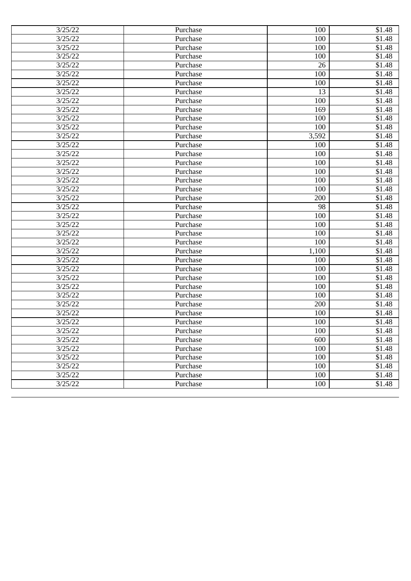| 3/25/22 | Purchase | 100   | \$1.48 |
|---------|----------|-------|--------|
| 3/25/22 | Purchase | 100   | \$1.48 |
| 3/25/22 | Purchase | 100   | \$1.48 |
| 3/25/22 | Purchase | 100   | \$1.48 |
| 3/25/22 | Purchase | 26    | \$1.48 |
| 3/25/22 | Purchase | 100   | \$1.48 |
| 3/25/22 | Purchase | 100   | \$1.48 |
| 3/25/22 | Purchase | 13    | \$1.48 |
| 3/25/22 | Purchase | 100   | \$1.48 |
| 3/25/22 | Purchase | 169   | \$1.48 |
| 3/25/22 | Purchase | 100   | \$1.48 |
| 3/25/22 | Purchase | 100   | \$1.48 |
| 3/25/22 | Purchase | 3,592 | \$1.48 |
| 3/25/22 | Purchase | 100   | \$1.48 |
| 3/25/22 | Purchase | 100   | \$1.48 |
| 3/25/22 | Purchase | 100   | \$1.48 |
| 3/25/22 | Purchase | 100   | \$1.48 |
| 3/25/22 | Purchase | 100   | \$1.48 |
| 3/25/22 | Purchase | 100   | \$1.48 |
| 3/25/22 | Purchase | 200   | \$1.48 |
| 3/25/22 | Purchase | 98    | \$1.48 |
| 3/25/22 | Purchase | 100   | \$1.48 |
| 3/25/22 | Purchase | 100   | \$1.48 |
| 3/25/22 | Purchase | 100   | \$1.48 |
| 3/25/22 | Purchase | 100   | \$1.48 |
| 3/25/22 | Purchase | 1,100 | \$1.48 |
| 3/25/22 | Purchase | 100   | \$1.48 |
| 3/25/22 | Purchase | 100   | \$1.48 |
| 3/25/22 | Purchase | 100   | \$1.48 |
| 3/25/22 | Purchase | 100   | \$1.48 |
| 3/25/22 | Purchase | 100   | \$1.48 |
| 3/25/22 | Purchase | 200   | \$1.48 |
| 3/25/22 | Purchase | 100   | \$1.48 |
| 3/25/22 | Purchase | 100   | \$1.48 |
| 3/25/22 | Purchase | 100   | \$1.48 |
| 3/25/22 | Purchase | 600   | \$1.48 |
| 3/25/22 | Purchase | 100   | \$1.48 |
| 3/25/22 | Purchase | 100   | \$1.48 |
| 3/25/22 | Purchase | 100   | \$1.48 |
| 3/25/22 | Purchase | 100   | \$1.48 |
| 3/25/22 | Purchase | 100   | \$1.48 |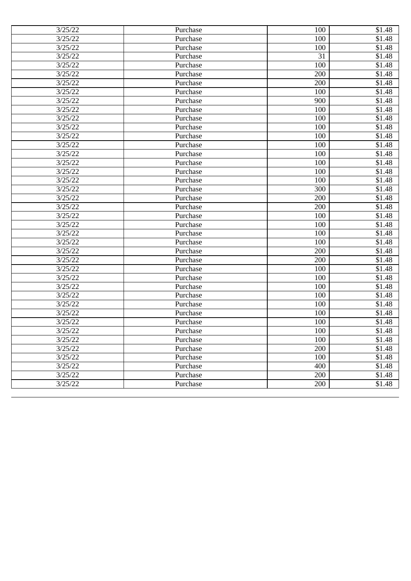| 3/25/22 | Purchase | 100 | \$1.48 |
|---------|----------|-----|--------|
| 3/25/22 | Purchase | 100 | \$1.48 |
| 3/25/22 | Purchase | 100 | \$1.48 |
| 3/25/22 | Purchase | 31  | \$1.48 |
| 3/25/22 | Purchase | 100 | \$1.48 |
| 3/25/22 | Purchase | 200 | \$1.48 |
| 3/25/22 | Purchase | 200 | \$1.48 |
| 3/25/22 | Purchase | 100 | \$1.48 |
| 3/25/22 | Purchase | 900 | \$1.48 |
| 3/25/22 | Purchase | 100 | \$1.48 |
| 3/25/22 | Purchase | 100 | \$1.48 |
| 3/25/22 | Purchase | 100 | \$1.48 |
| 3/25/22 | Purchase | 100 | \$1.48 |
| 3/25/22 | Purchase | 100 | \$1.48 |
| 3/25/22 | Purchase | 100 | \$1.48 |
| 3/25/22 | Purchase | 100 | \$1.48 |
| 3/25/22 | Purchase | 100 | \$1.48 |
| 3/25/22 | Purchase | 100 | \$1.48 |
| 3/25/22 | Purchase | 300 | \$1.48 |
| 3/25/22 | Purchase | 200 | \$1.48 |
| 3/25/22 | Purchase | 200 | \$1.48 |
| 3/25/22 | Purchase | 100 | \$1.48 |
| 3/25/22 | Purchase | 100 | \$1.48 |
| 3/25/22 | Purchase | 100 | \$1.48 |
| 3/25/22 | Purchase | 100 | \$1.48 |
| 3/25/22 | Purchase | 200 | \$1.48 |
| 3/25/22 | Purchase | 200 | \$1.48 |
| 3/25/22 | Purchase | 100 | \$1.48 |
| 3/25/22 | Purchase | 100 | \$1.48 |
| 3/25/22 | Purchase | 100 | \$1.48 |
| 3/25/22 | Purchase | 100 | \$1.48 |
| 3/25/22 | Purchase | 100 | \$1.48 |
| 3/25/22 | Purchase | 100 | \$1.48 |
| 3/25/22 | Purchase | 100 | \$1.48 |
| 3/25/22 | Purchase | 100 | \$1.48 |
| 3/25/22 | Purchase | 100 | \$1.48 |
| 3/25/22 | Purchase | 200 | \$1.48 |
| 3/25/22 | Purchase | 100 | \$1.48 |
| 3/25/22 | Purchase | 400 | \$1.48 |
| 3/25/22 | Purchase | 200 | \$1.48 |
| 3/25/22 | Purchase | 200 | \$1.48 |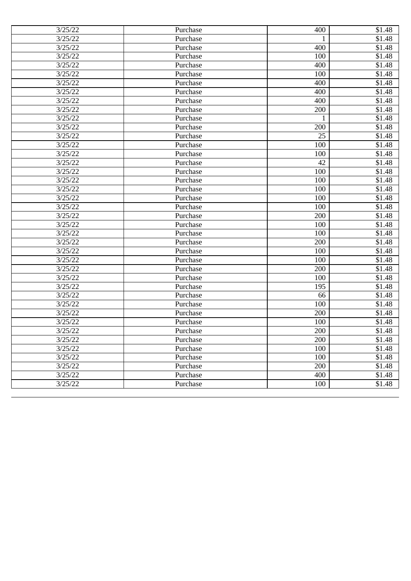| 3/25/22 | Purchase | 400 | \$1.48 |
|---------|----------|-----|--------|
| 3/25/22 | Purchase | 1   | \$1.48 |
| 3/25/22 | Purchase | 400 | \$1.48 |
| 3/25/22 | Purchase | 100 | \$1.48 |
| 3/25/22 | Purchase | 400 | \$1.48 |
| 3/25/22 | Purchase | 100 | \$1.48 |
| 3/25/22 | Purchase | 400 | \$1.48 |
| 3/25/22 | Purchase | 400 | \$1.48 |
| 3/25/22 | Purchase | 400 | \$1.48 |
| 3/25/22 | Purchase | 200 | \$1.48 |
| 3/25/22 | Purchase | 1   | \$1.48 |
| 3/25/22 | Purchase | 200 | \$1.48 |
| 3/25/22 | Purchase | 25  | \$1.48 |
| 3/25/22 | Purchase | 100 | \$1.48 |
| 3/25/22 | Purchase | 100 | \$1.48 |
| 3/25/22 | Purchase | 42  | \$1.48 |
| 3/25/22 | Purchase | 100 | \$1.48 |
| 3/25/22 | Purchase | 100 | \$1.48 |
| 3/25/22 | Purchase | 100 | \$1.48 |
| 3/25/22 | Purchase | 100 | \$1.48 |
| 3/25/22 | Purchase | 100 | \$1.48 |
| 3/25/22 | Purchase | 200 | \$1.48 |
| 3/25/22 | Purchase | 100 | \$1.48 |
| 3/25/22 | Purchase | 100 | \$1.48 |
| 3/25/22 | Purchase | 200 | \$1.48 |
| 3/25/22 | Purchase | 100 | \$1.48 |
| 3/25/22 | Purchase | 100 | \$1.48 |
| 3/25/22 | Purchase | 200 | \$1.48 |
| 3/25/22 | Purchase | 100 | \$1.48 |
| 3/25/22 | Purchase | 195 | \$1.48 |
| 3/25/22 | Purchase | 66  | \$1.48 |
| 3/25/22 | Purchase | 100 | \$1.48 |
| 3/25/22 | Purchase | 200 | \$1.48 |
| 3/25/22 | Purchase | 100 | \$1.48 |
| 3/25/22 | Purchase | 200 | \$1.48 |
| 3/25/22 | Purchase | 200 | \$1.48 |
| 3/25/22 | Purchase | 100 | \$1.48 |
| 3/25/22 | Purchase | 100 | \$1.48 |
| 3/25/22 | Purchase | 200 | \$1.48 |
| 3/25/22 | Purchase | 400 | \$1.48 |
| 3/25/22 | Purchase | 100 | \$1.48 |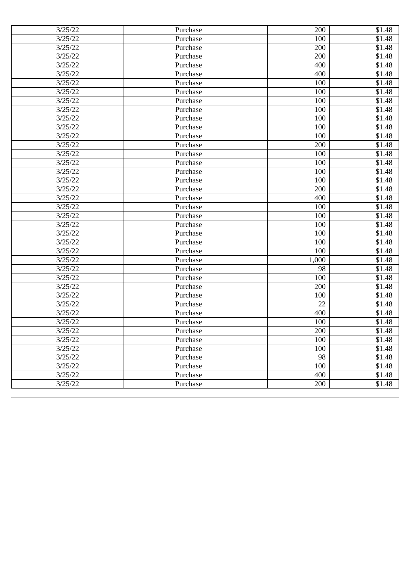| 3/25/22 | Purchase | 200   | \$1.48 |
|---------|----------|-------|--------|
| 3/25/22 | Purchase | 100   | \$1.48 |
| 3/25/22 | Purchase | 200   | \$1.48 |
| 3/25/22 | Purchase | 200   | \$1.48 |
| 3/25/22 | Purchase | 400   | \$1.48 |
| 3/25/22 | Purchase | 400   | \$1.48 |
| 3/25/22 | Purchase | 100   | \$1.48 |
| 3/25/22 | Purchase | 100   | \$1.48 |
| 3/25/22 | Purchase | 100   | \$1.48 |
| 3/25/22 | Purchase | 100   | \$1.48 |
| 3/25/22 | Purchase | 100   | \$1.48 |
| 3/25/22 | Purchase | 100   | \$1.48 |
| 3/25/22 | Purchase | 100   | \$1.48 |
| 3/25/22 | Purchase | 200   | \$1.48 |
| 3/25/22 | Purchase | 100   | \$1.48 |
| 3/25/22 | Purchase | 100   | \$1.48 |
| 3/25/22 | Purchase | 100   | \$1.48 |
| 3/25/22 | Purchase | 100   | \$1.48 |
| 3/25/22 | Purchase | 200   | \$1.48 |
| 3/25/22 | Purchase | 400   | \$1.48 |
| 3/25/22 | Purchase | 100   | \$1.48 |
| 3/25/22 | Purchase | 100   | \$1.48 |
| 3/25/22 | Purchase | 100   | \$1.48 |
| 3/25/22 | Purchase | 100   | \$1.48 |
| 3/25/22 | Purchase | 100   | \$1.48 |
| 3/25/22 | Purchase | 100   | \$1.48 |
| 3/25/22 | Purchase | 1,000 | \$1.48 |
| 3/25/22 | Purchase | 98    | \$1.48 |
| 3/25/22 | Purchase | 100   | \$1.48 |
| 3/25/22 | Purchase | 200   | \$1.48 |
| 3/25/22 | Purchase | 100   | \$1.48 |
| 3/25/22 | Purchase | 22    | \$1.48 |
| 3/25/22 | Purchase | 400   | \$1.48 |
| 3/25/22 | Purchase | 100   | \$1.48 |
| 3/25/22 | Purchase | 200   | \$1.48 |
| 3/25/22 | Purchase | 100   | \$1.48 |
| 3/25/22 | Purchase | 100   | \$1.48 |
| 3/25/22 | Purchase | 98    | \$1.48 |
| 3/25/22 | Purchase | 100   | \$1.48 |
| 3/25/22 | Purchase | 400   | \$1.48 |
| 3/25/22 | Purchase | 200   | \$1.48 |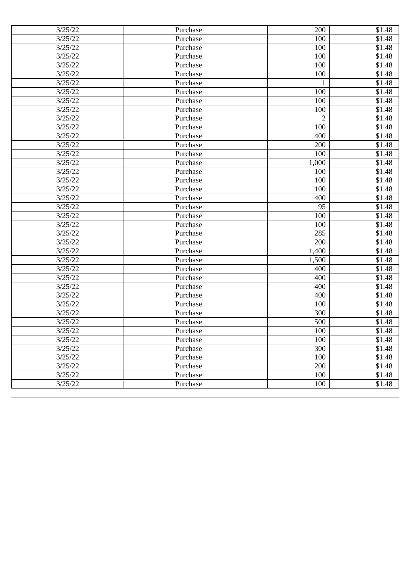| 3/25/22 | Purchase | 200            | \$1.48 |
|---------|----------|----------------|--------|
| 3/25/22 | Purchase | 100            | \$1.48 |
| 3/25/22 | Purchase | 100            | \$1.48 |
| 3/25/22 | Purchase | 100            | \$1.48 |
| 3/25/22 | Purchase | 100            | \$1.48 |
| 3/25/22 | Purchase | 100            | \$1.48 |
| 3/25/22 | Purchase | 1              | \$1.48 |
| 3/25/22 | Purchase | 100            | \$1.48 |
| 3/25/22 | Purchase | 100            | \$1.48 |
| 3/25/22 | Purchase | 100            | \$1.48 |
| 3/25/22 | Purchase | $\overline{2}$ | \$1.48 |
| 3/25/22 | Purchase | 100            | \$1.48 |
| 3/25/22 | Purchase | 400            | \$1.48 |
| 3/25/22 | Purchase | 200            | \$1.48 |
| 3/25/22 | Purchase | 100            | \$1.48 |
| 3/25/22 | Purchase | 1,000          | \$1.48 |
| 3/25/22 | Purchase | 100            | \$1.48 |
| 3/25/22 | Purchase | 100            | \$1.48 |
| 3/25/22 | Purchase | 100            | \$1.48 |
| 3/25/22 | Purchase | 400            | \$1.48 |
| 3/25/22 | Purchase | 95             | \$1.48 |
| 3/25/22 | Purchase | 100            | \$1.48 |
| 3/25/22 | Purchase | 100            | \$1.48 |
| 3/25/22 | Purchase | 285            | \$1.48 |
| 3/25/22 | Purchase | 200            | \$1.48 |
| 3/25/22 | Purchase | 1,400          | \$1.48 |
| 3/25/22 | Purchase | 1,500          | \$1.48 |
| 3/25/22 | Purchase | 400            | \$1.48 |
| 3/25/22 | Purchase | 400            | \$1.48 |
| 3/25/22 | Purchase | 400            | \$1.48 |
| 3/25/22 | Purchase | 400            | \$1.48 |
| 3/25/22 | Purchase | 100            | \$1.48 |
| 3/25/22 | Purchase | 300            | \$1.48 |
| 3/25/22 | Purchase | 500            | \$1.48 |
| 3/25/22 | Purchase | 100            | \$1.48 |
| 3/25/22 | Purchase | 100            | \$1.48 |
| 3/25/22 | Purchase | 300            | \$1.48 |
| 3/25/22 | Purchase | 100            | \$1.48 |
| 3/25/22 | Purchase | 200            | \$1.48 |
| 3/25/22 | Purchase | 100            | \$1.48 |
| 3/25/22 | Purchase | 100            | \$1.48 |